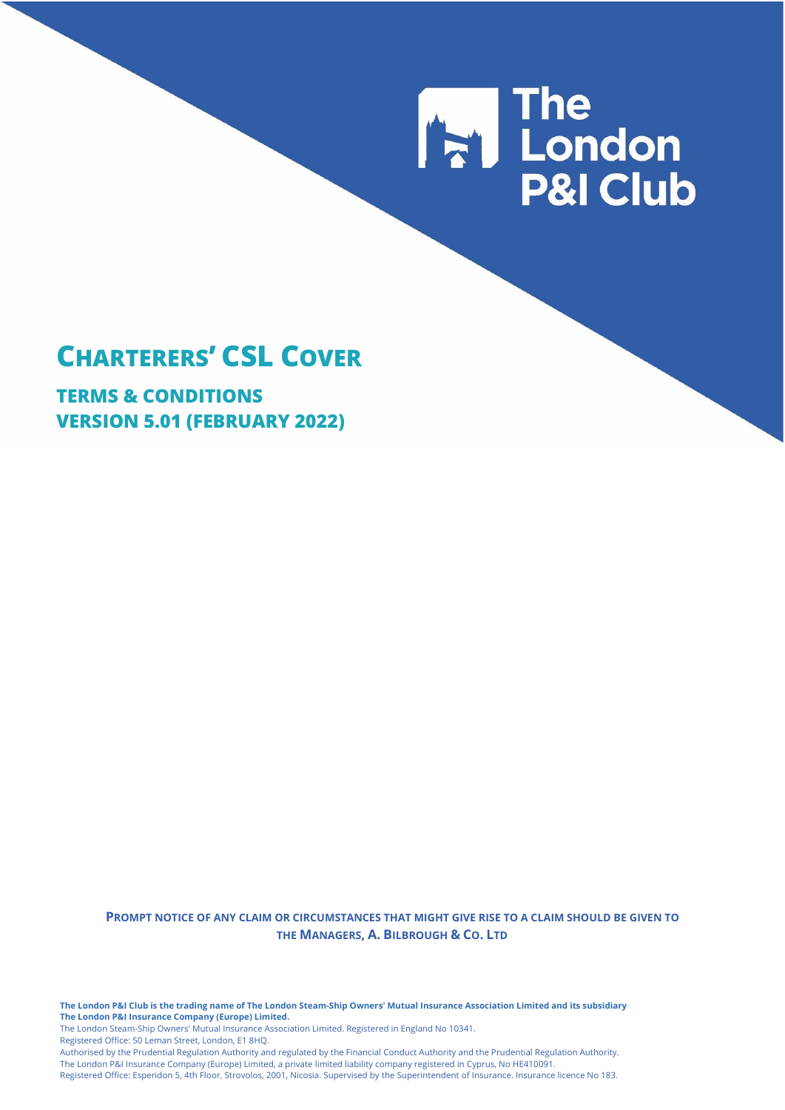# **The London<br>P&I Club**

# **CHARTERERS' CSL COVER**

**TERMS & CONDITIONS VERSION 5.01 (FEBRUARY 2022)**

> **PROMPT NOTICE OF ANY CLAIM OR CIRCUMSTANCES THAT MIGHT GIVE RISE TO A CLAIM SHOULD BE GIVEN TO THE MANAGERS, A. BILBROUGH & CO. LTD**

**The London P&I Club is the trading name of The London Steam-Ship Owners' Mutual Insurance Association Limited and its subsidiary The London P&I Insurance Company (Europe) Limited.**

The London Steam-Ship Owners' Mutual Insurance Association Limited. Registered in England No 10341.

Registered Office: 50 Leman Street, London, E1 8HQ.

Authorised by the Prudential Regulation Authority and regulated by the Financial Conduct Authority and the Prudential Regulation Authority. The London P&I Insurance Company (Europe) Limited, a private limited liability company registered in Cyprus, No HE410091. Registered Office: Esperidon 5, 4th Floor, Strovolos, 2001, Nicosia. Supervised by the Superintendent of Insurance. Insurance licence No 183.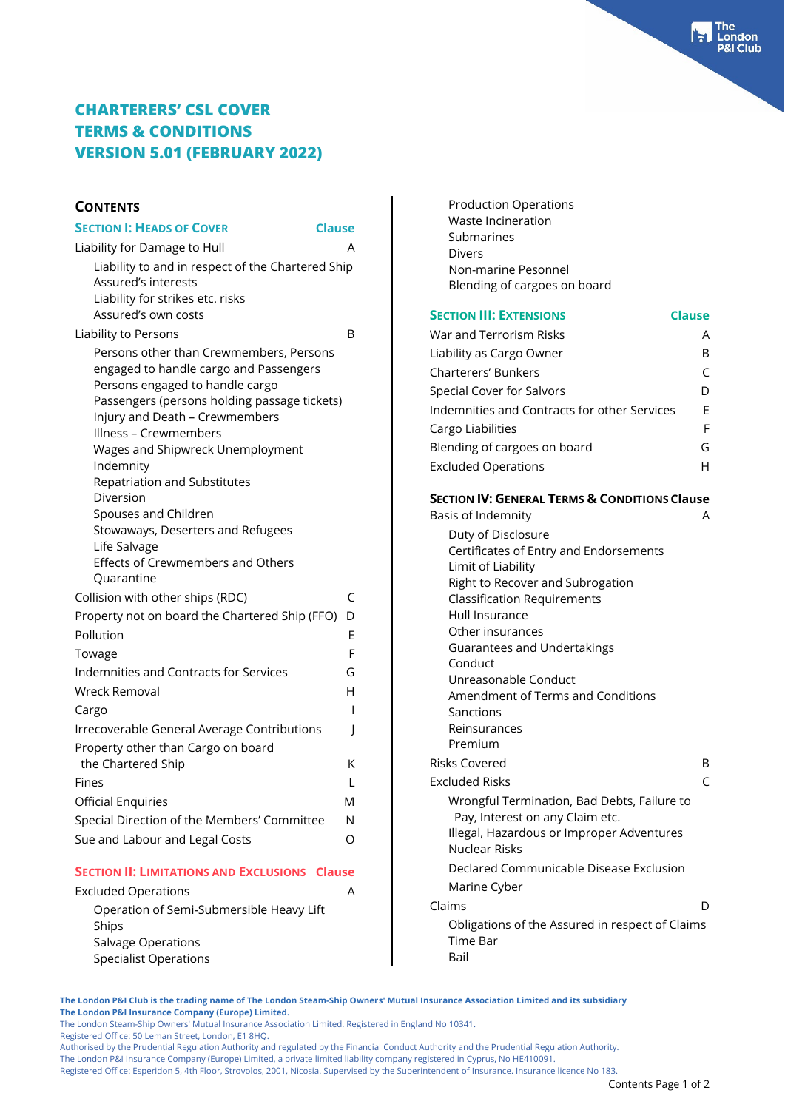### **CONTENTS**

| <b>SECTION I: HEADS OF COVER</b>                                                                                                                                                                                                                                                                                                                                                                                                                | <b>Clause</b> |
|-------------------------------------------------------------------------------------------------------------------------------------------------------------------------------------------------------------------------------------------------------------------------------------------------------------------------------------------------------------------------------------------------------------------------------------------------|---------------|
| Liability for Damage to Hull                                                                                                                                                                                                                                                                                                                                                                                                                    | A             |
| Liability to and in respect of the Chartered Ship<br>Assured's interests<br>Liability for strikes etc. risks                                                                                                                                                                                                                                                                                                                                    |               |
| Assured's own costs                                                                                                                                                                                                                                                                                                                                                                                                                             |               |
| Liability to Persons                                                                                                                                                                                                                                                                                                                                                                                                                            | B             |
| Persons other than Crewmembers, Persons<br>engaged to handle cargo and Passengers<br>Persons engaged to handle cargo<br>Passengers (persons holding passage tickets)<br>Injury and Death - Crewmembers<br>Illness – Crewmembers<br>Wages and Shipwreck Unemployment<br>Indemnity<br>Repatriation and Substitutes<br>Diversion<br>Spouses and Children<br>Stowaways, Deserters and Refugees<br>Life Salvage<br>Effects of Crewmembers and Others |               |
| Ouarantine<br>Collision with other ships (RDC)                                                                                                                                                                                                                                                                                                                                                                                                  | C             |
| Property not on board the Chartered Ship (FFO)                                                                                                                                                                                                                                                                                                                                                                                                  | D             |
| Pollution                                                                                                                                                                                                                                                                                                                                                                                                                                       | Е             |
| Towage                                                                                                                                                                                                                                                                                                                                                                                                                                          | F             |
| Indemnities and Contracts for Services                                                                                                                                                                                                                                                                                                                                                                                                          | G             |
| Wreck Removal                                                                                                                                                                                                                                                                                                                                                                                                                                   | н             |
| Cargo                                                                                                                                                                                                                                                                                                                                                                                                                                           | I             |
| Irrecoverable General Average Contributions                                                                                                                                                                                                                                                                                                                                                                                                     | J             |
| Property other than Cargo on board                                                                                                                                                                                                                                                                                                                                                                                                              |               |
| the Chartered Ship                                                                                                                                                                                                                                                                                                                                                                                                                              | Κ             |
| Fines                                                                                                                                                                                                                                                                                                                                                                                                                                           | L             |
| <b>Official Enquiries</b>                                                                                                                                                                                                                                                                                                                                                                                                                       | M             |
| Special Direction of the Members' Committee                                                                                                                                                                                                                                                                                                                                                                                                     | N             |
| Sue and Labour and Legal Costs                                                                                                                                                                                                                                                                                                                                                                                                                  | Ω             |
| <b>SECTION II' LIMITATIONS AND EXCLUSIONS Clause</b>                                                                                                                                                                                                                                                                                                                                                                                            |               |

### **SECTION II: LIMITATIONS AND EXCLUSIONS Clause**

| <b>Excluded Operations</b>               |  |
|------------------------------------------|--|
| Operation of Semi-Submersible Heavy Lift |  |
| Ships                                    |  |
| Salvage Operations                       |  |
| <b>Specialist Operations</b>             |  |
|                                          |  |

| <b>Production Operations</b>                                                 |               |
|------------------------------------------------------------------------------|---------------|
| Waste Incineration                                                           |               |
| Submarines                                                                   |               |
| Divers<br>Non-marine Pesonnel                                                |               |
| Blending of cargoes on board                                                 |               |
|                                                                              |               |
| <b>SECTION III: EXTENSIONS</b>                                               | <b>Clause</b> |
| War and Terrorism Risks                                                      | A             |
| Liability as Cargo Owner                                                     | B             |
| <b>Charterers' Bunkers</b>                                                   | C             |
| Special Cover for Salvors                                                    | D             |
| Indemnities and Contracts for other Services                                 | Е             |
| Cargo Liabilities                                                            | F             |
| Blending of cargoes on board                                                 | G             |
| <b>Excluded Operations</b>                                                   | н             |
| <b>SECTION IV: GENERAL TERMS &amp; CONDITIONS Clause</b>                     |               |
| Basis of Indemnity                                                           | А             |
| Duty of Disclosure                                                           |               |
| Certificates of Entry and Endorsements                                       |               |
| Limit of Liability                                                           |               |
| Right to Recover and Subrogation<br><b>Classification Requirements</b>       |               |
| Hull Insurance                                                               |               |
| Other insurances                                                             |               |
| <b>Guarantees and Undertakings</b>                                           |               |
| Conduct                                                                      |               |
| Unreasonable Conduct<br>Amendment of Terms and Conditions                    |               |
| Sanctions                                                                    |               |
| Reinsurances                                                                 |               |
| Premium                                                                      |               |
| Risks Covered                                                                | B             |
| <b>Excluded Risks</b>                                                        | C             |
| Wrongful Termination, Bad Debts, Failure to                                  |               |
| Pay, Interest on any Claim etc.<br>Illegal, Hazardous or Improper Adventures |               |
| Nuclear Risks                                                                |               |
| Declared Communicable Disease Exclusion                                      |               |
| Marine Cyber                                                                 |               |
| Claims                                                                       | I)            |
| Obligations of the Assured in respect of Claims                              |               |
| Time Bar                                                                     |               |
| Bail                                                                         |               |

**The London P&I Club is the trading name of The London Steam-Ship Owners' Mutual Insurance Association Limited and its subsidiary The London P&I Insurance Company (Europe) Limited.**

The London Steam-Ship Owners' Mutual Insurance Association Limited. Registered in England No 10341.

Registered Office: 50 Leman Street, London, E1 8HQ.

Authorised by the Prudential Regulation Authority and regulated by the Financial Conduct Authority and the Prudential Regulation Authority.

The London P&I Insurance Company (Europe) Limited, a private limited liability company registered in Cyprus, No HE410091.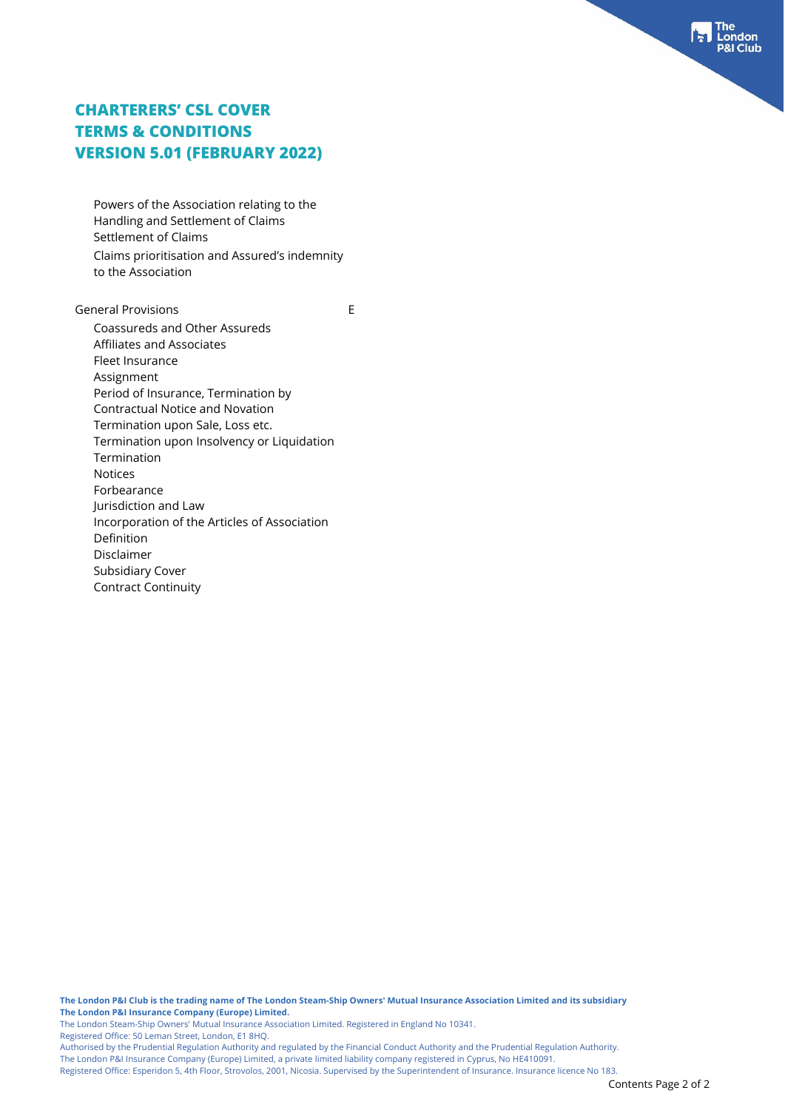Powers of the Association relating to the Handling and Settlement of Claims Settlement of Claims Claims prioritisation and Assured's indemnity to the Association

General Provisions **Exercise Exercise E** Coassureds and Other Assureds Affiliates and Associates Fleet Insurance Assignment Period of Insurance, Termination by Contractual Notice and Novation Termination upon Sale, Loss etc. Termination upon Insolvency or Liquidation Termination Notices Forbearance Jurisdiction and Law Incorporation of the Articles of Association Definition Disclaimer Subsidiary Cover Contract Continuity

**The London P&I Club is the trading name of The London Steam-Ship Owners' Mutual Insurance Association Limited and its subsidiary The London P&I Insurance Company (Europe) Limited.**

The London Steam-Ship Owners' Mutual Insurance Association Limited. Registered in England No 10341.

Registered Office: 50 Leman Street, London, E1 8HQ.

Authorised by the Prudential Regulation Authority and regulated by the Financial Conduct Authority and the Prudential Regulation Authority.

The London P&I Insurance Company (Europe) Limited, a private limited liability company registered in Cyprus, No HE410091.

Registered Office: Esperidon 5, 4th Floor, Strovolos, 2001, Nicosia. Supervised by the Superintendent of Insurance. Insurance licence No 183.

idon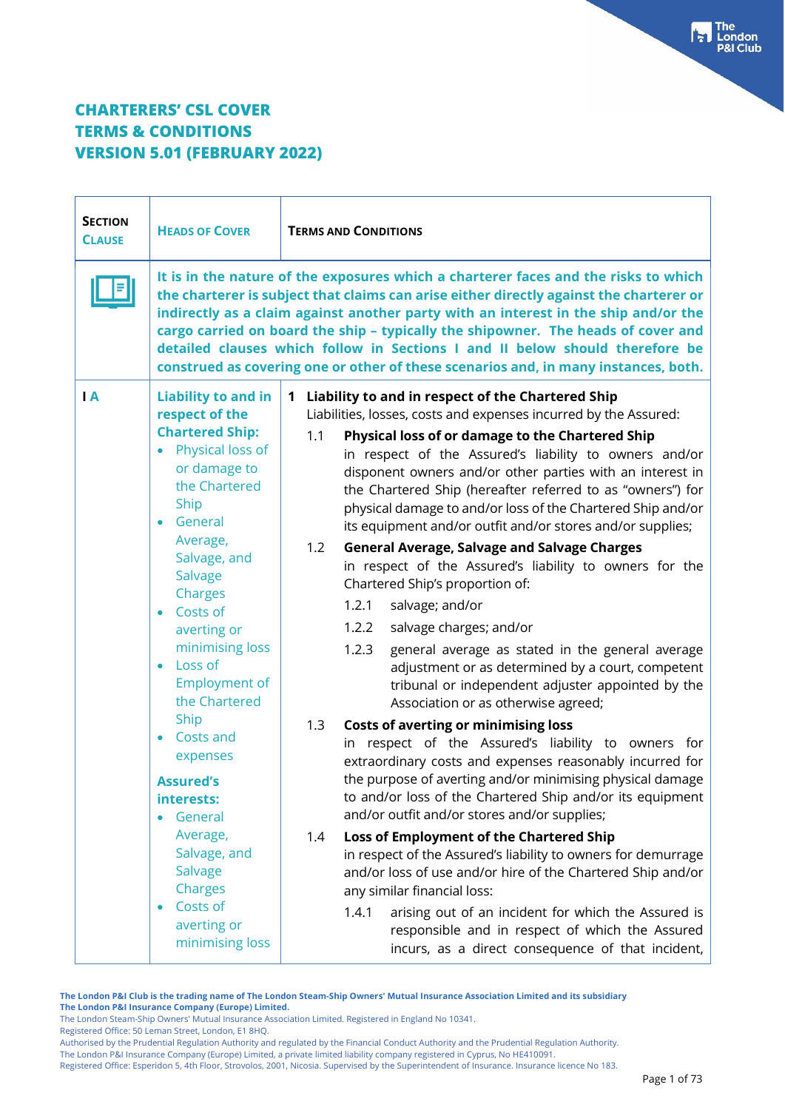| <b>SECTION</b><br><b>CLAUSE</b> | <b>HEADS OF COVER</b>                                                                                                                                                                                                                                                                                                                                                                                                                                                                                                      | <b>TERMS AND CONDITIONS</b>                                                                                                                                                                                                                                                                                                                                                                                                                                                                                                                                                                                                                                                                                                                                                                                                                                                                                                                                                                                                                                                                                                                                                                                                                                                                                                                                                                                                                                                                                                                                                                                                                                                                    |
|---------------------------------|----------------------------------------------------------------------------------------------------------------------------------------------------------------------------------------------------------------------------------------------------------------------------------------------------------------------------------------------------------------------------------------------------------------------------------------------------------------------------------------------------------------------------|------------------------------------------------------------------------------------------------------------------------------------------------------------------------------------------------------------------------------------------------------------------------------------------------------------------------------------------------------------------------------------------------------------------------------------------------------------------------------------------------------------------------------------------------------------------------------------------------------------------------------------------------------------------------------------------------------------------------------------------------------------------------------------------------------------------------------------------------------------------------------------------------------------------------------------------------------------------------------------------------------------------------------------------------------------------------------------------------------------------------------------------------------------------------------------------------------------------------------------------------------------------------------------------------------------------------------------------------------------------------------------------------------------------------------------------------------------------------------------------------------------------------------------------------------------------------------------------------------------------------------------------------------------------------------------------------|
|                                 |                                                                                                                                                                                                                                                                                                                                                                                                                                                                                                                            | It is in the nature of the exposures which a charterer faces and the risks to which<br>the charterer is subject that claims can arise either directly against the charterer or<br>indirectly as a claim against another party with an interest in the ship and/or the<br>cargo carried on board the ship - typically the shipowner. The heads of cover and<br>detailed clauses which follow in Sections I and II below should therefore be<br>construed as covering one or other of these scenarios and, in many instances, both.                                                                                                                                                                                                                                                                                                                                                                                                                                                                                                                                                                                                                                                                                                                                                                                                                                                                                                                                                                                                                                                                                                                                                              |
| $\overline{A}$                  | <b>Liability to and in</b><br>respect of the<br><b>Chartered Ship:</b><br>• Physical loss of<br>or damage to<br>the Chartered<br>Ship<br>General<br>Average,<br>Salvage, and<br><b>Salvage</b><br>Charges<br>Costs of<br>$\bullet$<br>averting or<br>minimising loss<br>Loss of<br>$\bullet$<br><b>Employment of</b><br>the Chartered<br>Ship<br>Costs and<br>expenses<br><b>Assured's</b><br>interests:<br>General<br>Average,<br>Salvage, and<br><b>Salvage</b><br>Charges<br>Costs of<br>averting or<br>minimising loss | Liability to and in respect of the Chartered Ship<br>1<br>Liabilities, losses, costs and expenses incurred by the Assured:<br>1.1<br>Physical loss of or damage to the Chartered Ship<br>in respect of the Assured's liability to owners and/or<br>disponent owners and/or other parties with an interest in<br>the Chartered Ship (hereafter referred to as "owners") for<br>physical damage to and/or loss of the Chartered Ship and/or<br>its equipment and/or outfit and/or stores and/or supplies;<br>1.2<br><b>General Average, Salvage and Salvage Charges</b><br>in respect of the Assured's liability to owners for the<br>Chartered Ship's proportion of:<br>1.2.1<br>salvage; and/or<br>1.2.2<br>salvage charges; and/or<br>1.2.3<br>general average as stated in the general average<br>adjustment or as determined by a court, competent<br>tribunal or independent adjuster appointed by the<br>Association or as otherwise agreed;<br><b>Costs of averting or minimising loss</b><br>1.3<br>in respect of the Assured's liability to owners for<br>extraordinary costs and expenses reasonably incurred for<br>the purpose of averting and/or minimising physical damage<br>to and/or loss of the Chartered Ship and/or its equipment<br>and/or outfit and/or stores and/or supplies;<br>Loss of Employment of the Chartered Ship<br>1.4<br>in respect of the Assured's liability to owners for demurrage<br>and/or loss of use and/or hire of the Chartered Ship and/or<br>any similar financial loss:<br>1.4.1<br>arising out of an incident for which the Assured is<br>responsible and in respect of which the Assured<br>incurs, as a direct consequence of that incident, |

**The London P&I Club is the trading name of The London Steam-Ship Owners' Mutual Insurance Association Limited and its subsidiary The London P&I Insurance Company (Europe) Limited.**

The London Steam-Ship Owners' Mutual Insurance Association Limited. Registered in England No 10341. Registered Office: 50 Leman Street, London, E1 8HQ.

Authorised by the Prudential Regulation Authority and regulated by the Financial Conduct Authority and the Prudential Regulation Authority.

The London P&I Insurance Company (Europe) Limited, a private limited liability company registered in Cyprus, No HE410091.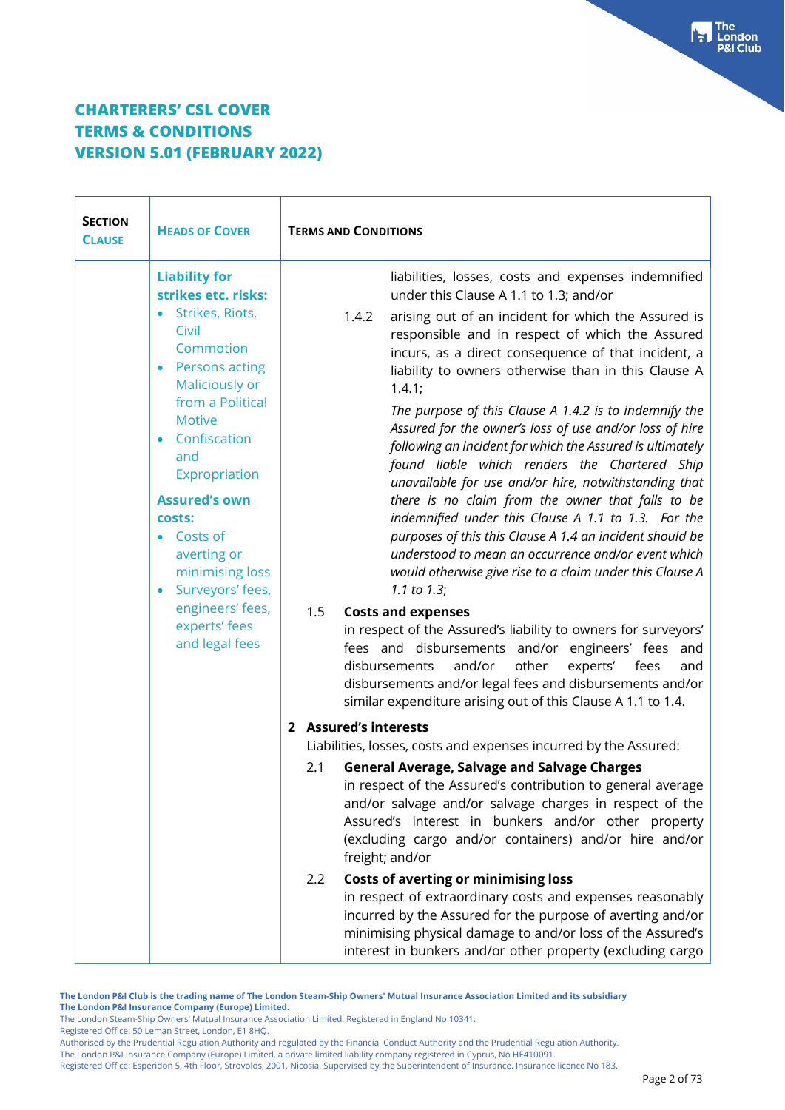| <b>SECTION</b><br><b>CLAUSE</b> | <b>HEADS OF COVER</b>                                                                                                                                              | <b>TERMS AND CONDITIONS</b>                                                                                                                                                                                                                                                                                                                        |
|---------------------------------|--------------------------------------------------------------------------------------------------------------------------------------------------------------------|----------------------------------------------------------------------------------------------------------------------------------------------------------------------------------------------------------------------------------------------------------------------------------------------------------------------------------------------------|
|                                 | <b>Liability for</b><br>strikes etc. risks:<br>• Strikes, Riots,<br>Civil<br>Commotion<br><b>Persons acting</b><br>$\bullet$<br>Maliciously or<br>from a Political | liabilities, losses, costs and expenses indemnified<br>under this Clause A 1.1 to 1.3; and/or<br>arising out of an incident for which the Assured is<br>1.4.2<br>responsible and in respect of which the Assured<br>incurs, as a direct consequence of that incident, a<br>liability to owners otherwise than in this Clause A<br>1.4.1;           |
|                                 | <b>Motive</b><br>Confiscation<br>and<br>Expropriation                                                                                                              | The purpose of this Clause A 1.4.2 is to indemnify the<br>Assured for the owner's loss of use and/or loss of hire<br>following an incident for which the Assured is ultimately<br>found liable which renders the Chartered Ship<br>unavailable for use and/or hire, notwithstanding that                                                           |
|                                 | <b>Assured's own</b><br>costs:<br>• Costs of<br>averting or<br>minimising loss<br>Surveyors' fees,<br>$\bullet$                                                    | there is no claim from the owner that falls to be<br>indemnified under this Clause A 1.1 to 1.3. For the<br>purposes of this this Clause A 1.4 an incident should be<br>understood to mean an occurrence and/or event which<br>would otherwise give rise to a claim under this Clause A<br>1.1 to $1.3$ ;                                          |
|                                 | engineers' fees,<br>experts' fees<br>and legal fees                                                                                                                | 1.5<br><b>Costs and expenses</b><br>in respect of the Assured's liability to owners for surveyors'<br>fees and disbursements and/or engineers' fees and<br>other<br>experts'<br>disbursements<br>and/or<br>fees<br>and<br>disbursements and/or legal fees and disbursements and/or<br>similar expenditure arising out of this Clause A 1.1 to 1.4. |
|                                 |                                                                                                                                                                    | 2 Assured's interests<br>Liabilities, losses, costs and expenses incurred by the Assured:                                                                                                                                                                                                                                                          |
|                                 |                                                                                                                                                                    | <b>General Average, Salvage and Salvage Charges</b><br>2.1<br>in respect of the Assured's contribution to general average<br>and/or salvage and/or salvage charges in respect of the<br>Assured's interest in bunkers and/or other property<br>(excluding cargo and/or containers) and/or hire and/or<br>freight; and/or                           |
|                                 |                                                                                                                                                                    | 2.2<br><b>Costs of averting or minimising loss</b><br>in respect of extraordinary costs and expenses reasonably<br>incurred by the Assured for the purpose of averting and/or<br>minimising physical damage to and/or loss of the Assured's<br>interest in bunkers and/or other property (excluding cargo                                          |

**The London P&I Club is the trading name of The London Steam-Ship Owners' Mutual Insurance Association Limited and its subsidiary The London P&I Insurance Company (Europe) Limited.**

The London Steam-Ship Owners' Mutual Insurance Association Limited. Registered in England No 10341.

Registered Office: 50 Leman Street, London, E1 8HQ.

The London P&I Insurance Company (Europe) Limited, a private limited liability company registered in Cyprus, No HE410091.

Authorised by the Prudential Regulation Authority and regulated by the Financial Conduct Authority and the Prudential Regulation Authority.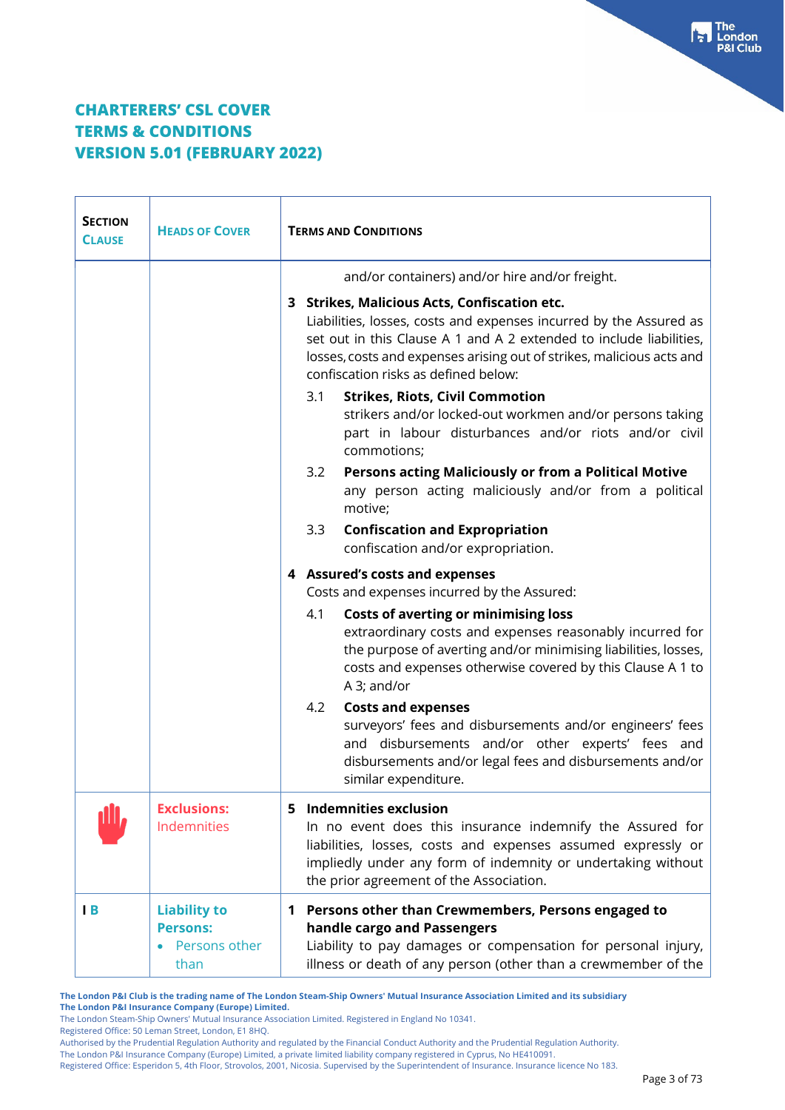| <b>SECTION</b><br><b>CLAUSE</b> | <b>HEADS OF COVER</b>                                           | <b>TERMS AND CONDITIONS</b>                                                                                                                                                                                                                                                                                                                                                                                                                                                                                                                                                                                                                                                                                                           |  |
|---------------------------------|-----------------------------------------------------------------|---------------------------------------------------------------------------------------------------------------------------------------------------------------------------------------------------------------------------------------------------------------------------------------------------------------------------------------------------------------------------------------------------------------------------------------------------------------------------------------------------------------------------------------------------------------------------------------------------------------------------------------------------------------------------------------------------------------------------------------|--|
|                                 |                                                                 | and/or containers) and/or hire and/or freight.<br>3 Strikes, Malicious Acts, Confiscation etc.<br>Liabilities, losses, costs and expenses incurred by the Assured as<br>set out in this Clause A 1 and A 2 extended to include liabilities,<br>losses, costs and expenses arising out of strikes, malicious acts and<br>confiscation risks as defined below:<br><b>Strikes, Riots, Civil Commotion</b><br>3.1<br>strikers and/or locked-out workmen and/or persons taking<br>part in labour disturbances and/or riots and/or civil<br>commotions;<br>Persons acting Maliciously or from a Political Motive<br>3.2<br>any person acting maliciously and/or from a political<br>motive;<br><b>Confiscation and Expropriation</b><br>3.3 |  |
|                                 |                                                                 | confiscation and/or expropriation.<br>4 Assured's costs and expenses<br>Costs and expenses incurred by the Assured:                                                                                                                                                                                                                                                                                                                                                                                                                                                                                                                                                                                                                   |  |
|                                 |                                                                 | 4.1<br><b>Costs of averting or minimising loss</b><br>extraordinary costs and expenses reasonably incurred for<br>the purpose of averting and/or minimising liabilities, losses,<br>costs and expenses otherwise covered by this Clause A 1 to<br>A 3; and/or                                                                                                                                                                                                                                                                                                                                                                                                                                                                         |  |
|                                 |                                                                 | <b>Costs and expenses</b><br>4.2<br>surveyors' fees and disbursements and/or engineers' fees<br>and disbursements and/or other experts' fees and<br>disbursements and/or legal fees and disbursements and/or<br>similar expenditure.                                                                                                                                                                                                                                                                                                                                                                                                                                                                                                  |  |
|                                 | <b>Exclusions:</b><br>Indemnities                               | <b>Indemnities exclusion</b><br>5.<br>In no event does this insurance indemnify the Assured for<br>liabilities, losses, costs and expenses assumed expressly or<br>impliedly under any form of indemnity or undertaking without<br>the prior agreement of the Association.                                                                                                                                                                                                                                                                                                                                                                                                                                                            |  |
| $\mathsf{I}$ B                  | <b>Liability to</b><br><b>Persons:</b><br>Persons other<br>than | 1 Persons other than Crewmembers, Persons engaged to<br>handle cargo and Passengers<br>Liability to pay damages or compensation for personal injury,<br>illness or death of any person (other than a crewmember of the                                                                                                                                                                                                                                                                                                                                                                                                                                                                                                                |  |

**The London P&I Club is the trading name of The London Steam-Ship Owners' Mutual Insurance Association Limited and its subsidiary The London P&I Insurance Company (Europe) Limited.**

The London Steam-Ship Owners' Mutual Insurance Association Limited. Registered in England No 10341.

Registered Office: 50 Leman Street, London, E1 8HQ.

Authorised by the Prudential Regulation Authority and regulated by the Financial Conduct Authority and the Prudential Regulation Authority.

The London P&I Insurance Company (Europe) Limited, a private limited liability company registered in Cyprus, No HE410091.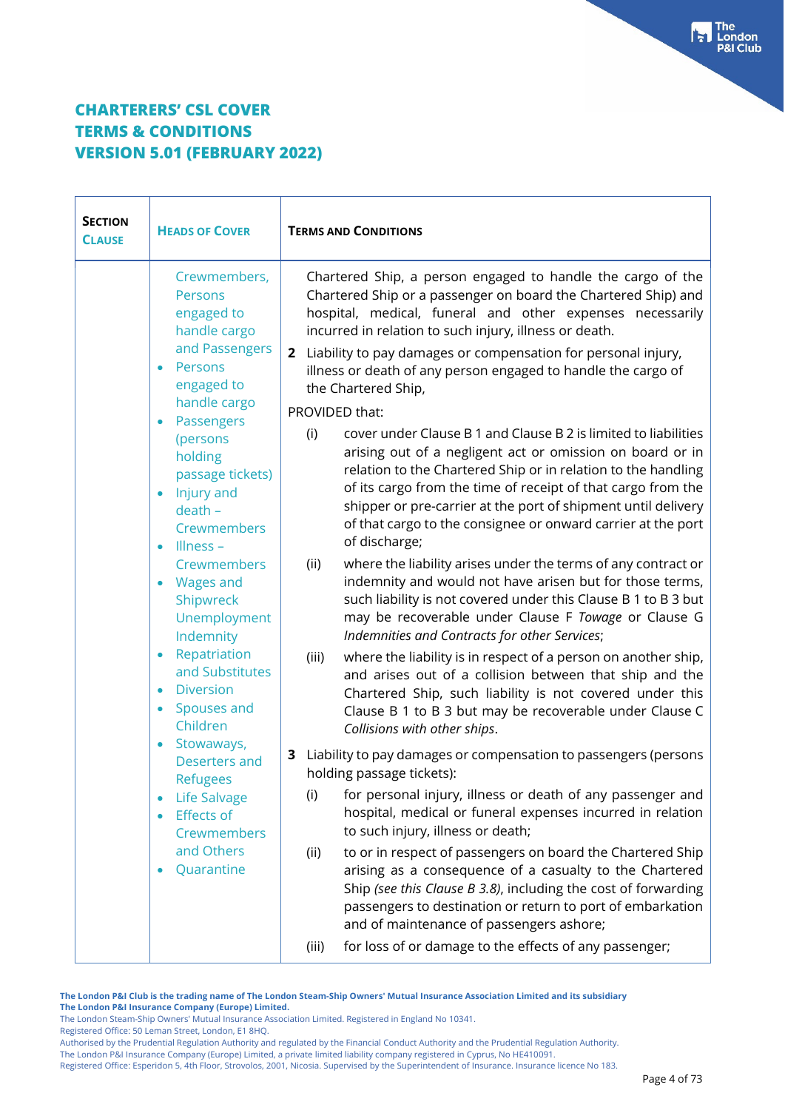| <b>SECTION</b><br><b>CLAUSE</b> | <b>HEADS OF COVER</b>                                                                                                     | <b>TERMS AND CONDITIONS</b>                                                                                                                                                                                                                                                                                                                                                                                            |  |
|---------------------------------|---------------------------------------------------------------------------------------------------------------------------|------------------------------------------------------------------------------------------------------------------------------------------------------------------------------------------------------------------------------------------------------------------------------------------------------------------------------------------------------------------------------------------------------------------------|--|
|                                 | Crewmembers,<br>Persons<br>engaged to<br>handle cargo<br>and Passengers<br>Persons<br>$\bullet$<br>engaged to             | Chartered Ship, a person engaged to handle the cargo of the<br>Chartered Ship or a passenger on board the Chartered Ship) and<br>hospital, medical, funeral and other expenses necessarily<br>incurred in relation to such injury, illness or death.<br>2 Liability to pay damages or compensation for personal injury,<br>illness or death of any person engaged to handle the cargo of<br>the Chartered Ship,        |  |
|                                 | handle cargo                                                                                                              | PROVIDED that:                                                                                                                                                                                                                                                                                                                                                                                                         |  |
|                                 | Passengers<br>$\bullet$<br>(persons<br>holding<br>passage tickets)<br>Injury and<br>$\bullet$<br>$death -$<br>Crewmembers | cover under Clause B 1 and Clause B 2 is limited to liabilities<br>(i)<br>arising out of a negligent act or omission on board or in<br>relation to the Chartered Ship or in relation to the handling<br>of its cargo from the time of receipt of that cargo from the<br>shipper or pre-carrier at the port of shipment until delivery<br>of that cargo to the consignee or onward carrier at the port<br>of discharge; |  |
|                                 | Illness -<br>$\bullet$<br>Crewmembers<br>• Wages and<br>Shipwreck<br>Unemployment<br>Indemnity                            | where the liability arises under the terms of any contract or<br>(ii)<br>indemnity and would not have arisen but for those terms,<br>such liability is not covered under this Clause B 1 to B 3 but<br>may be recoverable under Clause F Towage or Clause G<br>Indemnities and Contracts for other Services;                                                                                                           |  |
|                                 | Repatriation<br>$\bullet$<br>and Substitutes<br><b>Diversion</b><br>$\bullet$<br>Spouses and<br>$\bullet$<br>Children     | where the liability is in respect of a person on another ship,<br>(iii)<br>and arises out of a collision between that ship and the<br>Chartered Ship, such liability is not covered under this<br>Clause B 1 to B 3 but may be recoverable under Clause C<br>Collisions with other ships.                                                                                                                              |  |
|                                 | Stowaways,<br>$\bullet$<br>Deserters and<br><b>Refugees</b>                                                               | Liability to pay damages or compensation to passengers (persons<br>3<br>holding passage tickets):                                                                                                                                                                                                                                                                                                                      |  |
|                                 | Life Salvage<br><b>Effects of</b><br><b>Crewmembers</b>                                                                   | for personal injury, illness or death of any passenger and<br>(i)<br>hospital, medical or funeral expenses incurred in relation<br>to such injury, illness or death;                                                                                                                                                                                                                                                   |  |
|                                 | and Others<br>Quarantine                                                                                                  | to or in respect of passengers on board the Chartered Ship<br>(ii)<br>arising as a consequence of a casualty to the Chartered<br>Ship (see this Clause B 3.8), including the cost of forwarding<br>passengers to destination or return to port of embarkation<br>and of maintenance of passengers ashore;                                                                                                              |  |
|                                 |                                                                                                                           | for loss of or damage to the effects of any passenger;<br>(iii)                                                                                                                                                                                                                                                                                                                                                        |  |

**The London P&I Club is the trading name of The London Steam-Ship Owners' Mutual Insurance Association Limited and its subsidiary The London P&I Insurance Company (Europe) Limited.**

The London Steam-Ship Owners' Mutual Insurance Association Limited. Registered in England No 10341.

Registered Office: 50 Leman Street, London, E1 8HQ.

Authorised by the Prudential Regulation Authority and regulated by the Financial Conduct Authority and the Prudential Regulation Authority.

The London P&I Insurance Company (Europe) Limited, a private limited liability company registered in Cyprus, No HE410091.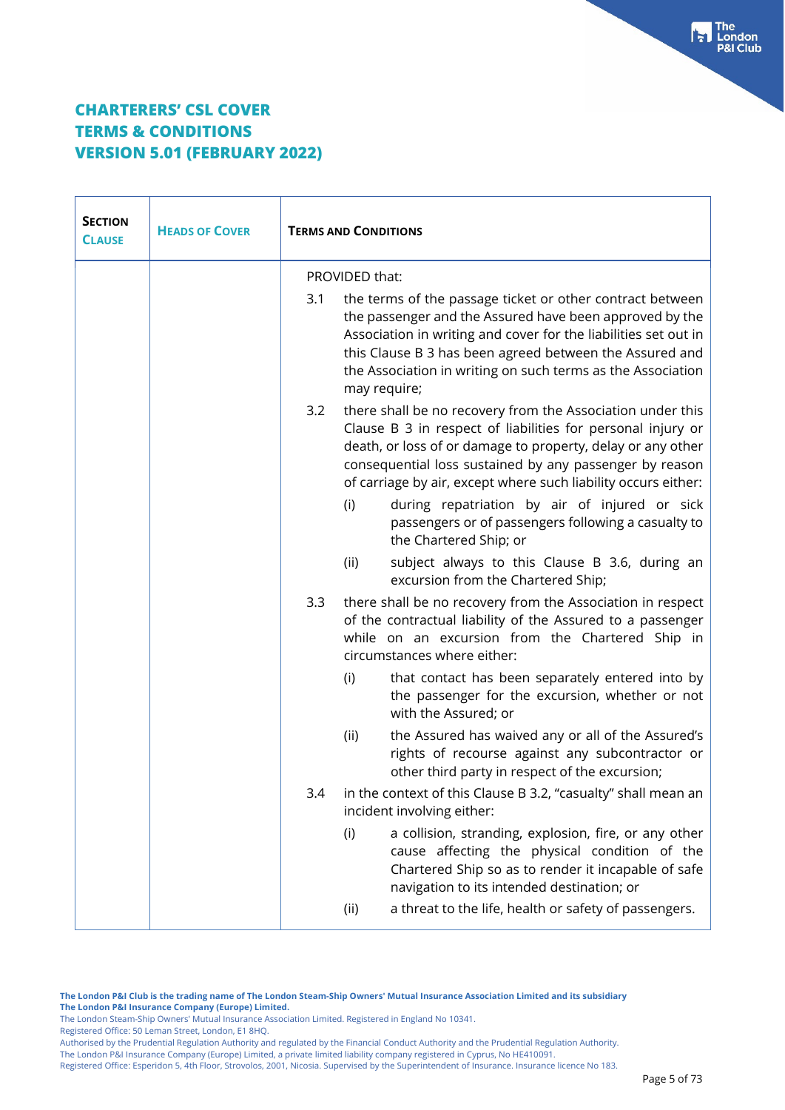| <b>SECTION</b><br><b>CLAUSE</b> | <b>HEADS OF COVER</b> | <b>TERMS AND CONDITIONS</b> |                                                                                                                                                                                                                                                                                                                                   |
|---------------------------------|-----------------------|-----------------------------|-----------------------------------------------------------------------------------------------------------------------------------------------------------------------------------------------------------------------------------------------------------------------------------------------------------------------------------|
|                                 |                       | PROVIDED that:              |                                                                                                                                                                                                                                                                                                                                   |
|                                 |                       | 3.1                         | the terms of the passage ticket or other contract between<br>the passenger and the Assured have been approved by the<br>Association in writing and cover for the liabilities set out in<br>this Clause B 3 has been agreed between the Assured and<br>the Association in writing on such terms as the Association<br>may require; |
|                                 |                       | 3.2                         | there shall be no recovery from the Association under this<br>Clause B 3 in respect of liabilities for personal injury or<br>death, or loss of or damage to property, delay or any other<br>consequential loss sustained by any passenger by reason<br>of carriage by air, except where such liability occurs either:             |
|                                 |                       | (i)                         | during repatriation by air of injured or sick<br>passengers or of passengers following a casualty to<br>the Chartered Ship; or                                                                                                                                                                                                    |
|                                 |                       | (ii)                        | subject always to this Clause B 3.6, during an<br>excursion from the Chartered Ship;                                                                                                                                                                                                                                              |
|                                 |                       | 3.3                         | there shall be no recovery from the Association in respect<br>of the contractual liability of the Assured to a passenger<br>while on an excursion from the Chartered Ship in<br>circumstances where either:                                                                                                                       |
|                                 |                       | (i)                         | that contact has been separately entered into by<br>the passenger for the excursion, whether or not<br>with the Assured; or                                                                                                                                                                                                       |
|                                 |                       | (ii)                        | the Assured has waived any or all of the Assured's<br>rights of recourse against any subcontractor or<br>other third party in respect of the excursion;                                                                                                                                                                           |
|                                 |                       | 3.4                         | in the context of this Clause B 3.2, "casualty" shall mean an<br>incident involving either:                                                                                                                                                                                                                                       |
|                                 |                       | (i)                         | a collision, stranding, explosion, fire, or any other<br>cause affecting the physical condition of the<br>Chartered Ship so as to render it incapable of safe<br>navigation to its intended destination; or                                                                                                                       |
|                                 |                       | (ii)                        | a threat to the life, health or safety of passengers.                                                                                                                                                                                                                                                                             |

**The London P&I Club is the trading name of The London Steam-Ship Owners' Mutual Insurance Association Limited and its subsidiary The London P&I Insurance Company (Europe) Limited.** The London Steam-Ship Owners' Mutual Insurance Association Limited. Registered in England No 10341.

Registered Office: 50 Leman Street, London, E1 8HQ.

Authorised by the Prudential Regulation Authority and regulated by the Financial Conduct Authority and the Prudential Regulation Authority.

The London P&I Insurance Company (Europe) Limited, a private limited liability company registered in Cyprus, No HE410091.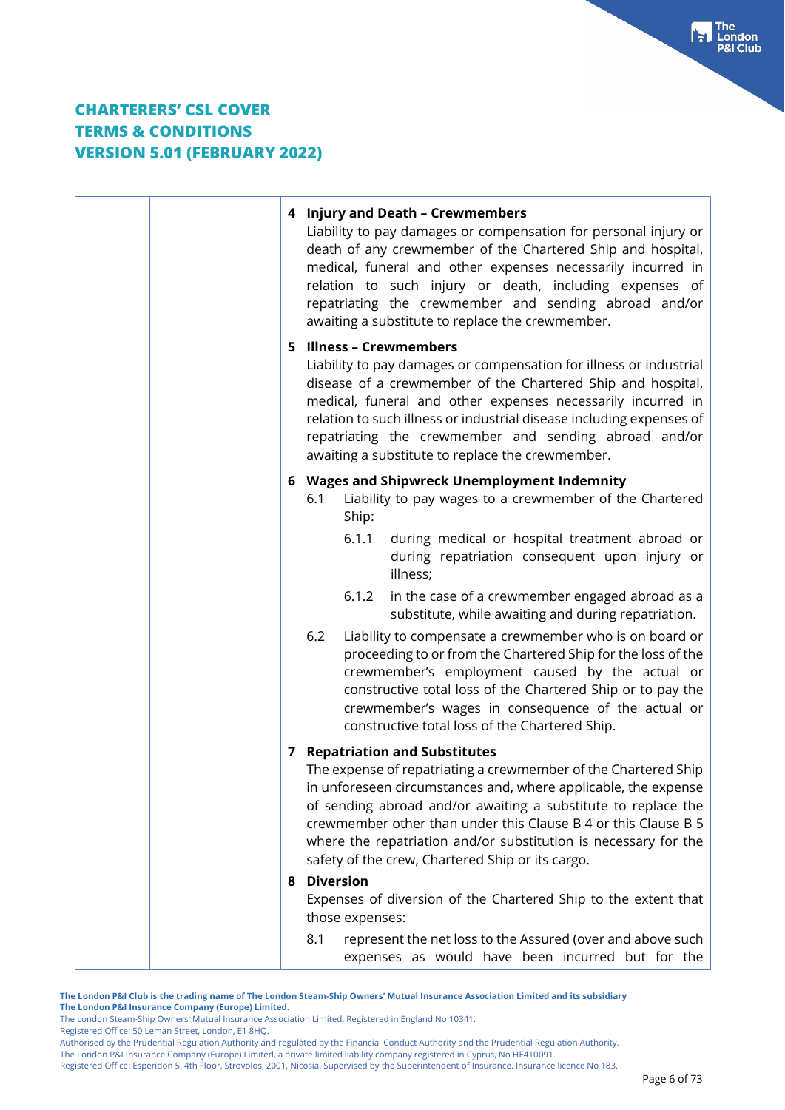| 4 Injury and Death - Crewmembers<br>Liability to pay damages or compensation for personal injury or<br>death of any crewmember of the Chartered Ship and hospital,<br>medical, funeral and other expenses necessarily incurred in<br>relation to such injury or death, including expenses of<br>repatriating the crewmember and sending abroad and/or<br>awaiting a substitute to replace the crewmember.                           |
|-------------------------------------------------------------------------------------------------------------------------------------------------------------------------------------------------------------------------------------------------------------------------------------------------------------------------------------------------------------------------------------------------------------------------------------|
| 5 Illness - Crewmembers<br>Liability to pay damages or compensation for illness or industrial<br>disease of a crewmember of the Chartered Ship and hospital,<br>medical, funeral and other expenses necessarily incurred in<br>relation to such illness or industrial disease including expenses of<br>repatriating the crewmember and sending abroad and/or<br>awaiting a substitute to replace the crewmember.                    |
| 6 Wages and Shipwreck Unemployment Indemnity<br>Liability to pay wages to a crewmember of the Chartered<br>6.1<br>Ship:                                                                                                                                                                                                                                                                                                             |
| 6.1.1<br>during medical or hospital treatment abroad or<br>during repatriation consequent upon injury or<br>illness;                                                                                                                                                                                                                                                                                                                |
| 6.1.2<br>in the case of a crewmember engaged abroad as a<br>substitute, while awaiting and during repatriation.                                                                                                                                                                                                                                                                                                                     |
| 6.2<br>Liability to compensate a crewmember who is on board or<br>proceeding to or from the Chartered Ship for the loss of the<br>crewmember's employment caused by the actual or<br>constructive total loss of the Chartered Ship or to pay the<br>crewmember's wages in consequence of the actual or<br>constructive total loss of the Chartered Ship.                                                                            |
| <b>7</b> Repatriation and Substitutes<br>The expense of repatriating a crewmember of the Chartered Ship<br>in unforeseen circumstances and, where applicable, the expense<br>of sending abroad and/or awaiting a substitute to replace the<br>crewmember other than under this Clause B 4 or this Clause B 5<br>where the repatriation and/or substitution is necessary for the<br>safety of the crew, Chartered Ship or its cargo. |
| 8 Diversion<br>Expenses of diversion of the Chartered Ship to the extent that                                                                                                                                                                                                                                                                                                                                                       |
| those expenses:                                                                                                                                                                                                                                                                                                                                                                                                                     |
| 8.1<br>represent the net loss to the Assured (over and above such<br>expenses as would have been incurred but for the                                                                                                                                                                                                                                                                                                               |

**The London P&I Club is the trading name of The London Steam-Ship Owners' Mutual Insurance Association Limited and its subsidiary The London P&I Insurance Company (Europe) Limited.** The London Steam-Ship Owners' Mutual Insurance Association Limited. Registered in England No 10341.

Registered Office: 50 Leman Street, London, E1 8HQ.

Authorised by the Prudential Regulation Authority and regulated by the Financial Conduct Authority and the Prudential Regulation Authority.

The London P&I Insurance Company (Europe) Limited, a private limited liability company registered in Cyprus, No HE410091.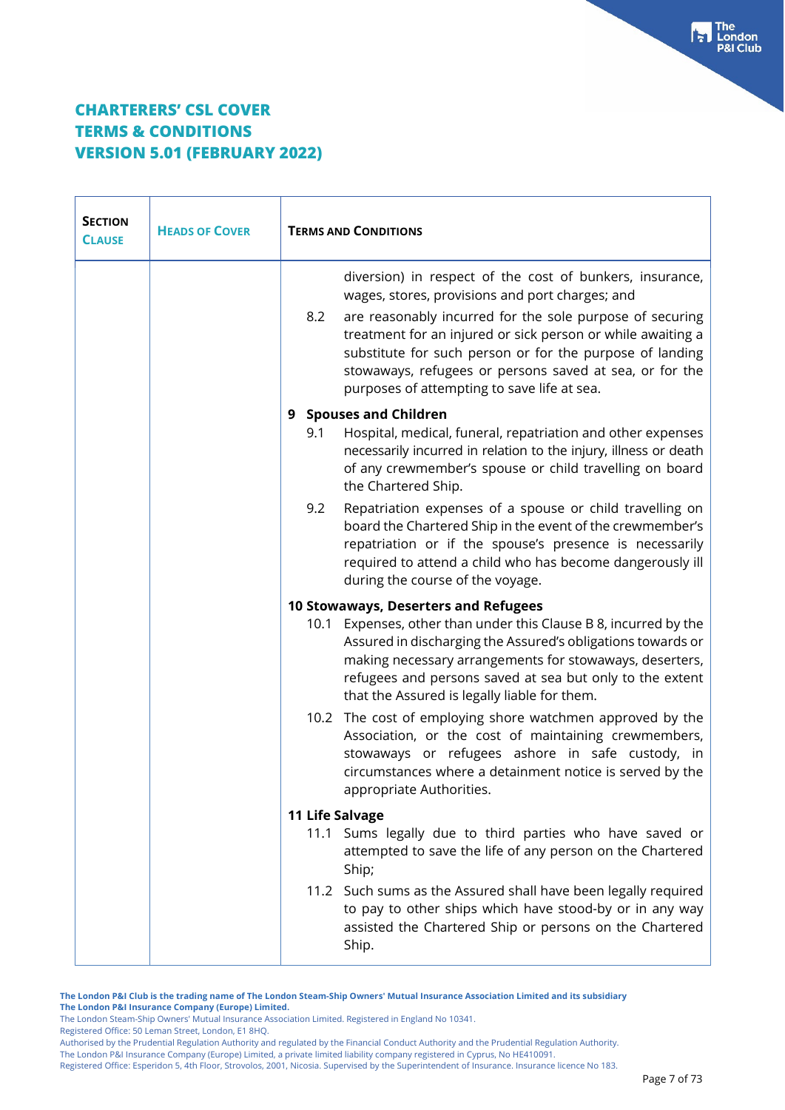| <b>SECTION</b><br><b>CLAUSE</b> | <b>HEADS OF COVER</b> | <b>TERMS AND CONDITIONS</b>                                                                                                                                                                                                                                                                                                                                                                                         |
|---------------------------------|-----------------------|---------------------------------------------------------------------------------------------------------------------------------------------------------------------------------------------------------------------------------------------------------------------------------------------------------------------------------------------------------------------------------------------------------------------|
|                                 |                       | diversion) in respect of the cost of bunkers, insurance,<br>wages, stores, provisions and port charges; and<br>8.2<br>are reasonably incurred for the sole purpose of securing<br>treatment for an injured or sick person or while awaiting a<br>substitute for such person or for the purpose of landing<br>stowaways, refugees or persons saved at sea, or for the<br>purposes of attempting to save life at sea. |
|                                 |                       | 9 Spouses and Children<br>Hospital, medical, funeral, repatriation and other expenses<br>9.1<br>necessarily incurred in relation to the injury, illness or death<br>of any crewmember's spouse or child travelling on board<br>the Chartered Ship.                                                                                                                                                                  |
|                                 |                       | 9.2<br>Repatriation expenses of a spouse or child travelling on<br>board the Chartered Ship in the event of the crewmember's<br>repatriation or if the spouse's presence is necessarily<br>required to attend a child who has become dangerously ill<br>during the course of the voyage.                                                                                                                            |
|                                 |                       | 10 Stowaways, Deserters and Refugees<br>Expenses, other than under this Clause B 8, incurred by the<br>10.1<br>Assured in discharging the Assured's obligations towards or<br>making necessary arrangements for stowaways, deserters,<br>refugees and persons saved at sea but only to the extent<br>that the Assured is legally liable for them.                                                                   |
|                                 |                       | 10.2 The cost of employing shore watchmen approved by the<br>Association, or the cost of maintaining crewmembers,<br>stowaways or refugees ashore in safe custody, in<br>circumstances where a detainment notice is served by the<br>appropriate Authorities.                                                                                                                                                       |
|                                 |                       | 11 Life Salvage                                                                                                                                                                                                                                                                                                                                                                                                     |
|                                 |                       | Sums legally due to third parties who have saved or<br>11.1<br>attempted to save the life of any person on the Chartered<br>Ship;                                                                                                                                                                                                                                                                                   |
|                                 |                       | 11.2 Such sums as the Assured shall have been legally required<br>to pay to other ships which have stood-by or in any way<br>assisted the Chartered Ship or persons on the Chartered<br>Ship.                                                                                                                                                                                                                       |

**The London P&I Club is the trading name of The London Steam-Ship Owners' Mutual Insurance Association Limited and its subsidiary The London P&I Insurance Company (Europe) Limited.**

The London Steam-Ship Owners' Mutual Insurance Association Limited. Registered in England No 10341. Registered Office: 50 Leman Street, London, E1 8HQ.

Authorised by the Prudential Regulation Authority and regulated by the Financial Conduct Authority and the Prudential Regulation Authority.

The London P&I Insurance Company (Europe) Limited, a private limited liability company registered in Cyprus, No HE410091.

Registered Office: Esperidon 5, 4th Floor, Strovolos, 2001, Nicosia. Supervised by the Superintendent of Insurance. Insurance licence No 183.

**Fall** The<br>P&I Club<br>P&I Club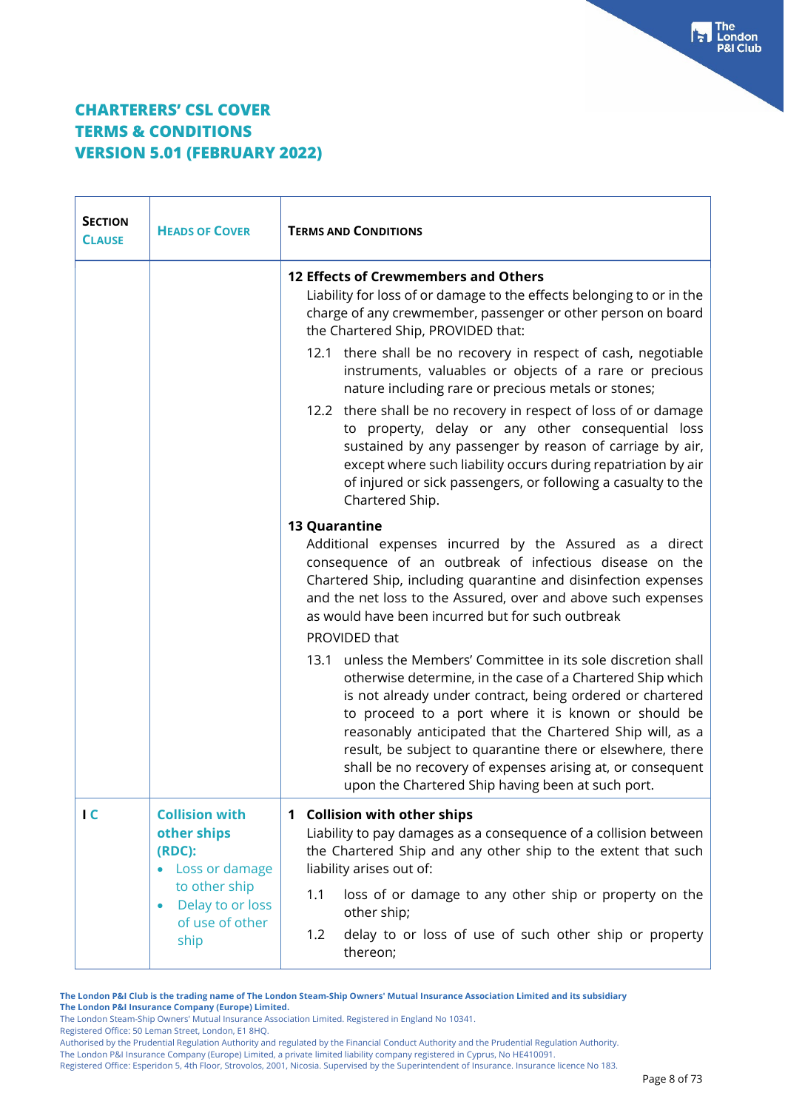| <b>SECTION</b><br><b>CLAUSE</b> | <b>HEADS OF COVER</b>                                                                                                                           | <b>TERMS AND CONDITIONS</b>                                                                                                                                                                                                                                                                                                                                                                                                                                                                        |
|---------------------------------|-------------------------------------------------------------------------------------------------------------------------------------------------|----------------------------------------------------------------------------------------------------------------------------------------------------------------------------------------------------------------------------------------------------------------------------------------------------------------------------------------------------------------------------------------------------------------------------------------------------------------------------------------------------|
|                                 |                                                                                                                                                 | 12 Effects of Crewmembers and Others<br>Liability for loss of or damage to the effects belonging to or in the<br>charge of any crewmember, passenger or other person on board<br>the Chartered Ship, PROVIDED that:                                                                                                                                                                                                                                                                                |
|                                 |                                                                                                                                                 | 12.1 there shall be no recovery in respect of cash, negotiable<br>instruments, valuables or objects of a rare or precious<br>nature including rare or precious metals or stones;                                                                                                                                                                                                                                                                                                                   |
|                                 |                                                                                                                                                 | 12.2 there shall be no recovery in respect of loss of or damage<br>to property, delay or any other consequential loss<br>sustained by any passenger by reason of carriage by air,<br>except where such liability occurs during repatriation by air<br>of injured or sick passengers, or following a casualty to the<br>Chartered Ship.                                                                                                                                                             |
|                                 |                                                                                                                                                 | <b>13 Quarantine</b><br>Additional expenses incurred by the Assured as a direct<br>consequence of an outbreak of infectious disease on the<br>Chartered Ship, including quarantine and disinfection expenses<br>and the net loss to the Assured, over and above such expenses<br>as would have been incurred but for such outbreak<br>PROVIDED that                                                                                                                                                |
|                                 |                                                                                                                                                 | unless the Members' Committee in its sole discretion shall<br>13.1<br>otherwise determine, in the case of a Chartered Ship which<br>is not already under contract, being ordered or chartered<br>to proceed to a port where it is known or should be<br>reasonably anticipated that the Chartered Ship will, as a<br>result, be subject to quarantine there or elsewhere, there<br>shall be no recovery of expenses arising at, or consequent<br>upon the Chartered Ship having been at such port. |
| $\overline{C}$                  | <b>Collision with</b><br>other ships<br>(RDC):<br>• Loss or damage<br>to other ship<br>Delay to or loss<br>$\bullet$<br>of use of other<br>ship | 1 Collision with other ships<br>Liability to pay damages as a consequence of a collision between<br>the Chartered Ship and any other ship to the extent that such<br>liability arises out of:                                                                                                                                                                                                                                                                                                      |
|                                 |                                                                                                                                                 | 1.1<br>loss of or damage to any other ship or property on the<br>other ship;<br>delay to or loss of use of such other ship or property<br>1.2<br>thereon;                                                                                                                                                                                                                                                                                                                                          |

**The London P&I Club is the trading name of The London Steam-Ship Owners' Mutual Insurance Association Limited and its subsidiary The London P&I Insurance Company (Europe) Limited.**

The London Steam-Ship Owners' Mutual Insurance Association Limited. Registered in England No 10341.

Registered Office: 50 Leman Street, London, E1 8HQ.

The London P&I Insurance Company (Europe) Limited, a private limited liability company registered in Cyprus, No HE410091.

Authorised by the Prudential Regulation Authority and regulated by the Financial Conduct Authority and the Prudential Regulation Authority.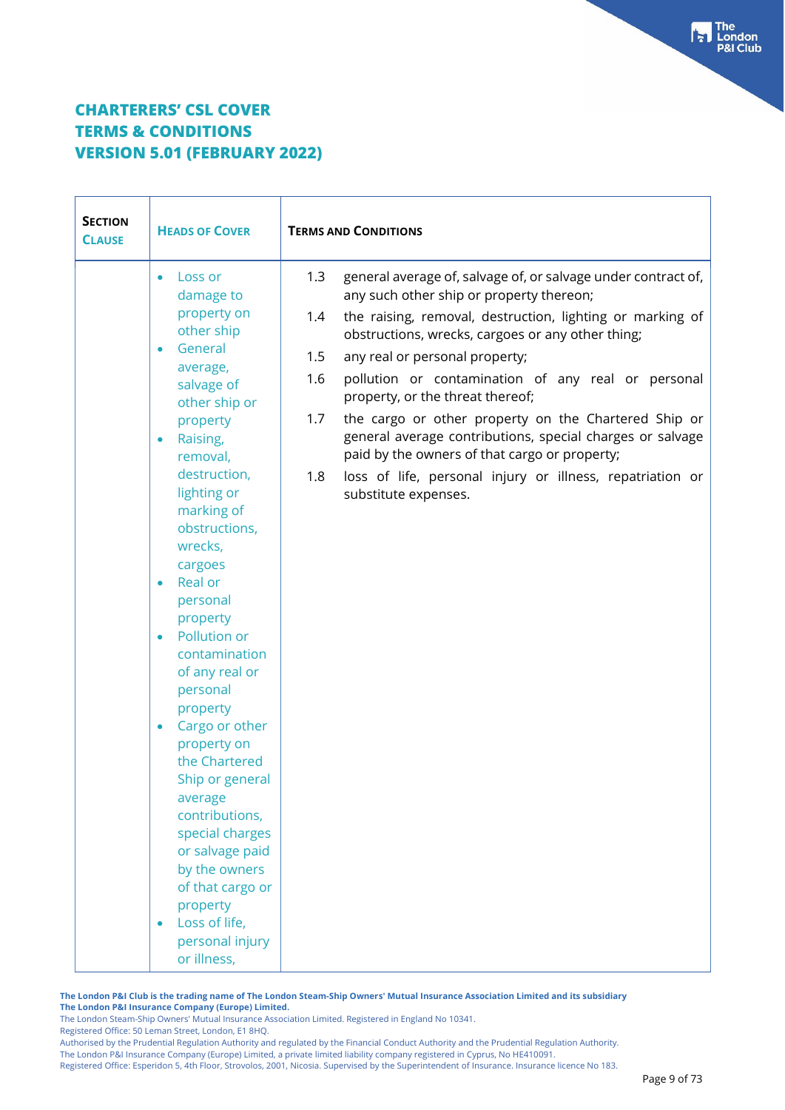| <b>SECTION</b><br><b>CLAUSE</b> | <b>HEADS OF COVER</b>                                                                                                                                                                                                                                                                                    | <b>TERMS AND CONDITIONS</b>                                                                                                                                                                                                                                                        |
|---------------------------------|----------------------------------------------------------------------------------------------------------------------------------------------------------------------------------------------------------------------------------------------------------------------------------------------------------|------------------------------------------------------------------------------------------------------------------------------------------------------------------------------------------------------------------------------------------------------------------------------------|
|                                 | Loss or<br>$\bullet$<br>damage to<br>property on<br>other ship<br>General<br>$\bullet$<br>average,                                                                                                                                                                                                       | general average of, salvage of, or salvage under contract of,<br>1.3<br>any such other ship or property thereon;<br>the raising, removal, destruction, lighting or marking of<br>1.4<br>obstructions, wrecks, cargoes or any other thing;<br>any real or personal property;<br>1.5 |
|                                 | salvage of<br>other ship or                                                                                                                                                                                                                                                                              | pollution or contamination of any real or personal<br>1.6<br>property, or the threat thereof;                                                                                                                                                                                      |
|                                 | property<br>Raising,<br>$\bullet$<br>removal,                                                                                                                                                                                                                                                            | the cargo or other property on the Chartered Ship or<br>1.7<br>general average contributions, special charges or salvage<br>paid by the owners of that cargo or property;                                                                                                          |
|                                 | destruction,<br>lighting or<br>marking of<br>obstructions,<br>wrecks,<br>cargoes<br>Real or<br>$\bullet$<br>personal<br>property<br>Pollution or<br>$\bullet$<br>contamination<br>of any real or<br>personal<br>property<br>Cargo or other<br>property on<br>the Chartered<br>Ship or general<br>average | loss of life, personal injury or illness, repatriation or<br>1.8<br>substitute expenses.                                                                                                                                                                                           |
|                                 | contributions,<br>special charges<br>or salvage paid<br>by the owners<br>of that cargo or<br>property<br>Loss of life,<br>personal injury<br>or illness,                                                                                                                                                 |                                                                                                                                                                                                                                                                                    |

**The London P&I Club is the trading name of The London Steam-Ship Owners' Mutual Insurance Association Limited and its subsidiary The London P&I Insurance Company (Europe) Limited.**

The London Steam-Ship Owners' Mutual Insurance Association Limited. Registered in England No 10341.

Registered Office: 50 Leman Street, London, E1 8HQ.

Authorised by the Prudential Regulation Authority and regulated by the Financial Conduct Authority and the Prudential Regulation Authority. The London P&I Insurance Company (Europe) Limited, a private limited liability company registered in Cyprus, No HE410091.

Registered Office: Esperidon 5, 4th Floor, Strovolos, 2001, Nicosia. Supervised by the Superintendent of Insurance. Insurance licence No 183.

**Fall** The<br>P&I Club<br>P&I Club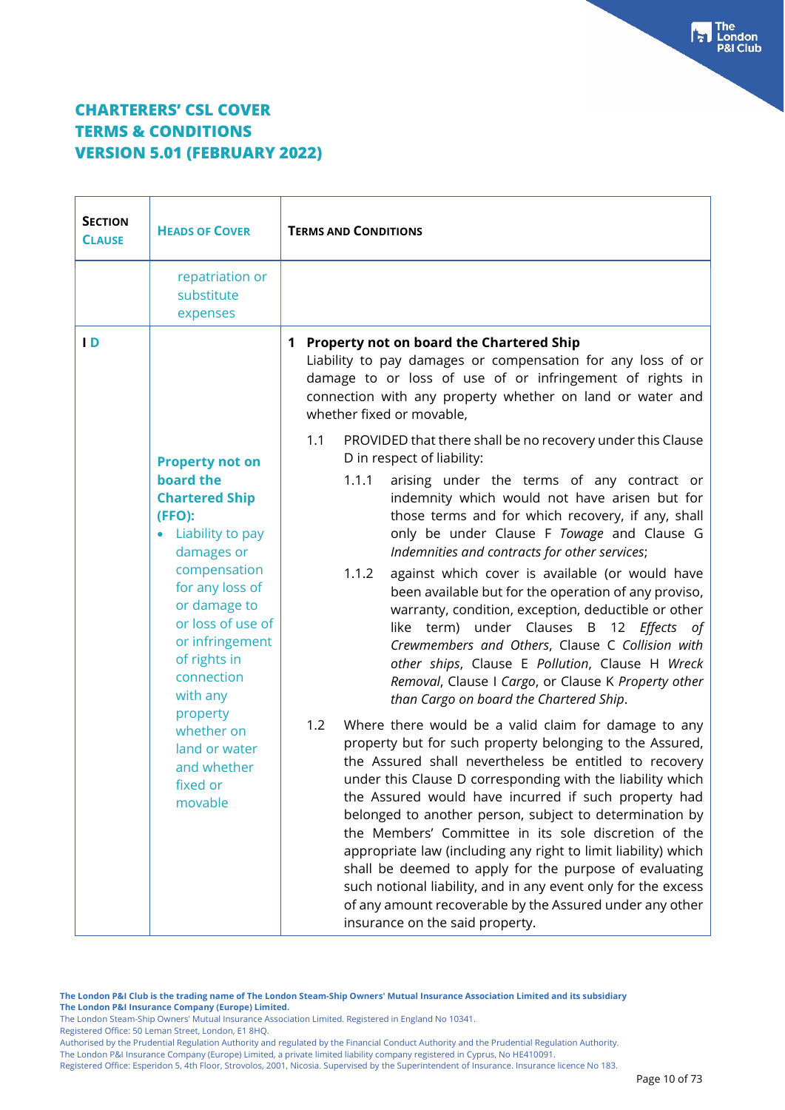| <b>SECTION</b><br><b>CLAUSE</b> | <b>HEADS OF COVER</b>                                                                                                                                                                                                                           | <b>TERMS AND CONDITIONS</b>                                                                                                                                                                                                                                                                                                                                                                                                                                                                                                                                                                                                                                                                                            |
|---------------------------------|-------------------------------------------------------------------------------------------------------------------------------------------------------------------------------------------------------------------------------------------------|------------------------------------------------------------------------------------------------------------------------------------------------------------------------------------------------------------------------------------------------------------------------------------------------------------------------------------------------------------------------------------------------------------------------------------------------------------------------------------------------------------------------------------------------------------------------------------------------------------------------------------------------------------------------------------------------------------------------|
|                                 | repatriation or<br>substitute<br>expenses                                                                                                                                                                                                       |                                                                                                                                                                                                                                                                                                                                                                                                                                                                                                                                                                                                                                                                                                                        |
| $\overline{D}$                  |                                                                                                                                                                                                                                                 | 1 Property not on board the Chartered Ship<br>Liability to pay damages or compensation for any loss of or<br>damage to or loss of use of or infringement of rights in<br>connection with any property whether on land or water and<br>whether fixed or movable,                                                                                                                                                                                                                                                                                                                                                                                                                                                        |
|                                 |                                                                                                                                                                                                                                                 | 1.1<br>PROVIDED that there shall be no recovery under this Clause<br>D in respect of liability:                                                                                                                                                                                                                                                                                                                                                                                                                                                                                                                                                                                                                        |
|                                 | <b>Property not on</b><br>board the<br><b>Chartered Ship</b><br>(FFO):<br>• Liability to pay<br>damages or<br>compensation<br>for any loss of<br>or damage to<br>or loss of use of<br>or infringement<br>of rights in<br>connection<br>with any | 1.1.1<br>arising under the terms of any contract or<br>indemnity which would not have arisen but for<br>those terms and for which recovery, if any, shall<br>only be under Clause F Towage and Clause G<br>Indemnities and contracts for other services;<br>against which cover is available (or would have<br>1.1.2<br>been available but for the operation of any proviso,<br>warranty, condition, exception, deductible or other<br>like term) under Clauses B 12 Effects of<br>Crewmembers and Others, Clause C Collision with<br>other ships, Clause E Pollution, Clause H Wreck<br>Removal, Clause I Cargo, or Clause K Property other<br>than Cargo on board the Chartered Ship.                                |
|                                 | property<br>whether on<br>land or water<br>and whether<br>fixed or<br>movable                                                                                                                                                                   | 1.2<br>Where there would be a valid claim for damage to any<br>property but for such property belonging to the Assured,<br>the Assured shall nevertheless be entitled to recovery<br>under this Clause D corresponding with the liability which<br>the Assured would have incurred if such property had<br>belonged to another person, subject to determination by<br>the Members' Committee in its sole discretion of the<br>appropriate law (including any right to limit liability) which<br>shall be deemed to apply for the purpose of evaluating<br>such notional liability, and in any event only for the excess<br>of any amount recoverable by the Assured under any other<br>insurance on the said property. |

Registered Office: 50 Leman Street, London, E1 8HQ.

The London Steam-Ship Owners' Mutual Insurance Association Limited. Registered in England No 10341.

Authorised by the Prudential Regulation Authority and regulated by the Financial Conduct Authority and the Prudential Regulation Authority.

The London P&I Insurance Company (Europe) Limited, a private limited liability company registered in Cyprus, No HE410091.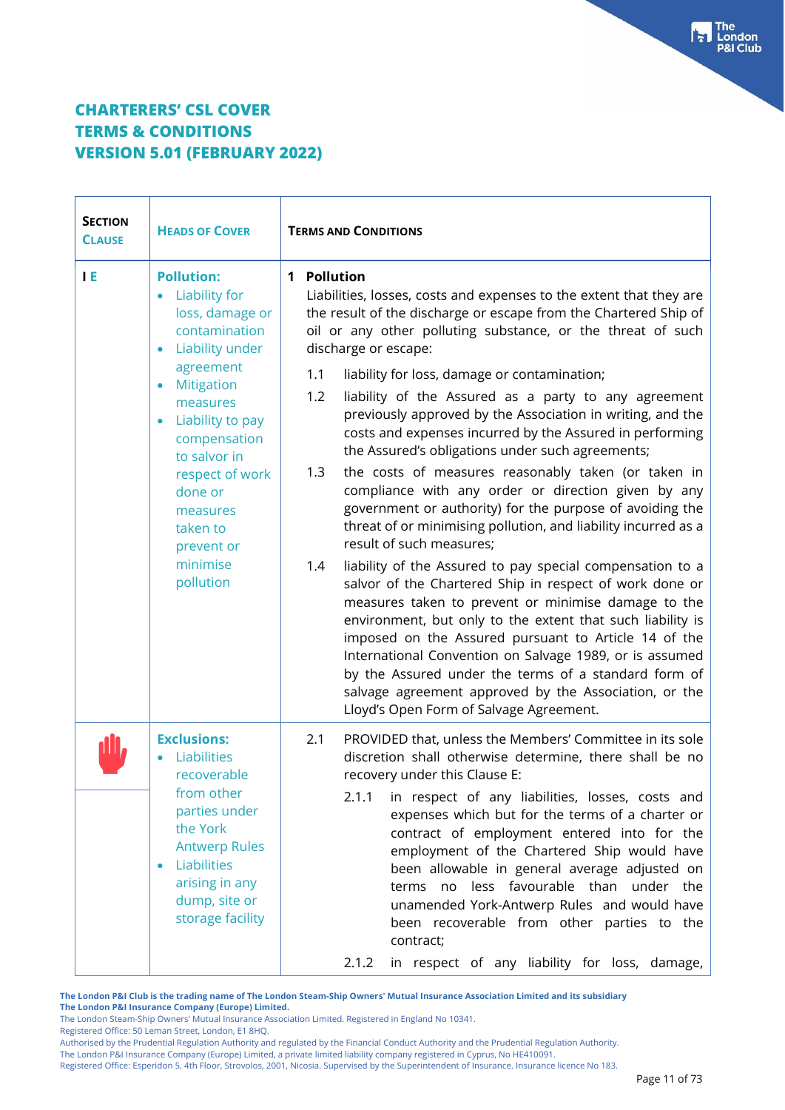| <b>SECTION</b><br><b>CLAUSE</b> | <b>HEADS OF COVER</b>                                                                                                                                                                                                                                                                                              | <b>TERMS AND CONDITIONS</b>                                                                                                                                                                                                                                                                                                                                                                                                                                                                                                                                                                                                                                                                                                                                                                                                                                                                                                                                                                                                                                                                                                                                                                                                                                                                                                                                         |  |
|---------------------------------|--------------------------------------------------------------------------------------------------------------------------------------------------------------------------------------------------------------------------------------------------------------------------------------------------------------------|---------------------------------------------------------------------------------------------------------------------------------------------------------------------------------------------------------------------------------------------------------------------------------------------------------------------------------------------------------------------------------------------------------------------------------------------------------------------------------------------------------------------------------------------------------------------------------------------------------------------------------------------------------------------------------------------------------------------------------------------------------------------------------------------------------------------------------------------------------------------------------------------------------------------------------------------------------------------------------------------------------------------------------------------------------------------------------------------------------------------------------------------------------------------------------------------------------------------------------------------------------------------------------------------------------------------------------------------------------------------|--|
| <b>IE</b>                       | <b>Pollution:</b><br><b>Liability for</b><br>$\bullet$<br>loss, damage or<br>contamination<br>Liability under<br>agreement<br>Mitigation<br>$\bullet$<br>measures<br>Liability to pay<br>compensation<br>to salvor in<br>respect of work<br>done or<br>measures<br>taken to<br>prevent or<br>minimise<br>pollution | 1 Pollution<br>Liabilities, losses, costs and expenses to the extent that they are<br>the result of the discharge or escape from the Chartered Ship of<br>oil or any other polluting substance, or the threat of such<br>discharge or escape:<br>1.1<br>liability for loss, damage or contamination;<br>1.2<br>liability of the Assured as a party to any agreement<br>previously approved by the Association in writing, and the<br>costs and expenses incurred by the Assured in performing<br>the Assured's obligations under such agreements;<br>1.3<br>the costs of measures reasonably taken (or taken in<br>compliance with any order or direction given by any<br>government or authority) for the purpose of avoiding the<br>threat of or minimising pollution, and liability incurred as a<br>result of such measures:<br>liability of the Assured to pay special compensation to a<br>1.4<br>salvor of the Chartered Ship in respect of work done or<br>measures taken to prevent or minimise damage to the<br>environment, but only to the extent that such liability is<br>imposed on the Assured pursuant to Article 14 of the<br>International Convention on Salvage 1989, or is assumed<br>by the Assured under the terms of a standard form of<br>salvage agreement approved by the Association, or the<br>Lloyd's Open Form of Salvage Agreement. |  |
|                                 | <b>Exclusions:</b><br>Liabilities<br>recoverable<br>from other<br>parties under<br>the York<br><b>Antwerp Rules</b><br>Liabilities<br>$\bullet$<br>arising in any<br>dump, site or<br>storage facility                                                                                                             | 2.1<br>PROVIDED that, unless the Members' Committee in its sole<br>discretion shall otherwise determine, there shall be no<br>recovery under this Clause E:<br>2.1.1<br>in respect of any liabilities, losses, costs and<br>expenses which but for the terms of a charter or<br>contract of employment entered into for the<br>employment of the Chartered Ship would have<br>been allowable in general average adjusted on<br>less favourable than<br>terms no<br>under the<br>unamended York-Antwerp Rules and would have<br>been recoverable from other parties to the<br>contract;<br>in respect of any liability for loss, damage,<br>2.1.2                                                                                                                                                                                                                                                                                                                                                                                                                                                                                                                                                                                                                                                                                                                    |  |

**The London P&I Club is the trading name of The London Steam-Ship Owners' Mutual Insurance Association Limited and its subsidiary The London P&I Insurance Company (Europe) Limited.**

The London Steam-Ship Owners' Mutual Insurance Association Limited. Registered in England No 10341.

Registered Office: 50 Leman Street, London, E1 8HQ.

Authorised by the Prudential Regulation Authority and regulated by the Financial Conduct Authority and the Prudential Regulation Authority.

The London P&I Insurance Company (Europe) Limited, a private limited liability company registered in Cyprus, No HE410091.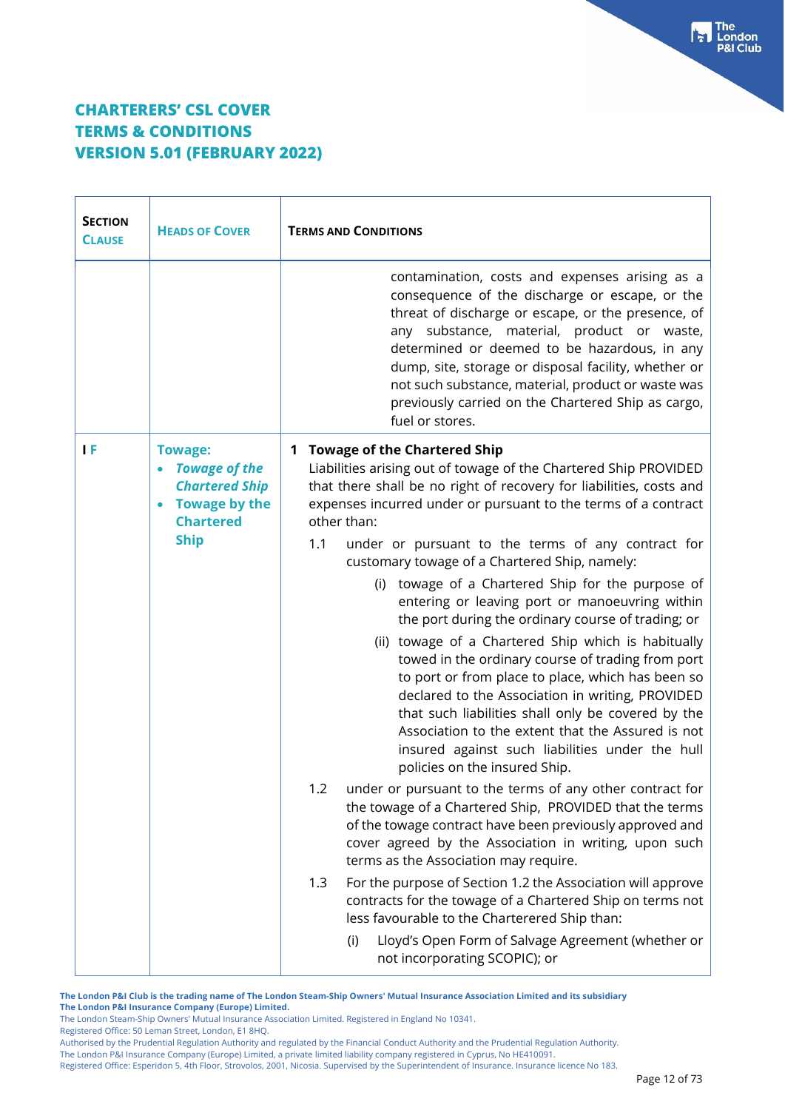| <b>SECTION</b><br><b>CLAUSE</b> | <b>HEADS OF COVER</b>                                                                                                      | <b>TERMS AND CONDITIONS</b>                                                                                                                                                                                                                                                                                                                                                                                                                                                                                                                                                                                                                                                                                                                                                                                                                                                                                                                                                                                                                                                                                                                                                                                                                                                                                                                                                                                                                                                                                                                       |
|---------------------------------|----------------------------------------------------------------------------------------------------------------------------|---------------------------------------------------------------------------------------------------------------------------------------------------------------------------------------------------------------------------------------------------------------------------------------------------------------------------------------------------------------------------------------------------------------------------------------------------------------------------------------------------------------------------------------------------------------------------------------------------------------------------------------------------------------------------------------------------------------------------------------------------------------------------------------------------------------------------------------------------------------------------------------------------------------------------------------------------------------------------------------------------------------------------------------------------------------------------------------------------------------------------------------------------------------------------------------------------------------------------------------------------------------------------------------------------------------------------------------------------------------------------------------------------------------------------------------------------------------------------------------------------------------------------------------------------|
|                                 |                                                                                                                            | contamination, costs and expenses arising as a<br>consequence of the discharge or escape, or the<br>threat of discharge or escape, or the presence, of<br>any substance, material, product or waste,<br>determined or deemed to be hazardous, in any<br>dump, site, storage or disposal facility, whether or<br>not such substance, material, product or waste was<br>previously carried on the Chartered Ship as cargo,<br>fuel or stores.                                                                                                                                                                                                                                                                                                                                                                                                                                                                                                                                                                                                                                                                                                                                                                                                                                                                                                                                                                                                                                                                                                       |
| ΤF                              | <b>Towage:</b><br><b>Towage of the</b><br><b>Chartered Ship</b><br><b>Towage by the</b><br><b>Chartered</b><br><b>Ship</b> | <b>Towage of the Chartered Ship</b><br>1<br>Liabilities arising out of towage of the Chartered Ship PROVIDED<br>that there shall be no right of recovery for liabilities, costs and<br>expenses incurred under or pursuant to the terms of a contract<br>other than:<br>1.1<br>under or pursuant to the terms of any contract for<br>customary towage of a Chartered Ship, namely:<br>(i) towage of a Chartered Ship for the purpose of<br>entering or leaving port or manoeuvring within<br>the port during the ordinary course of trading; or<br>(ii) towage of a Chartered Ship which is habitually<br>towed in the ordinary course of trading from port<br>to port or from place to place, which has been so<br>declared to the Association in writing, PROVIDED<br>that such liabilities shall only be covered by the<br>Association to the extent that the Assured is not<br>insured against such liabilities under the hull<br>policies on the insured Ship.<br>under or pursuant to the terms of any other contract for<br>1.2<br>the towage of a Chartered Ship, PROVIDED that the terms<br>of the towage contract have been previously approved and<br>cover agreed by the Association in writing, upon such<br>terms as the Association may require.<br>For the purpose of Section 1.2 the Association will approve<br>1.3<br>contracts for the towage of a Chartered Ship on terms not<br>less favourable to the Charterered Ship than:<br>Lloyd's Open Form of Salvage Agreement (whether or<br>(i)<br>not incorporating SCOPIC); or |

**The London P&I Club is the trading name of The London Steam-Ship Owners' Mutual Insurance Association Limited and its subsidiary The London P&I Insurance Company (Europe) Limited.**

The London Steam-Ship Owners' Mutual Insurance Association Limited. Registered in England No 10341. Registered Office: 50 Leman Street, London, E1 8HQ.

Authorised by the Prudential Regulation Authority and regulated by the Financial Conduct Authority and the Prudential Regulation Authority.

The London P&I Insurance Company (Europe) Limited, a private limited liability company registered in Cyprus, No HE410091.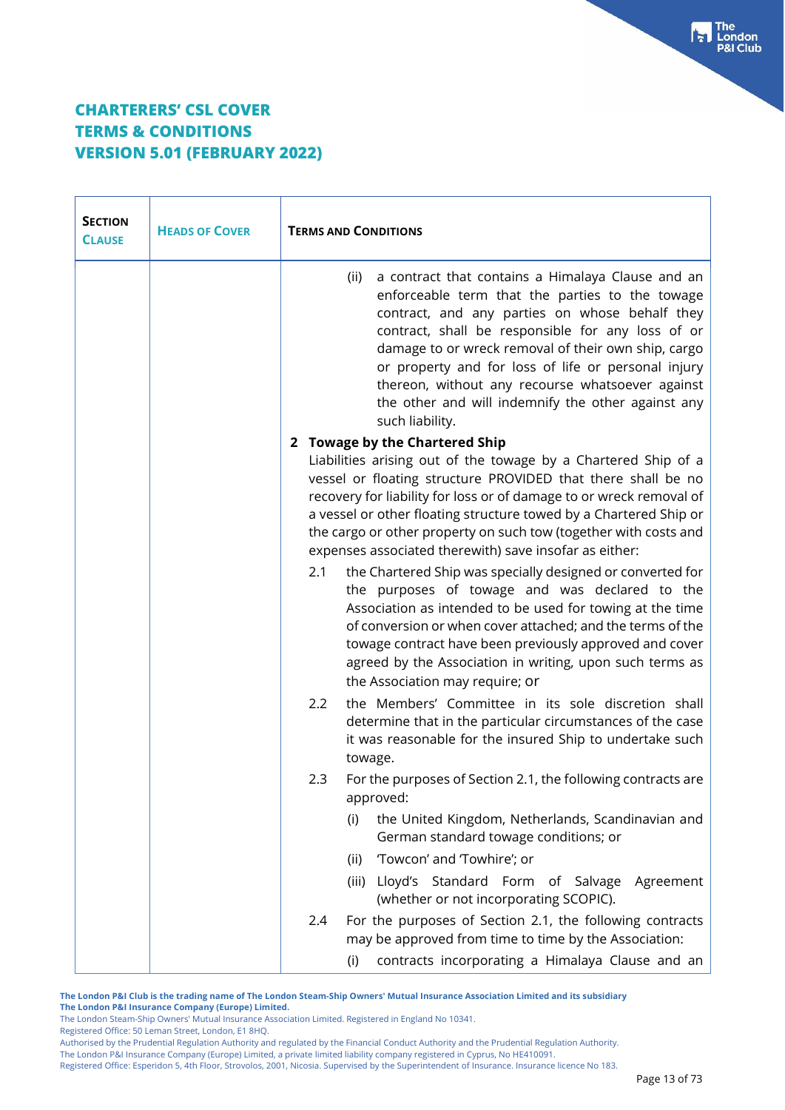| <b>SECTION</b><br><b>CLAUSE</b> | <b>HEADS OF COVER</b> | <b>TERMS AND CONDITIONS</b>                                                                                                                                                                                                                                                                                                                                                                                                                                    |
|---------------------------------|-----------------------|----------------------------------------------------------------------------------------------------------------------------------------------------------------------------------------------------------------------------------------------------------------------------------------------------------------------------------------------------------------------------------------------------------------------------------------------------------------|
|                                 |                       | a contract that contains a Himalaya Clause and an<br>(ii)<br>enforceable term that the parties to the towage<br>contract, and any parties on whose behalf they<br>contract, shall be responsible for any loss of or<br>damage to or wreck removal of their own ship, cargo<br>or property and for loss of life or personal injury<br>thereon, without any recourse whatsoever against<br>the other and will indemnify the other against any<br>such liability. |
|                                 |                       | 2 Towage by the Chartered Ship                                                                                                                                                                                                                                                                                                                                                                                                                                 |
|                                 |                       | Liabilities arising out of the towage by a Chartered Ship of a<br>vessel or floating structure PROVIDED that there shall be no<br>recovery for liability for loss or of damage to or wreck removal of<br>a vessel or other floating structure towed by a Chartered Ship or<br>the cargo or other property on such tow (together with costs and<br>expenses associated therewith) save insofar as either:                                                       |
|                                 |                       | the Chartered Ship was specially designed or converted for<br>2.1<br>the purposes of towage and was declared to the<br>Association as intended to be used for towing at the time<br>of conversion or when cover attached; and the terms of the<br>towage contract have been previously approved and cover<br>agreed by the Association in writing, upon such terms as<br>the Association may require; or                                                       |
|                                 |                       | 2.2<br>the Members' Committee in its sole discretion shall<br>determine that in the particular circumstances of the case<br>it was reasonable for the insured Ship to undertake such<br>towage.                                                                                                                                                                                                                                                                |
|                                 |                       | For the purposes of Section 2.1, the following contracts are<br>2.3<br>approved:                                                                                                                                                                                                                                                                                                                                                                               |
|                                 |                       | the United Kingdom, Netherlands, Scandinavian and<br>(i)<br>German standard towage conditions; or                                                                                                                                                                                                                                                                                                                                                              |
|                                 |                       | 'Towcon' and 'Towhire'; or<br>(ii)                                                                                                                                                                                                                                                                                                                                                                                                                             |
|                                 |                       | Lloyd's Standard Form<br>of Salvage<br>(iii)<br>Agreement<br>(whether or not incorporating SCOPIC).                                                                                                                                                                                                                                                                                                                                                            |
|                                 |                       | For the purposes of Section 2.1, the following contracts<br>2.4<br>may be approved from time to time by the Association:                                                                                                                                                                                                                                                                                                                                       |
|                                 |                       | contracts incorporating a Himalaya Clause and an<br>(i)                                                                                                                                                                                                                                                                                                                                                                                                        |

**The London P&I Club is the trading name of The London Steam-Ship Owners' Mutual Insurance Association Limited and its subsidiary The London P&I Insurance Company (Europe) Limited.**

The London Steam-Ship Owners' Mutual Insurance Association Limited. Registered in England No 10341. Registered Office: 50 Leman Street, London, E1 8HQ.

Authorised by the Prudential Regulation Authority and regulated by the Financial Conduct Authority and the Prudential Regulation Authority.

The London P&I Insurance Company (Europe) Limited, a private limited liability company registered in Cyprus, No HE410091.

Registered Office: Esperidon 5, 4th Floor, Strovolos, 2001, Nicosia. Supervised by the Superintendent of Insurance. Insurance licence No 183.

Fraction<br>P&I Club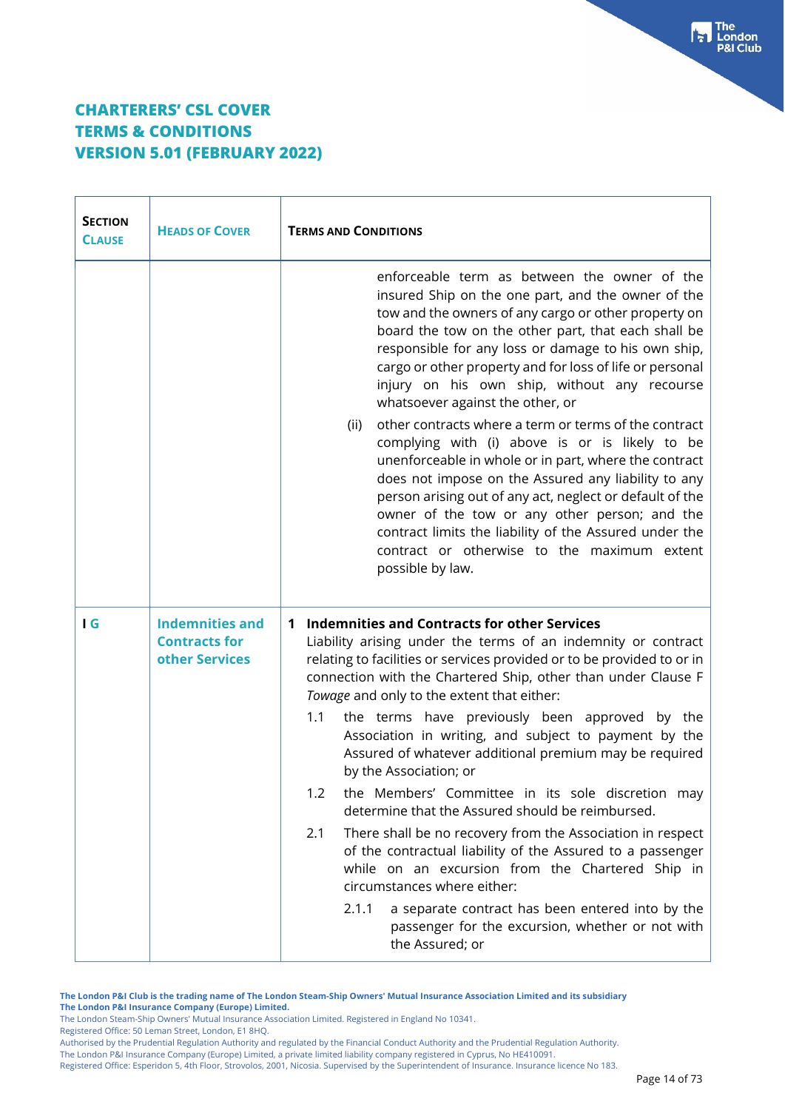| <b>SECTION</b><br><b>CLAUSE</b> | <b>HEADS OF COVER</b>                                            | <b>TERMS AND CONDITIONS</b>                                                                                                                                                                                                                                                                                                                                                                                                                                                                                                                                                                                                                                                                                                                                                                                                                                                                                                                                                                        |
|---------------------------------|------------------------------------------------------------------|----------------------------------------------------------------------------------------------------------------------------------------------------------------------------------------------------------------------------------------------------------------------------------------------------------------------------------------------------------------------------------------------------------------------------------------------------------------------------------------------------------------------------------------------------------------------------------------------------------------------------------------------------------------------------------------------------------------------------------------------------------------------------------------------------------------------------------------------------------------------------------------------------------------------------------------------------------------------------------------------------|
|                                 |                                                                  | enforceable term as between the owner of the<br>insured Ship on the one part, and the owner of the<br>tow and the owners of any cargo or other property on<br>board the tow on the other part, that each shall be<br>responsible for any loss or damage to his own ship,<br>cargo or other property and for loss of life or personal<br>injury on his own ship, without any recourse<br>whatsoever against the other, or                                                                                                                                                                                                                                                                                                                                                                                                                                                                                                                                                                           |
|                                 |                                                                  | other contracts where a term or terms of the contract<br>(ii)<br>complying with (i) above is or is likely to be<br>unenforceable in whole or in part, where the contract<br>does not impose on the Assured any liability to any<br>person arising out of any act, neglect or default of the<br>owner of the tow or any other person; and the<br>contract limits the liability of the Assured under the<br>contract or otherwise to the maximum extent<br>possible by law.                                                                                                                                                                                                                                                                                                                                                                                                                                                                                                                          |
| I G                             | <b>Indemnities and</b><br><b>Contracts for</b><br>other Services | <b>Indemnities and Contracts for other Services</b><br>1<br>Liability arising under the terms of an indemnity or contract<br>relating to facilities or services provided or to be provided to or in<br>connection with the Chartered Ship, other than under Clause F<br>Towage and only to the extent that either:<br>the terms have previously been approved by the<br>1.1<br>Association in writing, and subject to payment by the<br>Assured of whatever additional premium may be required<br>by the Association; or<br>the Members' Committee in its sole discretion may<br>1.2<br>determine that the Assured should be reimbursed.<br>2.1<br>There shall be no recovery from the Association in respect<br>of the contractual liability of the Assured to a passenger<br>while on an excursion from the Chartered Ship in<br>circumstances where either:<br>2.1.1<br>a separate contract has been entered into by the<br>passenger for the excursion, whether or not with<br>the Assured; or |

**The London P&I Club is the trading name of The London Steam-Ship Owners' Mutual Insurance Association Limited and its subsidiary The London P&I Insurance Company (Europe) Limited.**

The London Steam-Ship Owners' Mutual Insurance Association Limited. Registered in England No 10341.

Registered Office: 50 Leman Street, London, E1 8HQ.

The London P&I Insurance Company (Europe) Limited, a private limited liability company registered in Cyprus, No HE410091.

Authorised by the Prudential Regulation Authority and regulated by the Financial Conduct Authority and the Prudential Regulation Authority.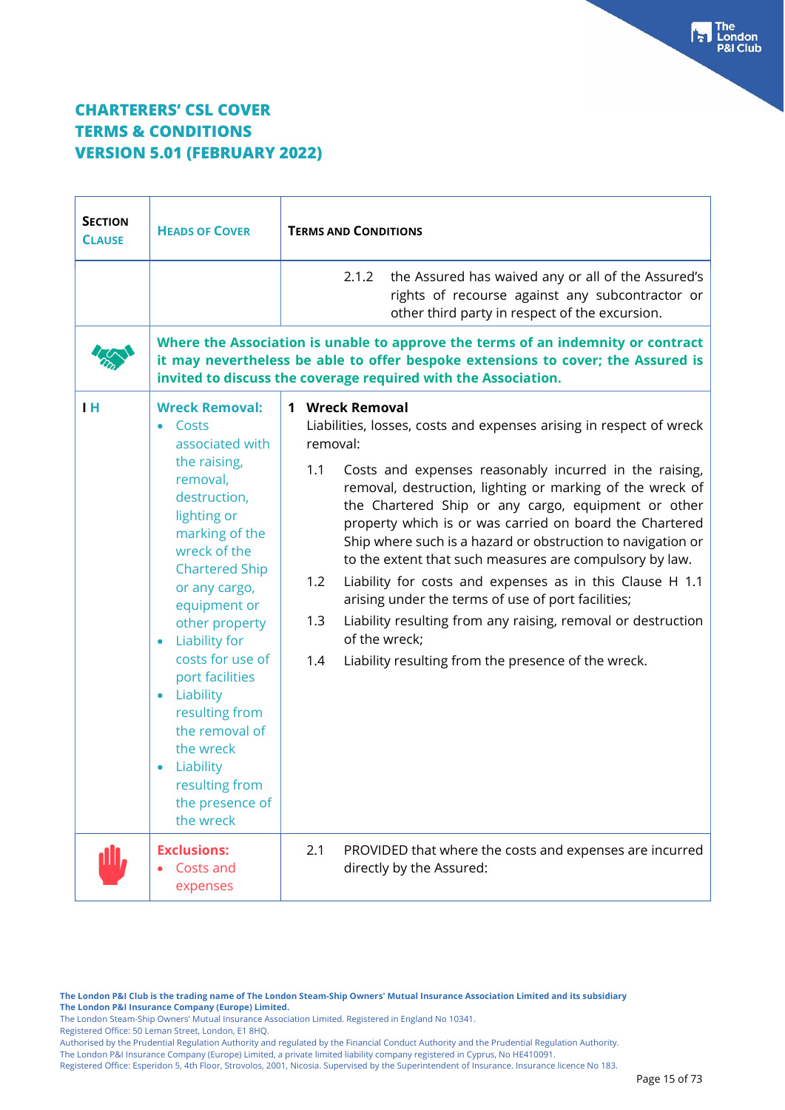| <b>SECTION</b><br><b>CLAUSE</b> | <b>HEADS OF COVER</b>                                                                                                                                                                                                                                                                                                                                                                                                         | <b>TERMS AND CONDITIONS</b>                                                                                                                                                                                                                                                                                                                                                                                                                                                                                                                                                                                                                                                                                                                                 |
|---------------------------------|-------------------------------------------------------------------------------------------------------------------------------------------------------------------------------------------------------------------------------------------------------------------------------------------------------------------------------------------------------------------------------------------------------------------------------|-------------------------------------------------------------------------------------------------------------------------------------------------------------------------------------------------------------------------------------------------------------------------------------------------------------------------------------------------------------------------------------------------------------------------------------------------------------------------------------------------------------------------------------------------------------------------------------------------------------------------------------------------------------------------------------------------------------------------------------------------------------|
|                                 |                                                                                                                                                                                                                                                                                                                                                                                                                               | the Assured has waived any or all of the Assured's<br>2.1.2<br>rights of recourse against any subcontractor or<br>other third party in respect of the excursion.                                                                                                                                                                                                                                                                                                                                                                                                                                                                                                                                                                                            |
|                                 |                                                                                                                                                                                                                                                                                                                                                                                                                               | Where the Association is unable to approve the terms of an indemnity or contract<br>it may nevertheless be able to offer bespoke extensions to cover; the Assured is<br>invited to discuss the coverage required with the Association.                                                                                                                                                                                                                                                                                                                                                                                                                                                                                                                      |
| <b>IH</b>                       | <b>Wreck Removal:</b><br>$\bullet$ Costs<br>associated with<br>the raising,<br>removal,<br>destruction,<br>lighting or<br>marking of the<br>wreck of the<br><b>Chartered Ship</b><br>or any cargo,<br>equipment or<br>other property<br>• Liability for<br>costs for use of<br>port facilities<br>• Liability<br>resulting from<br>the removal of<br>the wreck<br>Liability<br>resulting from<br>the presence of<br>the wreck | 1 Wreck Removal<br>Liabilities, losses, costs and expenses arising in respect of wreck<br>removal:<br>1.1<br>Costs and expenses reasonably incurred in the raising,<br>removal, destruction, lighting or marking of the wreck of<br>the Chartered Ship or any cargo, equipment or other<br>property which is or was carried on board the Chartered<br>Ship where such is a hazard or obstruction to navigation or<br>to the extent that such measures are compulsory by law.<br>Liability for costs and expenses as in this Clause H 1.1<br>1.2<br>arising under the terms of use of port facilities;<br>1.3<br>Liability resulting from any raising, removal or destruction<br>of the wreck;<br>1.4<br>Liability resulting from the presence of the wreck. |
| ، للا                           | <b>Exclusions:</b><br>Costs and<br>expenses                                                                                                                                                                                                                                                                                                                                                                                   | 2.1<br>PROVIDED that where the costs and expenses are incurred<br>directly by the Assured:                                                                                                                                                                                                                                                                                                                                                                                                                                                                                                                                                                                                                                                                  |

**The London P&I Club is the trading name of The London Steam-Ship Owners' Mutual Insurance Association Limited and its subsidiary The London P&I Insurance Company (Europe) Limited.**

The London Steam-Ship Owners' Mutual Insurance Association Limited. Registered in England No 10341.

Registered Office: 50 Leman Street, London, E1 8HQ.

Authorised by the Prudential Regulation Authority and regulated by the Financial Conduct Authority and the Prudential Regulation Authority.

The London P&I Insurance Company (Europe) Limited, a private limited liability company registered in Cyprus, No HE410091.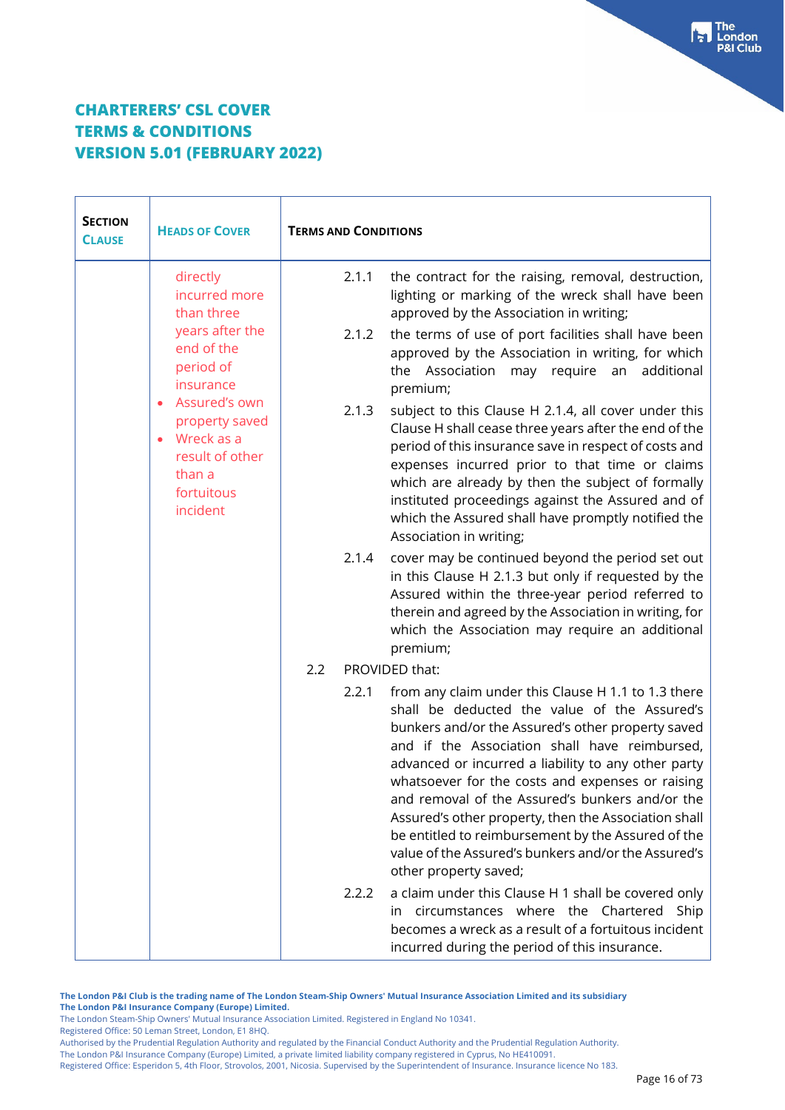| <b>SECTION</b><br><b>CLAUSE</b> | <b>HEADS OF COVER</b>                                                                                                          | <b>TERMS AND CONDITIONS</b> |                                                                                                                                                                                                                                                                                                                                                                                                                                                                                                                                                                       |
|---------------------------------|--------------------------------------------------------------------------------------------------------------------------------|-----------------------------|-----------------------------------------------------------------------------------------------------------------------------------------------------------------------------------------------------------------------------------------------------------------------------------------------------------------------------------------------------------------------------------------------------------------------------------------------------------------------------------------------------------------------------------------------------------------------|
|                                 | directly<br>incurred more<br>than three<br>years after the<br>end of the<br>period of<br>insurance                             | 2.1.1<br>2.1.2              | the contract for the raising, removal, destruction,<br>lighting or marking of the wreck shall have been<br>approved by the Association in writing;<br>the terms of use of port facilities shall have been<br>approved by the Association in writing, for which<br>the Association may require an<br>additional<br>premium;                                                                                                                                                                                                                                            |
|                                 | Assured's own<br>$\bullet$<br>property saved<br>Wreck as a<br>$\bullet$<br>result of other<br>than a<br>fortuitous<br>incident | 2.1.3                       | subject to this Clause H 2.1.4, all cover under this<br>Clause H shall cease three years after the end of the<br>period of this insurance save in respect of costs and<br>expenses incurred prior to that time or claims<br>which are already by then the subject of formally<br>instituted proceedings against the Assured and of<br>which the Assured shall have promptly notified the<br>Association in writing;                                                                                                                                                   |
|                                 |                                                                                                                                | 2.1.4                       | cover may be continued beyond the period set out<br>in this Clause H 2.1.3 but only if requested by the<br>Assured within the three-year period referred to<br>therein and agreed by the Association in writing, for<br>which the Association may require an additional<br>premium;                                                                                                                                                                                                                                                                                   |
|                                 |                                                                                                                                | 2.2                         | PROVIDED that:                                                                                                                                                                                                                                                                                                                                                                                                                                                                                                                                                        |
|                                 |                                                                                                                                | 2.2.1                       | from any claim under this Clause H 1.1 to 1.3 there<br>shall be deducted the value of the Assured's<br>bunkers and/or the Assured's other property saved<br>and if the Association shall have reimbursed,<br>advanced or incurred a liability to any other party<br>whatsoever for the costs and expenses or raising<br>and removal of the Assured's bunkers and/or the<br>Assured's other property, then the Association shall<br>be entitled to reimbursement by the Assured of the<br>value of the Assured's bunkers and/or the Assured's<br>other property saved; |
|                                 |                                                                                                                                | 2.2.2                       | a claim under this Clause H 1 shall be covered only<br>circumstances where the Chartered<br>Ship<br>in.<br>becomes a wreck as a result of a fortuitous incident<br>incurred during the period of this insurance.                                                                                                                                                                                                                                                                                                                                                      |

**The London P&I Club is the trading name of The London Steam-Ship Owners' Mutual Insurance Association Limited and its subsidiary The London P&I Insurance Company (Europe) Limited.**

The London Steam-Ship Owners' Mutual Insurance Association Limited. Registered in England No 10341.

Registered Office: 50 Leman Street, London, E1 8HQ.

The London P&I Insurance Company (Europe) Limited, a private limited liability company registered in Cyprus, No HE410091.

Authorised by the Prudential Regulation Authority and regulated by the Financial Conduct Authority and the Prudential Regulation Authority.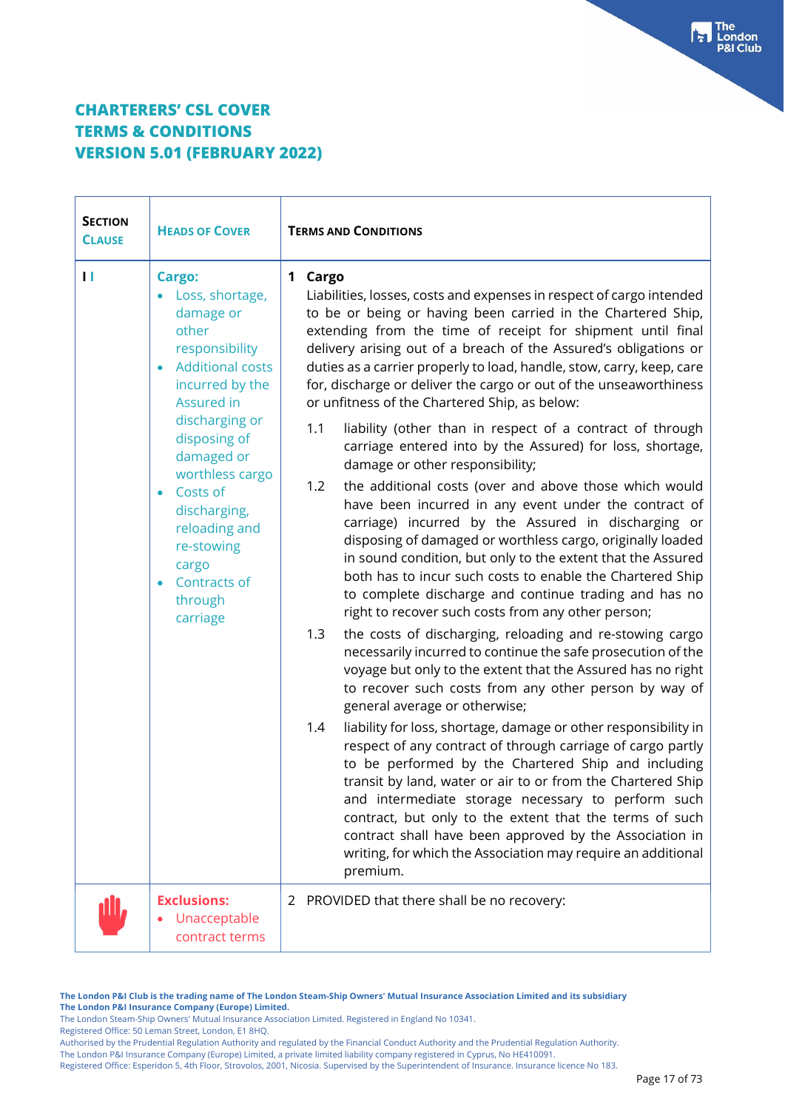| <b>SECTION</b><br><b>CLAUSE</b> | <b>HEADS OF COVER</b>                                                                                                                                                                                                                                                                                                | <b>TERMS AND CONDITIONS</b>                                                                                                                                                                                                                                                                                                                                                                                                                                                                                                                                                            |  |
|---------------------------------|----------------------------------------------------------------------------------------------------------------------------------------------------------------------------------------------------------------------------------------------------------------------------------------------------------------------|----------------------------------------------------------------------------------------------------------------------------------------------------------------------------------------------------------------------------------------------------------------------------------------------------------------------------------------------------------------------------------------------------------------------------------------------------------------------------------------------------------------------------------------------------------------------------------------|--|
| П                               | Cargo:<br>• Loss, shortage,<br>damage or<br>other<br>responsibility<br><b>Additional costs</b><br>incurred by the<br>Assured in<br>discharging or<br>disposing of<br>damaged or<br>worthless cargo<br>Costs of<br>discharging,<br>reloading and<br>re-stowing<br>cargo<br><b>Contracts of</b><br>through<br>carriage | 1 Cargo<br>Liabilities, losses, costs and expenses in respect of cargo intended<br>to be or being or having been carried in the Chartered Ship,<br>extending from the time of receipt for shipment until final<br>delivery arising out of a breach of the Assured's obligations or<br>duties as a carrier properly to load, handle, stow, carry, keep, care<br>for, discharge or deliver the cargo or out of the unseaworthiness<br>or unfitness of the Chartered Ship, as below:<br>1.1<br>liability (other than in respect of a contract of through                                  |  |
|                                 |                                                                                                                                                                                                                                                                                                                      | carriage entered into by the Assured) for loss, shortage,<br>damage or other responsibility;<br>1.2<br>the additional costs (over and above those which would<br>have been incurred in any event under the contract of<br>carriage) incurred by the Assured in discharging or<br>disposing of damaged or worthless cargo, originally loaded<br>in sound condition, but only to the extent that the Assured<br>both has to incur such costs to enable the Chartered Ship<br>to complete discharge and continue trading and has no<br>right to recover such costs from any other person; |  |
|                                 |                                                                                                                                                                                                                                                                                                                      | 1.3<br>the costs of discharging, reloading and re-stowing cargo<br>necessarily incurred to continue the safe prosecution of the<br>voyage but only to the extent that the Assured has no right<br>to recover such costs from any other person by way of<br>general average or otherwise;                                                                                                                                                                                                                                                                                               |  |
|                                 |                                                                                                                                                                                                                                                                                                                      | liability for loss, shortage, damage or other responsibility in<br>1.4<br>respect of any contract of through carriage of cargo partly<br>to be performed by the Chartered Ship and including<br>transit by land, water or air to or from the Chartered Ship<br>and intermediate storage necessary to perform such<br>contract, but only to the extent that the terms of such<br>contract shall have been approved by the Association in<br>writing, for which the Association may require an additional<br>premium.                                                                    |  |
|                                 | <b>Exclusions:</b><br>Unacceptable<br>contract terms                                                                                                                                                                                                                                                                 | PROVIDED that there shall be no recovery:<br>2                                                                                                                                                                                                                                                                                                                                                                                                                                                                                                                                         |  |

**The London P&I Club is the trading name of The London Steam-Ship Owners' Mutual Insurance Association Limited and its subsidiary The London P&I Insurance Company (Europe) Limited.**

The London Steam-Ship Owners' Mutual Insurance Association Limited. Registered in England No 10341.

Registered Office: 50 Leman Street, London, E1 8HQ.

Authorised by the Prudential Regulation Authority and regulated by the Financial Conduct Authority and the Prudential Regulation Authority.

The London P&I Insurance Company (Europe) Limited, a private limited liability company registered in Cyprus, No HE410091.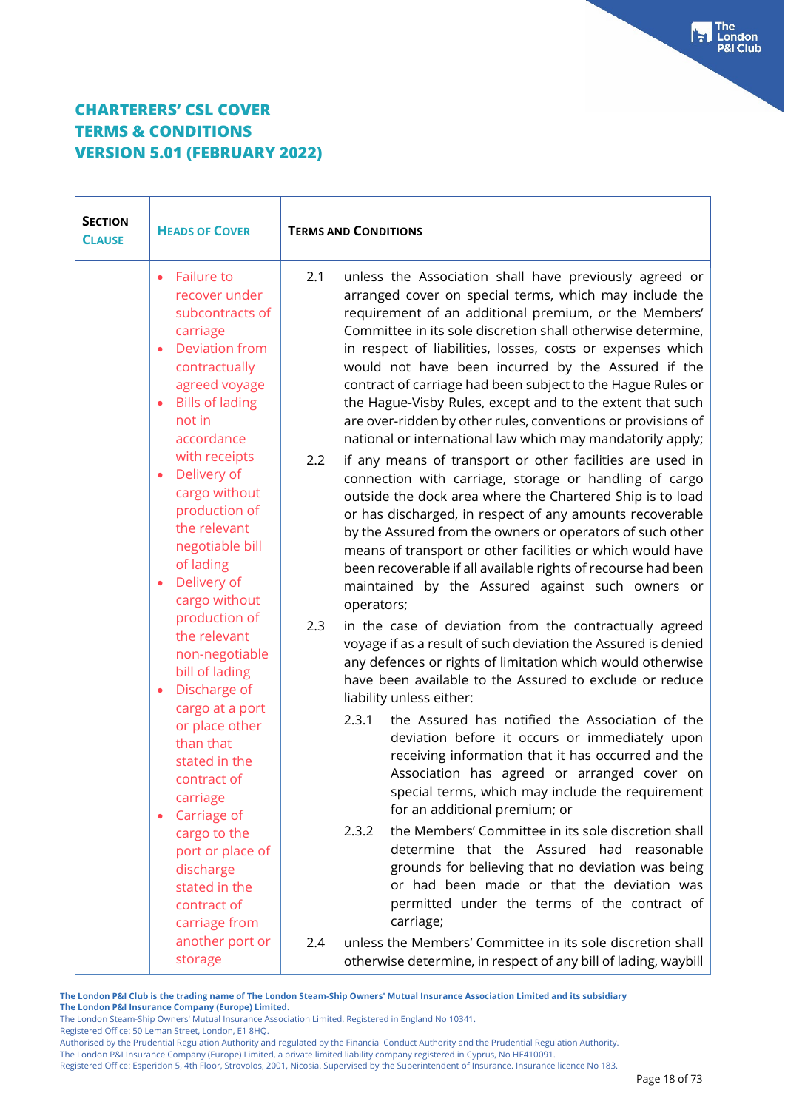| <b>SECTION</b><br><b>CLAUSE</b> | <b>HEADS OF COVER</b>                                                                                                                                                                       | <b>TERMS AND CONDITIONS</b>                                                                                                                                                                                                                                                                                                                                                                                                                                                                                                                                                                                                   |
|---------------------------------|---------------------------------------------------------------------------------------------------------------------------------------------------------------------------------------------|-------------------------------------------------------------------------------------------------------------------------------------------------------------------------------------------------------------------------------------------------------------------------------------------------------------------------------------------------------------------------------------------------------------------------------------------------------------------------------------------------------------------------------------------------------------------------------------------------------------------------------|
|                                 | <b>Failure to</b><br>recover under<br>subcontracts of<br>carriage<br><b>Deviation from</b><br>contractually<br>agreed voyage<br><b>Bills of lading</b><br>$\bullet$<br>not in<br>accordance | 2.1<br>unless the Association shall have previously agreed or<br>arranged cover on special terms, which may include the<br>requirement of an additional premium, or the Members'<br>Committee in its sole discretion shall otherwise determine,<br>in respect of liabilities, losses, costs or expenses which<br>would not have been incurred by the Assured if the<br>contract of carriage had been subject to the Hague Rules or<br>the Hague-Visby Rules, except and to the extent that such<br>are over-ridden by other rules, conventions or provisions of<br>national or international law which may mandatorily apply; |
|                                 | with receipts<br>Delivery of<br>cargo without<br>production of<br>the relevant<br>negotiable bill<br>of lading<br>Delivery of<br>cargo without                                              | if any means of transport or other facilities are used in<br>2.2<br>connection with carriage, storage or handling of cargo<br>outside the dock area where the Chartered Ship is to load<br>or has discharged, in respect of any amounts recoverable<br>by the Assured from the owners or operators of such other<br>means of transport or other facilities or which would have<br>been recoverable if all available rights of recourse had been<br>maintained by the Assured against such owners or<br>operators;                                                                                                             |
|                                 | production of<br>the relevant<br>non-negotiable<br>bill of lading<br>Discharge of<br>$\bullet$                                                                                              | 2.3<br>in the case of deviation from the contractually agreed<br>voyage if as a result of such deviation the Assured is denied<br>any defences or rights of limitation which would otherwise<br>have been available to the Assured to exclude or reduce<br>liability unless either:                                                                                                                                                                                                                                                                                                                                           |
|                                 | cargo at a port<br>or place other<br>than that<br>stated in the<br>contract of<br>carriage<br>Carriage of                                                                                   | 2.3.1<br>the Assured has notified the Association of the<br>deviation before it occurs or immediately upon<br>receiving information that it has occurred and the<br>Association has agreed or arranged cover on<br>special terms, which may include the requirement<br>for an additional premium; or                                                                                                                                                                                                                                                                                                                          |
|                                 | cargo to the<br>port or place of<br>discharge<br>stated in the<br>contract of<br>carriage from                                                                                              | the Members' Committee in its sole discretion shall<br>2.3.2<br>determine that the Assured had reasonable<br>grounds for believing that no deviation was being<br>or had been made or that the deviation was<br>permitted under the terms of the contract of<br>carriage;                                                                                                                                                                                                                                                                                                                                                     |
|                                 | another port or<br>storage                                                                                                                                                                  | unless the Members' Committee in its sole discretion shall<br>2.4<br>otherwise determine, in respect of any bill of lading, waybill                                                                                                                                                                                                                                                                                                                                                                                                                                                                                           |

**The London P&I Club is the trading name of The London Steam-Ship Owners' Mutual Insurance Association Limited and its subsidiary The London P&I Insurance Company (Europe) Limited.**

The London Steam-Ship Owners' Mutual Insurance Association Limited. Registered in England No 10341. Registered Office: 50 Leman Street, London, E1 8HQ.

Authorised by the Prudential Regulation Authority and regulated by the Financial Conduct Authority and the Prudential Regulation Authority.

The London P&I Insurance Company (Europe) Limited, a private limited liability company registered in Cyprus, No HE410091.

Registered Office: Esperidon 5, 4th Floor, Strovolos, 2001, Nicosia. Supervised by the Superintendent of Insurance. Insurance licence No 183.

The<br>London **&I Club**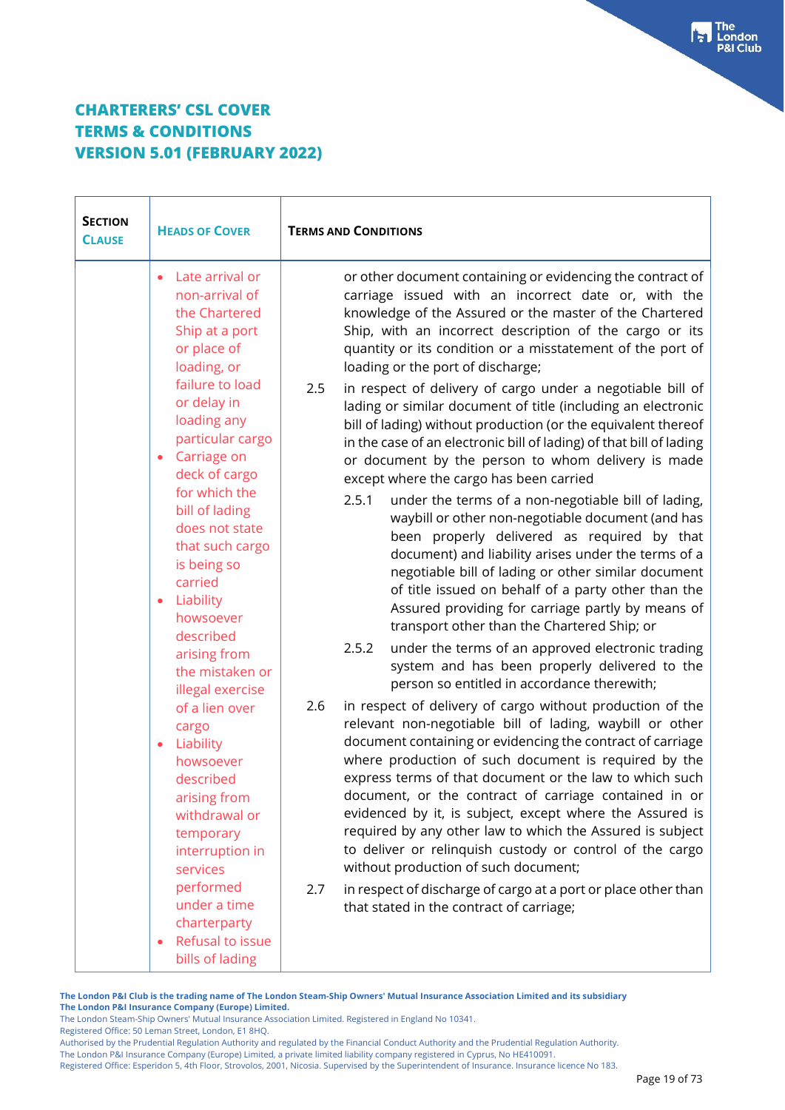| <b>SECTION</b><br><b>CLAUSE</b> | <b>HEADS OF COVER</b>                                                                                                                                    | <b>TERMS AND CONDITIONS</b>                                                                                                                                                                                                                                                                                                                                                                                                                                                                                                                                                                         |
|---------------------------------|----------------------------------------------------------------------------------------------------------------------------------------------------------|-----------------------------------------------------------------------------------------------------------------------------------------------------------------------------------------------------------------------------------------------------------------------------------------------------------------------------------------------------------------------------------------------------------------------------------------------------------------------------------------------------------------------------------------------------------------------------------------------------|
|                                 | Late arrival or<br>$\bullet$<br>non-arrival of<br>the Chartered<br>Ship at a port<br>or place of<br>loading, or                                          | or other document containing or evidencing the contract of<br>carriage issued with an incorrect date or, with the<br>knowledge of the Assured or the master of the Chartered<br>Ship, with an incorrect description of the cargo or its<br>quantity or its condition or a misstatement of the port of<br>loading or the port of discharge;                                                                                                                                                                                                                                                          |
|                                 | failure to load<br>or delay in<br>loading any<br>particular cargo<br>Carriage on<br>$\bullet$<br>deck of cargo                                           | in respect of delivery of cargo under a negotiable bill of<br>2.5<br>lading or similar document of title (including an electronic<br>bill of lading) without production (or the equivalent thereof<br>in the case of an electronic bill of lading) of that bill of lading<br>or document by the person to whom delivery is made<br>except where the cargo has been carried                                                                                                                                                                                                                          |
|                                 | for which the<br>bill of lading<br>does not state<br>that such cargo<br>is being so<br>carried<br>Liability<br>$\bullet$<br>howsoever                    | 2.5.1<br>under the terms of a non-negotiable bill of lading,<br>waybill or other non-negotiable document (and has<br>been properly delivered as required by that<br>document) and liability arises under the terms of a<br>negotiable bill of lading or other similar document<br>of title issued on behalf of a party other than the<br>Assured providing for carriage partly by means of<br>transport other than the Chartered Ship; or                                                                                                                                                           |
|                                 | described<br>arising from<br>the mistaken or<br>illegal exercise                                                                                         | 2.5.2<br>under the terms of an approved electronic trading<br>system and has been properly delivered to the<br>person so entitled in accordance therewith;                                                                                                                                                                                                                                                                                                                                                                                                                                          |
|                                 | of a lien over<br>cargo<br>Liability<br>$\bullet$<br>howsoever<br>described<br>arising from<br>withdrawal or<br>temporary<br>interruption in<br>services | in respect of delivery of cargo without production of the<br>2.6<br>relevant non-negotiable bill of lading, waybill or other<br>document containing or evidencing the contract of carriage<br>where production of such document is required by the<br>express terms of that document or the law to which such<br>document, or the contract of carriage contained in or<br>evidenced by it, is subject, except where the Assured is<br>required by any other law to which the Assured is subject<br>to deliver or relinquish custody or control of the cargo<br>without production of such document; |
|                                 | performed<br>under a time<br>charterparty<br>Refusal to issue<br>$\bullet$<br>bills of lading                                                            | 2.7<br>in respect of discharge of cargo at a port or place other than<br>that stated in the contract of carriage;                                                                                                                                                                                                                                                                                                                                                                                                                                                                                   |

**The London P&I Club is the trading name of The London Steam-Ship Owners' Mutual Insurance Association Limited and its subsidiary The London P&I Insurance Company (Europe) Limited.**

The London Steam-Ship Owners' Mutual Insurance Association Limited. Registered in England No 10341. Registered Office: 50 Leman Street, London, E1 8HQ.

Authorised by the Prudential Regulation Authority and regulated by the Financial Conduct Authority and the Prudential Regulation Authority.

The London P&I Insurance Company (Europe) Limited, a private limited liability company registered in Cyprus, No HE410091.

Registered Office: Esperidon 5, 4th Floor, Strovolos, 2001, Nicosia. Supervised by the Superintendent of Insurance. Insurance licence No 183.

**The** London **Club**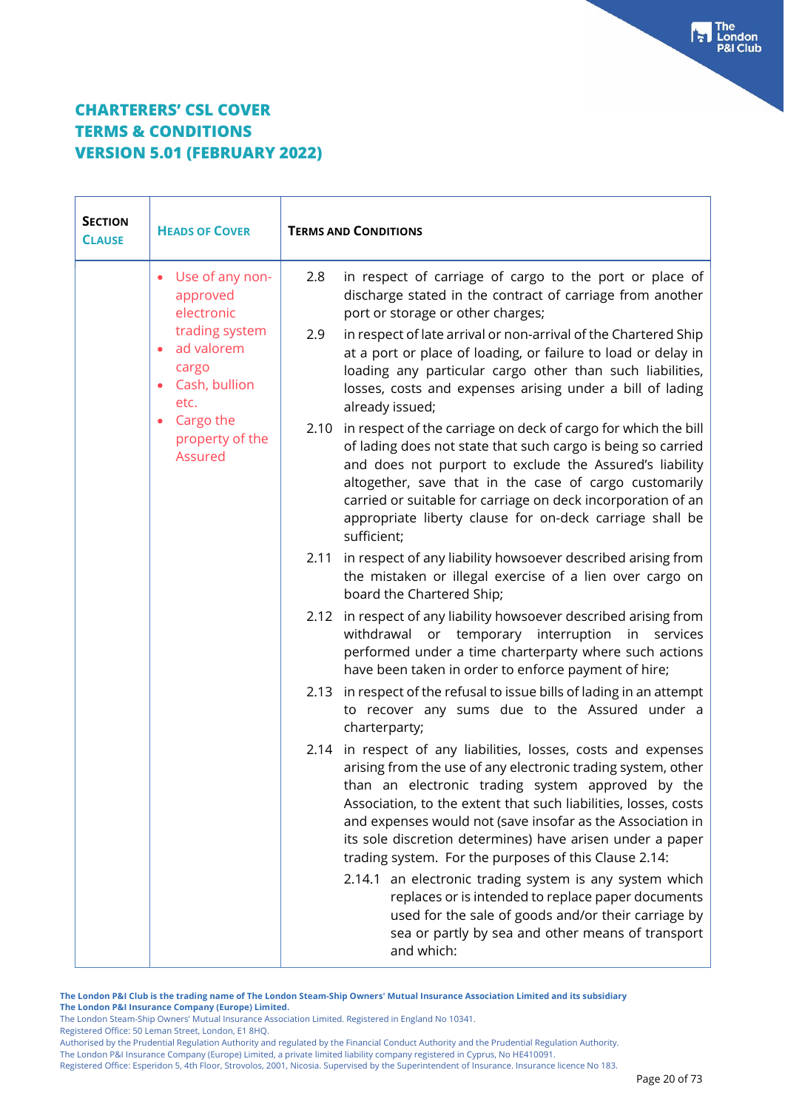| <b>SECTION</b><br><b>CLAUSE</b> | <b>HEADS OF COVER</b>                                          | <b>TERMS AND CONDITIONS</b>                                                                                                                                                                                                                                                                                                                                                                                                                |  |
|---------------------------------|----------------------------------------------------------------|--------------------------------------------------------------------------------------------------------------------------------------------------------------------------------------------------------------------------------------------------------------------------------------------------------------------------------------------------------------------------------------------------------------------------------------------|--|
|                                 | Use of any non-<br>approved<br>electronic                      | in respect of carriage of cargo to the port or place of<br>2.8<br>discharge stated in the contract of carriage from another<br>port or storage or other charges;                                                                                                                                                                                                                                                                           |  |
|                                 | trading system<br>ad valorem<br>cargo<br>Cash, bullion<br>etc. | in respect of late arrival or non-arrival of the Chartered Ship<br>2.9<br>at a port or place of loading, or failure to load or delay in<br>loading any particular cargo other than such liabilities,<br>losses, costs and expenses arising under a bill of lading<br>already issued;                                                                                                                                                       |  |
|                                 | Cargo the<br>property of the<br>Assured                        | in respect of the carriage on deck of cargo for which the bill<br>2.10<br>of lading does not state that such cargo is being so carried<br>and does not purport to exclude the Assured's liability<br>altogether, save that in the case of cargo customarily<br>carried or suitable for carriage on deck incorporation of an<br>appropriate liberty clause for on-deck carriage shall be<br>sufficient;                                     |  |
|                                 |                                                                | in respect of any liability howsoever described arising from<br>2.11<br>the mistaken or illegal exercise of a lien over cargo on<br>board the Chartered Ship;                                                                                                                                                                                                                                                                              |  |
|                                 |                                                                | 2.12 in respect of any liability howsoever described arising from<br>withdrawal or temporary interruption in services<br>performed under a time charterparty where such actions<br>have been taken in order to enforce payment of hire;                                                                                                                                                                                                    |  |
|                                 |                                                                | in respect of the refusal to issue bills of lading in an attempt<br>2.13<br>to recover any sums due to the Assured under a<br>charterparty;                                                                                                                                                                                                                                                                                                |  |
|                                 |                                                                | 2.14 in respect of any liabilities, losses, costs and expenses<br>arising from the use of any electronic trading system, other<br>than an electronic trading system approved by the<br>Association, to the extent that such liabilities, losses, costs<br>and expenses would not (save insofar as the Association in<br>its sole discretion determines) have arisen under a paper<br>trading system. For the purposes of this Clause 2.14: |  |
|                                 |                                                                | 2.14.1 an electronic trading system is any system which<br>replaces or is intended to replace paper documents<br>used for the sale of goods and/or their carriage by<br>sea or partly by sea and other means of transport<br>and which:                                                                                                                                                                                                    |  |

**The London P&I Club is the trading name of The London Steam-Ship Owners' Mutual Insurance Association Limited and its subsidiary The London P&I Insurance Company (Europe) Limited.**

The London Steam-Ship Owners' Mutual Insurance Association Limited. Registered in England No 10341.

Registered Office: 50 Leman Street, London, E1 8HQ.

Authorised by the Prudential Regulation Authority and regulated by the Financial Conduct Authority and the Prudential Regulation Authority.

The London P&I Insurance Company (Europe) Limited, a private limited liability company registered in Cyprus, No HE410091.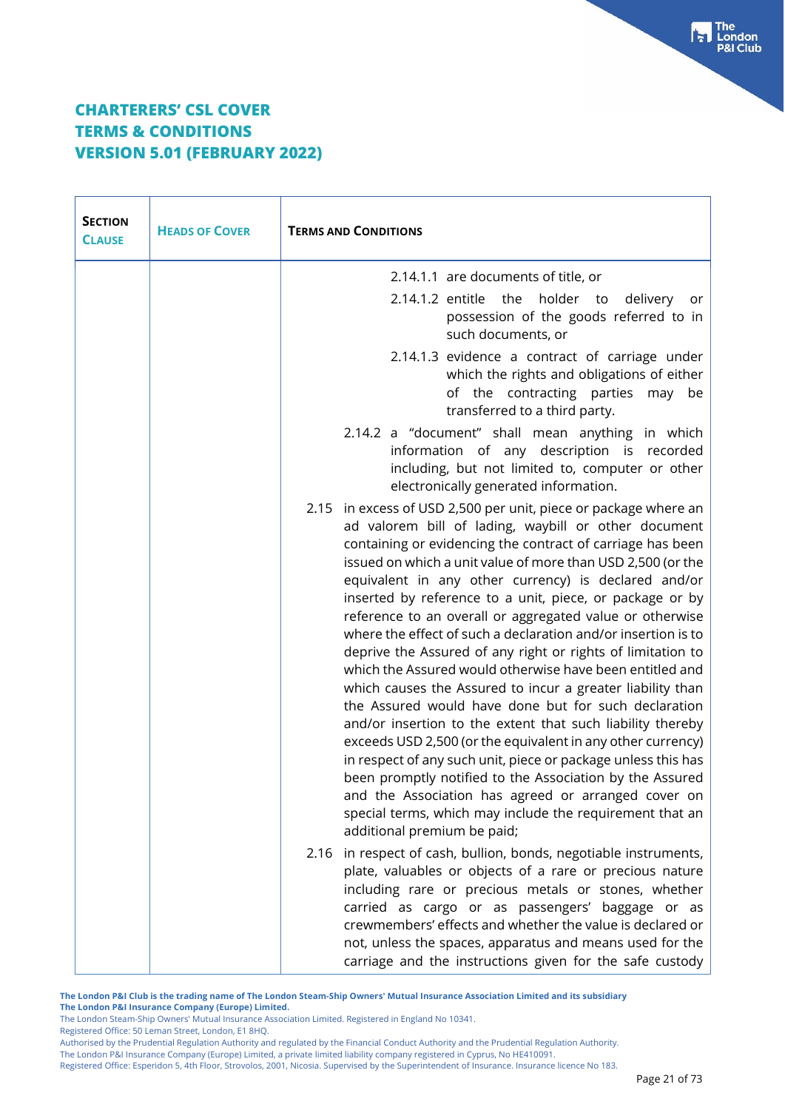| <b>SECTION</b><br><b>CLAUSE</b> | <b>HEADS OF COVER</b> | <b>TERMS AND CONDITIONS</b>                                                                                                                                                                                                                                                                                                                                                                                                                                                                                                                                                                                                                                                                                                                                                                                                                                                                                                                                                                                                                                                                                                                                        |
|---------------------------------|-----------------------|--------------------------------------------------------------------------------------------------------------------------------------------------------------------------------------------------------------------------------------------------------------------------------------------------------------------------------------------------------------------------------------------------------------------------------------------------------------------------------------------------------------------------------------------------------------------------------------------------------------------------------------------------------------------------------------------------------------------------------------------------------------------------------------------------------------------------------------------------------------------------------------------------------------------------------------------------------------------------------------------------------------------------------------------------------------------------------------------------------------------------------------------------------------------|
|                                 |                       | 2.14.1.1 are documents of title, or                                                                                                                                                                                                                                                                                                                                                                                                                                                                                                                                                                                                                                                                                                                                                                                                                                                                                                                                                                                                                                                                                                                                |
|                                 |                       | 2.14.1.2 entitle<br>the<br>holder to<br>delivery<br>or<br>possession of the goods referred to in<br>such documents, or                                                                                                                                                                                                                                                                                                                                                                                                                                                                                                                                                                                                                                                                                                                                                                                                                                                                                                                                                                                                                                             |
|                                 |                       | 2.14.1.3 evidence a contract of carriage under<br>which the rights and obligations of either<br>of the contracting parties may be<br>transferred to a third party.                                                                                                                                                                                                                                                                                                                                                                                                                                                                                                                                                                                                                                                                                                                                                                                                                                                                                                                                                                                                 |
|                                 |                       | 2.14.2 a "document" shall mean anything in which<br>information of any description is recorded<br>including, but not limited to, computer or other<br>electronically generated information.                                                                                                                                                                                                                                                                                                                                                                                                                                                                                                                                                                                                                                                                                                                                                                                                                                                                                                                                                                        |
|                                 |                       | 2.15 in excess of USD 2,500 per unit, piece or package where an<br>ad valorem bill of lading, waybill or other document<br>containing or evidencing the contract of carriage has been<br>issued on which a unit value of more than USD 2,500 (or the<br>equivalent in any other currency) is declared and/or<br>inserted by reference to a unit, piece, or package or by<br>reference to an overall or aggregated value or otherwise<br>where the effect of such a declaration and/or insertion is to<br>deprive the Assured of any right or rights of limitation to<br>which the Assured would otherwise have been entitled and<br>which causes the Assured to incur a greater liability than<br>the Assured would have done but for such declaration<br>and/or insertion to the extent that such liability thereby<br>exceeds USD 2,500 (or the equivalent in any other currency)<br>in respect of any such unit, piece or package unless this has<br>been promptly notified to the Association by the Assured<br>and the Association has agreed or arranged cover on<br>special terms, which may include the requirement that an<br>additional premium be paid; |
|                                 |                       | 2.16 in respect of cash, bullion, bonds, negotiable instruments,<br>plate, valuables or objects of a rare or precious nature<br>including rare or precious metals or stones, whether<br>carried as cargo or as passengers' baggage or as<br>crewmembers' effects and whether the value is declared or<br>not, unless the spaces, apparatus and means used for the<br>carriage and the instructions given for the safe custody                                                                                                                                                                                                                                                                                                                                                                                                                                                                                                                                                                                                                                                                                                                                      |

**The London P&I Club is the trading name of The London Steam-Ship Owners' Mutual Insurance Association Limited and its subsidiary The London P&I Insurance Company (Europe) Limited.**

The London Steam-Ship Owners' Mutual Insurance Association Limited. Registered in England No 10341.

Registered Office: 50 Leman Street, London, E1 8HQ.

Authorised by the Prudential Regulation Authority and regulated by the Financial Conduct Authority and the Prudential Regulation Authority.

The London P&I Insurance Company (Europe) Limited, a private limited liability company registered in Cyprus, No HE410091.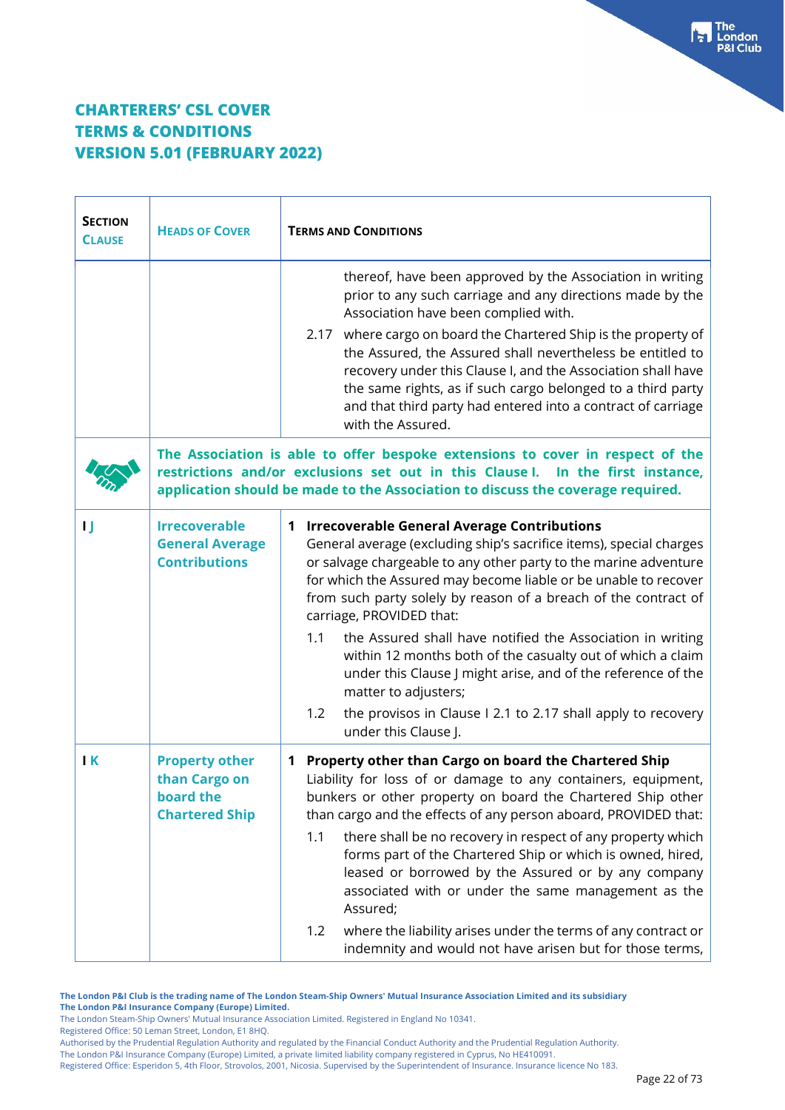| <b>SECTION</b><br><b>CLAUSE</b> | <b>HEADS OF COVER</b>                                                        | <b>TERMS AND CONDITIONS</b>                                                                                                                                                                                                                                                                                                                                                                                                                                                                                                                                                                                                                                                          |
|---------------------------------|------------------------------------------------------------------------------|--------------------------------------------------------------------------------------------------------------------------------------------------------------------------------------------------------------------------------------------------------------------------------------------------------------------------------------------------------------------------------------------------------------------------------------------------------------------------------------------------------------------------------------------------------------------------------------------------------------------------------------------------------------------------------------|
|                                 |                                                                              | thereof, have been approved by the Association in writing<br>prior to any such carriage and any directions made by the<br>Association have been complied with.                                                                                                                                                                                                                                                                                                                                                                                                                                                                                                                       |
|                                 |                                                                              | 2.17 where cargo on board the Chartered Ship is the property of<br>the Assured, the Assured shall nevertheless be entitled to<br>recovery under this Clause I, and the Association shall have<br>the same rights, as if such cargo belonged to a third party<br>and that third party had entered into a contract of carriage<br>with the Assured.                                                                                                                                                                                                                                                                                                                                    |
|                                 |                                                                              | The Association is able to offer bespoke extensions to cover in respect of the<br>restrictions and/or exclusions set out in this Clause I. In the first instance,<br>application should be made to the Association to discuss the coverage required.                                                                                                                                                                                                                                                                                                                                                                                                                                 |
| IJ                              | <b>Irrecoverable</b><br><b>General Average</b><br><b>Contributions</b>       | 1 Irrecoverable General Average Contributions<br>General average (excluding ship's sacrifice items), special charges<br>or salvage chargeable to any other party to the marine adventure<br>for which the Assured may become liable or be unable to recover<br>from such party solely by reason of a breach of the contract of<br>carriage, PROVIDED that:<br>the Assured shall have notified the Association in writing<br>1.1<br>within 12 months both of the casualty out of which a claim<br>under this Clause J might arise, and of the reference of the<br>matter to adjusters;<br>1.2<br>the provisos in Clause I 2.1 to 2.17 shall apply to recovery<br>under this Clause J. |
| $\mathsf{I}$ K                  | <b>Property other</b><br>than Cargo on<br>board the<br><b>Chartered Ship</b> | Property other than Cargo on board the Chartered Ship<br>1<br>Liability for loss of or damage to any containers, equipment,<br>bunkers or other property on board the Chartered Ship other<br>than cargo and the effects of any person aboard, PROVIDED that:<br>there shall be no recovery in respect of any property which<br>1.1<br>forms part of the Chartered Ship or which is owned, hired,<br>leased or borrowed by the Assured or by any company<br>associated with or under the same management as the<br>Assured;<br>where the liability arises under the terms of any contract or<br>1.2<br>indemnity and would not have arisen but for those terms,                      |

**The London P&I Club is the trading name of The London Steam-Ship Owners' Mutual Insurance Association Limited and its subsidiary The London P&I Insurance Company (Europe) Limited.**

The London Steam-Ship Owners' Mutual Insurance Association Limited. Registered in England No 10341.

Registered Office: 50 Leman Street, London, E1 8HQ.

Authorised by the Prudential Regulation Authority and regulated by the Financial Conduct Authority and the Prudential Regulation Authority.

The London P&I Insurance Company (Europe) Limited, a private limited liability company registered in Cyprus, No HE410091.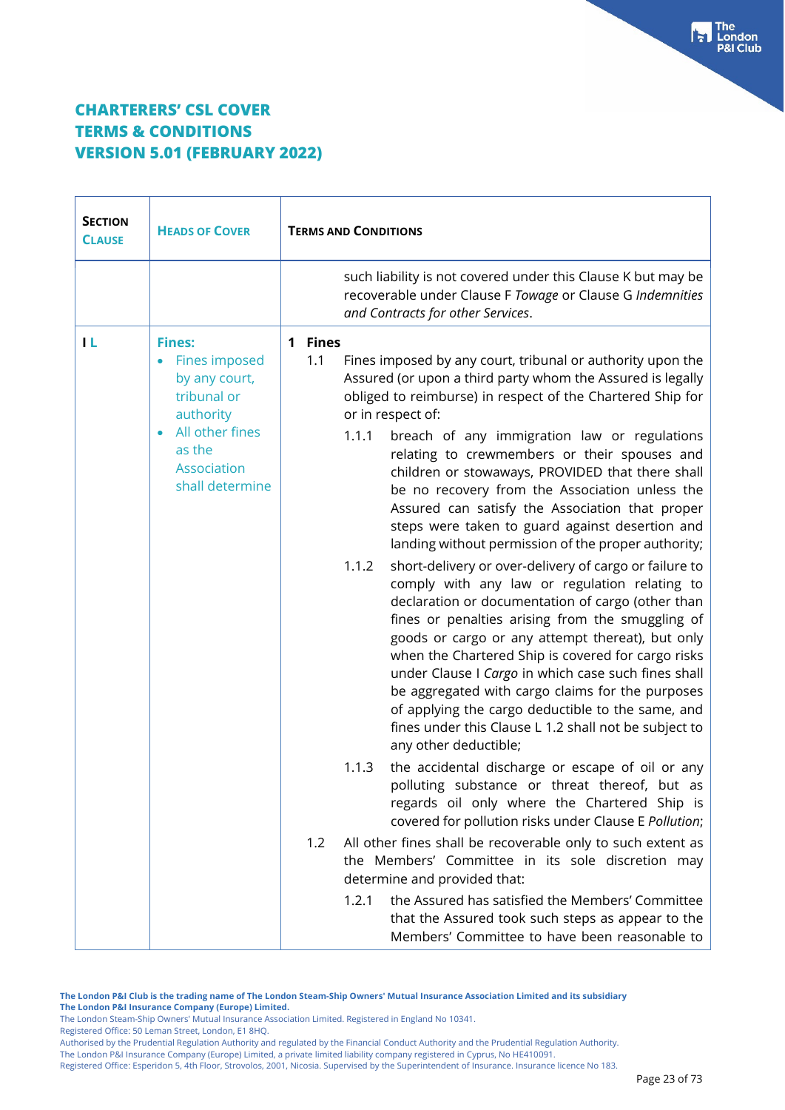| <b>SECTION</b><br><b>CLAUSE</b> | <b>HEADS OF COVER</b>                                                              | <b>TERMS AND CONDITIONS</b>                                                                                                                                                                                                                                                                                                                                                                                                                                                                                                                                                           |
|---------------------------------|------------------------------------------------------------------------------------|---------------------------------------------------------------------------------------------------------------------------------------------------------------------------------------------------------------------------------------------------------------------------------------------------------------------------------------------------------------------------------------------------------------------------------------------------------------------------------------------------------------------------------------------------------------------------------------|
|                                 |                                                                                    | such liability is not covered under this Clause K but may be<br>recoverable under Clause F Towage or Clause G Indemnities<br>and Contracts for other Services.                                                                                                                                                                                                                                                                                                                                                                                                                        |
| ТL                              | <b>Fines:</b><br><b>Fines imposed</b><br>by any court,<br>tribunal or<br>authority | <b>Fines</b><br>1<br>1.1<br>Fines imposed by any court, tribunal or authority upon the<br>Assured (or upon a third party whom the Assured is legally<br>obliged to reimburse) in respect of the Chartered Ship for<br>or in respect of:                                                                                                                                                                                                                                                                                                                                               |
|                                 | All other fines<br>as the<br>Association<br>shall determine                        | 1.1.1<br>breach of any immigration law or regulations<br>relating to crewmembers or their spouses and<br>children or stowaways, PROVIDED that there shall<br>be no recovery from the Association unless the<br>Assured can satisfy the Association that proper<br>steps were taken to guard against desertion and<br>landing without permission of the proper authority;                                                                                                                                                                                                              |
|                                 |                                                                                    | 1.1.2<br>short-delivery or over-delivery of cargo or failure to<br>comply with any law or regulation relating to<br>declaration or documentation of cargo (other than<br>fines or penalties arising from the smuggling of<br>goods or cargo or any attempt thereat), but only<br>when the Chartered Ship is covered for cargo risks<br>under Clause I Cargo in which case such fines shall<br>be aggregated with cargo claims for the purposes<br>of applying the cargo deductible to the same, and<br>fines under this Clause L 1.2 shall not be subject to<br>any other deductible; |
|                                 |                                                                                    | the accidental discharge or escape of oil or any<br>1.1.3<br>polluting substance or threat thereof, but as<br>regards oil only where the Chartered Ship is<br>covered for pollution risks under Clause E Pollution;                                                                                                                                                                                                                                                                                                                                                                   |
|                                 |                                                                                    | 1.2<br>All other fines shall be recoverable only to such extent as<br>the Members' Committee in its sole discretion may<br>determine and provided that:                                                                                                                                                                                                                                                                                                                                                                                                                               |
|                                 |                                                                                    | the Assured has satisfied the Members' Committee<br>1.2.1<br>that the Assured took such steps as appear to the<br>Members' Committee to have been reasonable to                                                                                                                                                                                                                                                                                                                                                                                                                       |

**The London P&I Club is the trading name of The London Steam-Ship Owners' Mutual Insurance Association Limited and its subsidiary The London P&I Insurance Company (Europe) Limited.**

The London Steam-Ship Owners' Mutual Insurance Association Limited. Registered in England No 10341. Registered Office: 50 Leman Street, London, E1 8HQ.

Authorised by the Prudential Regulation Authority and regulated by the Financial Conduct Authority and the Prudential Regulation Authority.

The London P&I Insurance Company (Europe) Limited, a private limited liability company registered in Cyprus, No HE410091.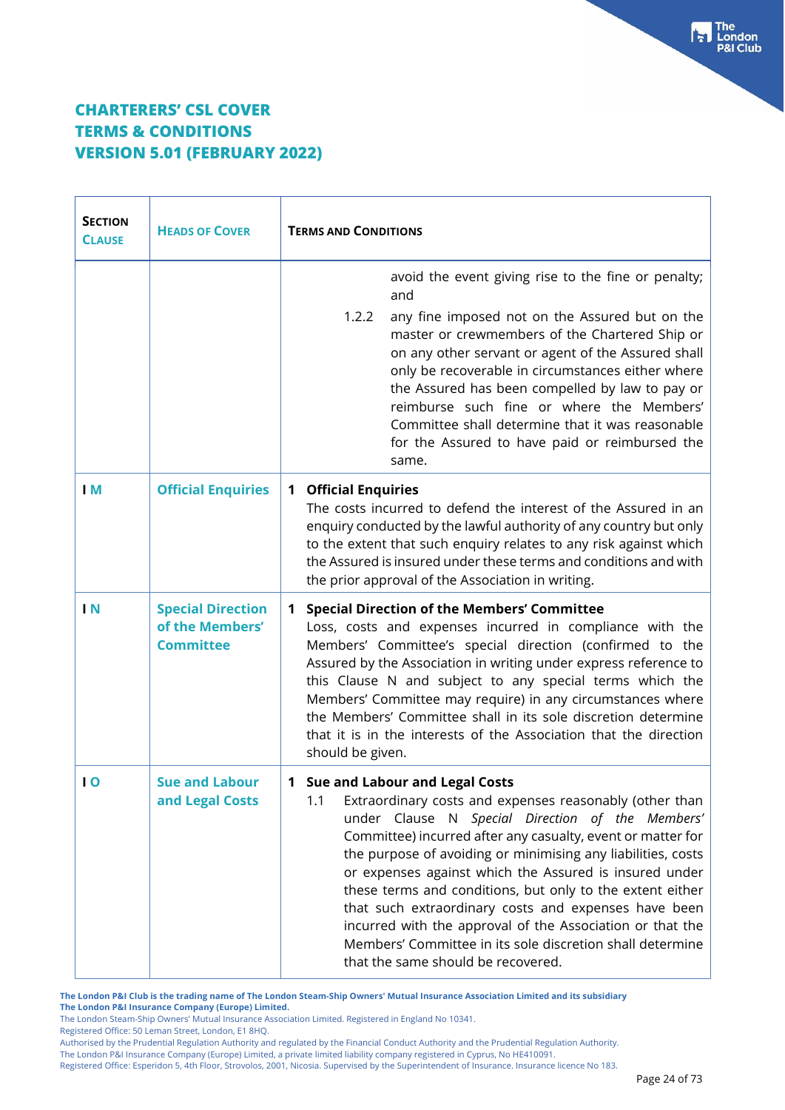| <b>SECTION</b><br><b>CLAUSE</b> | <b>HEADS OF COVER</b>                                           | <b>TERMS AND CONDITIONS</b>                                                                                                                                                                                                                                                                                                                                                                                                                                                                                                                                                                                                          |
|---------------------------------|-----------------------------------------------------------------|--------------------------------------------------------------------------------------------------------------------------------------------------------------------------------------------------------------------------------------------------------------------------------------------------------------------------------------------------------------------------------------------------------------------------------------------------------------------------------------------------------------------------------------------------------------------------------------------------------------------------------------|
|                                 |                                                                 | avoid the event giving rise to the fine or penalty;<br>and<br>1.2.2<br>any fine imposed not on the Assured but on the<br>master or crewmembers of the Chartered Ship or<br>on any other servant or agent of the Assured shall<br>only be recoverable in circumstances either where<br>the Assured has been compelled by law to pay or<br>reimburse such fine or where the Members'<br>Committee shall determine that it was reasonable<br>for the Assured to have paid or reimbursed the<br>same.                                                                                                                                    |
| I M                             | <b>Official Enquiries</b>                                       | <b>Official Enquiries</b><br>$\mathbf 1$<br>The costs incurred to defend the interest of the Assured in an<br>enquiry conducted by the lawful authority of any country but only<br>to the extent that such enquiry relates to any risk against which<br>the Assured is insured under these terms and conditions and with<br>the prior approval of the Association in writing.                                                                                                                                                                                                                                                        |
| $\mathsf{I} \mathsf{N}$         | <b>Special Direction</b><br>of the Members'<br><b>Committee</b> | <b>Special Direction of the Members' Committee</b><br>1<br>Loss, costs and expenses incurred in compliance with the<br>Members' Committee's special direction (confirmed to the<br>Assured by the Association in writing under express reference to<br>this Clause N and subject to any special terms which the<br>Members' Committee may require) in any circumstances where<br>the Members' Committee shall in its sole discretion determine<br>that it is in the interests of the Association that the direction<br>should be given.                                                                                              |
| $\overline{0}$                  | <b>Sue and Labour</b><br>and Legal Costs                        | 1 Sue and Labour and Legal Costs<br>1.1<br>Extraordinary costs and expenses reasonably (other than<br>under Clause N Special Direction of the Members'<br>Committee) incurred after any casualty, event or matter for<br>the purpose of avoiding or minimising any liabilities, costs<br>or expenses against which the Assured is insured under<br>these terms and conditions, but only to the extent either<br>that such extraordinary costs and expenses have been<br>incurred with the approval of the Association or that the<br>Members' Committee in its sole discretion shall determine<br>that the same should be recovered. |

**The London P&I Club is the trading name of The London Steam-Ship Owners' Mutual Insurance Association Limited and its subsidiary**

**The London P&I Insurance Company (Europe) Limited.**

The London Steam-Ship Owners' Mutual Insurance Association Limited. Registered in England No 10341.

Registered Office: 50 Leman Street, London, E1 8HQ.

Authorised by the Prudential Regulation Authority and regulated by the Financial Conduct Authority and the Prudential Regulation Authority.

The London P&I Insurance Company (Europe) Limited, a private limited liability company registered in Cyprus, No HE410091.

Registered Office: Esperidon 5, 4th Floor, Strovolos, 2001, Nicosia. Supervised by the Superintendent of Insurance. Insurance licence No 183.

 $\begin{bmatrix} 1 \\ 2 \end{bmatrix}$  The<br> $\begin{bmatrix} 1 \\ 2 \end{bmatrix}$  London **P&I Club**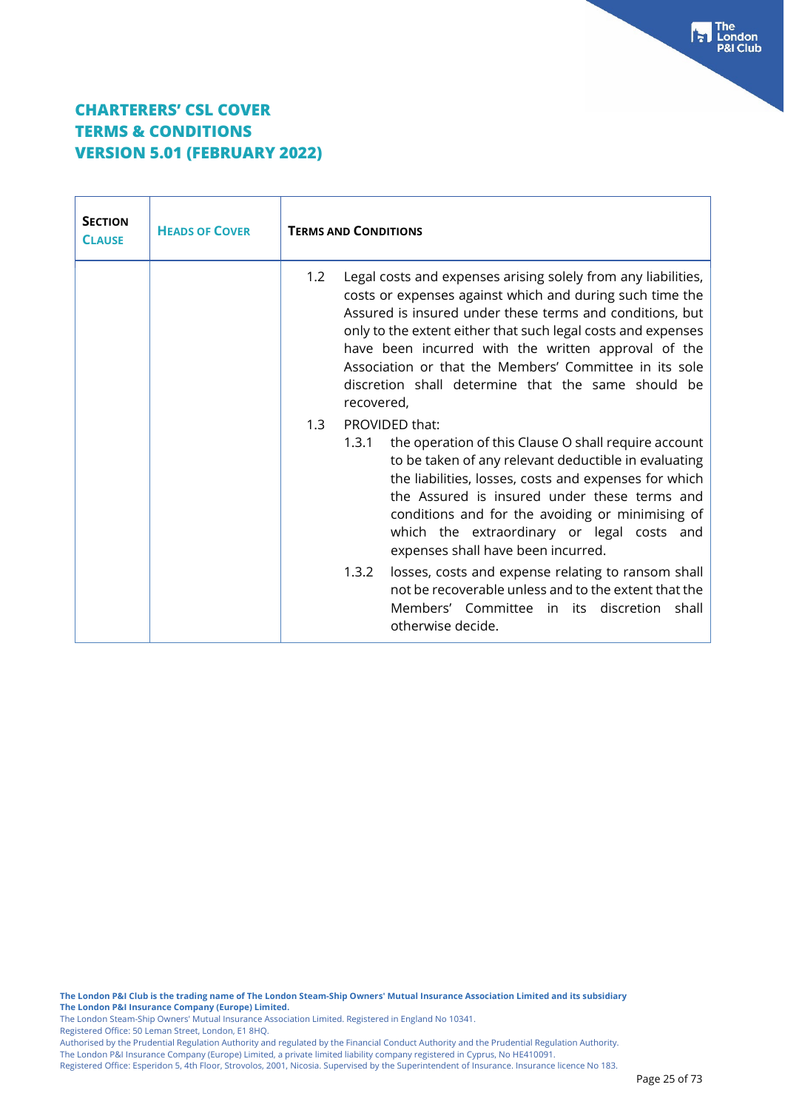| <b>SECTION</b><br><b>CLAUSE</b> | <b>HEADS OF COVER</b> | <b>TERMS AND CONDITIONS</b>                                                                                                                                                                                                                                                                                                                                                                                                                       |
|---------------------------------|-----------------------|---------------------------------------------------------------------------------------------------------------------------------------------------------------------------------------------------------------------------------------------------------------------------------------------------------------------------------------------------------------------------------------------------------------------------------------------------|
|                                 |                       | Legal costs and expenses arising solely from any liabilities,<br>1.2<br>costs or expenses against which and during such time the<br>Assured is insured under these terms and conditions, but<br>only to the extent either that such legal costs and expenses<br>have been incurred with the written approval of the<br>Association or that the Members' Committee in its sole<br>discretion shall determine that the same should be<br>recovered, |
|                                 |                       | PROVIDED that:<br>1.3<br>the operation of this Clause O shall require account<br>1.3.1<br>to be taken of any relevant deductible in evaluating<br>the liabilities, losses, costs and expenses for which<br>the Assured is insured under these terms and<br>conditions and for the avoiding or minimising of<br>which the extraordinary or legal costs and<br>expenses shall have been incurred.                                                   |
|                                 |                       | losses, costs and expense relating to ransom shall<br>1.3.2<br>not be recoverable unless and to the extent that the<br>Members' Committee in its discretion shall<br>otherwise decide.                                                                                                                                                                                                                                                            |

**The London P&I Club is the trading name of The London Steam-Ship Owners' Mutual Insurance Association Limited and its subsidiary The London P&I Insurance Company (Europe) Limited.**

The London Steam-Ship Owners' Mutual Insurance Association Limited. Registered in England No 10341.

Registered Office: 50 Leman Street, London, E1 8HQ.

Authorised by the Prudential Regulation Authority and regulated by the Financial Conduct Authority and the Prudential Regulation Authority. The London P&I Insurance Company (Europe) Limited, a private limited liability company registered in Cyprus, No HE410091.

Registered Office: Esperidon 5, 4th Floor, Strovolos, 2001, Nicosia. Supervised by the Superintendent of Insurance. Insurance licence No 183.

**Fall** The<br>P&I Club<br>P&I Club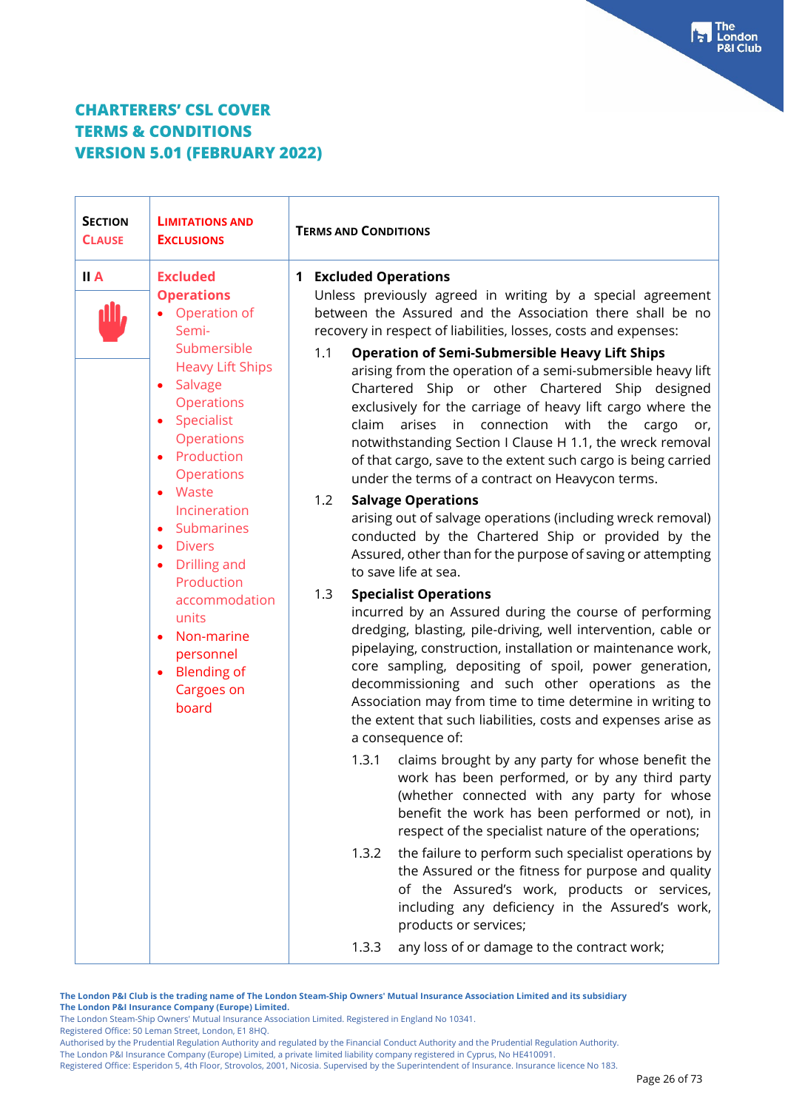| <b>SECTION</b><br><b>CLAUSE</b> | <b>LIMITATIONS AND</b><br><b>EXCLUSIONS</b>                                                                                                                                                                                                                                                                                                                                                                                                                        | <b>TERMS AND CONDITIONS</b>                                                                                                                                                                                                                                                                                                                                                                                                                                                                                                                                                                                                                                                                                                                                                                                                                                                                                                                                                                                                                                                                                                                                                                                                                                                                                                                                                                                                                                                                                                                                                                                                                                                                                                                                                                                                                                                                                                                                                                                                                                                       |
|---------------------------------|--------------------------------------------------------------------------------------------------------------------------------------------------------------------------------------------------------------------------------------------------------------------------------------------------------------------------------------------------------------------------------------------------------------------------------------------------------------------|-----------------------------------------------------------------------------------------------------------------------------------------------------------------------------------------------------------------------------------------------------------------------------------------------------------------------------------------------------------------------------------------------------------------------------------------------------------------------------------------------------------------------------------------------------------------------------------------------------------------------------------------------------------------------------------------------------------------------------------------------------------------------------------------------------------------------------------------------------------------------------------------------------------------------------------------------------------------------------------------------------------------------------------------------------------------------------------------------------------------------------------------------------------------------------------------------------------------------------------------------------------------------------------------------------------------------------------------------------------------------------------------------------------------------------------------------------------------------------------------------------------------------------------------------------------------------------------------------------------------------------------------------------------------------------------------------------------------------------------------------------------------------------------------------------------------------------------------------------------------------------------------------------------------------------------------------------------------------------------------------------------------------------------------------------------------------------------|
| II A                            | <b>Excluded</b><br><b>Operations</b><br>Operation of<br>Semi-<br>Submersible<br><b>Heavy Lift Ships</b><br>Salvage<br>$\bullet$<br>Operations<br>Specialist<br>$\bullet$<br>Operations<br>• Production<br><b>Operations</b><br>Waste<br>Incineration<br>Submarines<br>$\bullet$<br><b>Divers</b><br>$\bullet$<br>Drilling and<br>$\bullet$<br>Production<br>accommodation<br>units<br>Non-marine<br>$\bullet$<br>personnel<br>• Blending of<br>Cargoes on<br>board | <b>Excluded Operations</b><br>$\mathbf 1$<br>Unless previously agreed in writing by a special agreement<br>between the Assured and the Association there shall be no<br>recovery in respect of liabilities, losses, costs and expenses:<br><b>Operation of Semi-Submersible Heavy Lift Ships</b><br>1.1<br>arising from the operation of a semi-submersible heavy lift<br>Chartered Ship or other Chartered Ship designed<br>exclusively for the carriage of heavy lift cargo where the<br>claim<br>arises in<br>connection<br>with<br>the<br>cargo<br>or,<br>notwithstanding Section I Clause H 1.1, the wreck removal<br>of that cargo, save to the extent such cargo is being carried<br>under the terms of a contract on Heavycon terms.<br>1.2<br><b>Salvage Operations</b><br>arising out of salvage operations (including wreck removal)<br>conducted by the Chartered Ship or provided by the<br>Assured, other than for the purpose of saving or attempting<br>to save life at sea.<br>1.3<br><b>Specialist Operations</b><br>incurred by an Assured during the course of performing<br>dredging, blasting, pile-driving, well intervention, cable or<br>pipelaying, construction, installation or maintenance work,<br>core sampling, depositing of spoil, power generation,<br>decommissioning and such other operations as the<br>Association may from time to time determine in writing to<br>the extent that such liabilities, costs and expenses arise as<br>a consequence of:<br>1.3.1<br>claims brought by any party for whose benefit the<br>work has been performed, or by any third party<br>(whether connected with any party for whose<br>benefit the work has been performed or not), in<br>respect of the specialist nature of the operations;<br>the failure to perform such specialist operations by<br>1.3.2<br>the Assured or the fitness for purpose and quality<br>of the Assured's work, products or services,<br>including any deficiency in the Assured's work,<br>products or services;<br>any loss of or damage to the contract work;<br>1.3.3 |
|                                 |                                                                                                                                                                                                                                                                                                                                                                                                                                                                    |                                                                                                                                                                                                                                                                                                                                                                                                                                                                                                                                                                                                                                                                                                                                                                                                                                                                                                                                                                                                                                                                                                                                                                                                                                                                                                                                                                                                                                                                                                                                                                                                                                                                                                                                                                                                                                                                                                                                                                                                                                                                                   |

**The London P&I Club is the trading name of The London Steam-Ship Owners' Mutual Insurance Association Limited and its subsidiary The London P&I Insurance Company (Europe) Limited.**

The London Steam-Ship Owners' Mutual Insurance Association Limited. Registered in England No 10341.

Registered Office: 50 Leman Street, London, E1 8HQ.

Authorised by the Prudential Regulation Authority and regulated by the Financial Conduct Authority and the Prudential Regulation Authority.

The London P&I Insurance Company (Europe) Limited, a private limited liability company registered in Cyprus, No HE410091.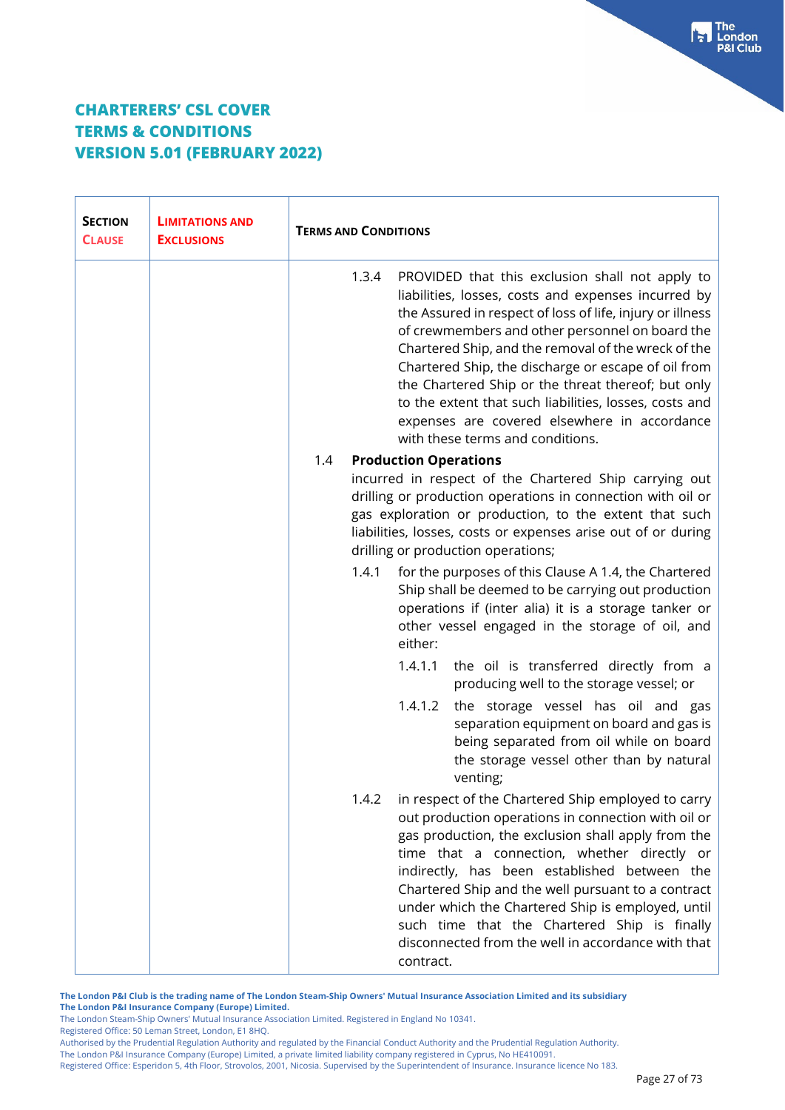| <b>SECTION</b><br><b>CLAUSE</b> | <b>LIMITATIONS AND</b><br><b>EXCLUSIONS</b> | <b>TERMS AND CONDITIONS</b>                                                                                                                                                                                                                                                                                                                                                                                                                                                                                                                       |
|---------------------------------|---------------------------------------------|---------------------------------------------------------------------------------------------------------------------------------------------------------------------------------------------------------------------------------------------------------------------------------------------------------------------------------------------------------------------------------------------------------------------------------------------------------------------------------------------------------------------------------------------------|
|                                 |                                             | 1.3.4<br>PROVIDED that this exclusion shall not apply to<br>liabilities, losses, costs and expenses incurred by<br>the Assured in respect of loss of life, injury or illness<br>of crewmembers and other personnel on board the<br>Chartered Ship, and the removal of the wreck of the<br>Chartered Ship, the discharge or escape of oil from<br>the Chartered Ship or the threat thereof; but only<br>to the extent that such liabilities, losses, costs and<br>expenses are covered elsewhere in accordance<br>with these terms and conditions. |
|                                 |                                             | 1.4<br><b>Production Operations</b>                                                                                                                                                                                                                                                                                                                                                                                                                                                                                                               |
|                                 |                                             | incurred in respect of the Chartered Ship carrying out<br>drilling or production operations in connection with oil or<br>gas exploration or production, to the extent that such<br>liabilities, losses, costs or expenses arise out of or during<br>drilling or production operations;                                                                                                                                                                                                                                                            |
|                                 |                                             | for the purposes of this Clause A 1.4, the Chartered<br>1.4.1<br>Ship shall be deemed to be carrying out production<br>operations if (inter alia) it is a storage tanker or<br>other vessel engaged in the storage of oil, and<br>either:                                                                                                                                                                                                                                                                                                         |
|                                 |                                             | 1.4.1.1<br>the oil is transferred directly from a<br>producing well to the storage vessel; or                                                                                                                                                                                                                                                                                                                                                                                                                                                     |
|                                 |                                             | 1.4.1.2<br>the storage vessel has oil and gas<br>separation equipment on board and gas is<br>being separated from oil while on board<br>the storage vessel other than by natural<br>venting;                                                                                                                                                                                                                                                                                                                                                      |
|                                 |                                             | 1.4.2<br>in respect of the Chartered Ship employed to carry<br>out production operations in connection with oil or<br>gas production, the exclusion shall apply from the<br>time that a connection, whether directly or<br>indirectly, has been established between the<br>Chartered Ship and the well pursuant to a contract<br>under which the Chartered Ship is employed, until<br>such time that the Chartered Ship is finally<br>disconnected from the well in accordance with that<br>contract.                                             |

**The London P&I Club is the trading name of The London Steam-Ship Owners' Mutual Insurance Association Limited and its subsidiary The London P&I Insurance Company (Europe) Limited.**

The London Steam-Ship Owners' Mutual Insurance Association Limited. Registered in England No 10341.

Registered Office: 50 Leman Street, London, E1 8HQ.

Authorised by the Prudential Regulation Authority and regulated by the Financial Conduct Authority and the Prudential Regulation Authority.

The London P&I Insurance Company (Europe) Limited, a private limited liability company registered in Cyprus, No HE410091.

Registered Office: Esperidon 5, 4th Floor, Strovolos, 2001, Nicosia. Supervised by the Superintendent of Insurance. Insurance licence No 183.

**Fall** The<br>P&I Club<br>P&I Club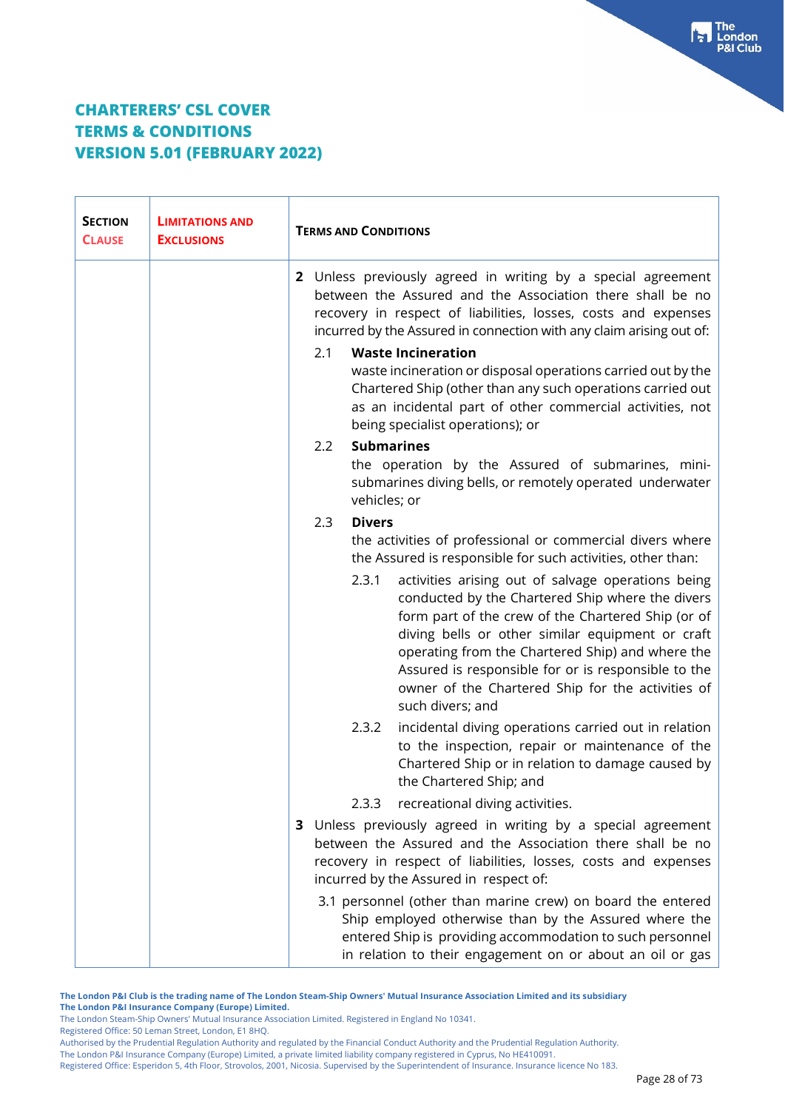| <b>SECTION</b><br><b>CLAUSE</b> | <b>LIMITATIONS AND</b><br><b>EXCLUSIONS</b> | <b>TERMS AND CONDITIONS</b>                                                                                                                                                                                                                                                                                                                                                                                   |
|---------------------------------|---------------------------------------------|---------------------------------------------------------------------------------------------------------------------------------------------------------------------------------------------------------------------------------------------------------------------------------------------------------------------------------------------------------------------------------------------------------------|
|                                 |                                             | 2 Unless previously agreed in writing by a special agreement<br>between the Assured and the Association there shall be no<br>recovery in respect of liabilities, losses, costs and expenses<br>incurred by the Assured in connection with any claim arising out of:                                                                                                                                           |
|                                 |                                             | <b>Waste Incineration</b><br>2.1<br>waste incineration or disposal operations carried out by the<br>Chartered Ship (other than any such operations carried out<br>as an incidental part of other commercial activities, not<br>being specialist operations); or                                                                                                                                               |
|                                 |                                             | <b>Submarines</b><br>$2.2\phantom{0}$<br>the operation by the Assured of submarines, mini-<br>submarines diving bells, or remotely operated underwater<br>vehicles; or                                                                                                                                                                                                                                        |
|                                 |                                             | 2.3<br><b>Divers</b><br>the activities of professional or commercial divers where<br>the Assured is responsible for such activities, other than:                                                                                                                                                                                                                                                              |
|                                 |                                             | 2.3.1<br>activities arising out of salvage operations being<br>conducted by the Chartered Ship where the divers<br>form part of the crew of the Chartered Ship (or of<br>diving bells or other similar equipment or craft<br>operating from the Chartered Ship) and where the<br>Assured is responsible for or is responsible to the<br>owner of the Chartered Ship for the activities of<br>such divers; and |
|                                 |                                             | incidental diving operations carried out in relation<br>2.3.2<br>to the inspection, repair or maintenance of the<br>Chartered Ship or in relation to damage caused by<br>the Chartered Ship; and                                                                                                                                                                                                              |
|                                 |                                             | recreational diving activities.<br>2.3.3                                                                                                                                                                                                                                                                                                                                                                      |
|                                 |                                             | 3 Unless previously agreed in writing by a special agreement<br>between the Assured and the Association there shall be no<br>recovery in respect of liabilities, losses, costs and expenses<br>incurred by the Assured in respect of:                                                                                                                                                                         |
|                                 |                                             | 3.1 personnel (other than marine crew) on board the entered<br>Ship employed otherwise than by the Assured where the<br>entered Ship is providing accommodation to such personnel<br>in relation to their engagement on or about an oil or gas                                                                                                                                                                |

**The London P&I Club is the trading name of The London Steam-Ship Owners' Mutual Insurance Association Limited and its subsidiary The London P&I Insurance Company (Europe) Limited.**

The London Steam-Ship Owners' Mutual Insurance Association Limited. Registered in England No 10341.

Registered Office: 50 Leman Street, London, E1 8HQ.

The London P&I Insurance Company (Europe) Limited, a private limited liability company registered in Cyprus, No HE410091.

Authorised by the Prudential Regulation Authority and regulated by the Financial Conduct Authority and the Prudential Regulation Authority.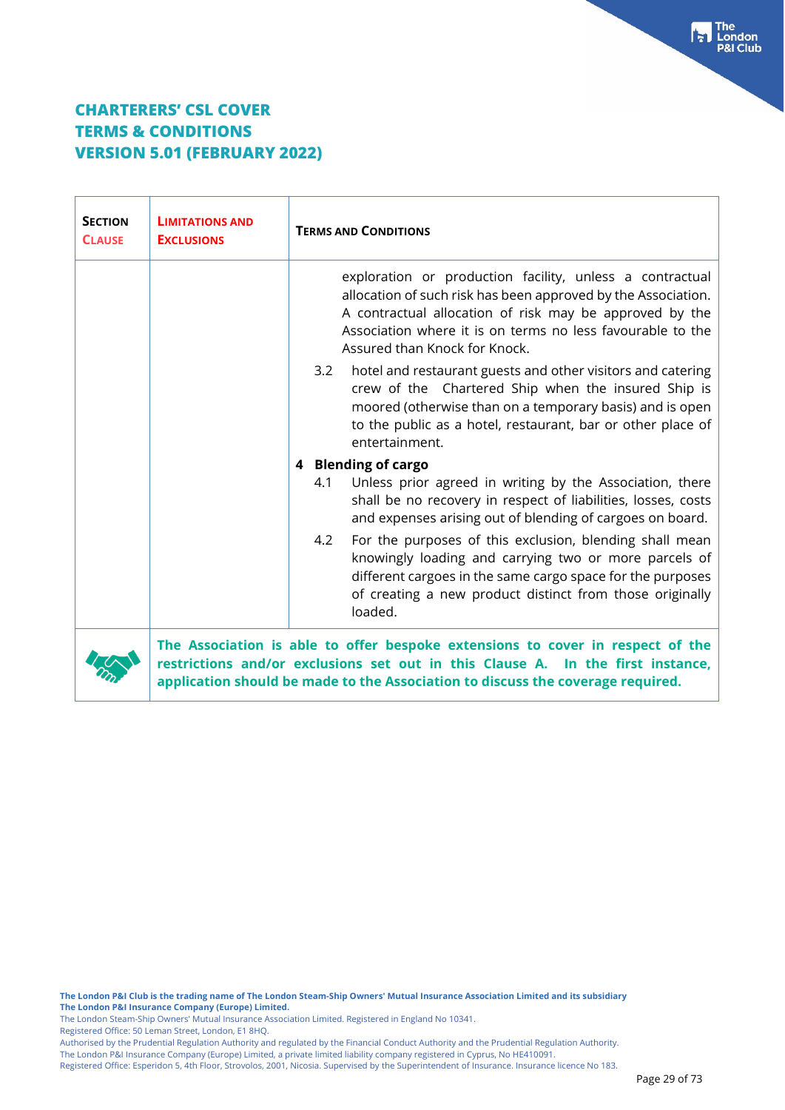| <b>SECTION</b><br><b>CLAUSE</b> | <b>LIMITATIONS AND</b><br><b>EXCLUSIONS</b> | <b>TERMS AND CONDITIONS</b>                                                                                                                                                                                                                                                         |
|---------------------------------|---------------------------------------------|-------------------------------------------------------------------------------------------------------------------------------------------------------------------------------------------------------------------------------------------------------------------------------------|
|                                 |                                             | exploration or production facility, unless a contractual<br>allocation of such risk has been approved by the Association.<br>A contractual allocation of risk may be approved by the<br>Association where it is on terms no less favourable to the<br>Assured than Knock for Knock. |
|                                 |                                             | hotel and restaurant guests and other visitors and catering<br>3.2<br>crew of the Chartered Ship when the insured Ship is<br>moored (otherwise than on a temporary basis) and is open<br>to the public as a hotel, restaurant, bar or other place of<br>entertainment.              |
|                                 |                                             | 4 Blending of cargo                                                                                                                                                                                                                                                                 |
|                                 |                                             | Unless prior agreed in writing by the Association, there<br>4.1<br>shall be no recovery in respect of liabilities, losses, costs<br>and expenses arising out of blending of cargoes on board.                                                                                       |
|                                 |                                             | For the purposes of this exclusion, blending shall mean<br>4.2<br>knowingly loading and carrying two or more parcels of<br>different cargoes in the same cargo space for the purposes<br>of creating a new product distinct from those originally<br>loaded.                        |
|                                 |                                             | The Association is able to offer bespoke extensions to cover in respect of the<br>restrictions and/or exclusions set out in this Clause A. In the first instance,<br>application should be made to the Association to discuss the coverage required.                                |

Registered Office: 50 Leman Street, London, E1 8HQ.

Authorised by the Prudential Regulation Authority and regulated by the Financial Conduct Authority and the Prudential Regulation Authority.

The London P&I Insurance Company (Europe) Limited, a private limited liability company registered in Cyprus, No HE410091.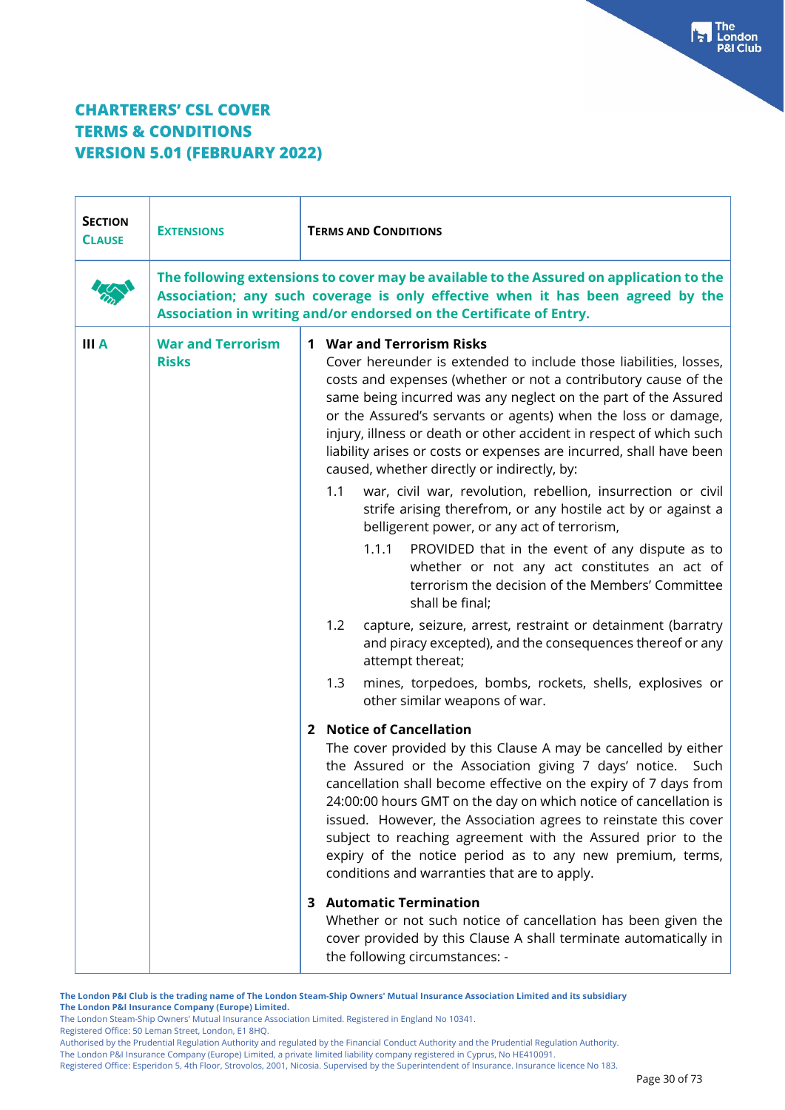| <b>SECTION</b><br><b>CLAUSE</b> | <b>EXTENSIONS</b>                        | <b>TERMS AND CONDITIONS</b>                                                                                                                                                                                                                                                                                                                                                                                                                                                                                                                     |
|---------------------------------|------------------------------------------|-------------------------------------------------------------------------------------------------------------------------------------------------------------------------------------------------------------------------------------------------------------------------------------------------------------------------------------------------------------------------------------------------------------------------------------------------------------------------------------------------------------------------------------------------|
|                                 |                                          | The following extensions to cover may be available to the Assured on application to the<br>Association; any such coverage is only effective when it has been agreed by the<br>Association in writing and/or endorsed on the Certificate of Entry.                                                                                                                                                                                                                                                                                               |
| <b>III</b> A                    | <b>War and Terrorism</b><br><b>Risks</b> | <b>1 War and Terrorism Risks</b><br>Cover hereunder is extended to include those liabilities, losses,<br>costs and expenses (whether or not a contributory cause of the<br>same being incurred was any neglect on the part of the Assured<br>or the Assured's servants or agents) when the loss or damage,<br>injury, illness or death or other accident in respect of which such<br>liability arises or costs or expenses are incurred, shall have been<br>caused, whether directly or indirectly, by:                                         |
|                                 |                                          | war, civil war, revolution, rebellion, insurrection or civil<br>1.1<br>strife arising therefrom, or any hostile act by or against a<br>belligerent power, or any act of terrorism,                                                                                                                                                                                                                                                                                                                                                              |
|                                 |                                          | PROVIDED that in the event of any dispute as to<br>1.1.1<br>whether or not any act constitutes an act of<br>terrorism the decision of the Members' Committee<br>shall be final;                                                                                                                                                                                                                                                                                                                                                                 |
|                                 |                                          | 1.2<br>capture, seizure, arrest, restraint or detainment (barratry<br>and piracy excepted), and the consequences thereof or any<br>attempt thereat;                                                                                                                                                                                                                                                                                                                                                                                             |
|                                 |                                          | mines, torpedoes, bombs, rockets, shells, explosives or<br>1.3<br>other similar weapons of war.                                                                                                                                                                                                                                                                                                                                                                                                                                                 |
|                                 |                                          | 2 Notice of Cancellation<br>The cover provided by this Clause A may be cancelled by either<br>the Assured or the Association giving 7 days' notice. Such<br>cancellation shall become effective on the expiry of 7 days from<br>24:00:00 hours GMT on the day on which notice of cancellation is<br>issued. However, the Association agrees to reinstate this cover<br>subject to reaching agreement with the Assured prior to the<br>expiry of the notice period as to any new premium, terms,<br>conditions and warranties that are to apply. |
|                                 |                                          | <b>3</b> Automatic Termination<br>Whether or not such notice of cancellation has been given the<br>cover provided by this Clause A shall terminate automatically in<br>the following circumstances: -                                                                                                                                                                                                                                                                                                                                           |

**The London P&I Club is the trading name of The London Steam-Ship Owners' Mutual Insurance Association Limited and its subsidiary The London P&I Insurance Company (Europe) Limited.**

The London Steam-Ship Owners' Mutual Insurance Association Limited. Registered in England No 10341.

Registered Office: 50 Leman Street, London, E1 8HQ.

Authorised by the Prudential Regulation Authority and regulated by the Financial Conduct Authority and the Prudential Regulation Authority.

The London P&I Insurance Company (Europe) Limited, a private limited liability company registered in Cyprus, No HE410091.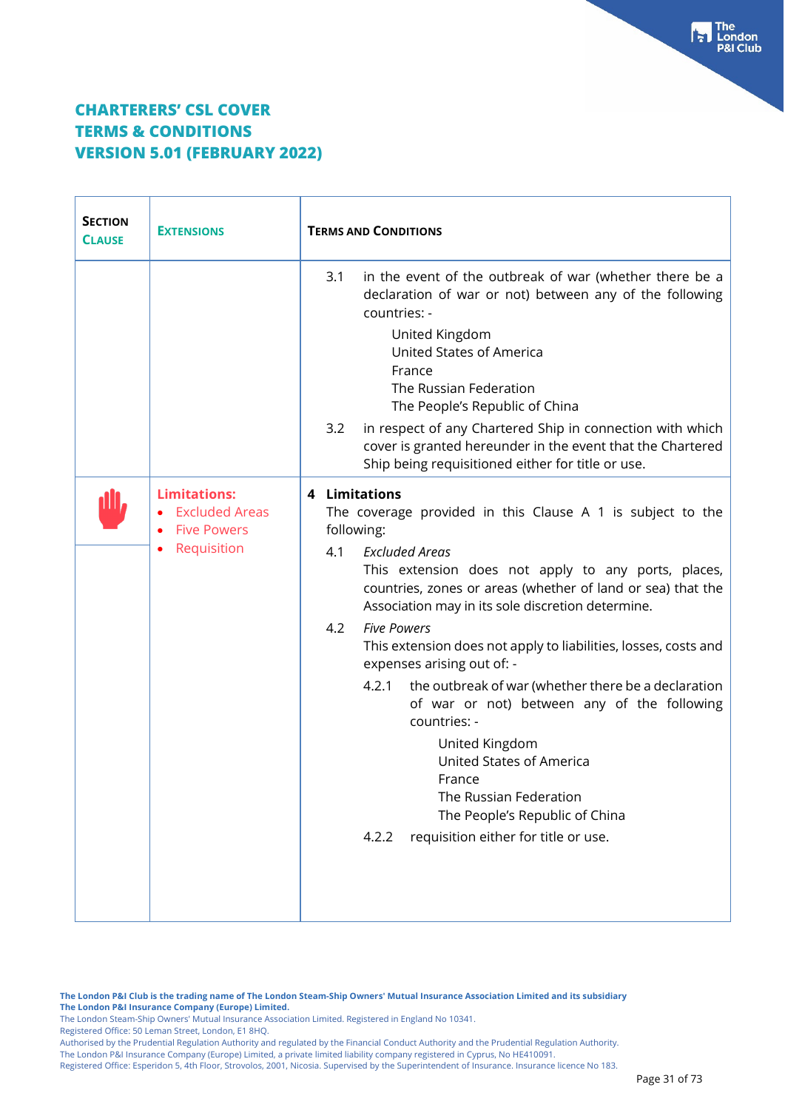| <b>SECTION</b><br><b>CLAUSE</b> | <b>EXTENSIONS</b>                                                                 | <b>TERMS AND CONDITIONS</b>                                                                                                                                                                                                                                                                                                                                                                                                                                                                                                                                                                                                                                                                                                                   |
|---------------------------------|-----------------------------------------------------------------------------------|-----------------------------------------------------------------------------------------------------------------------------------------------------------------------------------------------------------------------------------------------------------------------------------------------------------------------------------------------------------------------------------------------------------------------------------------------------------------------------------------------------------------------------------------------------------------------------------------------------------------------------------------------------------------------------------------------------------------------------------------------|
|                                 |                                                                                   | in the event of the outbreak of war (whether there be a<br>3.1<br>declaration of war or not) between any of the following<br>countries: -                                                                                                                                                                                                                                                                                                                                                                                                                                                                                                                                                                                                     |
|                                 |                                                                                   | United Kingdom<br>United States of America<br>France<br>The Russian Federation<br>The People's Republic of China                                                                                                                                                                                                                                                                                                                                                                                                                                                                                                                                                                                                                              |
|                                 |                                                                                   | 3.2<br>in respect of any Chartered Ship in connection with which<br>cover is granted hereunder in the event that the Chartered<br>Ship being requisitioned either for title or use.                                                                                                                                                                                                                                                                                                                                                                                                                                                                                                                                                           |
|                                 | <b>Limitations:</b><br><b>Excluded Areas</b><br><b>Five Powers</b><br>Requisition | 4 Limitations<br>The coverage provided in this Clause A 1 is subject to the<br>following:<br>4.1<br><b>Excluded Areas</b><br>This extension does not apply to any ports, places,<br>countries, zones or areas (whether of land or sea) that the<br>Association may in its sole discretion determine.<br>4.2<br><b>Five Powers</b><br>This extension does not apply to liabilities, losses, costs and<br>expenses arising out of: -<br>the outbreak of war (whether there be a declaration<br>4.2.1<br>of war or not) between any of the following<br>countries: -<br>United Kingdom<br><b>United States of America</b><br>France<br>The Russian Federation<br>The People's Republic of China<br>requisition either for title or use.<br>4.2.2 |

**The London P&I Club is the trading name of The London Steam-Ship Owners' Mutual Insurance Association Limited and its subsidiary The London P&I Insurance Company (Europe) Limited.**

The London Steam-Ship Owners' Mutual Insurance Association Limited. Registered in England No 10341.

Registered Office: 50 Leman Street, London, E1 8HQ.

Authorised by the Prudential Regulation Authority and regulated by the Financial Conduct Authority and the Prudential Regulation Authority.

The London P&I Insurance Company (Europe) Limited, a private limited liability company registered in Cyprus, No HE410091.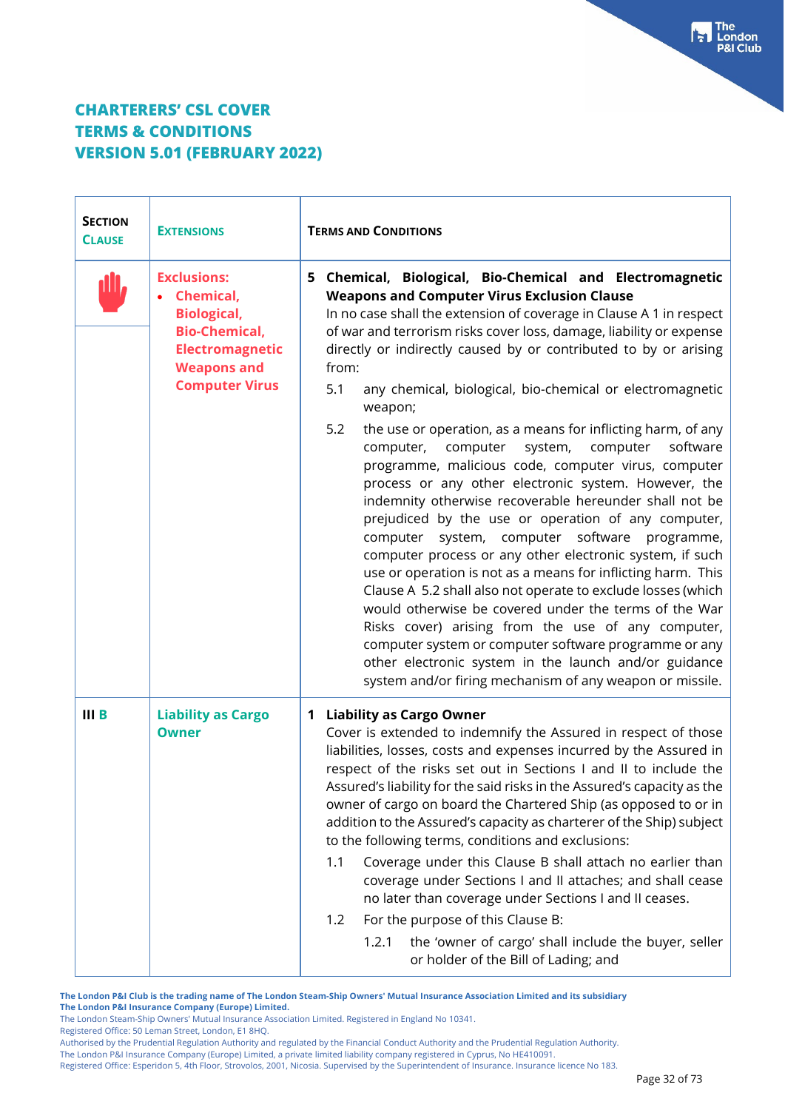| <b>SECTION</b><br><b>CLAUSE</b> | <b>EXTENSIONS</b>                                                                                                                                      | <b>TERMS AND CONDITIONS</b>                                                                                                                                                                                                                                                                                                                                                                                                                                                                                                                                                                                                                                                                                                                                                                                                                                                                                             |
|---------------------------------|--------------------------------------------------------------------------------------------------------------------------------------------------------|-------------------------------------------------------------------------------------------------------------------------------------------------------------------------------------------------------------------------------------------------------------------------------------------------------------------------------------------------------------------------------------------------------------------------------------------------------------------------------------------------------------------------------------------------------------------------------------------------------------------------------------------------------------------------------------------------------------------------------------------------------------------------------------------------------------------------------------------------------------------------------------------------------------------------|
|                                 | <b>Exclusions:</b><br>Chemical,<br><b>Biological,</b><br><b>Bio-Chemical,</b><br><b>Electromagnetic</b><br><b>Weapons and</b><br><b>Computer Virus</b> | 5 Chemical, Biological, Bio-Chemical and Electromagnetic<br><b>Weapons and Computer Virus Exclusion Clause</b><br>In no case shall the extension of coverage in Clause A 1 in respect<br>of war and terrorism risks cover loss, damage, liability or expense<br>directly or indirectly caused by or contributed to by or arising<br>from:<br>5.1<br>any chemical, biological, bio-chemical or electromagnetic                                                                                                                                                                                                                                                                                                                                                                                                                                                                                                           |
|                                 |                                                                                                                                                        | weapon;<br>5.2<br>the use or operation, as a means for inflicting harm, of any<br>computer<br>system,<br>computer,<br>computer<br>software<br>programme, malicious code, computer virus, computer<br>process or any other electronic system. However, the<br>indemnity otherwise recoverable hereunder shall not be<br>prejudiced by the use or operation of any computer,<br>system, computer software programme,<br>computer<br>computer process or any other electronic system, if such<br>use or operation is not as a means for inflicting harm. This<br>Clause A 5.2 shall also not operate to exclude losses (which<br>would otherwise be covered under the terms of the War<br>Risks cover) arising from the use of any computer,<br>computer system or computer software programme or any<br>other electronic system in the launch and/or guidance<br>system and/or firing mechanism of any weapon or missile. |
| $III$ B                         | <b>Liability as Cargo</b><br><b>Owner</b>                                                                                                              | <b>Liability as Cargo Owner</b><br>$\mathbf 1$<br>Cover is extended to indemnify the Assured in respect of those<br>liabilities, losses, costs and expenses incurred by the Assured in<br>respect of the risks set out in Sections I and II to include the<br>Assured's liability for the said risks in the Assured's capacity as the<br>owner of cargo on board the Chartered Ship (as opposed to or in<br>addition to the Assured's capacity as charterer of the Ship) subject<br>to the following terms, conditions and exclusions:<br>1.1<br>Coverage under this Clause B shall attach no earlier than<br>coverage under Sections I and II attaches; and shall cease<br>no later than coverage under Sections I and II ceases.<br>For the purpose of this Clause B:<br>1.2<br>1.2.1<br>the 'owner of cargo' shall include the buyer, seller<br>or holder of the Bill of Lading; and                                 |

**The London P&I Club is the trading name of The London Steam-Ship Owners' Mutual Insurance Association Limited and its subsidiary The London P&I Insurance Company (Europe) Limited.**

The London Steam-Ship Owners' Mutual Insurance Association Limited. Registered in England No 10341.

Registered Office: 50 Leman Street, London, E1 8HQ.

Authorised by the Prudential Regulation Authority and regulated by the Financial Conduct Authority and the Prudential Regulation Authority.

The London P&I Insurance Company (Europe) Limited, a private limited liability company registered in Cyprus, No HE410091.

Registered Office: Esperidon 5, 4th Floor, Strovolos, 2001, Nicosia. Supervised by the Superintendent of Insurance. Insurance licence No 183.

Free London<br>P&I Club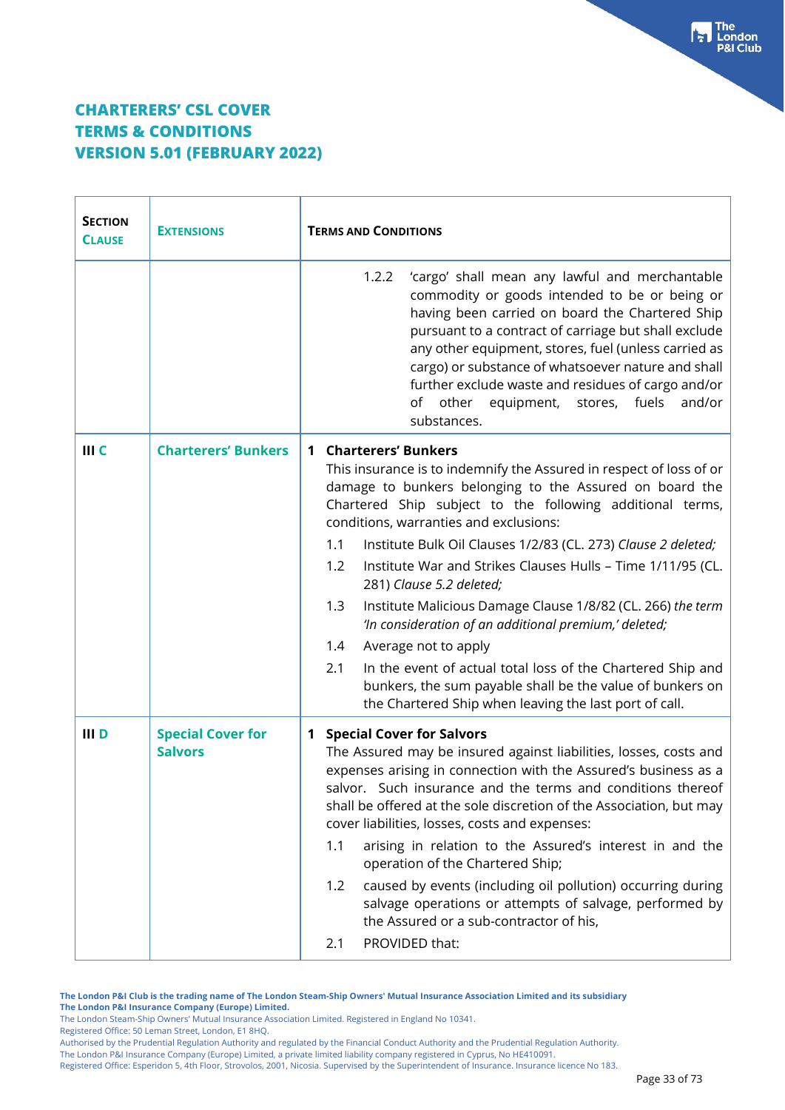$\top$ 

 $\Gamma$ 

| <b>SECTION</b><br><b>CLAUSE</b> | <b>EXTENSIONS</b>                          | <b>TERMS AND CONDITIONS</b>                                                                                                                                                                                                                                                                                                                                                                                                                                                                                                                                                                                                                                                                                                                                                                                   |
|---------------------------------|--------------------------------------------|---------------------------------------------------------------------------------------------------------------------------------------------------------------------------------------------------------------------------------------------------------------------------------------------------------------------------------------------------------------------------------------------------------------------------------------------------------------------------------------------------------------------------------------------------------------------------------------------------------------------------------------------------------------------------------------------------------------------------------------------------------------------------------------------------------------|
|                                 |                                            | 1.2.2<br>'cargo' shall mean any lawful and merchantable<br>commodity or goods intended to be or being or<br>having been carried on board the Chartered Ship<br>pursuant to a contract of carriage but shall exclude<br>any other equipment, stores, fuel (unless carried as<br>cargo) or substance of whatsoever nature and shall<br>further exclude waste and residues of cargo and/or<br>of other equipment, stores, fuels<br>and/or<br>substances.                                                                                                                                                                                                                                                                                                                                                         |
| III <sub>C</sub>                | <b>Charterers' Bunkers</b>                 | <b>Charterers' Bunkers</b><br>1<br>This insurance is to indemnify the Assured in respect of loss of or<br>damage to bunkers belonging to the Assured on board the<br>Chartered Ship subject to the following additional terms,<br>conditions, warranties and exclusions:<br>1.1<br>Institute Bulk Oil Clauses 1/2/83 (CL. 273) Clause 2 deleted;<br>Institute War and Strikes Clauses Hulls - Time 1/11/95 (CL.<br>1.2<br>281) Clause 5.2 deleted;<br>Institute Malicious Damage Clause 1/8/82 (CL. 266) the term<br>1.3<br>'In consideration of an additional premium,' deleted;<br>Average not to apply<br>1.4<br>2.1<br>In the event of actual total loss of the Chartered Ship and<br>bunkers, the sum payable shall be the value of bunkers on<br>the Chartered Ship when leaving the last port of call. |
| III D                           | <b>Special Cover for</b><br><b>Salvors</b> | <b>Special Cover for Salvors</b><br>$\mathbf 1$<br>The Assured may be insured against liabilities, losses, costs and<br>expenses arising in connection with the Assured's business as a<br>salvor. Such insurance and the terms and conditions thereof<br>shall be offered at the sole discretion of the Association, but may<br>cover liabilities, losses, costs and expenses:<br>arising in relation to the Assured's interest in and the<br>1.1<br>operation of the Chartered Ship;<br>caused by events (including oil pollution) occurring during<br>1.2<br>salvage operations or attempts of salvage, performed by<br>the Assured or a sub-contractor of his,<br>PROVIDED that:<br>2.1                                                                                                                   |

**The London P&I Club is the trading name of The London Steam-Ship Owners' Mutual Insurance Association Limited and its subsidiary The London P&I Insurance Company (Europe) Limited.**

The London Steam-Ship Owners' Mutual Insurance Association Limited. Registered in England No 10341.

Registered Office: 50 Leman Street, London, E1 8HQ.

Authorised by the Prudential Regulation Authority and regulated by the Financial Conduct Authority and the Prudential Regulation Authority.

The London P&I Insurance Company (Europe) Limited, a private limited liability company registered in Cyprus, No HE410091.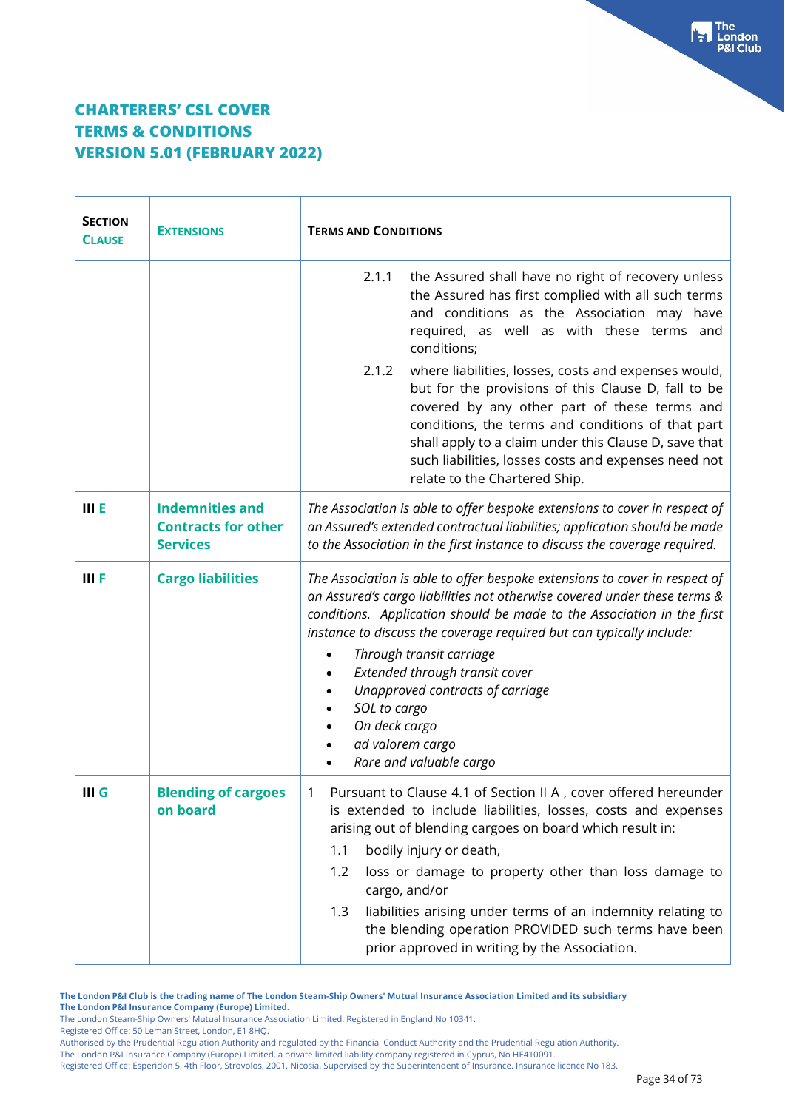| <b>SECTION</b><br><b>CLAUSE</b> | <b>EXTENSIONS</b>                                                       | <b>TERMS AND CONDITIONS</b>                                                                                                                                                                                                                                                                                                                                                                                                                                                                           |  |  |
|---------------------------------|-------------------------------------------------------------------------|-------------------------------------------------------------------------------------------------------------------------------------------------------------------------------------------------------------------------------------------------------------------------------------------------------------------------------------------------------------------------------------------------------------------------------------------------------------------------------------------------------|--|--|
|                                 |                                                                         | the Assured shall have no right of recovery unless<br>2.1.1<br>the Assured has first complied with all such terms<br>and conditions as the Association may have<br>required, as well as with these terms and<br>conditions;                                                                                                                                                                                                                                                                           |  |  |
|                                 |                                                                         | where liabilities, losses, costs and expenses would,<br>2.1.2<br>but for the provisions of this Clause D, fall to be<br>covered by any other part of these terms and<br>conditions, the terms and conditions of that part<br>shall apply to a claim under this Clause D, save that<br>such liabilities, losses costs and expenses need not<br>relate to the Chartered Ship.                                                                                                                           |  |  |
| <b>IIIE</b>                     | <b>Indemnities and</b><br><b>Contracts for other</b><br><b>Services</b> | The Association is able to offer bespoke extensions to cover in respect of<br>an Assured's extended contractual liabilities; application should be made<br>to the Association in the first instance to discuss the coverage required.                                                                                                                                                                                                                                                                 |  |  |
| <b>IIIF</b>                     | <b>Cargo liabilities</b>                                                | The Association is able to offer bespoke extensions to cover in respect of<br>an Assured's cargo liabilities not otherwise covered under these terms &<br>conditions. Application should be made to the Association in the first<br>instance to discuss the coverage required but can typically include:<br>Through transit carriage<br>Extended through transit cover<br>Unapproved contracts of carriage<br>SOL to cargo<br>On deck cargo<br>ad valorem cargo<br>Rare and valuable cargo            |  |  |
| $III$ G                         | <b>Blending of cargoes</b><br>on board                                  | Pursuant to Clause 4.1 of Section II A, cover offered hereunder<br>1.<br>is extended to include liabilities, losses, costs and expenses<br>arising out of blending cargoes on board which result in:<br>bodily injury or death,<br>1.1<br>1.2<br>loss or damage to property other than loss damage to<br>cargo, and/or<br>liabilities arising under terms of an indemnity relating to<br>1.3<br>the blending operation PROVIDED such terms have been<br>prior approved in writing by the Association. |  |  |

**The London P&I Club is the trading name of The London Steam-Ship Owners' Mutual Insurance Association Limited and its subsidiary The London P&I Insurance Company (Europe) Limited.**

The London Steam-Ship Owners' Mutual Insurance Association Limited. Registered in England No 10341.

Registered Office: 50 Leman Street, London, E1 8HQ.

The London P&I Insurance Company (Europe) Limited, a private limited liability company registered in Cyprus, No HE410091.

Authorised by the Prudential Regulation Authority and regulated by the Financial Conduct Authority and the Prudential Regulation Authority.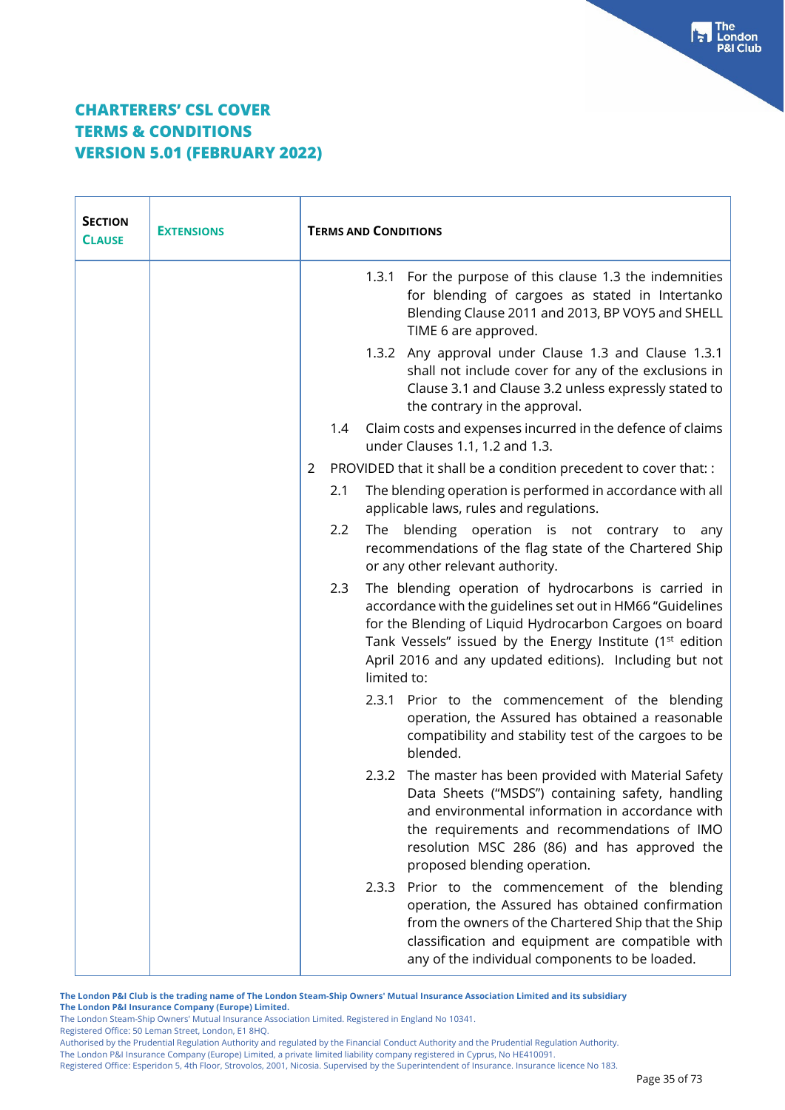| <b>SECTION</b><br><b>CLAUSE</b> | <b>EXTENSIONS</b> | <b>TERMS AND CONDITIONS</b> |                                                                                                                                                                                                                                                                                                                                  |  |
|---------------------------------|-------------------|-----------------------------|----------------------------------------------------------------------------------------------------------------------------------------------------------------------------------------------------------------------------------------------------------------------------------------------------------------------------------|--|
|                                 |                   |                             | 1.3.1 For the purpose of this clause 1.3 the indemnities<br>for blending of cargoes as stated in Intertanko<br>Blending Clause 2011 and 2013, BP VOY5 and SHELL<br>TIME 6 are approved.                                                                                                                                          |  |
|                                 |                   |                             | 1.3.2 Any approval under Clause 1.3 and Clause 1.3.1<br>shall not include cover for any of the exclusions in<br>Clause 3.1 and Clause 3.2 unless expressly stated to<br>the contrary in the approval.                                                                                                                            |  |
|                                 |                   | 1.4                         | Claim costs and expenses incurred in the defence of claims<br>under Clauses 1.1, 1.2 and 1.3.                                                                                                                                                                                                                                    |  |
|                                 |                   | 2                           | PROVIDED that it shall be a condition precedent to cover that: :                                                                                                                                                                                                                                                                 |  |
|                                 |                   | 2.1                         | The blending operation is performed in accordance with all<br>applicable laws, rules and regulations.                                                                                                                                                                                                                            |  |
|                                 |                   | 2.2                         | The blending operation is not contrary to any<br>recommendations of the flag state of the Chartered Ship<br>or any other relevant authority.                                                                                                                                                                                     |  |
|                                 |                   | 2.3                         | The blending operation of hydrocarbons is carried in<br>accordance with the guidelines set out in HM66 "Guidelines<br>for the Blending of Liquid Hydrocarbon Cargoes on board<br>Tank Vessels" issued by the Energy Institute (1 <sup>st</sup> edition<br>April 2016 and any updated editions). Including but not<br>limited to: |  |
|                                 |                   |                             | Prior to the commencement of the blending<br>2.3.1<br>operation, the Assured has obtained a reasonable<br>compatibility and stability test of the cargoes to be<br>blended.                                                                                                                                                      |  |
|                                 |                   |                             | 2.3.2 The master has been provided with Material Safety<br>Data Sheets ("MSDS") containing safety, handling<br>and environmental information in accordance with<br>the requirements and recommendations of IMO<br>resolution MSC 286 (86) and has approved the<br>proposed blending operation.                                   |  |
|                                 |                   |                             | 2.3.3 Prior to the commencement of the blending<br>operation, the Assured has obtained confirmation<br>from the owners of the Chartered Ship that the Ship<br>classification and equipment are compatible with<br>any of the individual components to be loaded.                                                                 |  |

**The London P&I Club is the trading name of The London Steam-Ship Owners' Mutual Insurance Association Limited and its subsidiary The London P&I Insurance Company (Europe) Limited.**

The London Steam-Ship Owners' Mutual Insurance Association Limited. Registered in England No 10341.

Registered Office: 50 Leman Street, London, E1 8HQ.

Authorised by the Prudential Regulation Authority and regulated by the Financial Conduct Authority and the Prudential Regulation Authority.

The London P&I Insurance Company (Europe) Limited, a private limited liability company registered in Cyprus, No HE410091.

Registered Office: Esperidon 5, 4th Floor, Strovolos, 2001, Nicosia. Supervised by the Superintendent of Insurance. Insurance licence No 183.

**Fall** The<br>P&I Club<br>P&I Club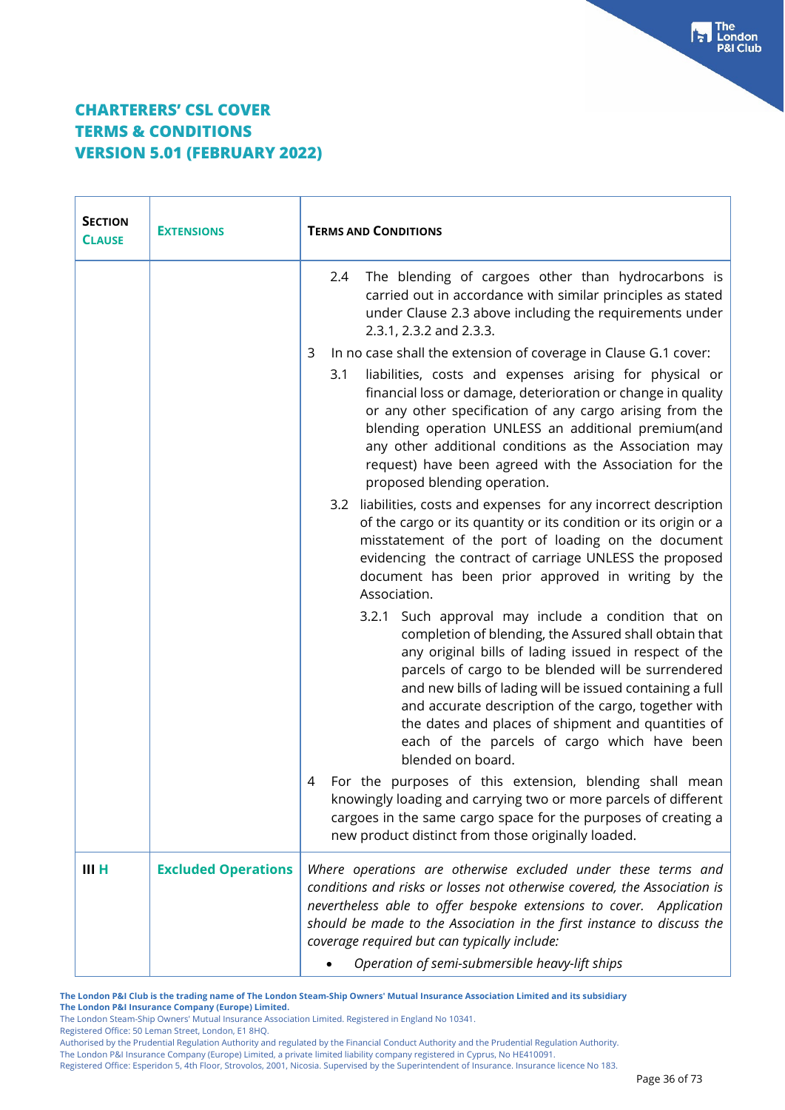| <b>SECTION</b><br><b>EXTENSIONS</b><br><b>CLAUSE</b> |                            | <b>TERMS AND CONDITIONS</b>                                                                                                                                                                                                                                                                                                                                                                                                                                                |  |  |
|------------------------------------------------------|----------------------------|----------------------------------------------------------------------------------------------------------------------------------------------------------------------------------------------------------------------------------------------------------------------------------------------------------------------------------------------------------------------------------------------------------------------------------------------------------------------------|--|--|
|                                                      |                            | The blending of cargoes other than hydrocarbons is<br>2.4<br>carried out in accordance with similar principles as stated<br>under Clause 2.3 above including the requirements under<br>2.3.1, 2.3.2 and 2.3.3.                                                                                                                                                                                                                                                             |  |  |
|                                                      | 3                          | In no case shall the extension of coverage in Clause G.1 cover:<br>liabilities, costs and expenses arising for physical or<br>3.1<br>financial loss or damage, deterioration or change in quality<br>or any other specification of any cargo arising from the<br>blending operation UNLESS an additional premium(and<br>any other additional conditions as the Association may<br>request) have been agreed with the Association for the<br>proposed blending operation.   |  |  |
|                                                      |                            | 3.2 liabilities, costs and expenses for any incorrect description<br>of the cargo or its quantity or its condition or its origin or a<br>misstatement of the port of loading on the document<br>evidencing the contract of carriage UNLESS the proposed<br>document has been prior approved in writing by the<br>Association.                                                                                                                                              |  |  |
|                                                      |                            | 3.2.1 Such approval may include a condition that on<br>completion of blending, the Assured shall obtain that<br>any original bills of lading issued in respect of the<br>parcels of cargo to be blended will be surrendered<br>and new bills of lading will be issued containing a full<br>and accurate description of the cargo, together with<br>the dates and places of shipment and quantities of<br>each of the parcels of cargo which have been<br>blended on board. |  |  |
|                                                      | 4                          | For the purposes of this extension, blending shall mean<br>knowingly loading and carrying two or more parcels of different<br>cargoes in the same cargo space for the purposes of creating a<br>new product distinct from those originally loaded.                                                                                                                                                                                                                         |  |  |
| III H                                                | <b>Excluded Operations</b> | Where operations are otherwise excluded under these terms and<br>conditions and risks or losses not otherwise covered, the Association is<br>nevertheless able to offer bespoke extensions to cover. Application<br>should be made to the Association in the first instance to discuss the<br>coverage required but can typically include:<br>Operation of semi-submersible heavy-lift ships                                                                               |  |  |

**The London P&I Club is the trading name of The London Steam-Ship Owners' Mutual Insurance Association Limited and its subsidiary The London P&I Insurance Company (Europe) Limited.**

The London Steam-Ship Owners' Mutual Insurance Association Limited. Registered in England No 10341.

Registered Office: 50 Leman Street, London, E1 8HQ.

Authorised by the Prudential Regulation Authority and regulated by the Financial Conduct Authority and the Prudential Regulation Authority.

The London P&I Insurance Company (Europe) Limited, a private limited liability company registered in Cyprus, No HE410091.

Registered Office: Esperidon 5, 4th Floor, Strovolos, 2001, Nicosia. Supervised by the Superintendent of Insurance. Insurance licence No 183.

Free London<br>P&I Club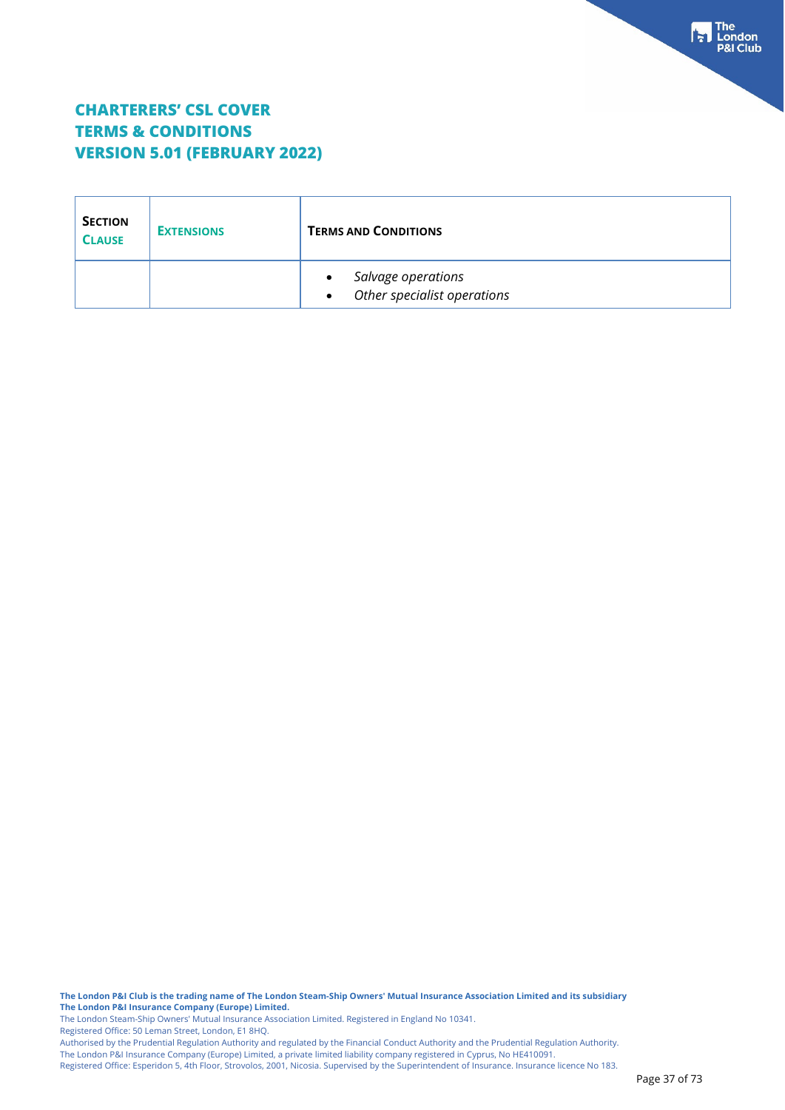| <b>SECTION</b><br><b>CLAUSE</b> | <b>EXTENSIONS</b> | <b>TERMS AND CONDITIONS</b>                       |  |
|---------------------------------|-------------------|---------------------------------------------------|--|
|                                 |                   | Salvage operations<br>Other specialist operations |  |

**The London P&I Club is the trading name of The London Steam-Ship Owners' Mutual Insurance Association Limited and its subsidiary The London P&I Insurance Company (Europe) Limited.**

The London Steam-Ship Owners' Mutual Insurance Association Limited. Registered in England No 10341. Registered Office: 50 Leman Street, London, E1 8HQ.

Authorised by the Prudential Regulation Authority and regulated by the Financial Conduct Authority and the Prudential Regulation Authority. The London P&I Insurance Company (Europe) Limited, a private limited liability company registered in Cyprus, No HE410091.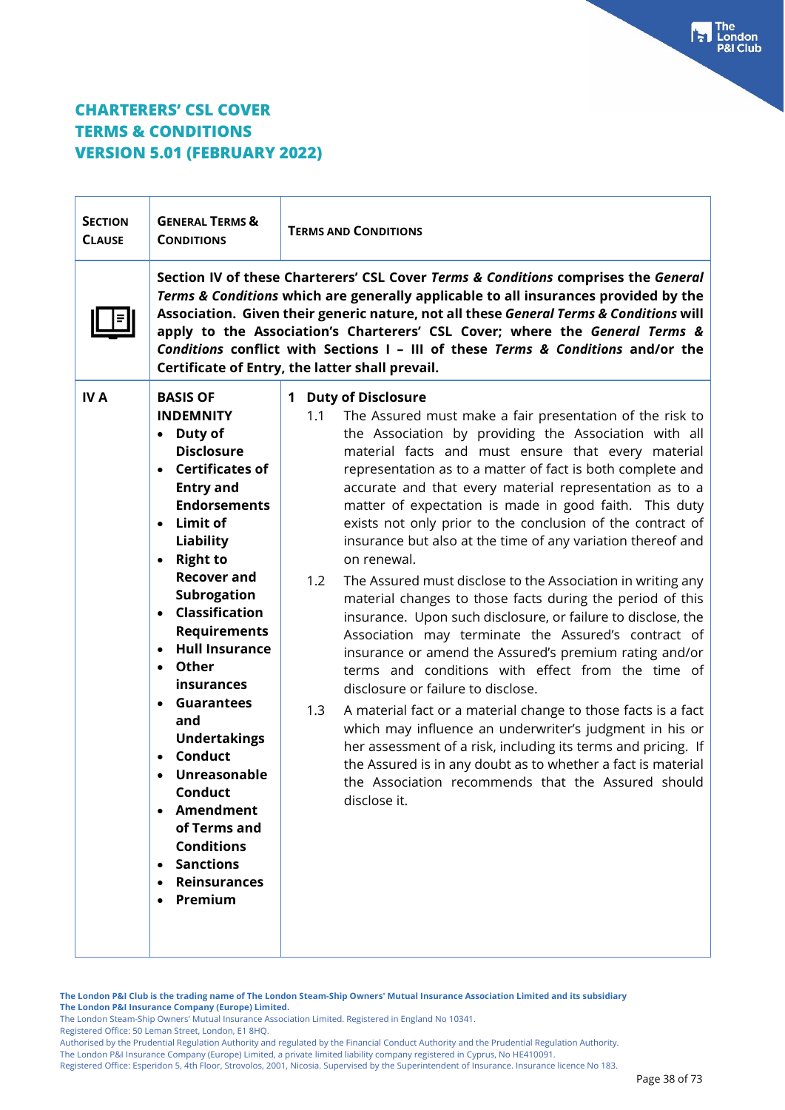| <b>SECTION</b><br><b>CLAUSE</b> | <b>GENERAL TERMS &amp;</b><br><b>CONDITIONS</b>                                                                                                                                                                                                                                                                                                                                                                                                                                                                                                                           | <b>TERMS AND CONDITIONS</b>                                                                                                                                                                                                                                                                                                                                                                                                                                                                                                                                                                                                                                                                                                                                                                                                                                                                                                                                                                                                                                                                                                                                                                                                                                                                    |  |  |  |
|---------------------------------|---------------------------------------------------------------------------------------------------------------------------------------------------------------------------------------------------------------------------------------------------------------------------------------------------------------------------------------------------------------------------------------------------------------------------------------------------------------------------------------------------------------------------------------------------------------------------|------------------------------------------------------------------------------------------------------------------------------------------------------------------------------------------------------------------------------------------------------------------------------------------------------------------------------------------------------------------------------------------------------------------------------------------------------------------------------------------------------------------------------------------------------------------------------------------------------------------------------------------------------------------------------------------------------------------------------------------------------------------------------------------------------------------------------------------------------------------------------------------------------------------------------------------------------------------------------------------------------------------------------------------------------------------------------------------------------------------------------------------------------------------------------------------------------------------------------------------------------------------------------------------------|--|--|--|
|                                 |                                                                                                                                                                                                                                                                                                                                                                                                                                                                                                                                                                           | Section IV of these Charterers' CSL Cover Terms & Conditions comprises the General<br>Terms & Conditions which are generally applicable to all insurances provided by the<br>Association. Given their generic nature, not all these General Terms & Conditions will<br>apply to the Association's Charterers' CSL Cover; where the General Terms &<br>Conditions conflict with Sections I - III of these Terms & Conditions and/or the<br>Certificate of Entry, the latter shall prevail.                                                                                                                                                                                                                                                                                                                                                                                                                                                                                                                                                                                                                                                                                                                                                                                                      |  |  |  |
| <b>IVA</b>                      | <b>BASIS OF</b><br><b>INDEMNITY</b><br>• Duty of<br><b>Disclosure</b><br><b>Certificates of</b><br>$\bullet$<br><b>Entry and</b><br><b>Endorsements</b><br>Limit of<br>$\bullet$<br><b>Liability</b><br>• Right to<br><b>Recover and</b><br>Subrogation<br>• Classification<br><b>Requirements</b><br><b>Hull Insurance</b><br>Other<br>$\bullet$<br>insurances<br><b>Guarantees</b><br>and<br><b>Undertakings</b><br><b>Conduct</b><br>Unreasonable<br>Conduct<br>• Amendment<br>of Terms and<br><b>Conditions</b><br><b>Sanctions</b><br><b>Reinsurances</b><br>Premium | 1 Duty of Disclosure<br>1.1<br>The Assured must make a fair presentation of the risk to<br>the Association by providing the Association with all<br>material facts and must ensure that every material<br>representation as to a matter of fact is both complete and<br>accurate and that every material representation as to a<br>matter of expectation is made in good faith. This duty<br>exists not only prior to the conclusion of the contract of<br>insurance but also at the time of any variation thereof and<br>on renewal.<br>1.2<br>The Assured must disclose to the Association in writing any<br>material changes to those facts during the period of this<br>insurance. Upon such disclosure, or failure to disclose, the<br>Association may terminate the Assured's contract of<br>insurance or amend the Assured's premium rating and/or<br>terms and conditions with effect from the time of<br>disclosure or failure to disclose.<br>A material fact or a material change to those facts is a fact<br>1.3<br>which may influence an underwriter's judgment in his or<br>her assessment of a risk, including its terms and pricing. If<br>the Assured is in any doubt as to whether a fact is material<br>the Association recommends that the Assured should<br>disclose it. |  |  |  |

**The London P&I Club is the trading name of The London Steam-Ship Owners' Mutual Insurance Association Limited and its subsidiary The London P&I Insurance Company (Europe) Limited.**

The London Steam-Ship Owners' Mutual Insurance Association Limited. Registered in England No 10341.

Registered Office: 50 Leman Street, London, E1 8HQ.

Authorised by the Prudential Regulation Authority and regulated by the Financial Conduct Authority and the Prudential Regulation Authority.

The London P&I Insurance Company (Europe) Limited, a private limited liability company registered in Cyprus, No HE410091.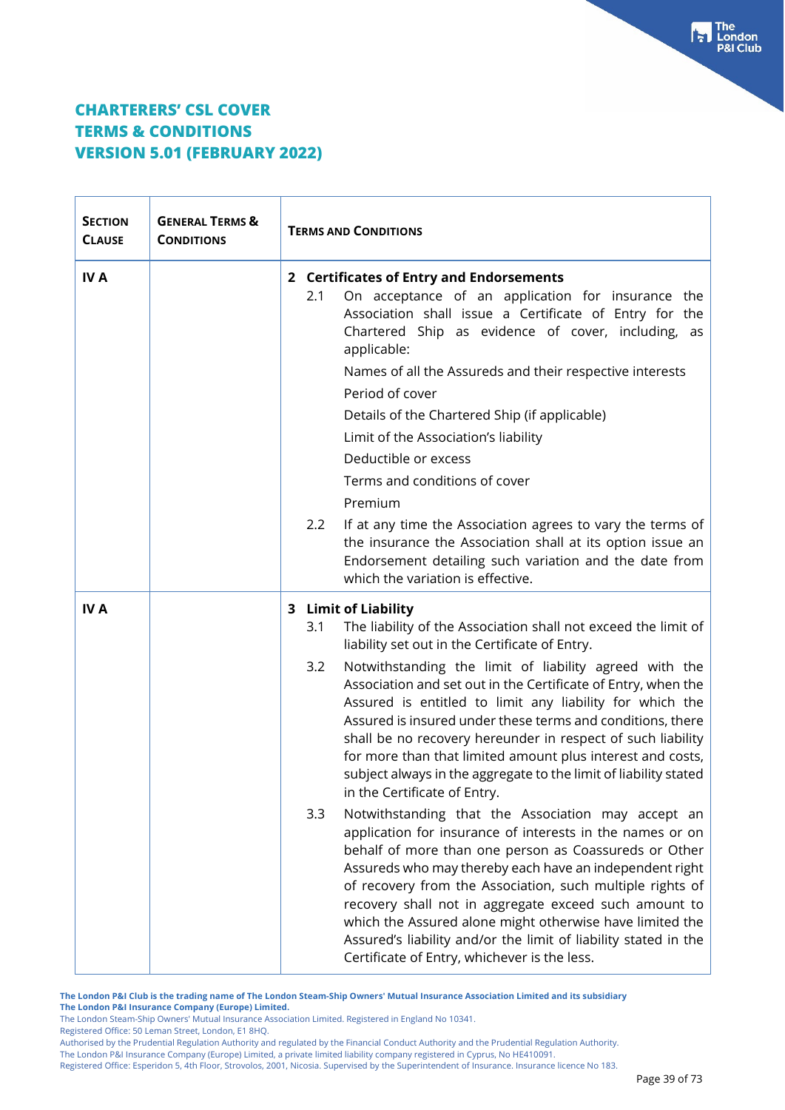| <b>SECTION</b><br><b>CLAUSE</b> | <b>GENERAL TERMS &amp;</b><br><b>CONDITIONS</b> | <b>TERMS AND CONDITIONS</b> |                                                                                                                                                                                                                                                                                                                                                                                                                                                                                                                                          |
|---------------------------------|-------------------------------------------------|-----------------------------|------------------------------------------------------------------------------------------------------------------------------------------------------------------------------------------------------------------------------------------------------------------------------------------------------------------------------------------------------------------------------------------------------------------------------------------------------------------------------------------------------------------------------------------|
| <b>IVA</b>                      |                                                 | 2.1                         | 2 Certificates of Entry and Endorsements<br>On acceptance of an application for insurance the<br>Association shall issue a Certificate of Entry for the<br>Chartered Ship as evidence of cover, including, as<br>applicable:<br>Names of all the Assureds and their respective interests<br>Period of cover<br>Details of the Chartered Ship (if applicable)<br>Limit of the Association's liability<br>Deductible or excess<br>Terms and conditions of cover<br>Premium                                                                 |
|                                 |                                                 | 2.2                         | If at any time the Association agrees to vary the terms of<br>the insurance the Association shall at its option issue an<br>Endorsement detailing such variation and the date from<br>which the variation is effective.                                                                                                                                                                                                                                                                                                                  |
| <b>IVA</b>                      |                                                 | 3.1                         | 3 Limit of Liability<br>The liability of the Association shall not exceed the limit of<br>liability set out in the Certificate of Entry.                                                                                                                                                                                                                                                                                                                                                                                                 |
|                                 |                                                 | 3.2                         | Notwithstanding the limit of liability agreed with the<br>Association and set out in the Certificate of Entry, when the<br>Assured is entitled to limit any liability for which the<br>Assured is insured under these terms and conditions, there<br>shall be no recovery hereunder in respect of such liability<br>for more than that limited amount plus interest and costs,<br>subject always in the aggregate to the limit of liability stated<br>in the Certificate of Entry.                                                       |
|                                 |                                                 | 3.3                         | Notwithstanding that the Association may accept an<br>application for insurance of interests in the names or on<br>behalf of more than one person as Coassureds or Other<br>Assureds who may thereby each have an independent right<br>of recovery from the Association, such multiple rights of<br>recovery shall not in aggregate exceed such amount to<br>which the Assured alone might otherwise have limited the<br>Assured's liability and/or the limit of liability stated in the<br>Certificate of Entry, whichever is the less. |

**The London P&I Club is the trading name of The London Steam-Ship Owners' Mutual Insurance Association Limited and its subsidiary**

**The London P&I Insurance Company (Europe) Limited.**

The London Steam-Ship Owners' Mutual Insurance Association Limited. Registered in England No 10341.

Registered Office: 50 Leman Street, London, E1 8HQ.

Authorised by the Prudential Regulation Authority and regulated by the Financial Conduct Authority and the Prudential Regulation Authority.

The London P&I Insurance Company (Europe) Limited, a private limited liability company registered in Cyprus, No HE410091.

Registered Office: Esperidon 5, 4th Floor, Strovolos, 2001, Nicosia. Supervised by the Superintendent of Insurance. Insurance licence No 183.

 $\begin{bmatrix} 1 \\ 2 \end{bmatrix}$  The<br> $\begin{bmatrix} 2 \\ 3 \end{bmatrix}$  London **P&I Club**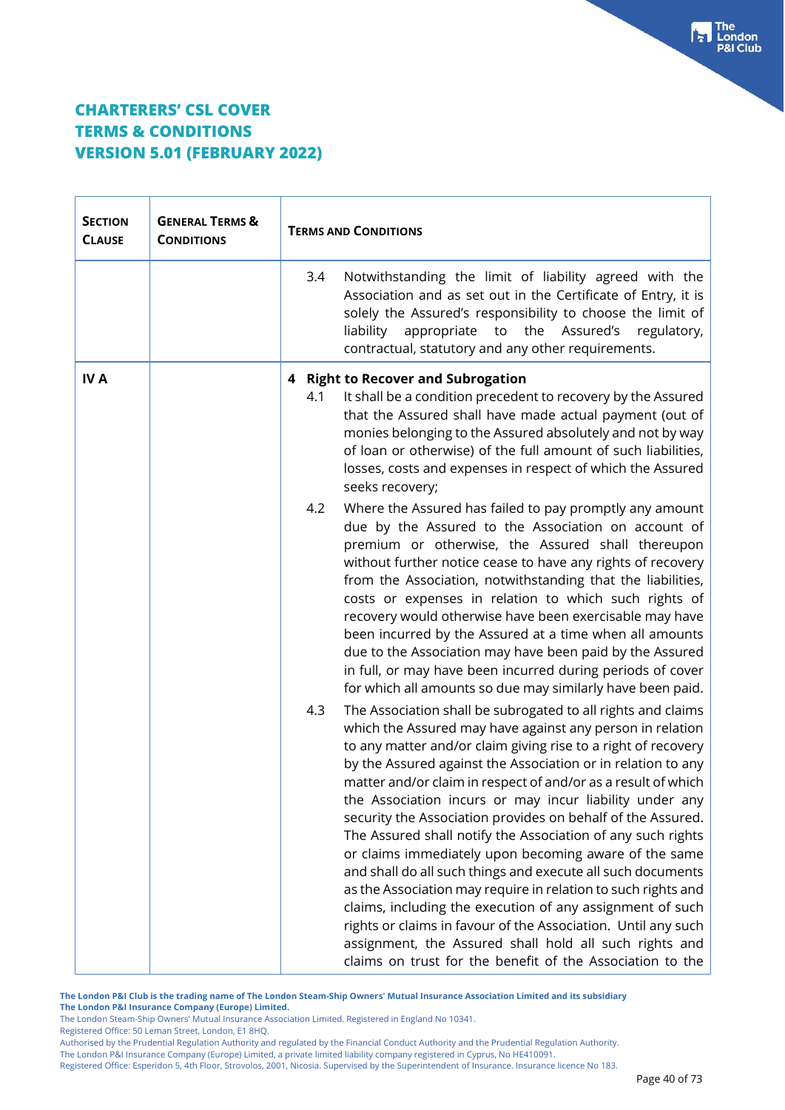| <b>SECTION</b><br><b>CLAUSE</b> | <b>GENERAL TERMS &amp;</b><br><b>CONDITIONS</b> | <b>TERMS AND CONDITIONS</b>                                                                                                                                                                                                                                                                                                                                                                                                                                                                                                                                                                                                                                                                                                                                                                                                                                                                                                                                               |  |
|---------------------------------|-------------------------------------------------|---------------------------------------------------------------------------------------------------------------------------------------------------------------------------------------------------------------------------------------------------------------------------------------------------------------------------------------------------------------------------------------------------------------------------------------------------------------------------------------------------------------------------------------------------------------------------------------------------------------------------------------------------------------------------------------------------------------------------------------------------------------------------------------------------------------------------------------------------------------------------------------------------------------------------------------------------------------------------|--|
|                                 |                                                 | Notwithstanding the limit of liability agreed with the<br>3.4<br>Association and as set out in the Certificate of Entry, it is<br>solely the Assured's responsibility to choose the limit of<br>appropriate to the Assured's<br>liability<br>regulatory,<br>contractual, statutory and any other requirements.                                                                                                                                                                                                                                                                                                                                                                                                                                                                                                                                                                                                                                                            |  |
| <b>IVA</b>                      |                                                 | 4 Right to Recover and Subrogation<br>It shall be a condition precedent to recovery by the Assured<br>4.1<br>that the Assured shall have made actual payment (out of<br>monies belonging to the Assured absolutely and not by way<br>of loan or otherwise) of the full amount of such liabilities,<br>losses, costs and expenses in respect of which the Assured<br>seeks recovery;                                                                                                                                                                                                                                                                                                                                                                                                                                                                                                                                                                                       |  |
|                                 |                                                 | Where the Assured has failed to pay promptly any amount<br>4.2<br>due by the Assured to the Association on account of<br>premium or otherwise, the Assured shall thereupon<br>without further notice cease to have any rights of recovery<br>from the Association, notwithstanding that the liabilities,<br>costs or expenses in relation to which such rights of<br>recovery would otherwise have been exercisable may have<br>been incurred by the Assured at a time when all amounts<br>due to the Association may have been paid by the Assured<br>in full, or may have been incurred during periods of cover<br>for which all amounts so due may similarly have been paid.                                                                                                                                                                                                                                                                                           |  |
|                                 |                                                 | 4.3<br>The Association shall be subrogated to all rights and claims<br>which the Assured may have against any person in relation<br>to any matter and/or claim giving rise to a right of recovery<br>by the Assured against the Association or in relation to any<br>matter and/or claim in respect of and/or as a result of which<br>the Association incurs or may incur liability under any<br>security the Association provides on behalf of the Assured.<br>The Assured shall notify the Association of any such rights<br>or claims immediately upon becoming aware of the same<br>and shall do all such things and execute all such documents<br>as the Association may require in relation to such rights and<br>claims, including the execution of any assignment of such<br>rights or claims in favour of the Association. Until any such<br>assignment, the Assured shall hold all such rights and<br>claims on trust for the benefit of the Association to the |  |

**The London P&I Club is the trading name of The London Steam-Ship Owners' Mutual Insurance Association Limited and its subsidiary The London P&I Insurance Company (Europe) Limited.**

The London Steam-Ship Owners' Mutual Insurance Association Limited. Registered in England No 10341.

Registered Office: 50 Leman Street, London, E1 8HQ.

Authorised by the Prudential Regulation Authority and regulated by the Financial Conduct Authority and the Prudential Regulation Authority.

The London P&I Insurance Company (Europe) Limited, a private limited liability company registered in Cyprus, No HE410091.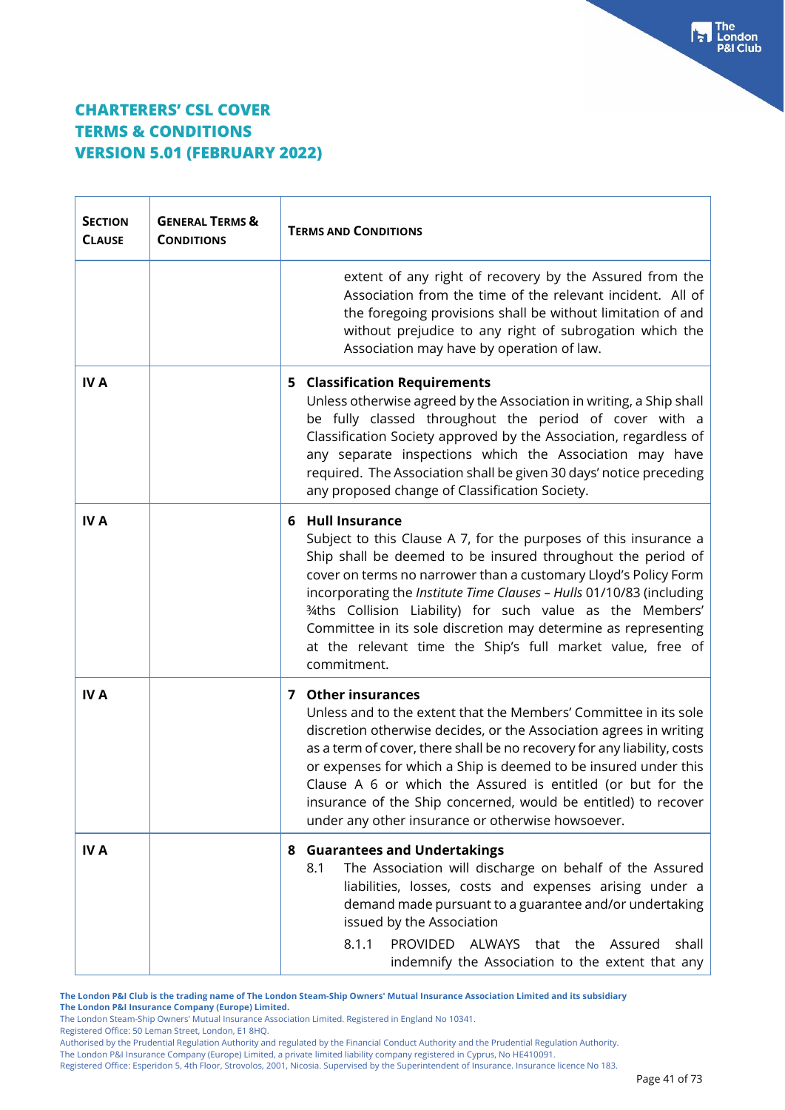$\top$ 

 $\Gamma$ 

| <b>SECTION</b><br><b>CLAUSE</b> | <b>GENERAL TERMS &amp;</b><br><b>CONDITIONS</b> | <b>TERMS AND CONDITIONS</b>                                                                                                                                                                                                                                                                                                                                                                                                                                                                                |  |
|---------------------------------|-------------------------------------------------|------------------------------------------------------------------------------------------------------------------------------------------------------------------------------------------------------------------------------------------------------------------------------------------------------------------------------------------------------------------------------------------------------------------------------------------------------------------------------------------------------------|--|
|                                 |                                                 | extent of any right of recovery by the Assured from the<br>Association from the time of the relevant incident. All of<br>the foregoing provisions shall be without limitation of and<br>without prejudice to any right of subrogation which the<br>Association may have by operation of law.                                                                                                                                                                                                               |  |
| <b>IVA</b>                      |                                                 | <b>5 Classification Requirements</b><br>Unless otherwise agreed by the Association in writing, a Ship shall<br>be fully classed throughout the period of cover with a<br>Classification Society approved by the Association, regardless of<br>any separate inspections which the Association may have<br>required. The Association shall be given 30 days' notice preceding<br>any proposed change of Classification Society.                                                                              |  |
| <b>IVA</b>                      |                                                 | 6 Hull Insurance<br>Subject to this Clause A 7, for the purposes of this insurance a<br>Ship shall be deemed to be insured throughout the period of<br>cover on terms no narrower than a customary Lloyd's Policy Form<br>incorporating the Institute Time Clauses - Hulls 01/10/83 (including<br>34ths Collision Liability) for such value as the Members'<br>Committee in its sole discretion may determine as representing<br>at the relevant time the Ship's full market value, free of<br>commitment. |  |
| <b>IVA</b>                      |                                                 | 7 Other insurances<br>Unless and to the extent that the Members' Committee in its sole<br>discretion otherwise decides, or the Association agrees in writing<br>as a term of cover, there shall be no recovery for any liability, costs<br>or expenses for which a Ship is deemed to be insured under this<br>Clause A 6 or which the Assured is entitled (or but for the<br>insurance of the Ship concerned, would be entitled) to recover<br>under any other insurance or otherwise howsoever.           |  |
| <b>IVA</b>                      |                                                 | 8 Guarantees and Undertakings<br>8.1<br>The Association will discharge on behalf of the Assured<br>liabilities, losses, costs and expenses arising under a<br>demand made pursuant to a guarantee and/or undertaking<br>issued by the Association<br>8.1.1<br>PROVIDED ALWAYS<br>that the<br>Assured<br>shall<br>indemnify the Association to the extent that any                                                                                                                                          |  |

**The London P&I Club is the trading name of The London Steam-Ship Owners' Mutual Insurance Association Limited and its subsidiary The London P&I Insurance Company (Europe) Limited.**

The London Steam-Ship Owners' Mutual Insurance Association Limited. Registered in England No 10341.

Registered Office: 50 Leman Street, London, E1 8HQ.

Authorised by the Prudential Regulation Authority and regulated by the Financial Conduct Authority and the Prudential Regulation Authority.

The London P&I Insurance Company (Europe) Limited, a private limited liability company registered in Cyprus, No HE410091.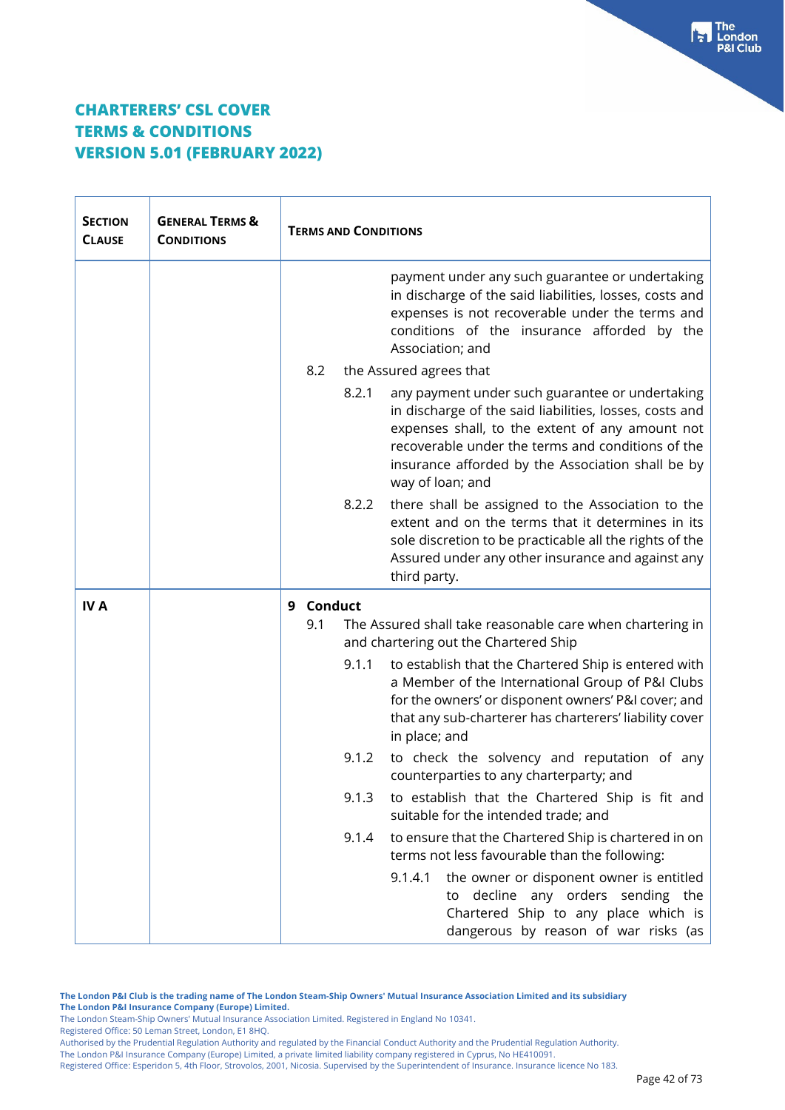| <b>SECTION</b><br><b>CLAUSE</b> | <b>GENERAL TERMS &amp;</b><br><b>CONDITIONS</b> |     | <b>TERMS AND CONDITIONS</b> |                                                                                                                                                                                                                                                                                             |
|---------------------------------|-------------------------------------------------|-----|-----------------------------|---------------------------------------------------------------------------------------------------------------------------------------------------------------------------------------------------------------------------------------------------------------------------------------------|
|                                 |                                                 |     |                             | payment under any such guarantee or undertaking<br>in discharge of the said liabilities, losses, costs and<br>expenses is not recoverable under the terms and<br>conditions of the insurance afforded by the<br>Association; and                                                            |
|                                 |                                                 | 8.2 |                             | the Assured agrees that                                                                                                                                                                                                                                                                     |
|                                 |                                                 |     | 8.2.1                       | any payment under such guarantee or undertaking<br>in discharge of the said liabilities, losses, costs and<br>expenses shall, to the extent of any amount not<br>recoverable under the terms and conditions of the<br>insurance afforded by the Association shall be by<br>way of loan; and |
|                                 |                                                 |     | 8.2.2                       | there shall be assigned to the Association to the<br>extent and on the terms that it determines in its<br>sole discretion to be practicable all the rights of the<br>Assured under any other insurance and against any<br>third party.                                                      |
| <b>IVA</b>                      |                                                 | 9   | <b>Conduct</b>              |                                                                                                                                                                                                                                                                                             |
|                                 |                                                 | 9.1 |                             | The Assured shall take reasonable care when chartering in<br>and chartering out the Chartered Ship                                                                                                                                                                                          |
|                                 |                                                 |     | 9.1.1                       | to establish that the Chartered Ship is entered with<br>a Member of the International Group of P&I Clubs<br>for the owners' or disponent owners' P&I cover; and<br>that any sub-charterer has charterers' liability cover<br>in place; and                                                  |
|                                 |                                                 |     | 9.1.2                       | to check the solvency and reputation of any<br>counterparties to any charterparty; and                                                                                                                                                                                                      |
|                                 |                                                 |     | 9.1.3                       | to establish that the Chartered Ship is fit and<br>suitable for the intended trade; and                                                                                                                                                                                                     |
|                                 |                                                 |     | 9.1.4                       | to ensure that the Chartered Ship is chartered in on<br>terms not less favourable than the following:                                                                                                                                                                                       |
|                                 |                                                 |     |                             | 9.1.4.1<br>the owner or disponent owner is entitled<br>decline any orders sending the<br>to<br>Chartered Ship to any place which is<br>dangerous by reason of war risks (as                                                                                                                 |

**The London P&I Club is the trading name of The London Steam-Ship Owners' Mutual Insurance Association Limited and its subsidiary The London P&I Insurance Company (Europe) Limited.**

The London Steam-Ship Owners' Mutual Insurance Association Limited. Registered in England No 10341. Registered Office: 50 Leman Street, London, E1 8HQ.

Authorised by the Prudential Regulation Authority and regulated by the Financial Conduct Authority and the Prudential Regulation Authority.

The London P&I Insurance Company (Europe) Limited, a private limited liability company registered in Cyprus, No HE410091.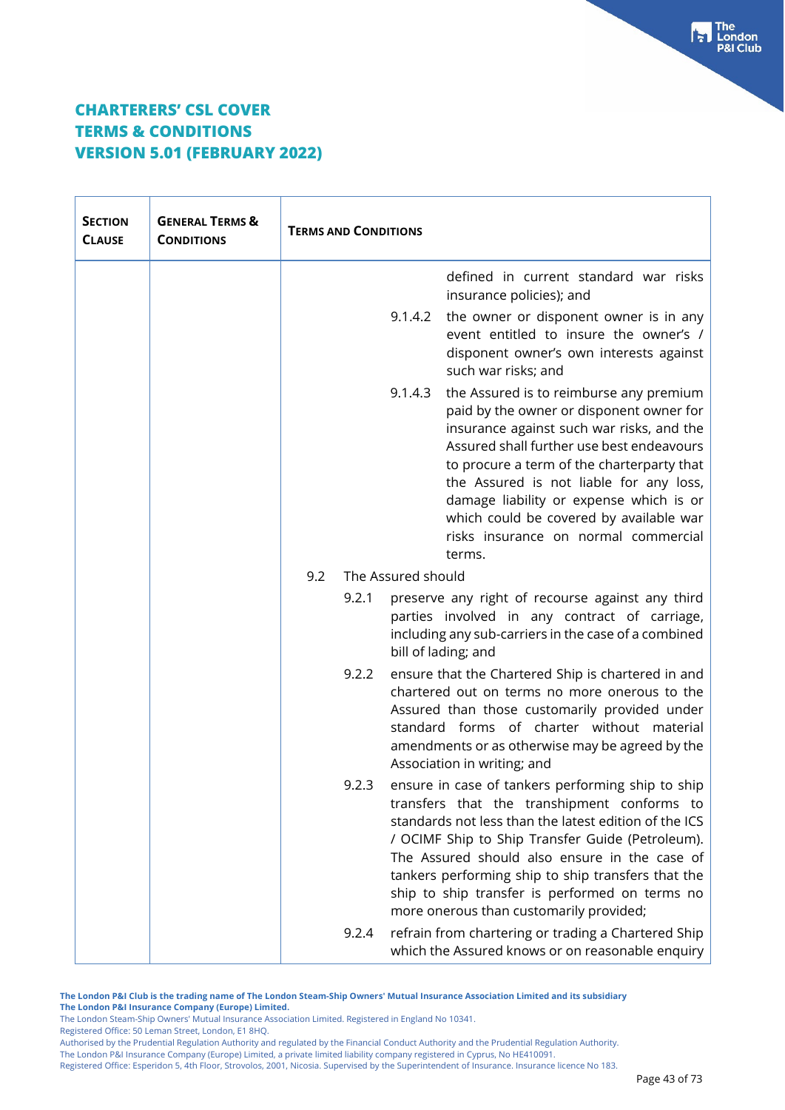| <b>SECTION</b><br><b>CLAUSE</b> | <b>GENERAL TERMS &amp;</b><br><b>CONDITIONS</b> | <b>TERMS AND CONDITIONS</b>                                                                                                                                                                                                                                                                                                                                                                                                |
|---------------------------------|-------------------------------------------------|----------------------------------------------------------------------------------------------------------------------------------------------------------------------------------------------------------------------------------------------------------------------------------------------------------------------------------------------------------------------------------------------------------------------------|
|                                 |                                                 | defined in current standard war risks<br>insurance policies); and                                                                                                                                                                                                                                                                                                                                                          |
|                                 |                                                 | 9.1.4.2<br>the owner or disponent owner is in any<br>event entitled to insure the owner's /<br>disponent owner's own interests against<br>such war risks; and                                                                                                                                                                                                                                                              |
|                                 |                                                 | 9.1.4.3<br>the Assured is to reimburse any premium<br>paid by the owner or disponent owner for<br>insurance against such war risks, and the<br>Assured shall further use best endeavours<br>to procure a term of the charterparty that<br>the Assured is not liable for any loss,<br>damage liability or expense which is or<br>which could be covered by available war<br>risks insurance on normal commercial<br>terms.  |
|                                 |                                                 | 9.2<br>The Assured should                                                                                                                                                                                                                                                                                                                                                                                                  |
|                                 |                                                 | preserve any right of recourse against any third<br>9.2.1<br>parties involved in any contract of carriage,<br>including any sub-carriers in the case of a combined<br>bill of lading; and                                                                                                                                                                                                                                  |
|                                 |                                                 | 9.2.2<br>ensure that the Chartered Ship is chartered in and<br>chartered out on terms no more onerous to the<br>Assured than those customarily provided under<br>standard forms of charter without material<br>amendments or as otherwise may be agreed by the<br>Association in writing; and                                                                                                                              |
|                                 |                                                 | ensure in case of tankers performing ship to ship<br>9.2.3<br>transfers that the transhipment conforms to<br>standards not less than the latest edition of the ICS<br>/ OCIMF Ship to Ship Transfer Guide (Petroleum).<br>The Assured should also ensure in the case of<br>tankers performing ship to ship transfers that the<br>ship to ship transfer is performed on terms no<br>more onerous than customarily provided; |
|                                 |                                                 | refrain from chartering or trading a Chartered Ship<br>9.2.4<br>which the Assured knows or on reasonable enquiry                                                                                                                                                                                                                                                                                                           |

**The London P&I Club is the trading name of The London Steam-Ship Owners' Mutual Insurance Association Limited and its subsidiary The London P&I Insurance Company (Europe) Limited.**

The London Steam-Ship Owners' Mutual Insurance Association Limited. Registered in England No 10341. Registered Office: 50 Leman Street, London, E1 8HQ.

Authorised by the Prudential Regulation Authority and regulated by the Financial Conduct Authority and the Prudential Regulation Authority.

The London P&I Insurance Company (Europe) Limited, a private limited liability company registered in Cyprus, No HE410091.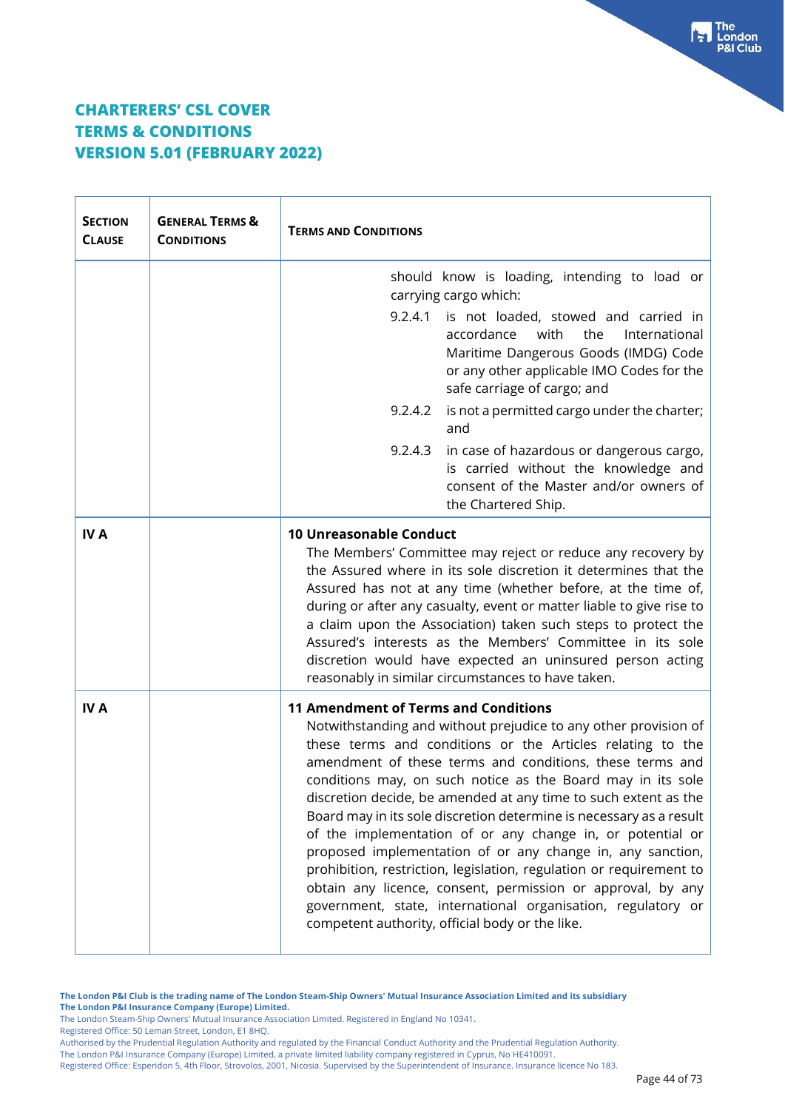| <b>SECTION</b><br><b>CLAUSE</b> | <b>GENERAL TERMS &amp;</b><br><b>CONDITIONS</b> | <b>TERMS AND CONDITIONS</b>                                                                                                                                                                                                                                                                                                                                                                                                                                                                                                                                                                                                                                                                                                                                                                                                            |  |
|---------------------------------|-------------------------------------------------|----------------------------------------------------------------------------------------------------------------------------------------------------------------------------------------------------------------------------------------------------------------------------------------------------------------------------------------------------------------------------------------------------------------------------------------------------------------------------------------------------------------------------------------------------------------------------------------------------------------------------------------------------------------------------------------------------------------------------------------------------------------------------------------------------------------------------------------|--|
|                                 |                                                 | should know is loading, intending to load or<br>carrying cargo which:                                                                                                                                                                                                                                                                                                                                                                                                                                                                                                                                                                                                                                                                                                                                                                  |  |
|                                 |                                                 | 9.2.4.1 is not loaded, stowed and carried in<br>accordance<br>with<br>the<br>International<br>Maritime Dangerous Goods (IMDG) Code<br>or any other applicable IMO Codes for the<br>safe carriage of cargo; and                                                                                                                                                                                                                                                                                                                                                                                                                                                                                                                                                                                                                         |  |
|                                 |                                                 | 9.2.4.2<br>is not a permitted cargo under the charter;<br>and                                                                                                                                                                                                                                                                                                                                                                                                                                                                                                                                                                                                                                                                                                                                                                          |  |
|                                 |                                                 | in case of hazardous or dangerous cargo,<br>9.2.4.3<br>is carried without the knowledge and<br>consent of the Master and/or owners of<br>the Chartered Ship.                                                                                                                                                                                                                                                                                                                                                                                                                                                                                                                                                                                                                                                                           |  |
| <b>IVA</b>                      |                                                 | <b>10 Unreasonable Conduct</b><br>The Members' Committee may reject or reduce any recovery by<br>the Assured where in its sole discretion it determines that the<br>Assured has not at any time (whether before, at the time of,<br>during or after any casualty, event or matter liable to give rise to<br>a claim upon the Association) taken such steps to protect the<br>Assured's interests as the Members' Committee in its sole<br>discretion would have expected an uninsured person acting<br>reasonably in similar circumstances to have taken.                                                                                                                                                                                                                                                                              |  |
| <b>IVA</b>                      |                                                 | <b>11 Amendment of Terms and Conditions</b><br>Notwithstanding and without prejudice to any other provision of<br>these terms and conditions or the Articles relating to the<br>amendment of these terms and conditions, these terms and<br>conditions may, on such notice as the Board may in its sole<br>discretion decide, be amended at any time to such extent as the<br>Board may in its sole discretion determine is necessary as a result<br>of the implementation of or any change in, or potential or<br>proposed implementation of or any change in, any sanction,<br>prohibition, restriction, legislation, regulation or requirement to<br>obtain any licence, consent, permission or approval, by any<br>government, state, international organisation, regulatory or<br>competent authority, official body or the like. |  |

**The London P&I Club is the trading name of The London Steam-Ship Owners' Mutual Insurance Association Limited and its subsidiary The London P&I Insurance Company (Europe) Limited.**

The London Steam-Ship Owners' Mutual Insurance Association Limited. Registered in England No 10341.

Registered Office: 50 Leman Street, London, E1 8HQ.

Authorised by the Prudential Regulation Authority and regulated by the Financial Conduct Authority and the Prudential Regulation Authority.

The London P&I Insurance Company (Europe) Limited, a private limited liability company registered in Cyprus, No HE410091.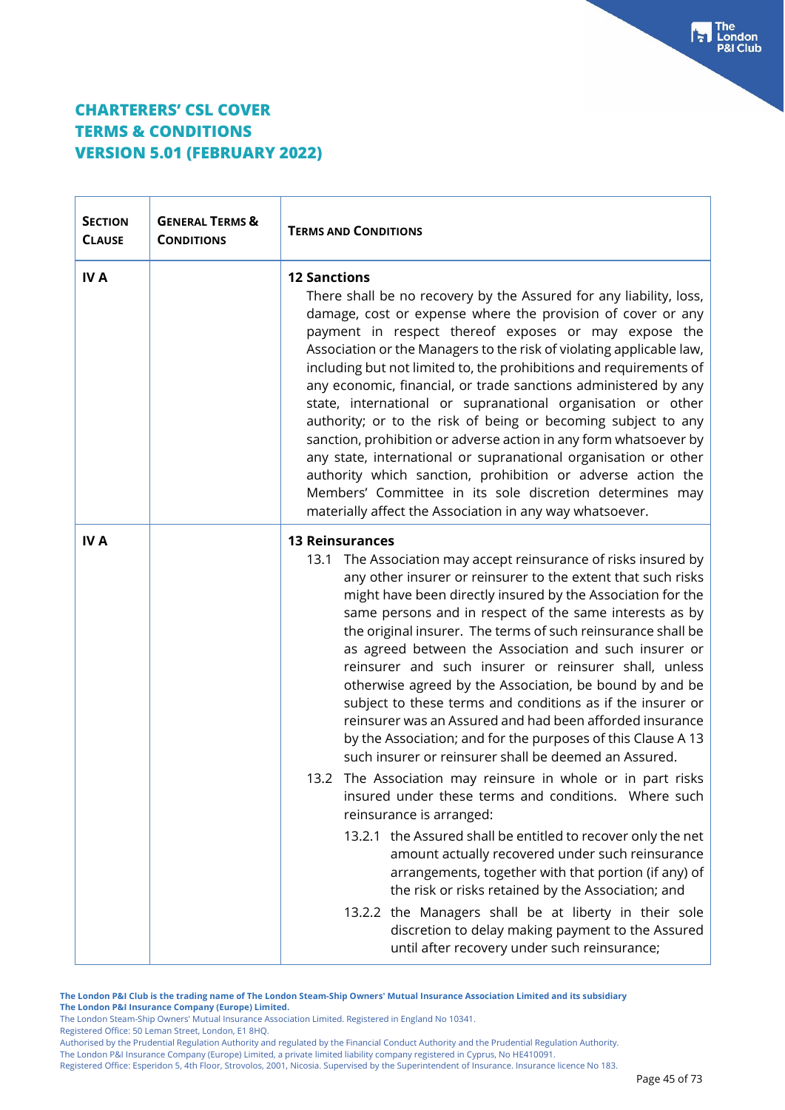| <b>SECTION</b><br><b>CLAUSE</b> | <b>GENERAL TERMS &amp;</b><br><b>CONDITIONS</b> | <b>TERMS AND CONDITIONS</b>                                                                                                                                                                                                                                                                                                                                                                                                                                                                                                                                                                                                                                                                                                                                                                                                                                                                                                                                                                                                                                                                                                                                                                                                                                                                                                            |  |
|---------------------------------|-------------------------------------------------|----------------------------------------------------------------------------------------------------------------------------------------------------------------------------------------------------------------------------------------------------------------------------------------------------------------------------------------------------------------------------------------------------------------------------------------------------------------------------------------------------------------------------------------------------------------------------------------------------------------------------------------------------------------------------------------------------------------------------------------------------------------------------------------------------------------------------------------------------------------------------------------------------------------------------------------------------------------------------------------------------------------------------------------------------------------------------------------------------------------------------------------------------------------------------------------------------------------------------------------------------------------------------------------------------------------------------------------|--|
| <b>IVA</b>                      |                                                 | <b>12 Sanctions</b><br>There shall be no recovery by the Assured for any liability, loss,<br>damage, cost or expense where the provision of cover or any<br>payment in respect thereof exposes or may expose the<br>Association or the Managers to the risk of violating applicable law,<br>including but not limited to, the prohibitions and requirements of<br>any economic, financial, or trade sanctions administered by any<br>state, international or supranational organisation or other<br>authority; or to the risk of being or becoming subject to any<br>sanction, prohibition or adverse action in any form whatsoever by<br>any state, international or supranational organisation or other<br>authority which sanction, prohibition or adverse action the<br>Members' Committee in its sole discretion determines may<br>materially affect the Association in any way whatsoever.                                                                                                                                                                                                                                                                                                                                                                                                                                       |  |
| <b>IVA</b>                      |                                                 | <b>13 Reinsurances</b><br>13.1 The Association may accept reinsurance of risks insured by<br>any other insurer or reinsurer to the extent that such risks<br>might have been directly insured by the Association for the<br>same persons and in respect of the same interests as by<br>the original insurer. The terms of such reinsurance shall be<br>as agreed between the Association and such insurer or<br>reinsurer and such insurer or reinsurer shall, unless<br>otherwise agreed by the Association, be bound by and be<br>subject to these terms and conditions as if the insurer or<br>reinsurer was an Assured and had been afforded insurance<br>by the Association; and for the purposes of this Clause A 13<br>such insurer or reinsurer shall be deemed an Assured.<br>13.2 The Association may reinsure in whole or in part risks<br>insured under these terms and conditions. Where such<br>reinsurance is arranged:<br>13.2.1 the Assured shall be entitled to recover only the net<br>amount actually recovered under such reinsurance<br>arrangements, together with that portion (if any) of<br>the risk or risks retained by the Association; and<br>13.2.2 the Managers shall be at liberty in their sole<br>discretion to delay making payment to the Assured<br>until after recovery under such reinsurance; |  |

**The London P&I Club is the trading name of The London Steam-Ship Owners' Mutual Insurance Association Limited and its subsidiary The London P&I Insurance Company (Europe) Limited.**

The London Steam-Ship Owners' Mutual Insurance Association Limited. Registered in England No 10341.

Registered Office: 50 Leman Street, London, E1 8HQ.

Authorised by the Prudential Regulation Authority and regulated by the Financial Conduct Authority and the Prudential Regulation Authority.

The London P&I Insurance Company (Europe) Limited, a private limited liability company registered in Cyprus, No HE410091.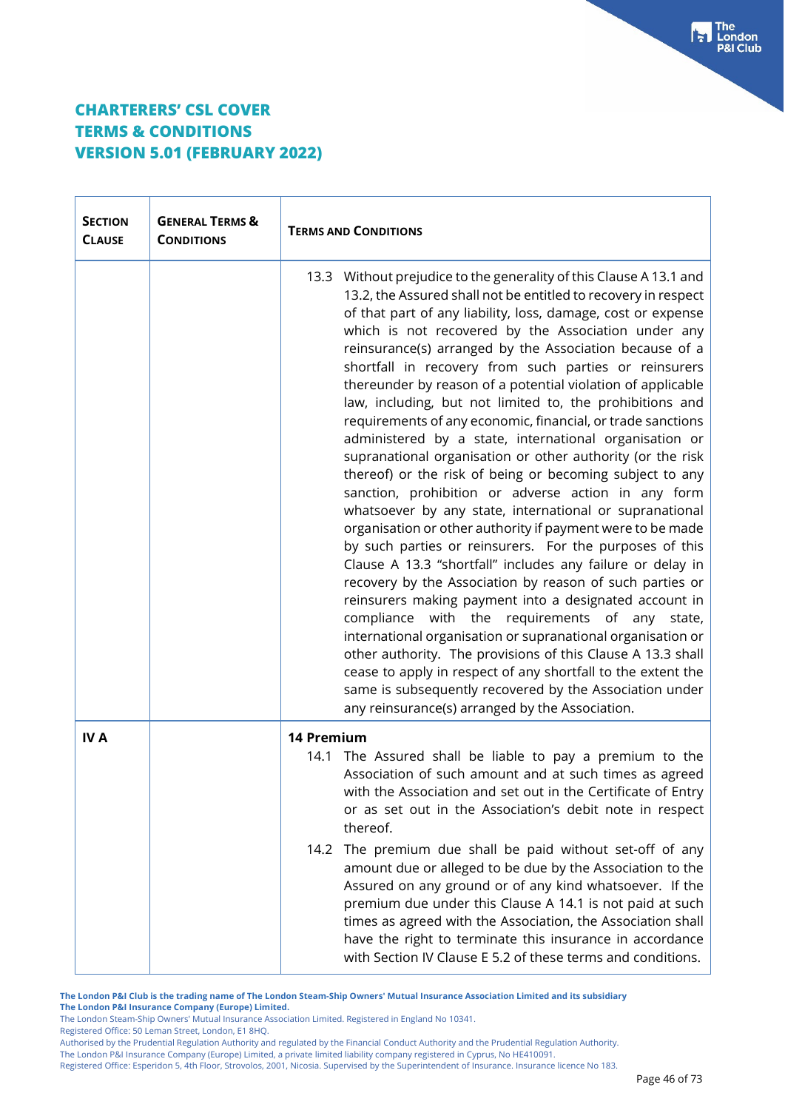| $\mathsf{L}_{\mathsf{A}}$ as a seal $\mathsf{L}_{\mathsf{B}}$ , a file clause $\Lambda$ 121<br>امدم |  |
|-----------------------------------------------------------------------------------------------------|--|

ıdon **Club** 

| <b>SECTION</b><br><b>CLAUSE</b> | <b>GENERAL TERMS &amp;</b><br><b>CONDITIONS</b> | <b>TERMS AND CONDITIONS</b>                                                                                                                                                                                                                                                                                                                                                                                                                                                                                                                                                                                                                                                                                                                                                                                                                                                                                                                                                                                                                                                                                                                                                                                                                                                                                                                                                                                                                                                                                                                                |  |
|---------------------------------|-------------------------------------------------|------------------------------------------------------------------------------------------------------------------------------------------------------------------------------------------------------------------------------------------------------------------------------------------------------------------------------------------------------------------------------------------------------------------------------------------------------------------------------------------------------------------------------------------------------------------------------------------------------------------------------------------------------------------------------------------------------------------------------------------------------------------------------------------------------------------------------------------------------------------------------------------------------------------------------------------------------------------------------------------------------------------------------------------------------------------------------------------------------------------------------------------------------------------------------------------------------------------------------------------------------------------------------------------------------------------------------------------------------------------------------------------------------------------------------------------------------------------------------------------------------------------------------------------------------------|--|
|                                 |                                                 | 13.3 Without prejudice to the generality of this Clause A 13.1 and<br>13.2, the Assured shall not be entitled to recovery in respect<br>of that part of any liability, loss, damage, cost or expense<br>which is not recovered by the Association under any<br>reinsurance(s) arranged by the Association because of a<br>shortfall in recovery from such parties or reinsurers<br>thereunder by reason of a potential violation of applicable<br>law, including, but not limited to, the prohibitions and<br>requirements of any economic, financial, or trade sanctions<br>administered by a state, international organisation or<br>supranational organisation or other authority (or the risk<br>thereof) or the risk of being or becoming subject to any<br>sanction, prohibition or adverse action in any form<br>whatsoever by any state, international or supranational<br>organisation or other authority if payment were to be made<br>by such parties or reinsurers. For the purposes of this<br>Clause A 13.3 "shortfall" includes any failure or delay in<br>recovery by the Association by reason of such parties or<br>reinsurers making payment into a designated account in<br>compliance with the requirements of any state,<br>international organisation or supranational organisation or<br>other authority. The provisions of this Clause A 13.3 shall<br>cease to apply in respect of any shortfall to the extent the<br>same is subsequently recovered by the Association under<br>any reinsurance(s) arranged by the Association. |  |
| <b>IVA</b>                      |                                                 | 14 Premium<br>14.1 The Assured shall be liable to pay a premium to the<br>Association of such amount and at such times as agreed<br>with the Association and set out in the Certificate of Entry<br>or as set out in the Association's debit note in respect<br>thereof.<br>14.2 The premium due shall be paid without set-off of any<br>amount due or alleged to be due by the Association to the<br>Assured on any ground or of any kind whatsoever. If the<br>premium due under this Clause A 14.1 is not paid at such<br>times as agreed with the Association, the Association shall                                                                                                                                                                                                                                                                                                                                                                                                                                                                                                                                                                                                                                                                                                                                                                                                                                                                                                                                                                   |  |

**The London P&I Club is the trading name of The London Steam-Ship Owners' Mutual Insurance Association Limited and its subsidiary The London P&I Insurance Company (Europe) Limited.**

The London Steam-Ship Owners' Mutual Insurance Association Limited. Registered in England No 10341.

Registered Office: 50 Leman Street, London, E1 8HQ.

**TERMS & CONDITIONS**

**VERSION 5.01 (FEBRUARY 2022)**

Authorised by the Prudential Regulation Authority and regulated by the Financial Conduct Authority and the Prudential Regulation Authority.

The London P&I Insurance Company (Europe) Limited, a private limited liability company registered in Cyprus, No HE410091.

Registered Office: Esperidon 5, 4th Floor, Strovolos, 2001, Nicosia. Supervised by the Superintendent of Insurance. Insurance licence No 183.

have the right to terminate this insurance in accordance with Section IV Clause E 5.2 of these terms and conditions.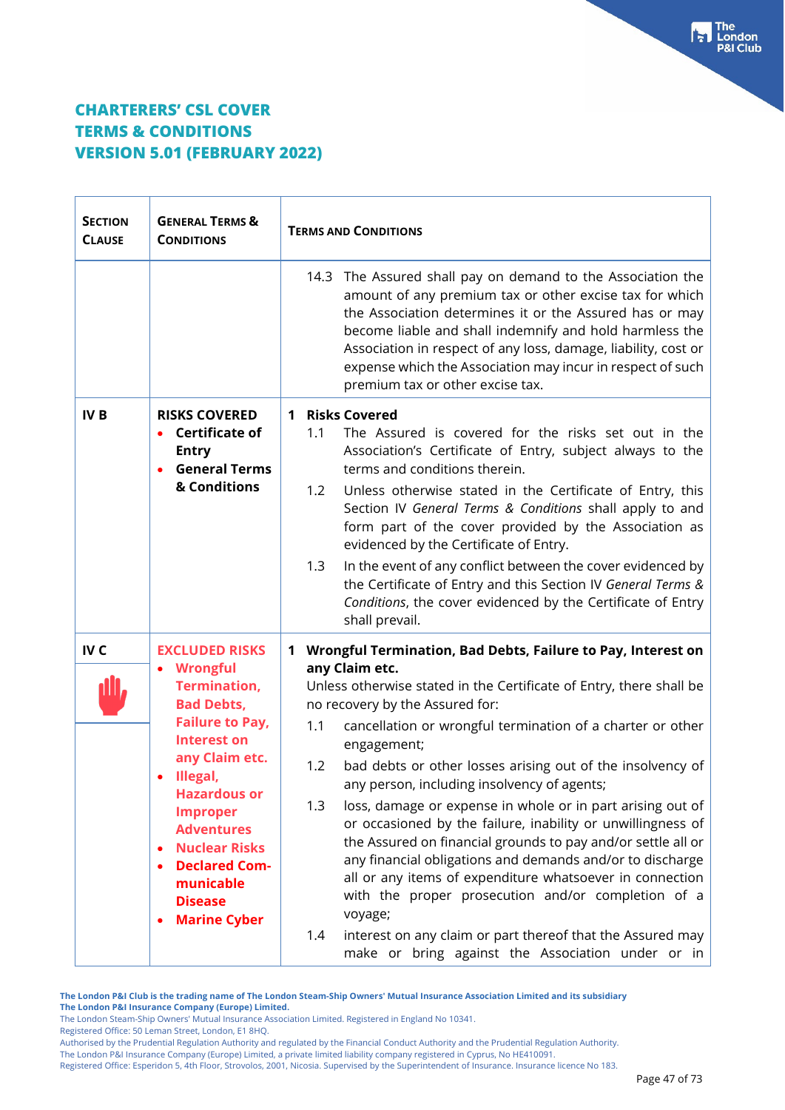$\mathbf{r}$ 

| <b>SECTION</b><br><b>CLAUSE</b> | <b>GENERAL TERMS &amp;</b><br><b>CONDITIONS</b>                                                                                                                                                                                                                                                                                                 | <b>TERMS AND CONDITIONS</b>                                                                                                                                                                                                                                                                                                                                                                                                                                                                                                                                                                                                                                                                                                                                                                                                                                                                                                   |  |  |
|---------------------------------|-------------------------------------------------------------------------------------------------------------------------------------------------------------------------------------------------------------------------------------------------------------------------------------------------------------------------------------------------|-------------------------------------------------------------------------------------------------------------------------------------------------------------------------------------------------------------------------------------------------------------------------------------------------------------------------------------------------------------------------------------------------------------------------------------------------------------------------------------------------------------------------------------------------------------------------------------------------------------------------------------------------------------------------------------------------------------------------------------------------------------------------------------------------------------------------------------------------------------------------------------------------------------------------------|--|--|
|                                 |                                                                                                                                                                                                                                                                                                                                                 | 14.3 The Assured shall pay on demand to the Association the<br>amount of any premium tax or other excise tax for which<br>the Association determines it or the Assured has or may<br>become liable and shall indemnify and hold harmless the<br>Association in respect of any loss, damage, liability, cost or<br>expense which the Association may incur in respect of such<br>premium tax or other excise tax.                                                                                                                                                                                                                                                                                                                                                                                                                                                                                                              |  |  |
| <b>IVB</b>                      | <b>RISKS COVERED</b><br><b>Certificate of</b><br><b>Entry</b><br><b>General Terms</b><br>& Conditions                                                                                                                                                                                                                                           | 1 Risks Covered<br>The Assured is covered for the risks set out in the<br>1.1<br>Association's Certificate of Entry, subject always to the<br>terms and conditions therein.<br>Unless otherwise stated in the Certificate of Entry, this<br>1.2<br>Section IV General Terms & Conditions shall apply to and<br>form part of the cover provided by the Association as<br>evidenced by the Certificate of Entry.<br>In the event of any conflict between the cover evidenced by<br>1.3<br>the Certificate of Entry and this Section IV General Terms &<br>Conditions, the cover evidenced by the Certificate of Entry<br>shall prevail.                                                                                                                                                                                                                                                                                         |  |  |
| IV <sub>C</sub>                 | <b>EXCLUDED RISKS</b><br>• Wrongful<br><b>Termination,</b><br><b>Bad Debts,</b><br><b>Failure to Pay,</b><br><b>Interest on</b><br>any Claim etc.<br>Illegal,<br><b>Hazardous or</b><br><b>Improper</b><br><b>Adventures</b><br><b>Nuclear Risks</b><br><b>Declared Com-</b><br>$\bullet$<br>municable<br><b>Disease</b><br><b>Marine Cyber</b> | Wrongful Termination, Bad Debts, Failure to Pay, Interest on<br>1<br>any Claim etc.<br>Unless otherwise stated in the Certificate of Entry, there shall be<br>no recovery by the Assured for:<br>cancellation or wrongful termination of a charter or other<br>1.1<br>engagement;<br>bad debts or other losses arising out of the insolvency of<br>1.2<br>any person, including insolvency of agents;<br>1.3<br>loss, damage or expense in whole or in part arising out of<br>or occasioned by the failure, inability or unwillingness of<br>the Assured on financial grounds to pay and/or settle all or<br>any financial obligations and demands and/or to discharge<br>all or any items of expenditure whatsoever in connection<br>with the proper prosecution and/or completion of a<br>voyage;<br>interest on any claim or part thereof that the Assured may<br>1.4<br>make or bring against the Association under or in |  |  |

**The London P&I Club is the trading name of The London Steam-Ship Owners' Mutual Insurance Association Limited and its subsidiary The London P&I Insurance Company (Europe) Limited.**

The London Steam-Ship Owners' Mutual Insurance Association Limited. Registered in England No 10341.

Registered Office: 50 Leman Street, London, E1 8HQ.

Authorised by the Prudential Regulation Authority and regulated by the Financial Conduct Authority and the Prudential Regulation Authority.

The London P&I Insurance Company (Europe) Limited, a private limited liability company registered in Cyprus, No HE410091.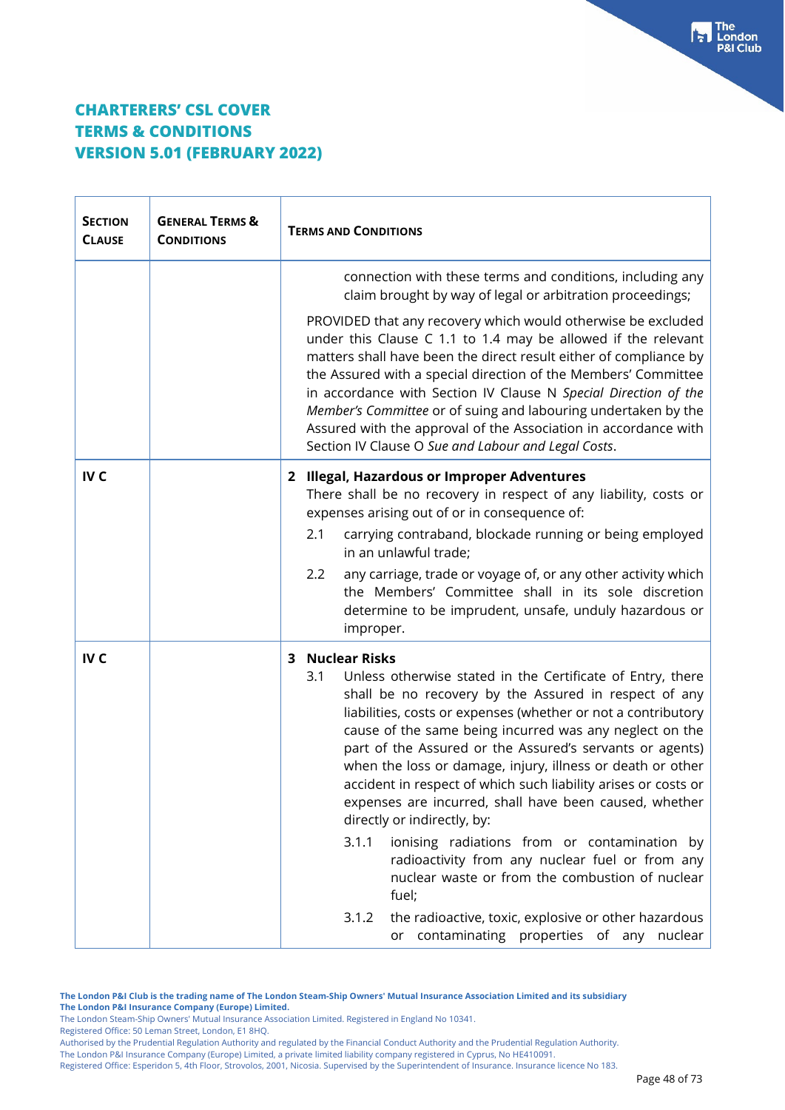| <b>SECTION</b><br><b>CLAUSE</b> | <b>GENERAL TERMS &amp;</b><br><b>CONDITIONS</b> | <b>TERMS AND CONDITIONS</b>                                                                                                                                                                                                                                                                                                                                                                                                                                                                                                                                                                                                                                                                                                                                                                                                                           |  |
|---------------------------------|-------------------------------------------------|-------------------------------------------------------------------------------------------------------------------------------------------------------------------------------------------------------------------------------------------------------------------------------------------------------------------------------------------------------------------------------------------------------------------------------------------------------------------------------------------------------------------------------------------------------------------------------------------------------------------------------------------------------------------------------------------------------------------------------------------------------------------------------------------------------------------------------------------------------|--|
|                                 |                                                 | connection with these terms and conditions, including any<br>claim brought by way of legal or arbitration proceedings;<br>PROVIDED that any recovery which would otherwise be excluded<br>under this Clause C 1.1 to 1.4 may be allowed if the relevant<br>matters shall have been the direct result either of compliance by<br>the Assured with a special direction of the Members' Committee<br>in accordance with Section IV Clause N Special Direction of the<br>Member's Committee or of suing and labouring undertaken by the<br>Assured with the approval of the Association in accordance with<br>Section IV Clause O Sue and Labour and Legal Costs.                                                                                                                                                                                         |  |
| IV <sub>C</sub>                 |                                                 | 2 Illegal, Hazardous or Improper Adventures<br>There shall be no recovery in respect of any liability, costs or<br>expenses arising out of or in consequence of:<br>2.1<br>carrying contraband, blockade running or being employed<br>in an unlawful trade;<br>any carriage, trade or voyage of, or any other activity which<br>2.2<br>the Members' Committee shall in its sole discretion<br>determine to be imprudent, unsafe, unduly hazardous or<br>improper.                                                                                                                                                                                                                                                                                                                                                                                     |  |
| IV <sub>C</sub>                 |                                                 | 3 Nuclear Risks<br>Unless otherwise stated in the Certificate of Entry, there<br>3.1<br>shall be no recovery by the Assured in respect of any<br>liabilities, costs or expenses (whether or not a contributory<br>cause of the same being incurred was any neglect on the<br>part of the Assured or the Assured's servants or agents)<br>when the loss or damage, injury, illness or death or other<br>accident in respect of which such liability arises or costs or<br>expenses are incurred, shall have been caused, whether<br>directly or indirectly, by:<br>3.1.1<br>ionising radiations from or contamination by<br>radioactivity from any nuclear fuel or from any<br>nuclear waste or from the combustion of nuclear<br>fuel;<br>the radioactive, toxic, explosive or other hazardous<br>3.1.2<br>or contaminating properties of any nuclear |  |

**The London P&I Club is the trading name of The London Steam-Ship Owners' Mutual Insurance Association Limited and its subsidiary The London P&I Insurance Company (Europe) Limited.**

The London Steam-Ship Owners' Mutual Insurance Association Limited. Registered in England No 10341.

Registered Office: 50 Leman Street, London, E1 8HQ.

Authorised by the Prudential Regulation Authority and regulated by the Financial Conduct Authority and the Prudential Regulation Authority.

The London P&I Insurance Company (Europe) Limited, a private limited liability company registered in Cyprus, No HE410091.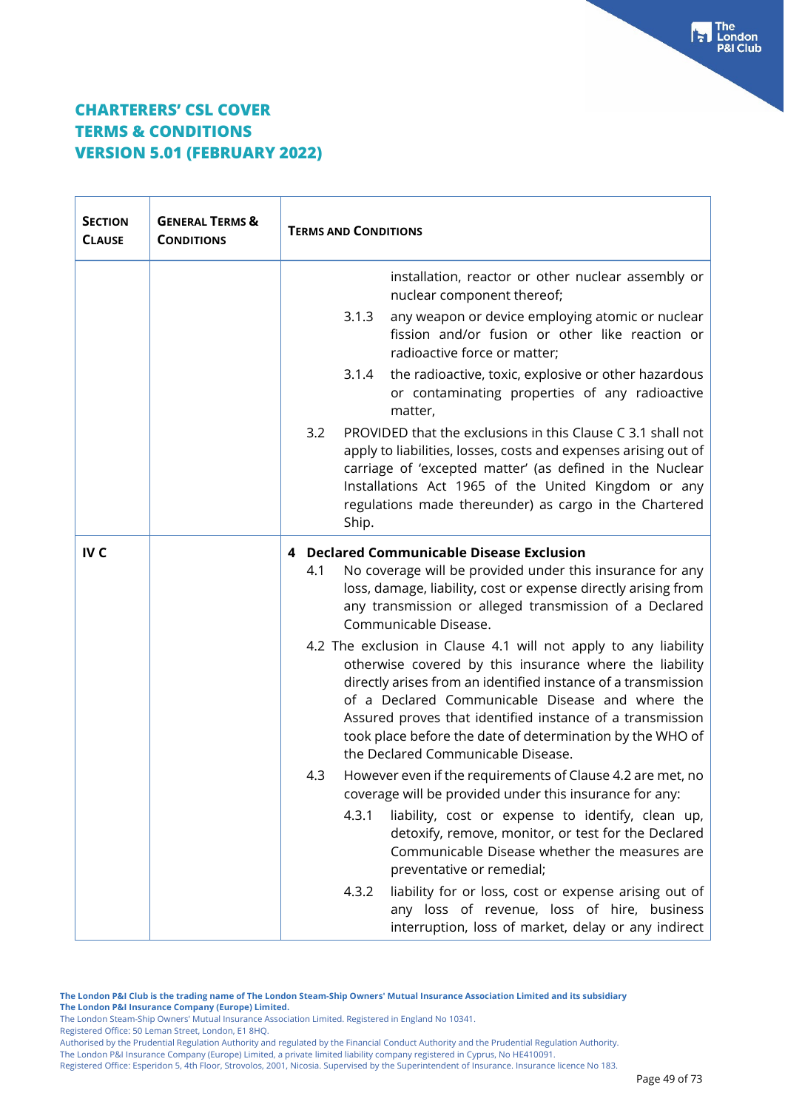| <b>SECTION</b><br><b>CLAUSE</b> | <b>GENERAL TERMS &amp;</b><br><b>CONDITIONS</b> | <b>TERMS AND CONDITIONS</b>                                                                                                                                                                                                                                                                                                                                                                                                                                                                                                                                         |  |
|---------------------------------|-------------------------------------------------|---------------------------------------------------------------------------------------------------------------------------------------------------------------------------------------------------------------------------------------------------------------------------------------------------------------------------------------------------------------------------------------------------------------------------------------------------------------------------------------------------------------------------------------------------------------------|--|
|                                 |                                                 | installation, reactor or other nuclear assembly or<br>nuclear component thereof;<br>3.1.3<br>any weapon or device employing atomic or nuclear<br>fission and/or fusion or other like reaction or<br>radioactive force or matter;<br>the radioactive, toxic, explosive or other hazardous<br>3.1.4<br>or contaminating properties of any radioactive<br>matter,<br>3.2<br>PROVIDED that the exclusions in this Clause C 3.1 shall not<br>apply to liabilities, losses, costs and expenses arising out of<br>carriage of 'excepted matter' (as defined in the Nuclear |  |
|                                 |                                                 | Installations Act 1965 of the United Kingdom or any<br>regulations made thereunder) as cargo in the Chartered<br>Ship.                                                                                                                                                                                                                                                                                                                                                                                                                                              |  |
| IV <sub>C</sub>                 |                                                 | 4 Declared Communicable Disease Exclusion<br>No coverage will be provided under this insurance for any<br>4.1<br>loss, damage, liability, cost or expense directly arising from<br>any transmission or alleged transmission of a Declared<br>Communicable Disease.                                                                                                                                                                                                                                                                                                  |  |
|                                 |                                                 | 4.2 The exclusion in Clause 4.1 will not apply to any liability<br>otherwise covered by this insurance where the liability<br>directly arises from an identified instance of a transmission<br>of a Declared Communicable Disease and where the<br>Assured proves that identified instance of a transmission<br>took place before the date of determination by the WHO of<br>the Declared Communicable Disease.                                                                                                                                                     |  |
|                                 |                                                 | 4.3<br>However even if the requirements of Clause 4.2 are met, no<br>coverage will be provided under this insurance for any:                                                                                                                                                                                                                                                                                                                                                                                                                                        |  |
|                                 |                                                 | 4.3.1<br>liability, cost or expense to identify, clean up,<br>detoxify, remove, monitor, or test for the Declared<br>Communicable Disease whether the measures are<br>preventative or remedial;                                                                                                                                                                                                                                                                                                                                                                     |  |
|                                 |                                                 | liability for or loss, cost or expense arising out of<br>4.3.2<br>any loss of revenue, loss of hire, business<br>interruption, loss of market, delay or any indirect                                                                                                                                                                                                                                                                                                                                                                                                |  |

**The London P&I Club is the trading name of The London Steam-Ship Owners' Mutual Insurance Association Limited and its subsidiary The London P&I Insurance Company (Europe) Limited.**

The London Steam-Ship Owners' Mutual Insurance Association Limited. Registered in England No 10341.

Registered Office: 50 Leman Street, London, E1 8HQ.

The London P&I Insurance Company (Europe) Limited, a private limited liability company registered in Cyprus, No HE410091.

Authorised by the Prudential Regulation Authority and regulated by the Financial Conduct Authority and the Prudential Regulation Authority.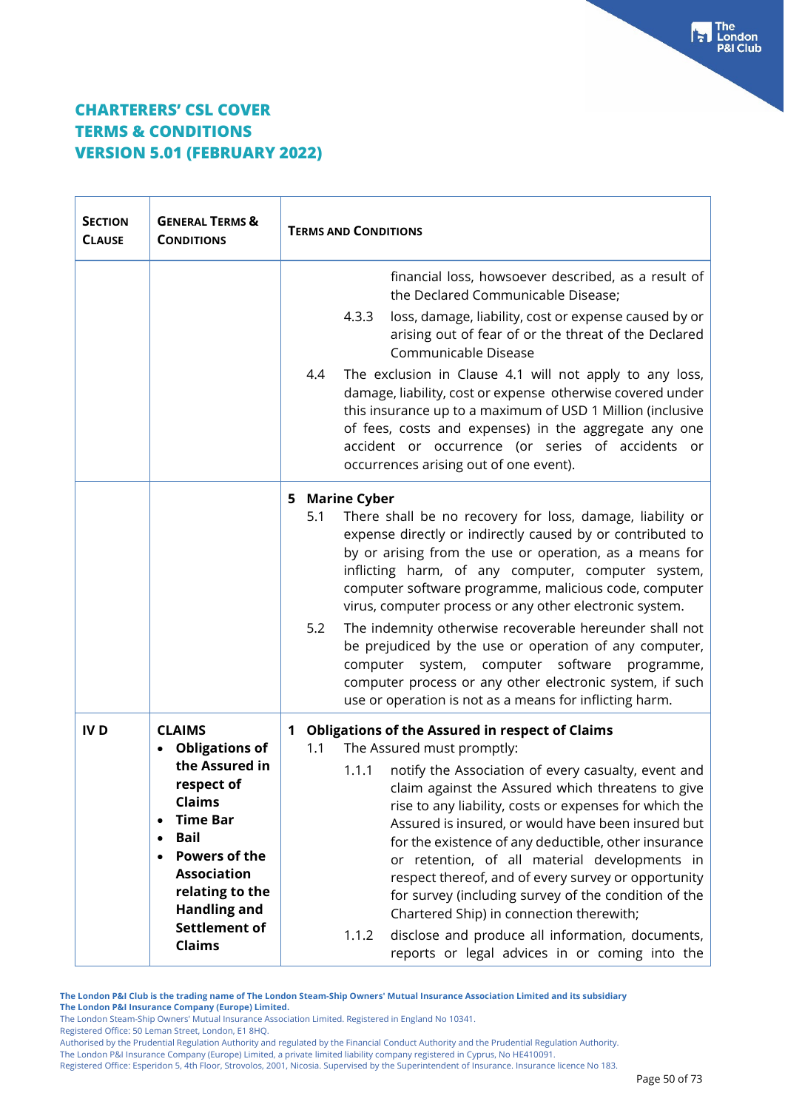| <b>SECTION</b><br><b>CLAUSE</b> | <b>GENERAL TERMS &amp;</b><br><b>CONDITIONS</b>                                                                                                                                                                                                            | <b>TERMS AND CONDITIONS</b>                                                                                                                                                                                                                                                                                                                                                                                                                                                                                                                                                                                                                                                                                              |  |
|---------------------------------|------------------------------------------------------------------------------------------------------------------------------------------------------------------------------------------------------------------------------------------------------------|--------------------------------------------------------------------------------------------------------------------------------------------------------------------------------------------------------------------------------------------------------------------------------------------------------------------------------------------------------------------------------------------------------------------------------------------------------------------------------------------------------------------------------------------------------------------------------------------------------------------------------------------------------------------------------------------------------------------------|--|
|                                 |                                                                                                                                                                                                                                                            | financial loss, howsoever described, as a result of<br>the Declared Communicable Disease;<br>4.3.3<br>loss, damage, liability, cost or expense caused by or<br>arising out of fear of or the threat of the Declared<br>Communicable Disease<br>The exclusion in Clause 4.1 will not apply to any loss,<br>4.4<br>damage, liability, cost or expense otherwise covered under<br>this insurance up to a maximum of USD 1 Million (inclusive<br>of fees, costs and expenses) in the aggregate any one<br>accident or occurrence (or series of accidents or<br>occurrences arising out of one event).                                                                                                                        |  |
|                                 |                                                                                                                                                                                                                                                            | <b>Marine Cyber</b><br>5<br>There shall be no recovery for loss, damage, liability or<br>5.1<br>expense directly or indirectly caused by or contributed to<br>by or arising from the use or operation, as a means for<br>inflicting harm, of any computer, computer system,<br>computer software programme, malicious code, computer<br>virus, computer process or any other electronic system.<br>The indemnity otherwise recoverable hereunder shall not<br>5.2<br>be prejudiced by the use or operation of any computer,<br>software programme,<br>computer<br>system, computer<br>computer process or any other electronic system, if such<br>use or operation is not as a means for inflicting harm.                |  |
| <b>IVD</b>                      | <b>CLAIMS</b><br><b>Obligations of</b><br>the Assured in<br>respect of<br><b>Claims</b><br><b>Time Bar</b><br><b>Bail</b><br><b>Powers of the</b><br><b>Association</b><br>relating to the<br><b>Handling and</b><br><b>Settlement of</b><br><b>Claims</b> | <b>Obligations of the Assured in respect of Claims</b><br>1<br>The Assured must promptly:<br>1.1<br>notify the Association of every casualty, event and<br>1.1.1<br>claim against the Assured which threatens to give<br>rise to any liability, costs or expenses for which the<br>Assured is insured, or would have been insured but<br>for the existence of any deductible, other insurance<br>or retention, of all material developments in<br>respect thereof, and of every survey or opportunity<br>for survey (including survey of the condition of the<br>Chartered Ship) in connection therewith;<br>disclose and produce all information, documents,<br>1.1.2<br>reports or legal advices in or coming into the |  |

**The London P&I Club is the trading name of The London Steam-Ship Owners' Mutual Insurance Association Limited and its subsidiary The London P&I Insurance Company (Europe) Limited.**

The London Steam-Ship Owners' Mutual Insurance Association Limited. Registered in England No 10341.

Registered Office: 50 Leman Street, London, E1 8HQ.

Authorised by the Prudential Regulation Authority and regulated by the Financial Conduct Authority and the Prudential Regulation Authority.

The London P&I Insurance Company (Europe) Limited, a private limited liability company registered in Cyprus, No HE410091.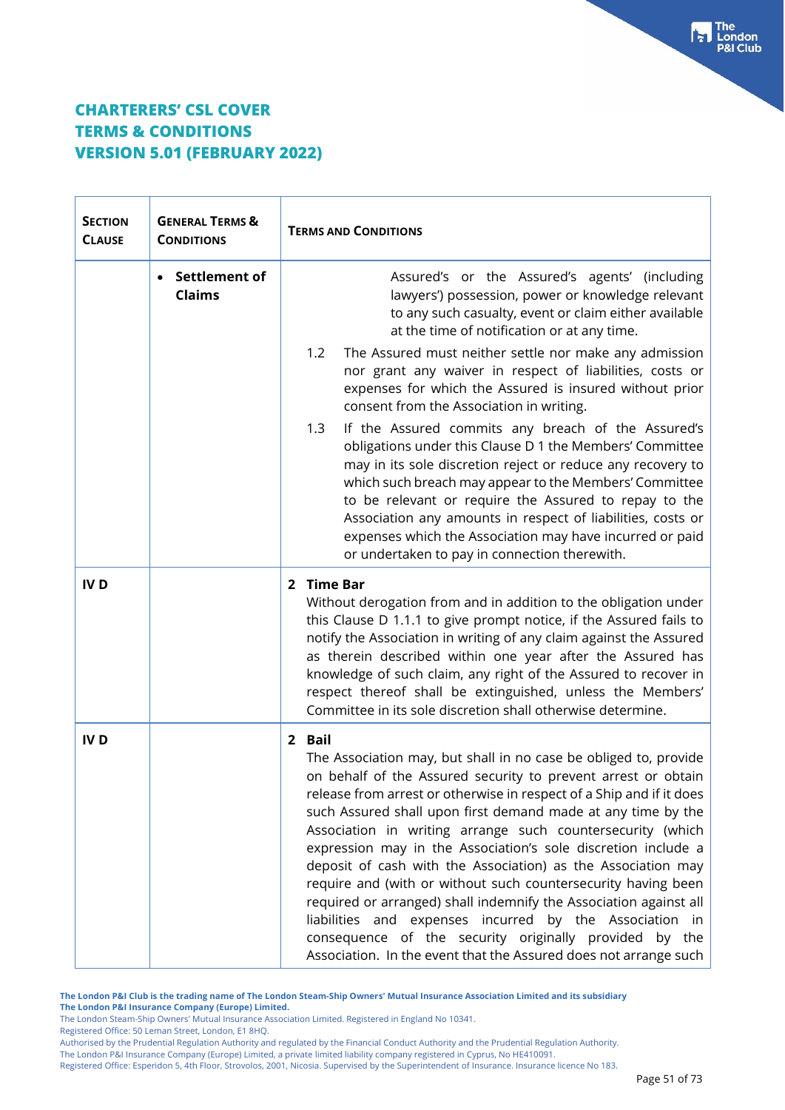| <b>SECTION</b><br><b>CLAUSE</b> | <b>GENERAL TERMS &amp;</b><br><b>CONDITIONS</b> | <b>TERMS AND CONDITIONS</b>                                                                                                                                                                                                                                                                                                                                                                                                                                                                                                                                                                                                                                                                                                                                                                                       |  |
|---------------------------------|-------------------------------------------------|-------------------------------------------------------------------------------------------------------------------------------------------------------------------------------------------------------------------------------------------------------------------------------------------------------------------------------------------------------------------------------------------------------------------------------------------------------------------------------------------------------------------------------------------------------------------------------------------------------------------------------------------------------------------------------------------------------------------------------------------------------------------------------------------------------------------|--|
|                                 | Settlement of<br><b>Claims</b>                  | Assured's or the Assured's agents' (including<br>lawyers') possession, power or knowledge relevant<br>to any such casualty, event or claim either available<br>at the time of notification or at any time.                                                                                                                                                                                                                                                                                                                                                                                                                                                                                                                                                                                                        |  |
|                                 |                                                 | The Assured must neither settle nor make any admission<br>1.2<br>nor grant any waiver in respect of liabilities, costs or<br>expenses for which the Assured is insured without prior<br>consent from the Association in writing.                                                                                                                                                                                                                                                                                                                                                                                                                                                                                                                                                                                  |  |
|                                 |                                                 | 1.3<br>If the Assured commits any breach of the Assured's<br>obligations under this Clause D 1 the Members' Committee<br>may in its sole discretion reject or reduce any recovery to<br>which such breach may appear to the Members' Committee<br>to be relevant or require the Assured to repay to the<br>Association any amounts in respect of liabilities, costs or<br>expenses which the Association may have incurred or paid<br>or undertaken to pay in connection therewith.                                                                                                                                                                                                                                                                                                                               |  |
| <b>IVD</b>                      |                                                 | 2 Time Bar<br>Without derogation from and in addition to the obligation under<br>this Clause D 1.1.1 to give prompt notice, if the Assured fails to<br>notify the Association in writing of any claim against the Assured<br>as therein described within one year after the Assured has<br>knowledge of such claim, any right of the Assured to recover in<br>respect thereof shall be extinguished, unless the Members'<br>Committee in its sole discretion shall otherwise determine.                                                                                                                                                                                                                                                                                                                           |  |
| <b>IVD</b>                      |                                                 | 2 Bail<br>The Association may, but shall in no case be obliged to, provide<br>on behalf of the Assured security to prevent arrest or obtain<br>release from arrest or otherwise in respect of a Ship and if it does<br>such Assured shall upon first demand made at any time by the<br>Association in writing arrange such countersecurity (which<br>expression may in the Association's sole discretion include a<br>deposit of cash with the Association) as the Association may<br>require and (with or without such countersecurity having been<br>required or arranged) shall indemnify the Association against all<br>liabilities and expenses incurred by the Association in<br>consequence of the security originally provided by the<br>Association. In the event that the Assured does not arrange such |  |

**The London P&I Club is the trading name of The London Steam-Ship Owners' Mutual Insurance Association Limited and its subsidiary The London P&I Insurance Company (Europe) Limited.**

The London Steam-Ship Owners' Mutual Insurance Association Limited. Registered in England No 10341.

Registered Office: 50 Leman Street, London, E1 8HQ.

Authorised by the Prudential Regulation Authority and regulated by the Financial Conduct Authority and the Prudential Regulation Authority.

The London P&I Insurance Company (Europe) Limited, a private limited liability company registered in Cyprus, No HE410091.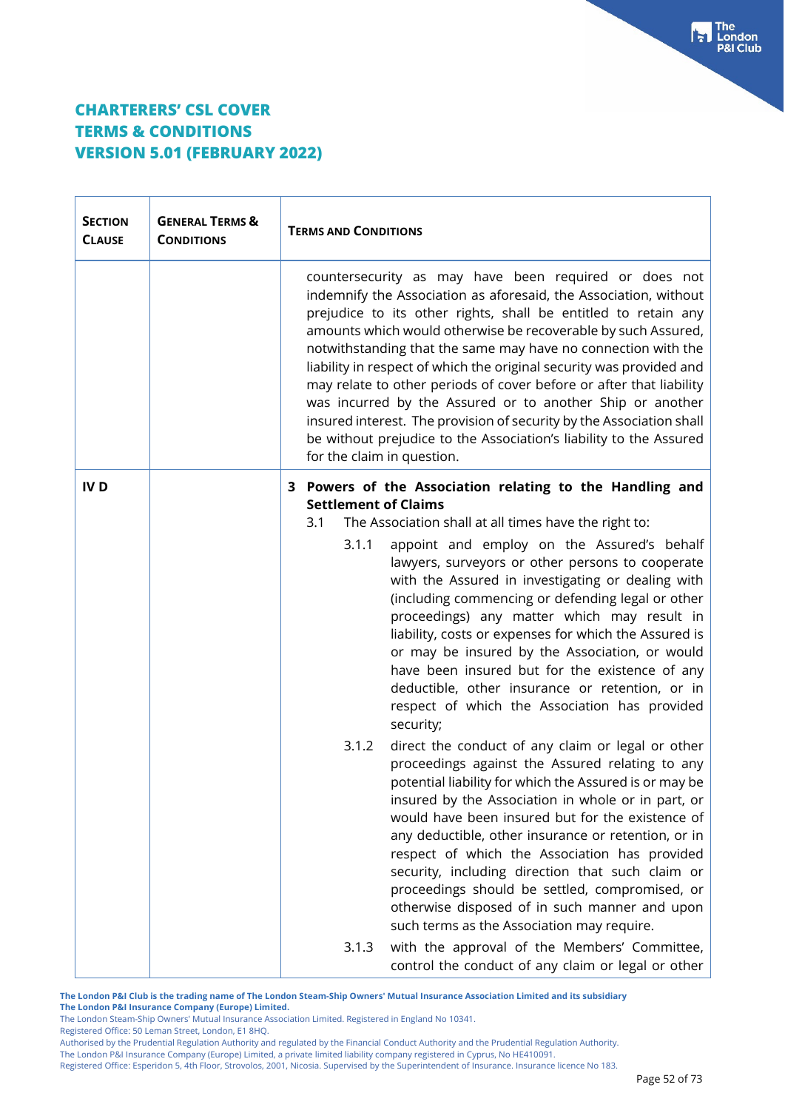| <b>SECTION</b><br><b>CLAUSE</b> | <b>GENERAL TERMS &amp;</b><br><b>CONDITIONS</b> | <b>TERMS AND CONDITIONS</b>                                                                                                                                                                                                                                                                                                                                                                                                                                                                                                                                                                                                                                                                                           |  |
|---------------------------------|-------------------------------------------------|-----------------------------------------------------------------------------------------------------------------------------------------------------------------------------------------------------------------------------------------------------------------------------------------------------------------------------------------------------------------------------------------------------------------------------------------------------------------------------------------------------------------------------------------------------------------------------------------------------------------------------------------------------------------------------------------------------------------------|--|
|                                 |                                                 | countersecurity as may have been required or does not<br>indemnify the Association as aforesaid, the Association, without<br>prejudice to its other rights, shall be entitled to retain any<br>amounts which would otherwise be recoverable by such Assured,<br>notwithstanding that the same may have no connection with the<br>liability in respect of which the original security was provided and<br>may relate to other periods of cover before or after that liability<br>was incurred by the Assured or to another Ship or another<br>insured interest. The provision of security by the Association shall<br>be without prejudice to the Association's liability to the Assured<br>for the claim in question. |  |
| <b>IVD</b>                      |                                                 | 3 Powers of the Association relating to the Handling and<br><b>Settlement of Claims</b><br>The Association shall at all times have the right to:<br>3.1                                                                                                                                                                                                                                                                                                                                                                                                                                                                                                                                                               |  |
|                                 |                                                 | appoint and employ on the Assured's behalf<br>3.1.1<br>lawyers, surveyors or other persons to cooperate<br>with the Assured in investigating or dealing with<br>(including commencing or defending legal or other<br>proceedings) any matter which may result in<br>liability, costs or expenses for which the Assured is<br>or may be insured by the Association, or would<br>have been insured but for the existence of any<br>deductible, other insurance or retention, or in<br>respect of which the Association has provided<br>security;                                                                                                                                                                        |  |
|                                 |                                                 | 3.1.2<br>direct the conduct of any claim or legal or other<br>proceedings against the Assured relating to any<br>potential liability for which the Assured is or may be<br>insured by the Association in whole or in part, or<br>would have been insured but for the existence of<br>any deductible, other insurance or retention, or in<br>respect of which the Association has provided<br>security, including direction that such claim or<br>proceedings should be settled, compromised, or<br>otherwise disposed of in such manner and upon<br>such terms as the Association may require.                                                                                                                        |  |
|                                 |                                                 | with the approval of the Members' Committee,<br>3.1.3<br>control the conduct of any claim or legal or other                                                                                                                                                                                                                                                                                                                                                                                                                                                                                                                                                                                                           |  |

**The London P&I Club is the trading name of The London Steam-Ship Owners' Mutual Insurance Association Limited and its subsidiary The London P&I Insurance Company (Europe) Limited.**

The London Steam-Ship Owners' Mutual Insurance Association Limited. Registered in England No 10341.

Registered Office: 50 Leman Street, London, E1 8HQ.

Authorised by the Prudential Regulation Authority and regulated by the Financial Conduct Authority and the Prudential Regulation Authority.

The London P&I Insurance Company (Europe) Limited, a private limited liability company registered in Cyprus, No HE410091.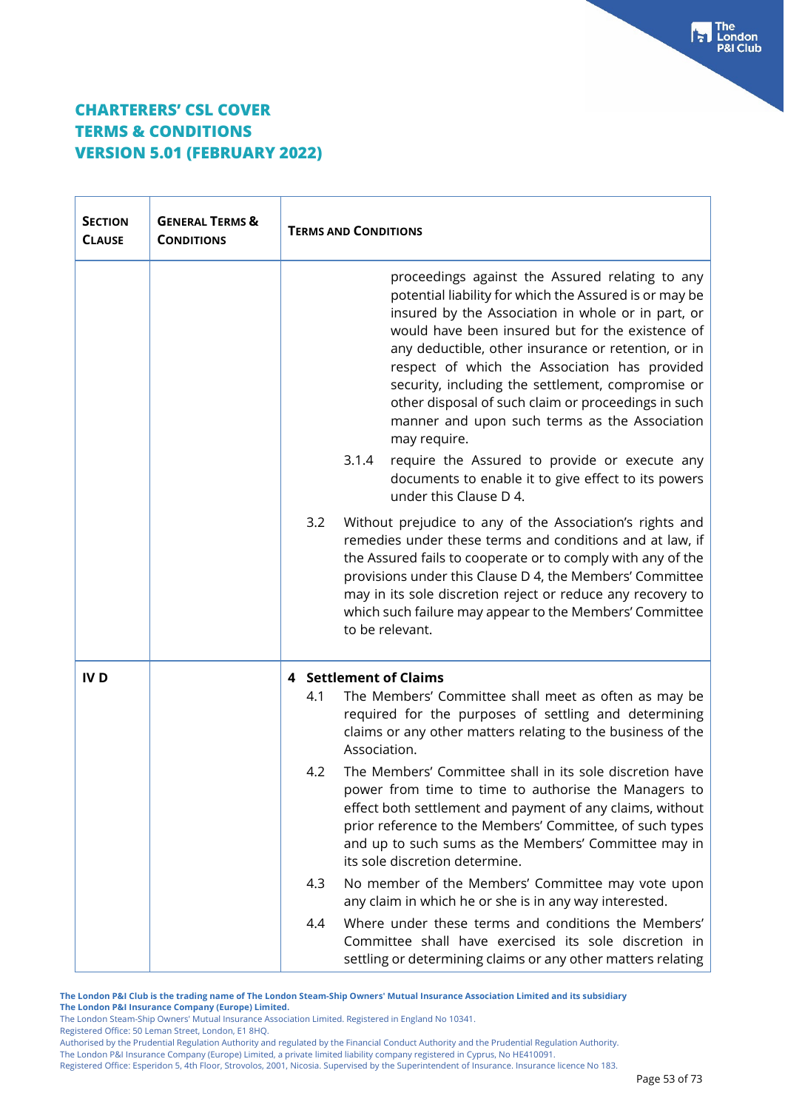| <b>SECTION</b><br><b>CLAUSE</b> | <b>GENERAL TERMS &amp;</b><br><b>CONDITIONS</b> | <b>TERMS AND CONDITIONS</b>   |                                                                                                                                                                                                                                                                                                                                                                                                                                                                                                          |
|---------------------------------|-------------------------------------------------|-------------------------------|----------------------------------------------------------------------------------------------------------------------------------------------------------------------------------------------------------------------------------------------------------------------------------------------------------------------------------------------------------------------------------------------------------------------------------------------------------------------------------------------------------|
|                                 |                                                 |                               | proceedings against the Assured relating to any<br>potential liability for which the Assured is or may be<br>insured by the Association in whole or in part, or<br>would have been insured but for the existence of<br>any deductible, other insurance or retention, or in<br>respect of which the Association has provided<br>security, including the settlement, compromise or<br>other disposal of such claim or proceedings in such<br>manner and upon such terms as the Association<br>may require. |
|                                 |                                                 | 3.1.4                         | require the Assured to provide or execute any<br>documents to enable it to give effect to its powers<br>under this Clause D 4.                                                                                                                                                                                                                                                                                                                                                                           |
|                                 |                                                 | 3.2                           | Without prejudice to any of the Association's rights and<br>remedies under these terms and conditions and at law, if<br>the Assured fails to cooperate or to comply with any of the<br>provisions under this Clause D 4, the Members' Committee<br>may in its sole discretion reject or reduce any recovery to<br>which such failure may appear to the Members' Committee<br>to be relevant.                                                                                                             |
| IV <sub>D</sub>                 |                                                 | <b>4</b> Settlement of Claims |                                                                                                                                                                                                                                                                                                                                                                                                                                                                                                          |
|                                 |                                                 | 4.1                           | The Members' Committee shall meet as often as may be<br>required for the purposes of settling and determining<br>claims or any other matters relating to the business of the<br>Association.                                                                                                                                                                                                                                                                                                             |
|                                 |                                                 | 4.2                           | The Members' Committee shall in its sole discretion have<br>power from time to time to authorise the Managers to<br>effect both settlement and payment of any claims, without<br>prior reference to the Members' Committee, of such types<br>and up to such sums as the Members' Committee may in<br>its sole discretion determine.                                                                                                                                                                      |
|                                 |                                                 | 4.3                           | No member of the Members' Committee may vote upon<br>any claim in which he or she is in any way interested.                                                                                                                                                                                                                                                                                                                                                                                              |
|                                 |                                                 | 4.4                           | Where under these terms and conditions the Members'<br>Committee shall have exercised its sole discretion in<br>settling or determining claims or any other matters relating                                                                                                                                                                                                                                                                                                                             |

**The London P&I Club is the trading name of The London Steam-Ship Owners' Mutual Insurance Association Limited and its subsidiary The London P&I Insurance Company (Europe) Limited.**

The London Steam-Ship Owners' Mutual Insurance Association Limited. Registered in England No 10341.

Registered Office: 50 Leman Street, London, E1 8HQ.

The London P&I Insurance Company (Europe) Limited, a private limited liability company registered in Cyprus, No HE410091.

Authorised by the Prudential Regulation Authority and regulated by the Financial Conduct Authority and the Prudential Regulation Authority.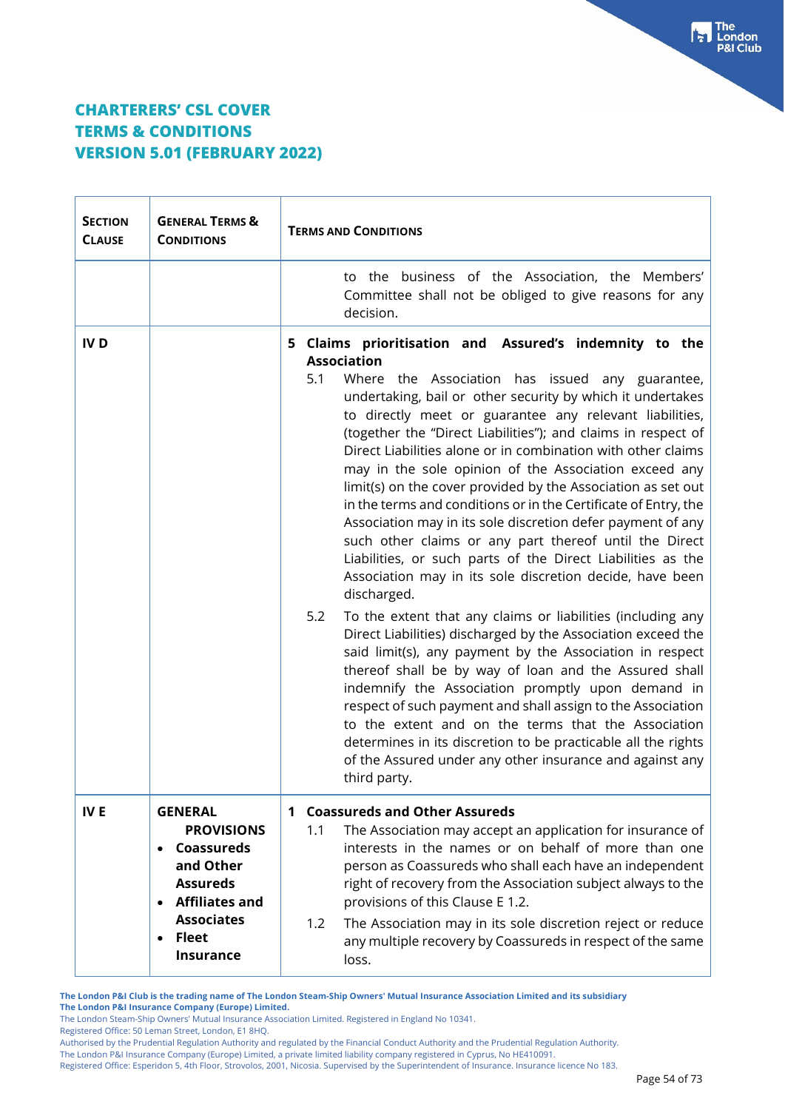$\top$ 

 $\Gamma$ 

| <b>SECTION</b><br><b>CLAUSE</b> | <b>GENERAL TERMS &amp;</b><br><b>CONDITIONS</b>                                                                         | <b>TERMS AND CONDITIONS</b>                                                                                                                                                                                                                                                                                                                                                                                                                                                                                                                                                                                                                                                                                                                                                                                                                                                                                                                                                                                                                                                                                                                                                                                                                                                                                                                                            |  |  |
|---------------------------------|-------------------------------------------------------------------------------------------------------------------------|------------------------------------------------------------------------------------------------------------------------------------------------------------------------------------------------------------------------------------------------------------------------------------------------------------------------------------------------------------------------------------------------------------------------------------------------------------------------------------------------------------------------------------------------------------------------------------------------------------------------------------------------------------------------------------------------------------------------------------------------------------------------------------------------------------------------------------------------------------------------------------------------------------------------------------------------------------------------------------------------------------------------------------------------------------------------------------------------------------------------------------------------------------------------------------------------------------------------------------------------------------------------------------------------------------------------------------------------------------------------|--|--|
|                                 |                                                                                                                         | to the business of the Association, the Members'<br>Committee shall not be obliged to give reasons for any<br>decision.                                                                                                                                                                                                                                                                                                                                                                                                                                                                                                                                                                                                                                                                                                                                                                                                                                                                                                                                                                                                                                                                                                                                                                                                                                                |  |  |
| <b>IVD</b>                      |                                                                                                                         | 5 Claims prioritisation and Assured's indemnity to the<br><b>Association</b><br>5.1<br>Where the Association has issued any guarantee,<br>undertaking, bail or other security by which it undertakes<br>to directly meet or guarantee any relevant liabilities,<br>(together the "Direct Liabilities"); and claims in respect of<br>Direct Liabilities alone or in combination with other claims<br>may in the sole opinion of the Association exceed any<br>limit(s) on the cover provided by the Association as set out<br>in the terms and conditions or in the Certificate of Entry, the<br>Association may in its sole discretion defer payment of any<br>such other claims or any part thereof until the Direct<br>Liabilities, or such parts of the Direct Liabilities as the<br>Association may in its sole discretion decide, have been<br>discharged.<br>5.2<br>To the extent that any claims or liabilities (including any<br>Direct Liabilities) discharged by the Association exceed the<br>said limit(s), any payment by the Association in respect<br>thereof shall be by way of loan and the Assured shall<br>indemnify the Association promptly upon demand in<br>respect of such payment and shall assign to the Association<br>to the extent and on the terms that the Association<br>determines in its discretion to be practicable all the rights |  |  |
| <b>IVE</b>                      | <b>GENERAL</b><br><b>PROVISIONS</b><br>Coassureds<br>$\bullet$<br>and Other<br><b>Assureds</b><br><b>Affiliates and</b> | <b>Coassureds and Other Assureds</b><br>$\mathbf 1$<br>The Association may accept an application for insurance of<br>1.1<br>interests in the names or on behalf of more than one<br>person as Coassureds who shall each have an independent<br>right of recovery from the Association subject always to the<br>provisions of this Clause E 1.2.                                                                                                                                                                                                                                                                                                                                                                                                                                                                                                                                                                                                                                                                                                                                                                                                                                                                                                                                                                                                                        |  |  |
|                                 | <b>Associates</b><br>• Fleet<br><b>Insurance</b>                                                                        | The Association may in its sole discretion reject or reduce<br>1.2<br>any multiple recovery by Coassureds in respect of the same<br>loss.                                                                                                                                                                                                                                                                                                                                                                                                                                                                                                                                                                                                                                                                                                                                                                                                                                                                                                                                                                                                                                                                                                                                                                                                                              |  |  |

**The London P&I Club is the trading name of The London Steam-Ship Owners' Mutual Insurance Association Limited and its subsidiary The London P&I Insurance Company (Europe) Limited.**

The London Steam-Ship Owners' Mutual Insurance Association Limited. Registered in England No 10341.

Registered Office: 50 Leman Street, London, E1 8HQ.

Authorised by the Prudential Regulation Authority and regulated by the Financial Conduct Authority and the Prudential Regulation Authority.

The London P&I Insurance Company (Europe) Limited, a private limited liability company registered in Cyprus, No HE410091.

Registered Office: Esperidon 5, 4th Floor, Strovolos, 2001, Nicosia. Supervised by the Superintendent of Insurance. Insurance licence No 183.

The<br>London **&I Club**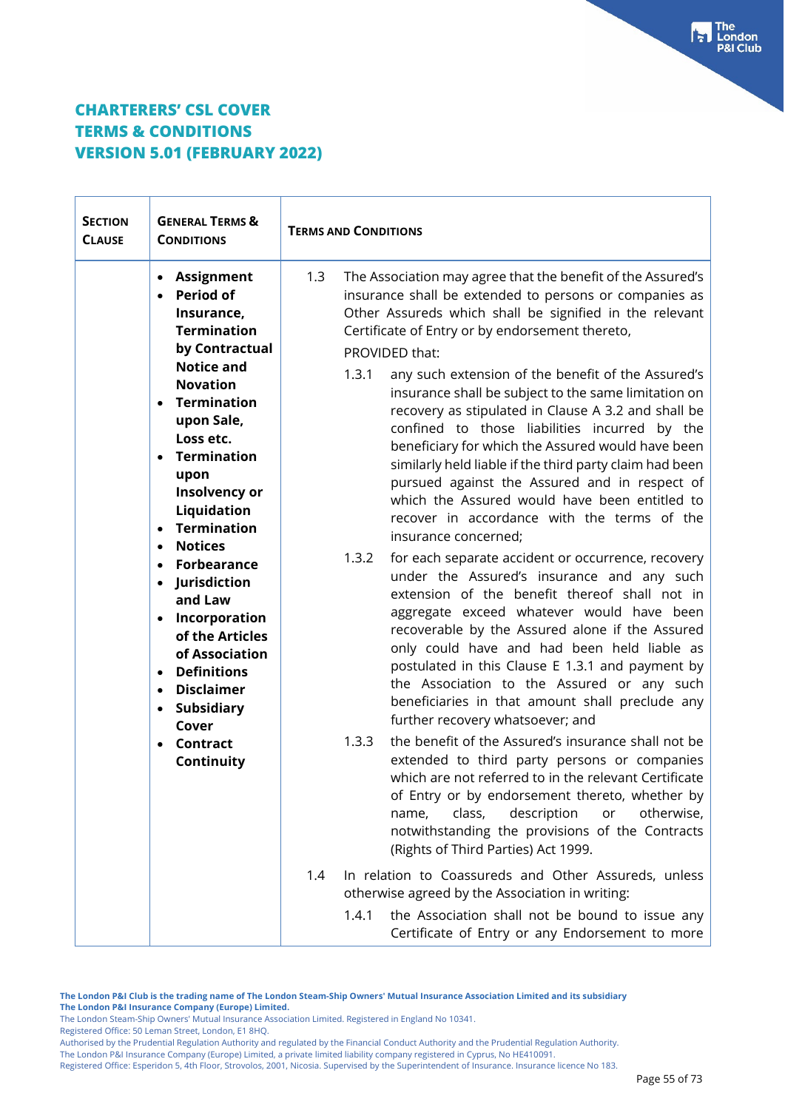| <b>SECTION</b><br><b>CLAUSE</b>                               | <b>GENERAL TERMS &amp;</b><br><b>CONDITIONS</b>                                                                                                                                                                                                                                                                                                                      | <b>TERMS AND CONDITIONS</b> |                                                                                                                                                                                                                                                                                                                                                                                                                                                                                                                                                                                                                                                                                                                                                                                                                                                                                                                   |
|---------------------------------------------------------------|----------------------------------------------------------------------------------------------------------------------------------------------------------------------------------------------------------------------------------------------------------------------------------------------------------------------------------------------------------------------|-----------------------------|-------------------------------------------------------------------------------------------------------------------------------------------------------------------------------------------------------------------------------------------------------------------------------------------------------------------------------------------------------------------------------------------------------------------------------------------------------------------------------------------------------------------------------------------------------------------------------------------------------------------------------------------------------------------------------------------------------------------------------------------------------------------------------------------------------------------------------------------------------------------------------------------------------------------|
|                                                               | • Assignment<br><b>Period of</b><br>Insurance,<br><b>Termination</b><br>by Contractual                                                                                                                                                                                                                                                                               | 1.3                         | The Association may agree that the benefit of the Assured's<br>insurance shall be extended to persons or companies as<br>Other Assureds which shall be signified in the relevant<br>Certificate of Entry or by endorsement thereto,<br>PROVIDED that:                                                                                                                                                                                                                                                                                                                                                                                                                                                                                                                                                                                                                                                             |
| $\bullet$<br>$\bullet$<br>$\bullet$<br>$\bullet$<br>$\bullet$ | <b>Notice and</b><br><b>Novation</b><br><b>Termination</b><br>upon Sale,<br>Loss etc.<br><b>Termination</b><br>upon<br>Insolvency or<br>Liquidation<br><b>Termination</b><br><b>Notices</b><br>Forbearance<br>• Jurisdiction<br>and Law<br>• Incorporation<br>of the Articles<br>of Association<br><b>Definitions</b><br>$\bullet$<br><b>Disclaimer</b><br>$\bullet$ | 1.3.1<br>1.3.2              | any such extension of the benefit of the Assured's<br>insurance shall be subject to the same limitation on<br>recovery as stipulated in Clause A 3.2 and shall be<br>confined to those liabilities incurred by the<br>beneficiary for which the Assured would have been<br>similarly held liable if the third party claim had been<br>pursued against the Assured and in respect of<br>which the Assured would have been entitled to<br>recover in accordance with the terms of the<br>insurance concerned;<br>for each separate accident or occurrence, recovery<br>under the Assured's insurance and any such<br>extension of the benefit thereof shall not in<br>aggregate exceed whatever would have been<br>recoverable by the Assured alone if the Assured<br>only could have and had been held liable as<br>postulated in this Clause E 1.3.1 and payment by<br>the Association to the Assured or any such |
|                                                               | Subsidiary<br>$\bullet$<br>Cover                                                                                                                                                                                                                                                                                                                                     |                             | beneficiaries in that amount shall preclude any<br>further recovery whatsoever; and                                                                                                                                                                                                                                                                                                                                                                                                                                                                                                                                                                                                                                                                                                                                                                                                                               |
|                                                               | <b>Contract</b><br>$\bullet$<br>Continuity                                                                                                                                                                                                                                                                                                                           | 1.3.3                       | the benefit of the Assured's insurance shall not be<br>extended to third party persons or companies<br>which are not referred to in the relevant Certificate<br>of Entry or by endorsement thereto, whether by<br>class,<br>description<br>otherwise,<br>or<br>name,<br>notwithstanding the provisions of the Contracts<br>(Rights of Third Parties) Act 1999.                                                                                                                                                                                                                                                                                                                                                                                                                                                                                                                                                    |
|                                                               |                                                                                                                                                                                                                                                                                                                                                                      | 1.4                         | In relation to Coassureds and Other Assureds, unless<br>otherwise agreed by the Association in writing:                                                                                                                                                                                                                                                                                                                                                                                                                                                                                                                                                                                                                                                                                                                                                                                                           |
|                                                               |                                                                                                                                                                                                                                                                                                                                                                      | 1.4.1                       | the Association shall not be bound to issue any<br>Certificate of Entry or any Endorsement to more                                                                                                                                                                                                                                                                                                                                                                                                                                                                                                                                                                                                                                                                                                                                                                                                                |

**The London P&I Club is the trading name of The London Steam-Ship Owners' Mutual Insurance Association Limited and its subsidiary The London P&I Insurance Company (Europe) Limited.**

The London Steam-Ship Owners' Mutual Insurance Association Limited. Registered in England No 10341.

Registered Office: 50 Leman Street, London, E1 8HQ.

Authorised by the Prudential Regulation Authority and regulated by the Financial Conduct Authority and the Prudential Regulation Authority.

The London P&I Insurance Company (Europe) Limited, a private limited liability company registered in Cyprus, No HE410091.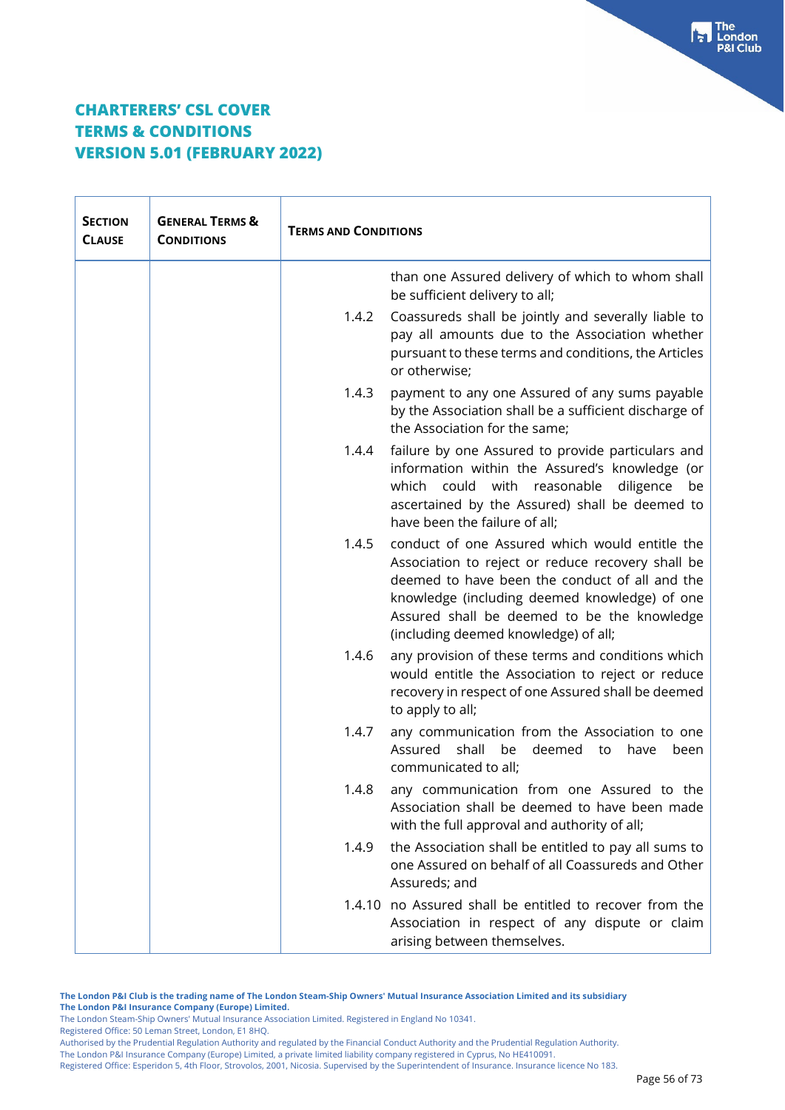| <b>SECTION</b><br><b>CLAUSE</b> | <b>GENERAL TERMS &amp;</b><br><b>CONDITIONS</b> | <b>TERMS AND CONDITIONS</b> |                                                                                                                                                                                                                                                                                               |
|---------------------------------|-------------------------------------------------|-----------------------------|-----------------------------------------------------------------------------------------------------------------------------------------------------------------------------------------------------------------------------------------------------------------------------------------------|
|                                 |                                                 |                             | than one Assured delivery of which to whom shall<br>be sufficient delivery to all;                                                                                                                                                                                                            |
|                                 |                                                 | 1.4.2                       | Coassureds shall be jointly and severally liable to<br>pay all amounts due to the Association whether<br>pursuant to these terms and conditions, the Articles<br>or otherwise;                                                                                                                |
|                                 |                                                 | 1.4.3                       | payment to any one Assured of any sums payable<br>by the Association shall be a sufficient discharge of<br>the Association for the same;                                                                                                                                                      |
|                                 |                                                 | 1.4.4                       | failure by one Assured to provide particulars and<br>information within the Assured's knowledge (or<br>which could with reasonable<br>diligence<br>be<br>ascertained by the Assured) shall be deemed to<br>have been the failure of all;                                                      |
|                                 |                                                 | 1.4.5                       | conduct of one Assured which would entitle the<br>Association to reject or reduce recovery shall be<br>deemed to have been the conduct of all and the<br>knowledge (including deemed knowledge) of one<br>Assured shall be deemed to be the knowledge<br>(including deemed knowledge) of all; |
|                                 |                                                 | 1.4.6                       | any provision of these terms and conditions which<br>would entitle the Association to reject or reduce<br>recovery in respect of one Assured shall be deemed<br>to apply to all;                                                                                                              |
|                                 |                                                 | 1.4.7                       | any communication from the Association to one<br>Assured<br>shall<br>be<br>deemed<br>to<br>have<br>been<br>communicated to all;                                                                                                                                                               |
|                                 |                                                 |                             | 1.4.8 any communication from one Assured to the<br>Association shall be deemed to have been made<br>with the full approval and authority of all;                                                                                                                                              |
|                                 |                                                 | 1.4.9                       | the Association shall be entitled to pay all sums to<br>one Assured on behalf of all Coassureds and Other<br>Assureds; and                                                                                                                                                                    |
|                                 |                                                 |                             | 1.4.10 no Assured shall be entitled to recover from the<br>Association in respect of any dispute or claim<br>arising between themselves.                                                                                                                                                      |

**The London P&I Club is the trading name of The London Steam-Ship Owners' Mutual Insurance Association Limited and its subsidiary The London P&I Insurance Company (Europe) Limited.**

The London Steam-Ship Owners' Mutual Insurance Association Limited. Registered in England No 10341.

Registered Office: 50 Leman Street, London, E1 8HQ.

Authorised by the Prudential Regulation Authority and regulated by the Financial Conduct Authority and the Prudential Regulation Authority.

The London P&I Insurance Company (Europe) Limited, a private limited liability company registered in Cyprus, No HE410091.

Registered Office: Esperidon 5, 4th Floor, Strovolos, 2001, Nicosia. Supervised by the Superintendent of Insurance. Insurance licence No 183.

The<br>London<br>P&I Club

kы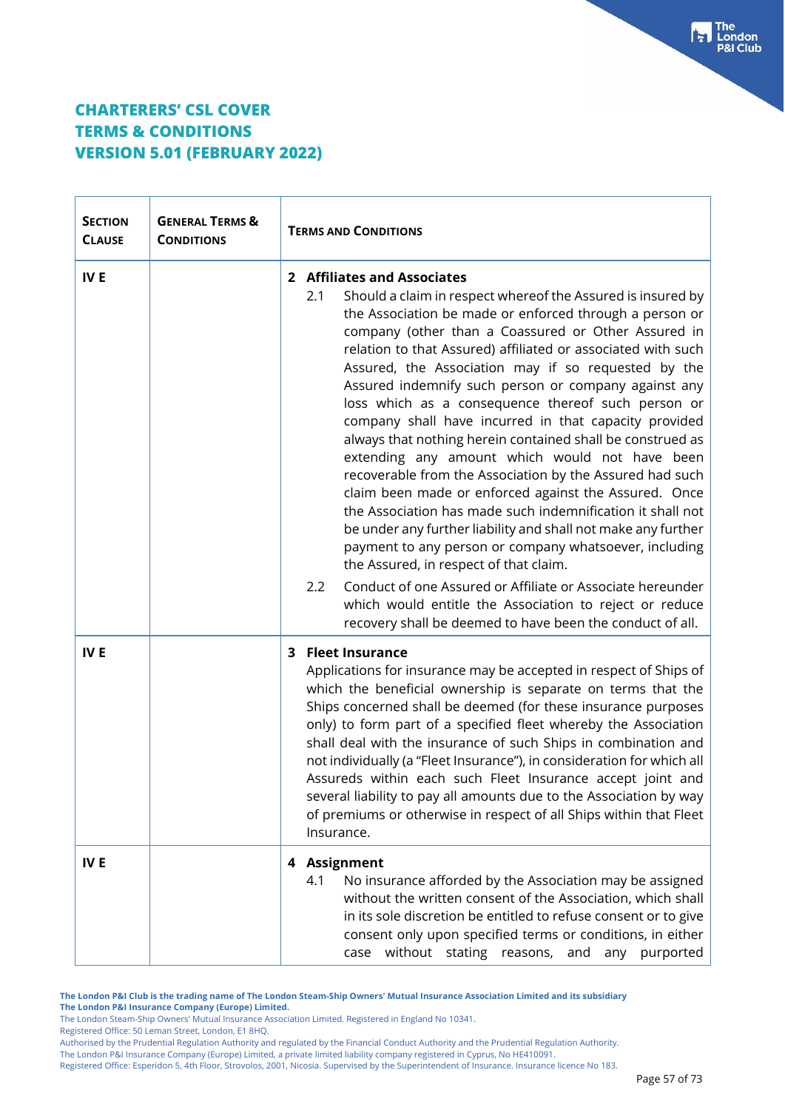$\overline{\mathbf{r}}$ 

 $\Gamma$ 

| <b>SECTION</b><br><b>CLAUSE</b> | <b>GENERAL TERMS &amp;</b><br><b>CONDITIONS</b> | <b>TERMS AND CONDITIONS</b>                                                                                                                                                                                                                                                                                                                                                                                                                                                                                                                                                                                                                                                                                                                                                                                                                                                                                                                                                                                                                                                                                                                                                                         |  |
|---------------------------------|-------------------------------------------------|-----------------------------------------------------------------------------------------------------------------------------------------------------------------------------------------------------------------------------------------------------------------------------------------------------------------------------------------------------------------------------------------------------------------------------------------------------------------------------------------------------------------------------------------------------------------------------------------------------------------------------------------------------------------------------------------------------------------------------------------------------------------------------------------------------------------------------------------------------------------------------------------------------------------------------------------------------------------------------------------------------------------------------------------------------------------------------------------------------------------------------------------------------------------------------------------------------|--|
| IV <sub>E</sub>                 |                                                 | 2 Affiliates and Associates<br>Should a claim in respect whereof the Assured is insured by<br>2.1<br>the Association be made or enforced through a person or<br>company (other than a Coassured or Other Assured in<br>relation to that Assured) affiliated or associated with such<br>Assured, the Association may if so requested by the<br>Assured indemnify such person or company against any<br>loss which as a consequence thereof such person or<br>company shall have incurred in that capacity provided<br>always that nothing herein contained shall be construed as<br>extending any amount which would not have been<br>recoverable from the Association by the Assured had such<br>claim been made or enforced against the Assured. Once<br>the Association has made such indemnification it shall not<br>be under any further liability and shall not make any further<br>payment to any person or company whatsoever, including<br>the Assured, in respect of that claim.<br>Conduct of one Assured or Affiliate or Associate hereunder<br>$2.2\phantom{0}$<br>which would entitle the Association to reject or reduce<br>recovery shall be deemed to have been the conduct of all. |  |
| IV <sub>E</sub>                 |                                                 | <b>Fleet Insurance</b><br>3<br>Applications for insurance may be accepted in respect of Ships of<br>which the beneficial ownership is separate on terms that the<br>Ships concerned shall be deemed (for these insurance purposes<br>only) to form part of a specified fleet whereby the Association<br>shall deal with the insurance of such Ships in combination and<br>not individually (a "Fleet Insurance"), in consideration for which all<br>Assureds within each such Fleet Insurance accept joint and<br>several liability to pay all amounts due to the Association by way<br>of premiums or otherwise in respect of all Ships within that Fleet<br>Insurance.                                                                                                                                                                                                                                                                                                                                                                                                                                                                                                                            |  |
| IV <sub>E</sub>                 |                                                 | 4 Assignment<br>No insurance afforded by the Association may be assigned<br>4.1<br>without the written consent of the Association, which shall<br>in its sole discretion be entitled to refuse consent or to give<br>consent only upon specified terms or conditions, in either<br>case without stating reasons, and any purported                                                                                                                                                                                                                                                                                                                                                                                                                                                                                                                                                                                                                                                                                                                                                                                                                                                                  |  |

**The London P&I Club is the trading name of The London Steam-Ship Owners' Mutual Insurance Association Limited and its subsidiary The London P&I Insurance Company (Europe) Limited.**

The London Steam-Ship Owners' Mutual Insurance Association Limited. Registered in England No 10341.

Registered Office: 50 Leman Street, London, E1 8HQ.

The London P&I Insurance Company (Europe) Limited, a private limited liability company registered in Cyprus, No HE410091.

Authorised by the Prudential Regulation Authority and regulated by the Financial Conduct Authority and the Prudential Regulation Authority.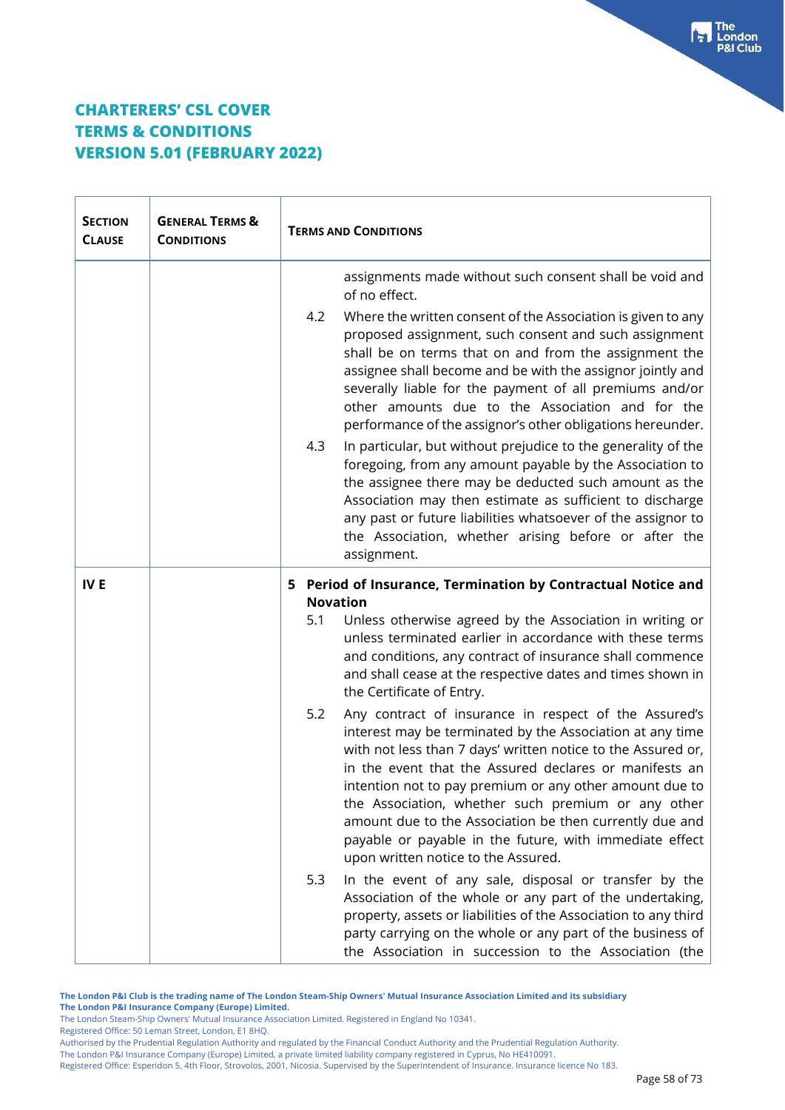| <b>SECTION</b><br><b>CLAUSE</b> | <b>GENERAL TERMS &amp;</b><br><b>CONDITIONS</b> | <b>TERMS AND CONDITIONS</b>                                                                                                                                                                                                                                                                                                                                                                                                                                                                                                                                                                                                                                                                                                                                                                                                                                                                                  |  |
|---------------------------------|-------------------------------------------------|--------------------------------------------------------------------------------------------------------------------------------------------------------------------------------------------------------------------------------------------------------------------------------------------------------------------------------------------------------------------------------------------------------------------------------------------------------------------------------------------------------------------------------------------------------------------------------------------------------------------------------------------------------------------------------------------------------------------------------------------------------------------------------------------------------------------------------------------------------------------------------------------------------------|--|
|                                 |                                                 | assignments made without such consent shall be void and<br>of no effect.<br>4.2<br>Where the written consent of the Association is given to any<br>proposed assignment, such consent and such assignment<br>shall be on terms that on and from the assignment the<br>assignee shall become and be with the assignor jointly and<br>severally liable for the payment of all premiums and/or<br>other amounts due to the Association and for the<br>performance of the assignor's other obligations hereunder.<br>In particular, but without prejudice to the generality of the<br>4.3<br>foregoing, from any amount payable by the Association to<br>the assignee there may be deducted such amount as the<br>Association may then estimate as sufficient to discharge<br>any past or future liabilities whatsoever of the assignor to<br>the Association, whether arising before or after the<br>assignment. |  |
| <b>IVE</b>                      |                                                 | 5 Period of Insurance, Termination by Contractual Notice and<br><b>Novation</b><br>Unless otherwise agreed by the Association in writing or<br>5.1<br>unless terminated earlier in accordance with these terms<br>and conditions, any contract of insurance shall commence<br>and shall cease at the respective dates and times shown in<br>the Certificate of Entry.                                                                                                                                                                                                                                                                                                                                                                                                                                                                                                                                        |  |
|                                 |                                                 | 5.2<br>Any contract of insurance in respect of the Assured's<br>interest may be terminated by the Association at any time<br>with not less than 7 days' written notice to the Assured or,<br>in the event that the Assured declares or manifests an<br>intention not to pay premium or any other amount due to<br>the Association, whether such premium or any other<br>amount due to the Association be then currently due and<br>payable or payable in the future, with immediate effect<br>upon written notice to the Assured.                                                                                                                                                                                                                                                                                                                                                                            |  |
|                                 |                                                 | 5.3<br>In the event of any sale, disposal or transfer by the<br>Association of the whole or any part of the undertaking,<br>property, assets or liabilities of the Association to any third<br>party carrying on the whole or any part of the business of<br>the Association in succession to the Association (the                                                                                                                                                                                                                                                                                                                                                                                                                                                                                                                                                                                           |  |

**The London P&I Club is the trading name of The London Steam-Ship Owners' Mutual Insurance Association Limited and its subsidiary The London P&I Insurance Company (Europe) Limited.**

The London Steam-Ship Owners' Mutual Insurance Association Limited. Registered in England No 10341.

Registered Office: 50 Leman Street, London, E1 8HQ.

Authorised by the Prudential Regulation Authority and regulated by the Financial Conduct Authority and the Prudential Regulation Authority.

The London P&I Insurance Company (Europe) Limited, a private limited liability company registered in Cyprus, No HE410091.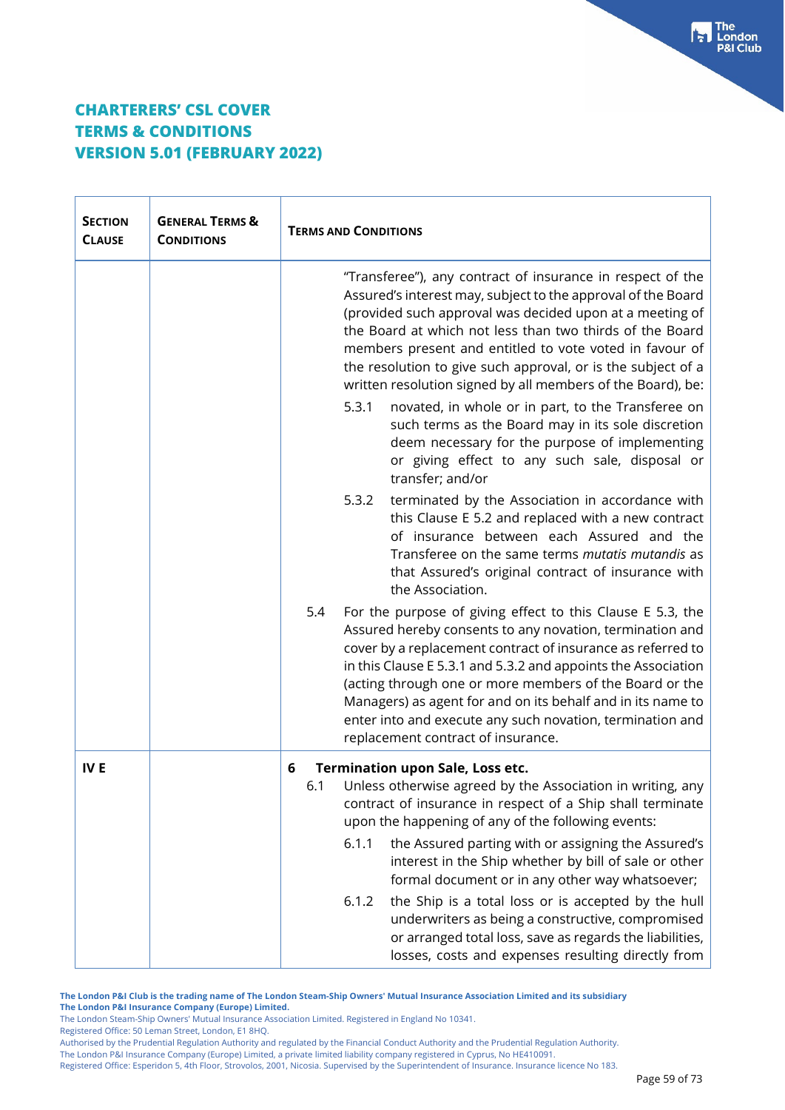$\top$ 

 $\Gamma$ 

| <b>SECTION</b><br><b>CLAUSE</b> | <b>GENERAL TERMS &amp;</b><br><b>CONDITIONS</b> | <b>TERMS AND CONDITIONS</b>                                                                                                                                                                                                                                                                                                                                                                                                                                                                                                                                                                                                                                                               |                                                                                                                                                                                                                            |
|---------------------------------|-------------------------------------------------|-------------------------------------------------------------------------------------------------------------------------------------------------------------------------------------------------------------------------------------------------------------------------------------------------------------------------------------------------------------------------------------------------------------------------------------------------------------------------------------------------------------------------------------------------------------------------------------------------------------------------------------------------------------------------------------------|----------------------------------------------------------------------------------------------------------------------------------------------------------------------------------------------------------------------------|
|                                 |                                                 | "Transferee"), any contract of insurance in respect of the<br>Assured's interest may, subject to the approval of the Board<br>(provided such approval was decided upon at a meeting of<br>the Board at which not less than two thirds of the Board<br>members present and entitled to vote voted in favour of<br>the resolution to give such approval, or is the subject of a<br>written resolution signed by all members of the Board), be:<br>novated, in whole or in part, to the Transferee on<br>5.3.1<br>such terms as the Board may in its sole discretion<br>deem necessary for the purpose of implementing<br>or giving effect to any such sale, disposal or<br>transfer; and/or |                                                                                                                                                                                                                            |
|                                 |                                                 | terminated by the Association in accordance with<br>5.3.2<br>this Clause E 5.2 and replaced with a new contract<br>of insurance between each Assured and the<br>Transferee on the same terms <i>mutatis mutandis</i> as<br>that Assured's original contract of insurance with<br>the Association.                                                                                                                                                                                                                                                                                                                                                                                         |                                                                                                                                                                                                                            |
|                                 |                                                 | For the purpose of giving effect to this Clause E 5.3, the<br>5.4<br>Assured hereby consents to any novation, termination and<br>cover by a replacement contract of insurance as referred to<br>in this Clause E 5.3.1 and 5.3.2 and appoints the Association<br>(acting through one or more members of the Board or the<br>Managers) as agent for and on its behalf and in its name to<br>enter into and execute any such novation, termination and<br>replacement contract of insurance.                                                                                                                                                                                                |                                                                                                                                                                                                                            |
| IV <sub>E</sub>                 |                                                 | <b>Termination upon Sale, Loss etc.</b><br>6<br>Unless otherwise agreed by the Association in writing, any<br>6.1<br>contract of insurance in respect of a Ship shall terminate<br>upon the happening of any of the following events:                                                                                                                                                                                                                                                                                                                                                                                                                                                     |                                                                                                                                                                                                                            |
|                                 |                                                 | 6.1.1                                                                                                                                                                                                                                                                                                                                                                                                                                                                                                                                                                                                                                                                                     | the Assured parting with or assigning the Assured's<br>interest in the Ship whether by bill of sale or other<br>formal document or in any other way whatsoever;                                                            |
|                                 |                                                 | 6.1.2                                                                                                                                                                                                                                                                                                                                                                                                                                                                                                                                                                                                                                                                                     | the Ship is a total loss or is accepted by the hull<br>underwriters as being a constructive, compromised<br>or arranged total loss, save as regards the liabilities,<br>losses, costs and expenses resulting directly from |

**The London P&I Club is the trading name of The London Steam-Ship Owners' Mutual Insurance Association Limited and its subsidiary The London P&I Insurance Company (Europe) Limited.**

The London Steam-Ship Owners' Mutual Insurance Association Limited. Registered in England No 10341.

Registered Office: 50 Leman Street, London, E1 8HQ.

Authorised by the Prudential Regulation Authority and regulated by the Financial Conduct Authority and the Prudential Regulation Authority.

The London P&I Insurance Company (Europe) Limited, a private limited liability company registered in Cyprus, No HE410091.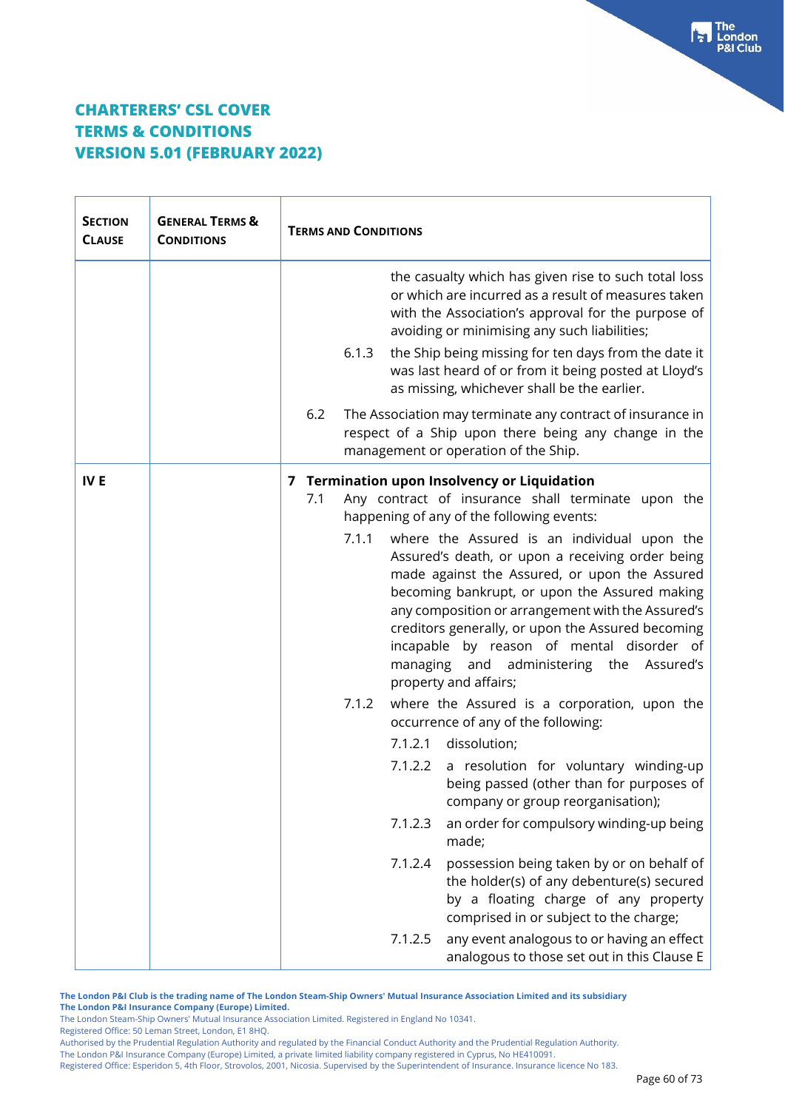$\mathbf{r}$ 

| <b>SECTION</b><br><b>CLAUSE</b> | <b>GENERAL TERMS &amp;</b><br><b>CONDITIONS</b> | <b>TERMS AND CONDITIONS</b>                                                                                                                                                                                                                                                           |                                                                                                                                                                                                                                                                                                                                                                                                                                                                                                                                                                                                                                                                                                                                                                                                                                                                                                                                                 |
|---------------------------------|-------------------------------------------------|---------------------------------------------------------------------------------------------------------------------------------------------------------------------------------------------------------------------------------------------------------------------------------------|-------------------------------------------------------------------------------------------------------------------------------------------------------------------------------------------------------------------------------------------------------------------------------------------------------------------------------------------------------------------------------------------------------------------------------------------------------------------------------------------------------------------------------------------------------------------------------------------------------------------------------------------------------------------------------------------------------------------------------------------------------------------------------------------------------------------------------------------------------------------------------------------------------------------------------------------------|
|                                 |                                                 | avoiding or minimising any such liabilities;                                                                                                                                                                                                                                          | the casualty which has given rise to such total loss<br>or which are incurred as a result of measures taken<br>with the Association's approval for the purpose of                                                                                                                                                                                                                                                                                                                                                                                                                                                                                                                                                                                                                                                                                                                                                                               |
|                                 |                                                 | 6.1.3<br>as missing, whichever shall be the earlier.                                                                                                                                                                                                                                  | the Ship being missing for ten days from the date it<br>was last heard of or from it being posted at Lloyd's                                                                                                                                                                                                                                                                                                                                                                                                                                                                                                                                                                                                                                                                                                                                                                                                                                    |
|                                 |                                                 | 6.2<br>management or operation of the Ship.                                                                                                                                                                                                                                           | The Association may terminate any contract of insurance in<br>respect of a Ship upon there being any change in the                                                                                                                                                                                                                                                                                                                                                                                                                                                                                                                                                                                                                                                                                                                                                                                                                              |
| IV <sub>E</sub>                 |                                                 | 7 Termination upon Insolvency or Liquidation<br>7.1<br>happening of any of the following events:<br>7.1.1<br>and<br>managing<br>property and affairs;<br>7.1.2<br>occurrence of any of the following:<br>dissolution;<br>7.1.2.1<br>7.1.2.2<br>7.1.2.3<br>made;<br>7.1.2.4<br>7.1.2.5 | Any contract of insurance shall terminate upon the<br>where the Assured is an individual upon the<br>Assured's death, or upon a receiving order being<br>made against the Assured, or upon the Assured<br>becoming bankrupt, or upon the Assured making<br>any composition or arrangement with the Assured's<br>creditors generally, or upon the Assured becoming<br>incapable by reason of mental disorder of<br>administering the<br>Assured's<br>where the Assured is a corporation, upon the<br>a resolution for voluntary winding-up<br>being passed (other than for purposes of<br>company or group reorganisation);<br>an order for compulsory winding-up being<br>possession being taken by or on behalf of<br>the holder(s) of any debenture(s) secured<br>by a floating charge of any property<br>comprised in or subject to the charge;<br>any event analogous to or having an effect<br>analogous to those set out in this Clause E |

**The London P&I Club is the trading name of The London Steam-Ship Owners' Mutual Insurance Association Limited and its subsidiary The London P&I Insurance Company (Europe) Limited.**

The London Steam-Ship Owners' Mutual Insurance Association Limited. Registered in England No 10341.

Registered Office: 50 Leman Street, London, E1 8HQ.

Authorised by the Prudential Regulation Authority and regulated by the Financial Conduct Authority and the Prudential Regulation Authority.

The London P&I Insurance Company (Europe) Limited, a private limited liability company registered in Cyprus, No HE410091.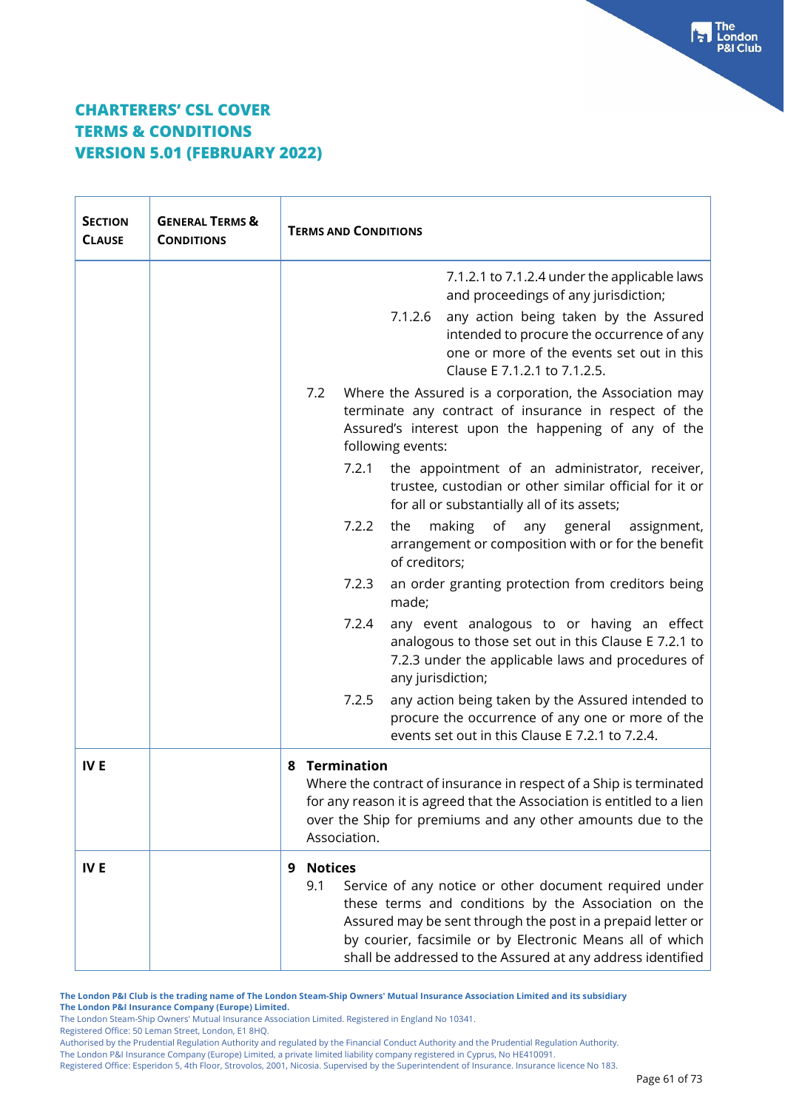| <b>SECTION</b><br><b>CLAUSE</b> | <b>GENERAL TERMS &amp;</b><br><b>CONDITIONS</b> | <b>TERMS AND CONDITIONS</b>                                                                                                                                                                                                                                                                                                             |  |
|---------------------------------|-------------------------------------------------|-----------------------------------------------------------------------------------------------------------------------------------------------------------------------------------------------------------------------------------------------------------------------------------------------------------------------------------------|--|
|                                 |                                                 | 7.1.2.1 to 7.1.2.4 under the applicable laws<br>and proceedings of any jurisdiction;<br>7.1.2.6<br>any action being taken by the Assured<br>intended to procure the occurrence of any<br>one or more of the events set out in this<br>Clause E 7.1.2.1 to 7.1.2.5.                                                                      |  |
|                                 |                                                 | 7.2<br>Where the Assured is a corporation, the Association may<br>terminate any contract of insurance in respect of the<br>Assured's interest upon the happening of any of the<br>following events:                                                                                                                                     |  |
|                                 |                                                 | 7.2.1<br>the appointment of an administrator, receiver,<br>trustee, custodian or other similar official for it or<br>for all or substantially all of its assets;                                                                                                                                                                        |  |
|                                 |                                                 | 7.2.2<br>the<br>making<br>of<br>any general<br>assignment,<br>arrangement or composition with or for the benefit<br>of creditors;                                                                                                                                                                                                       |  |
|                                 |                                                 | 7.2.3<br>an order granting protection from creditors being<br>made;                                                                                                                                                                                                                                                                     |  |
|                                 |                                                 | 7.2.4<br>any event analogous to or having an effect<br>analogous to those set out in this Clause E 7.2.1 to<br>7.2.3 under the applicable laws and procedures of<br>any jurisdiction;                                                                                                                                                   |  |
|                                 |                                                 | 7.2.5<br>any action being taken by the Assured intended to<br>procure the occurrence of any one or more of the<br>events set out in this Clause E 7.2.1 to 7.2.4.                                                                                                                                                                       |  |
| IV <sub>E</sub>                 |                                                 | <b>Termination</b><br>8<br>Where the contract of insurance in respect of a Ship is terminated<br>for any reason it is agreed that the Association is entitled to a lien<br>over the Ship for premiums and any other amounts due to the<br>Association.                                                                                  |  |
| IV <sub>E</sub>                 |                                                 | <b>Notices</b><br>9<br>9.1<br>Service of any notice or other document required under<br>these terms and conditions by the Association on the<br>Assured may be sent through the post in a prepaid letter or<br>by courier, facsimile or by Electronic Means all of which<br>shall be addressed to the Assured at any address identified |  |

**The London P&I Club is the trading name of The London Steam-Ship Owners' Mutual Insurance Association Limited and its subsidiary The London P&I Insurance Company (Europe) Limited.**

The London Steam-Ship Owners' Mutual Insurance Association Limited. Registered in England No 10341.

Registered Office: 50 Leman Street, London, E1 8HQ.

The London P&I Insurance Company (Europe) Limited, a private limited liability company registered in Cyprus, No HE410091.

Registered Office: Esperidon 5, 4th Floor, Strovolos, 2001, Nicosia. Supervised by the Superintendent of Insurance. Insurance licence No 183.

Franch<br>P&I Club<br>P&I Club

Authorised by the Prudential Regulation Authority and regulated by the Financial Conduct Authority and the Prudential Regulation Authority.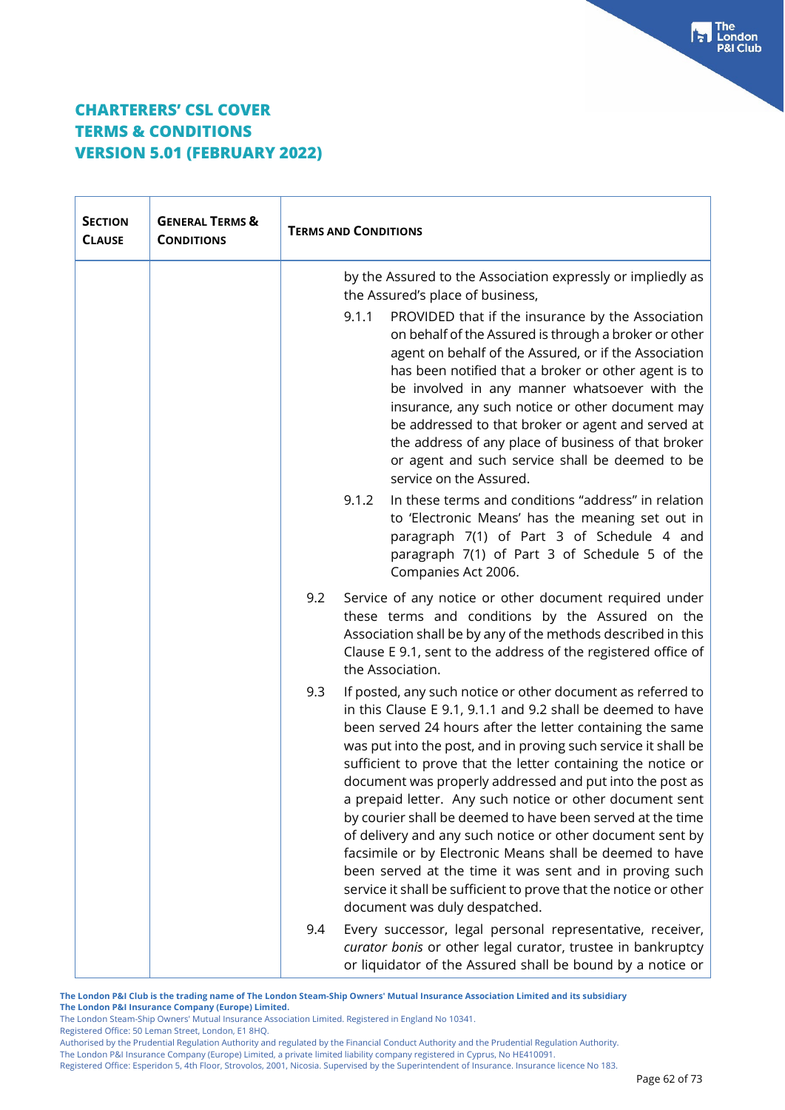| <b>SECTION</b><br><b>CLAUSE</b> | <b>GENERAL TERMS &amp;</b><br><b>CONDITIONS</b> | <b>TERMS AND CONDITIONS</b>                                                                                                                                                                                                                                                                                                                                                                                                                                                                                                                                                                                                                                                                                                                                                                                     |  |
|---------------------------------|-------------------------------------------------|-----------------------------------------------------------------------------------------------------------------------------------------------------------------------------------------------------------------------------------------------------------------------------------------------------------------------------------------------------------------------------------------------------------------------------------------------------------------------------------------------------------------------------------------------------------------------------------------------------------------------------------------------------------------------------------------------------------------------------------------------------------------------------------------------------------------|--|
|                                 |                                                 | by the Assured to the Association expressly or impliedly as<br>the Assured's place of business,                                                                                                                                                                                                                                                                                                                                                                                                                                                                                                                                                                                                                                                                                                                 |  |
|                                 |                                                 | 9.1.1<br>PROVIDED that if the insurance by the Association<br>on behalf of the Assured is through a broker or other<br>agent on behalf of the Assured, or if the Association<br>has been notified that a broker or other agent is to<br>be involved in any manner whatsoever with the<br>insurance, any such notice or other document may<br>be addressed to that broker or agent and served at<br>the address of any place of business of that broker<br>or agent and such service shall be deemed to be<br>service on the Assured.                                                                                                                                                                                                                                                                            |  |
|                                 |                                                 | In these terms and conditions "address" in relation<br>9.1.2<br>to 'Electronic Means' has the meaning set out in<br>paragraph 7(1) of Part 3 of Schedule 4 and<br>paragraph 7(1) of Part 3 of Schedule 5 of the<br>Companies Act 2006.                                                                                                                                                                                                                                                                                                                                                                                                                                                                                                                                                                          |  |
|                                 |                                                 | 9.2<br>Service of any notice or other document required under<br>these terms and conditions by the Assured on the<br>Association shall be by any of the methods described in this<br>Clause E 9.1, sent to the address of the registered office of<br>the Association.                                                                                                                                                                                                                                                                                                                                                                                                                                                                                                                                          |  |
|                                 |                                                 | 9.3<br>If posted, any such notice or other document as referred to<br>in this Clause E 9.1, 9.1.1 and 9.2 shall be deemed to have<br>been served 24 hours after the letter containing the same<br>was put into the post, and in proving such service it shall be<br>sufficient to prove that the letter containing the notice or<br>document was properly addressed and put into the post as<br>a prepaid letter. Any such notice or other document sent<br>by courier shall be deemed to have been served at the time<br>of delivery and any such notice or other document sent by<br>facsimile or by Electronic Means shall be deemed to have<br>been served at the time it was sent and in proving such<br>service it shall be sufficient to prove that the notice or other<br>document was duly despatched. |  |
|                                 |                                                 | 9.4<br>Every successor, legal personal representative, receiver,<br>curator bonis or other legal curator, trustee in bankruptcy<br>or liquidator of the Assured shall be bound by a notice or                                                                                                                                                                                                                                                                                                                                                                                                                                                                                                                                                                                                                   |  |

**The London P&I Club is the trading name of The London Steam-Ship Owners' Mutual Insurance Association Limited and its subsidiary The London P&I Insurance Company (Europe) Limited.**

The London Steam-Ship Owners' Mutual Insurance Association Limited. Registered in England No 10341.

Registered Office: 50 Leman Street, London, E1 8HQ.

Authorised by the Prudential Regulation Authority and regulated by the Financial Conduct Authority and the Prudential Regulation Authority.

The London P&I Insurance Company (Europe) Limited, a private limited liability company registered in Cyprus, No HE410091.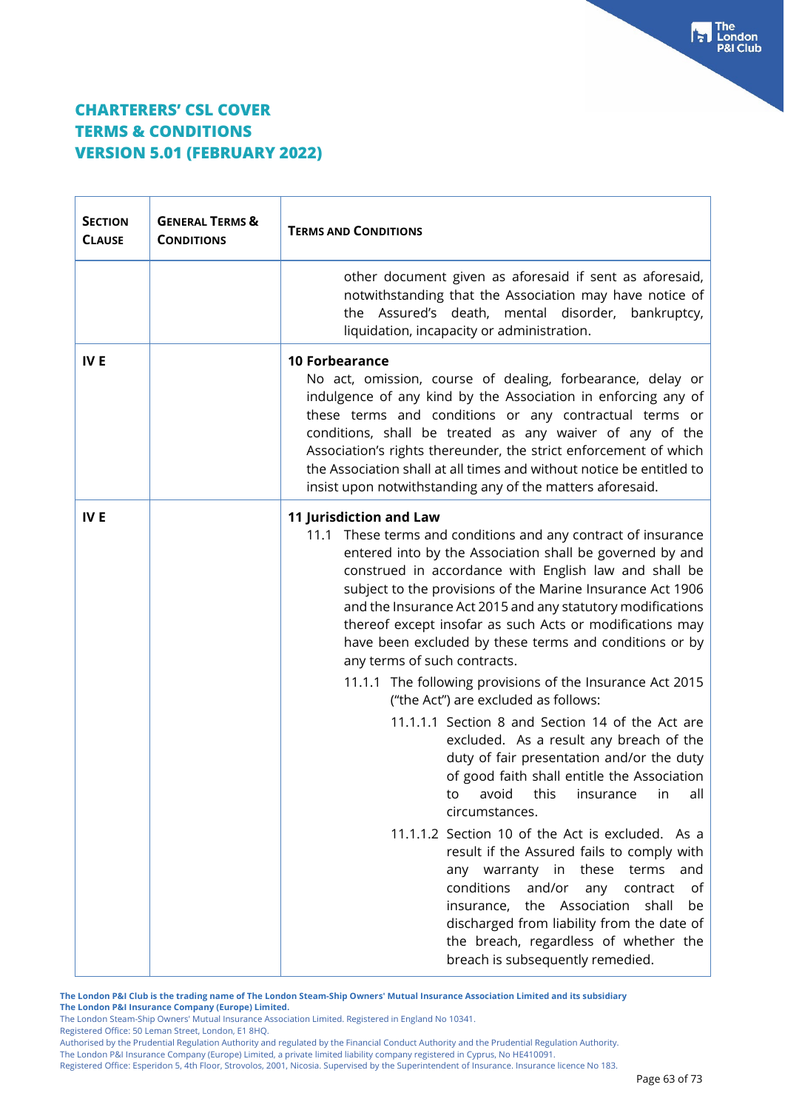| <b>SECTION</b><br><b>CLAUSE</b> | <b>GENERAL TERMS &amp;</b><br><b>CONDITIONS</b> | <b>TERMS AND CONDITIONS</b>                                                                                                                                                                                                                                                                                                                                                                                                                                                                                                                                                                                                                                                                                                                                                                                                                                                                                                                                                                                                                                                                                                                                                                                     |  |
|---------------------------------|-------------------------------------------------|-----------------------------------------------------------------------------------------------------------------------------------------------------------------------------------------------------------------------------------------------------------------------------------------------------------------------------------------------------------------------------------------------------------------------------------------------------------------------------------------------------------------------------------------------------------------------------------------------------------------------------------------------------------------------------------------------------------------------------------------------------------------------------------------------------------------------------------------------------------------------------------------------------------------------------------------------------------------------------------------------------------------------------------------------------------------------------------------------------------------------------------------------------------------------------------------------------------------|--|
|                                 |                                                 | other document given as aforesaid if sent as aforesaid,<br>notwithstanding that the Association may have notice of<br>the Assured's death, mental disorder, bankruptcy,<br>liquidation, incapacity or administration.                                                                                                                                                                                                                                                                                                                                                                                                                                                                                                                                                                                                                                                                                                                                                                                                                                                                                                                                                                                           |  |
| <b>IVE</b>                      |                                                 | <b>10 Forbearance</b><br>No act, omission, course of dealing, forbearance, delay or<br>indulgence of any kind by the Association in enforcing any of<br>these terms and conditions or any contractual terms or<br>conditions, shall be treated as any waiver of any of the<br>Association's rights thereunder, the strict enforcement of which<br>the Association shall at all times and without notice be entitled to<br>insist upon notwithstanding any of the matters aforesaid.                                                                                                                                                                                                                                                                                                                                                                                                                                                                                                                                                                                                                                                                                                                             |  |
| <b>IVE</b>                      |                                                 | <b>11 Jurisdiction and Law</b><br>11.1 These terms and conditions and any contract of insurance<br>entered into by the Association shall be governed by and<br>construed in accordance with English law and shall be<br>subject to the provisions of the Marine Insurance Act 1906<br>and the Insurance Act 2015 and any statutory modifications<br>thereof except insofar as such Acts or modifications may<br>have been excluded by these terms and conditions or by<br>any terms of such contracts.<br>11.1.1 The following provisions of the Insurance Act 2015<br>("the Act") are excluded as follows:<br>11.1.1.1 Section 8 and Section 14 of the Act are<br>excluded. As a result any breach of the<br>duty of fair presentation and/or the duty<br>of good faith shall entitle the Association<br>to avoid this insurance in all<br>circumstances.<br>11.1.1.2 Section 10 of the Act is excluded. As a<br>result if the Assured fails to comply with<br>any warranty in these terms and<br>conditions and/or any contract<br>of<br>insurance, the Association<br>shall<br>be<br>discharged from liability from the date of<br>the breach, regardless of whether the<br>breach is subsequently remedied. |  |

**The London P&I Club is the trading name of The London Steam-Ship Owners' Mutual Insurance Association Limited and its subsidiary The London P&I Insurance Company (Europe) Limited.**

The London Steam-Ship Owners' Mutual Insurance Association Limited. Registered in England No 10341.

Registered Office: 50 Leman Street, London, E1 8HQ.

Authorised by the Prudential Regulation Authority and regulated by the Financial Conduct Authority and the Prudential Regulation Authority.

The London P&I Insurance Company (Europe) Limited, a private limited liability company registered in Cyprus, No HE410091.

Registered Office: Esperidon 5, 4th Floor, Strovolos, 2001, Nicosia. Supervised by the Superintendent of Insurance. Insurance licence No 183.

The<br>London

**P&I Club** 

ьI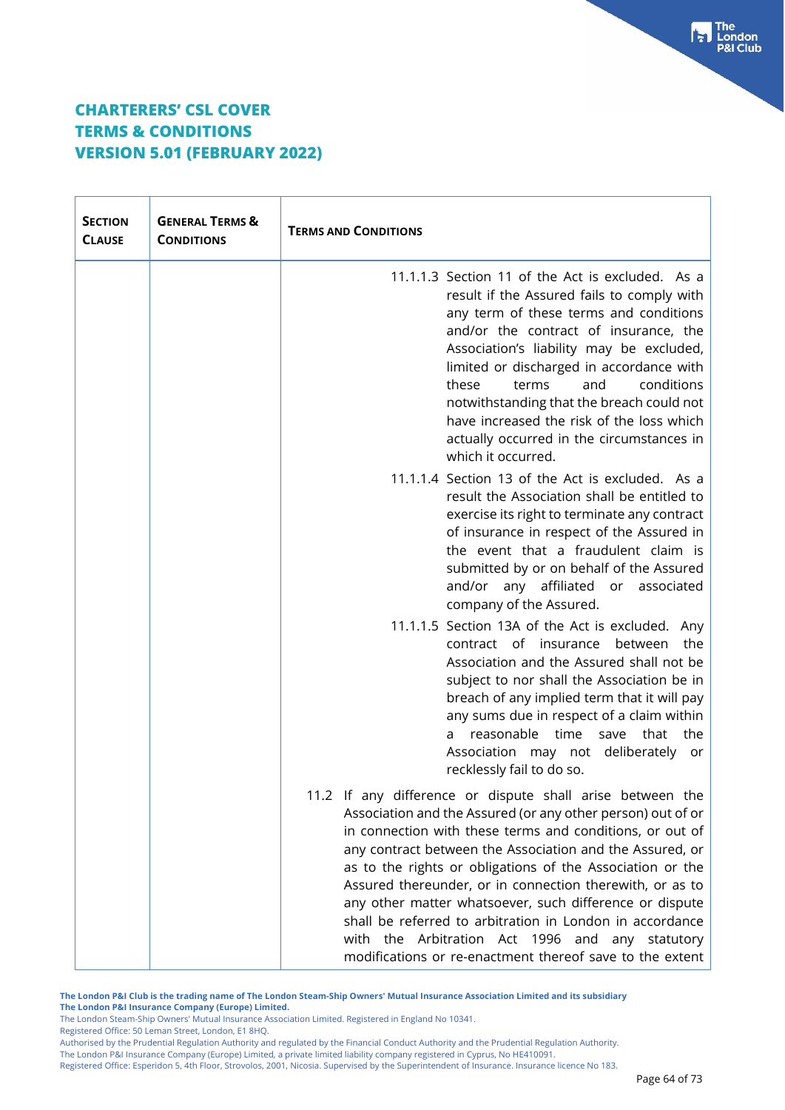| <b>SECTION</b><br><b>CLAUSE</b> | <b>GENERAL TERMS &amp;</b><br><b>CONDITIONS</b> | <b>TERMS AND CONDITIONS</b>                                                                                                                                                                                                                                                                                                                                                                                                                                                                                                                                                                                     |
|---------------------------------|-------------------------------------------------|-----------------------------------------------------------------------------------------------------------------------------------------------------------------------------------------------------------------------------------------------------------------------------------------------------------------------------------------------------------------------------------------------------------------------------------------------------------------------------------------------------------------------------------------------------------------------------------------------------------------|
|                                 |                                                 | 11.1.1.3 Section 11 of the Act is excluded. As a<br>result if the Assured fails to comply with<br>any term of these terms and conditions<br>and/or the contract of insurance, the<br>Association's liability may be excluded,<br>limited or discharged in accordance with<br>and<br>conditions<br>these<br>terms<br>notwithstanding that the breach could not<br>have increased the risk of the loss which<br>actually occurred in the circumstances in<br>which it occurred.                                                                                                                                   |
|                                 |                                                 | 11.1.1.4 Section 13 of the Act is excluded. As a<br>result the Association shall be entitled to<br>exercise its right to terminate any contract<br>of insurance in respect of the Assured in<br>the event that a fraudulent claim is<br>submitted by or on behalf of the Assured<br>any affiliated or<br>and/or<br>associated<br>company of the Assured.                                                                                                                                                                                                                                                        |
|                                 |                                                 | 11.1.1.5 Section 13A of the Act is excluded. Any<br>contract of<br>insurance<br>between<br>the<br>Association and the Assured shall not be<br>subject to nor shall the Association be in<br>breach of any implied term that it will pay<br>any sums due in respect of a claim within<br>reasonable time<br>that<br>save<br>the<br>a<br>Association may not deliberately or<br>recklessly fail to do so.                                                                                                                                                                                                         |
|                                 |                                                 | 11.2 If any difference or dispute shall arise between the<br>Association and the Assured (or any other person) out of or<br>in connection with these terms and conditions, or out of<br>any contract between the Association and the Assured, or<br>as to the rights or obligations of the Association or the<br>Assured thereunder, or in connection therewith, or as to<br>any other matter whatsoever, such difference or dispute<br>shall be referred to arbitration in London in accordance<br>with the Arbitration Act 1996 and any statutory<br>modifications or re-enactment thereof save to the extent |

**The London P&I Club is the trading name of The London Steam-Ship Owners' Mutual Insurance Association Limited and its subsidiary The London P&I Insurance Company (Europe) Limited.**

The London Steam-Ship Owners' Mutual Insurance Association Limited. Registered in England No 10341.

Registered Office: 50 Leman Street, London, E1 8HQ.

Authorised by the Prudential Regulation Authority and regulated by the Financial Conduct Authority and the Prudential Regulation Authority.

The London P&I Insurance Company (Europe) Limited, a private limited liability company registered in Cyprus, No HE410091.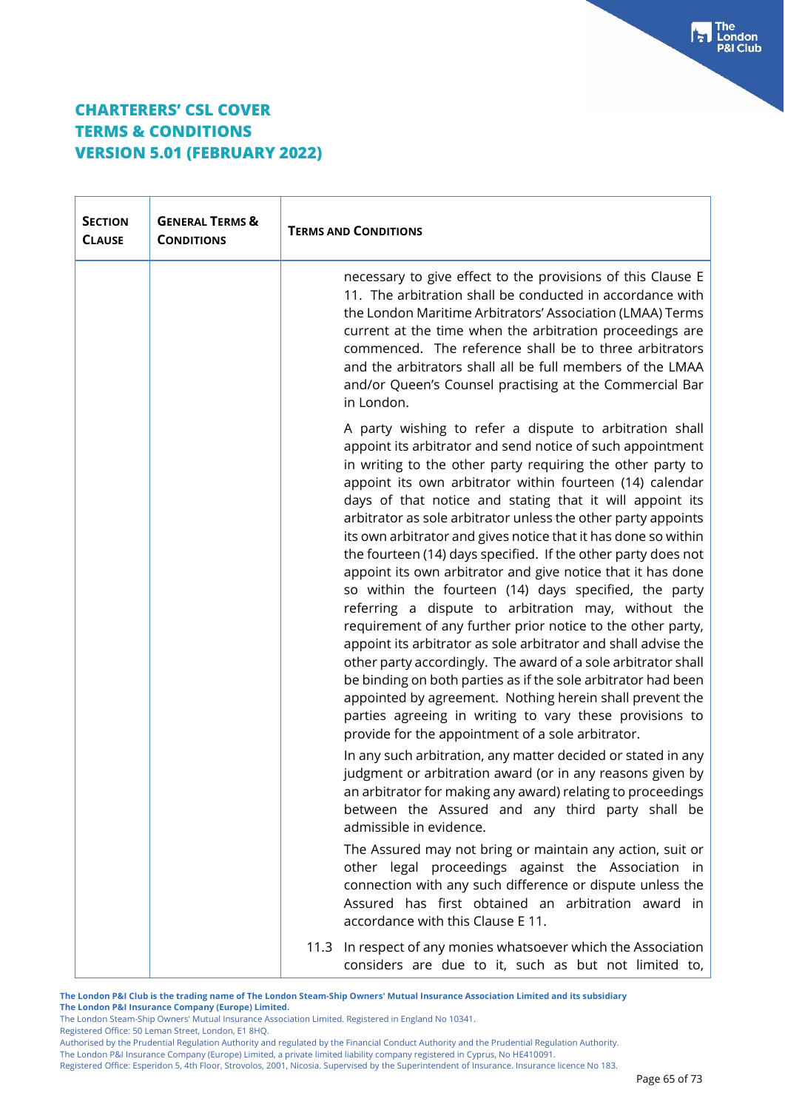Ť

 $\mathsf{r}$ 

| <b>SECTION</b><br><b>CLAUSE</b> | <b>GENERAL TERMS &amp;</b><br><b>CONDITIONS</b> | <b>TERMS AND CONDITIONS</b>                                                                                                                                                                                                                                                                                                                                                                                                                                                                                                                                                                                                                                                                                                                                                                                                                                                                                                                                                                                                                                                                                                                   |  |
|---------------------------------|-------------------------------------------------|-----------------------------------------------------------------------------------------------------------------------------------------------------------------------------------------------------------------------------------------------------------------------------------------------------------------------------------------------------------------------------------------------------------------------------------------------------------------------------------------------------------------------------------------------------------------------------------------------------------------------------------------------------------------------------------------------------------------------------------------------------------------------------------------------------------------------------------------------------------------------------------------------------------------------------------------------------------------------------------------------------------------------------------------------------------------------------------------------------------------------------------------------|--|
|                                 |                                                 | necessary to give effect to the provisions of this Clause E<br>11. The arbitration shall be conducted in accordance with<br>the London Maritime Arbitrators' Association (LMAA) Terms<br>current at the time when the arbitration proceedings are<br>commenced. The reference shall be to three arbitrators<br>and the arbitrators shall all be full members of the LMAA<br>and/or Queen's Counsel practising at the Commercial Bar<br>in London.                                                                                                                                                                                                                                                                                                                                                                                                                                                                                                                                                                                                                                                                                             |  |
|                                 |                                                 | A party wishing to refer a dispute to arbitration shall<br>appoint its arbitrator and send notice of such appointment<br>in writing to the other party requiring the other party to<br>appoint its own arbitrator within fourteen (14) calendar<br>days of that notice and stating that it will appoint its<br>arbitrator as sole arbitrator unless the other party appoints<br>its own arbitrator and gives notice that it has done so within<br>the fourteen (14) days specified. If the other party does not<br>appoint its own arbitrator and give notice that it has done<br>so within the fourteen (14) days specified, the party<br>referring a dispute to arbitration may, without the<br>requirement of any further prior notice to the other party,<br>appoint its arbitrator as sole arbitrator and shall advise the<br>other party accordingly. The award of a sole arbitrator shall<br>be binding on both parties as if the sole arbitrator had been<br>appointed by agreement. Nothing herein shall prevent the<br>parties agreeing in writing to vary these provisions to<br>provide for the appointment of a sole arbitrator. |  |
|                                 |                                                 | In any such arbitration, any matter decided or stated in any<br>judgment or arbitration award (or in any reasons given by<br>an arbitrator for making any award) relating to proceedings<br>between the Assured and any third party shall be<br>admissible in evidence.                                                                                                                                                                                                                                                                                                                                                                                                                                                                                                                                                                                                                                                                                                                                                                                                                                                                       |  |
|                                 |                                                 | The Assured may not bring or maintain any action, suit or<br>other legal proceedings against the Association in<br>connection with any such difference or dispute unless the<br>Assured has first obtained an arbitration award in<br>accordance with this Clause E 11.                                                                                                                                                                                                                                                                                                                                                                                                                                                                                                                                                                                                                                                                                                                                                                                                                                                                       |  |
|                                 |                                                 | 11.3 In respect of any monies whatsoever which the Association<br>considers are due to it, such as but not limited to,                                                                                                                                                                                                                                                                                                                                                                                                                                                                                                                                                                                                                                                                                                                                                                                                                                                                                                                                                                                                                        |  |

**The London P&I Club is the trading name of The London Steam-Ship Owners' Mutual Insurance Association Limited and its subsidiary The London P&I Insurance Company (Europe) Limited.**

The London Steam-Ship Owners' Mutual Insurance Association Limited. Registered in England No 10341.

Registered Office: 50 Leman Street, London, E1 8HQ.

Authorised by the Prudential Regulation Authority and regulated by the Financial Conduct Authority and the Prudential Regulation Authority.

The London P&I Insurance Company (Europe) Limited, a private limited liability company registered in Cyprus, No HE410091.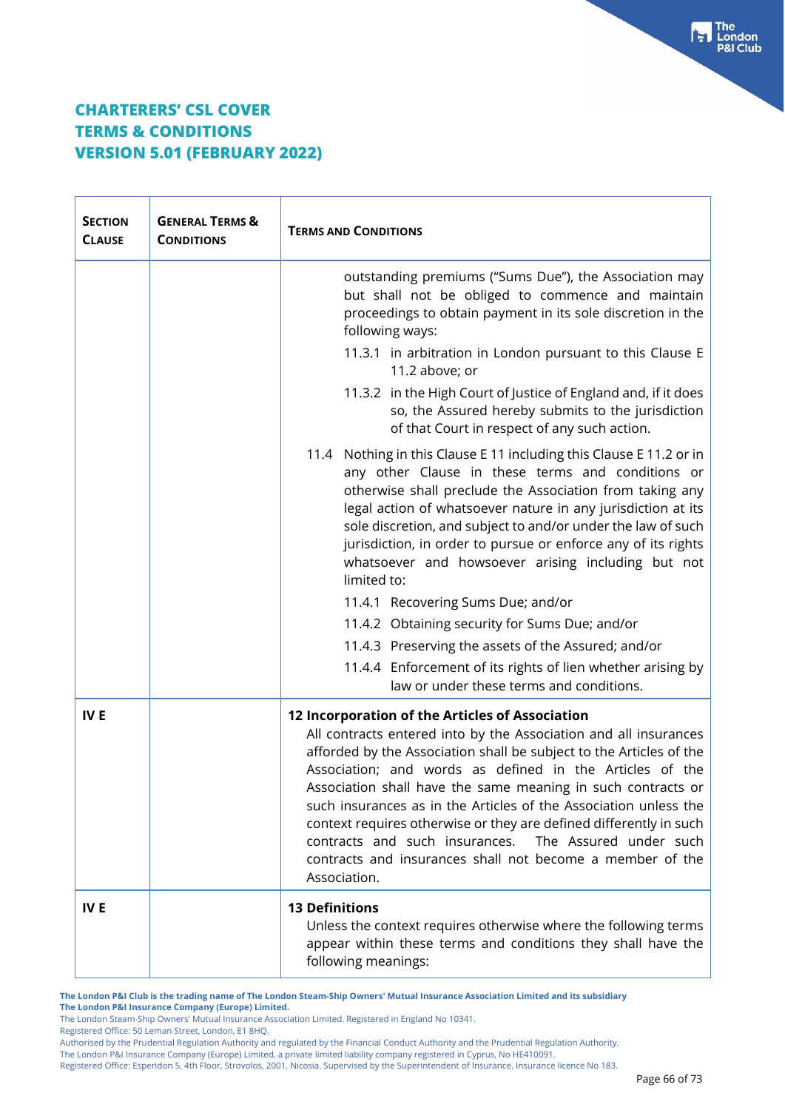| <b>SECTION</b><br><b>CLAUSE</b> | <b>GENERAL TERMS &amp;</b><br><b>CONDITIONS</b> | <b>TERMS AND CONDITIONS</b>                                                                                                                                                                                                                                                                                                                                                                                                                                                                                                                                                                               |  |
|---------------------------------|-------------------------------------------------|-----------------------------------------------------------------------------------------------------------------------------------------------------------------------------------------------------------------------------------------------------------------------------------------------------------------------------------------------------------------------------------------------------------------------------------------------------------------------------------------------------------------------------------------------------------------------------------------------------------|--|
|                                 |                                                 | outstanding premiums ("Sums Due"), the Association may<br>but shall not be obliged to commence and maintain<br>proceedings to obtain payment in its sole discretion in the<br>following ways:                                                                                                                                                                                                                                                                                                                                                                                                             |  |
|                                 |                                                 | 11.3.1 in arbitration in London pursuant to this Clause E<br>11.2 above; or                                                                                                                                                                                                                                                                                                                                                                                                                                                                                                                               |  |
|                                 |                                                 | 11.3.2 in the High Court of Justice of England and, if it does<br>so, the Assured hereby submits to the jurisdiction<br>of that Court in respect of any such action.                                                                                                                                                                                                                                                                                                                                                                                                                                      |  |
|                                 |                                                 | 11.4 Nothing in this Clause E 11 including this Clause E 11.2 or in<br>any other Clause in these terms and conditions or<br>otherwise shall preclude the Association from taking any<br>legal action of whatsoever nature in any jurisdiction at its<br>sole discretion, and subject to and/or under the law of such<br>jurisdiction, in order to pursue or enforce any of its rights<br>whatsoever and howsoever arising including but not<br>limited to:<br>11.4.1 Recovering Sums Due; and/or<br>11.4.2 Obtaining security for Sums Due; and/or<br>11.4.3 Preserving the assets of the Assured; and/or |  |
|                                 |                                                 | 11.4.4 Enforcement of its rights of lien whether arising by<br>law or under these terms and conditions.                                                                                                                                                                                                                                                                                                                                                                                                                                                                                                   |  |
| IV <sub>E</sub>                 |                                                 | 12 Incorporation of the Articles of Association<br>All contracts entered into by the Association and all insurances<br>afforded by the Association shall be subject to the Articles of the<br>Association; and words as defined in the Articles of the<br>Association shall have the same meaning in such contracts or<br>such insurances as in the Articles of the Association unless the<br>context requires otherwise or they are defined differently in such<br>contracts and such insurances.<br>The Assured under such<br>contracts and insurances shall not become a member of the<br>Association. |  |
| <b>IVE</b>                      |                                                 | <b>13 Definitions</b><br>Unless the context requires otherwise where the following terms<br>appear within these terms and conditions they shall have the<br>following meanings:                                                                                                                                                                                                                                                                                                                                                                                                                           |  |

**The London P&I Club is the trading name of The London Steam-Ship Owners' Mutual Insurance Association Limited and its subsidiary The London P&I Insurance Company (Europe) Limited.**

The London Steam-Ship Owners' Mutual Insurance Association Limited. Registered in England No 10341.

Registered Office: 50 Leman Street, London, E1 8HQ.

Authorised by the Prudential Regulation Authority and regulated by the Financial Conduct Authority and the Prudential Regulation Authority.

The London P&I Insurance Company (Europe) Limited, a private limited liability company registered in Cyprus, No HE410091.

Registered Office: Esperidon 5, 4th Floor, Strovolos, 2001, Nicosia. Supervised by the Superintendent of Insurance. Insurance licence No 183.

The<br>London

**P&I Club** 

ьI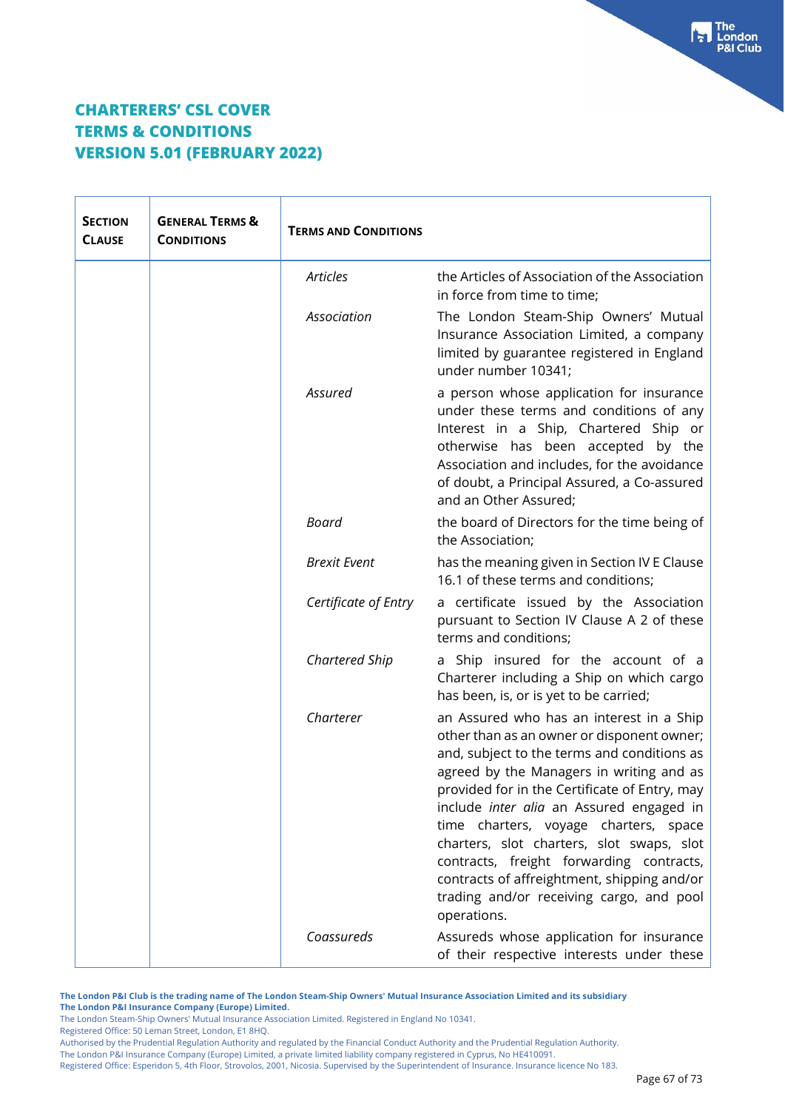| <b>SECTION</b><br><b>CLAUSE</b> | <b>GENERAL TERMS &amp;</b><br><b>CONDITIONS</b> | <b>TERMS AND CONDITIONS</b> |                                                                                                                                                                                                                                                                                                                                                                                                                                                                                                                                   |
|---------------------------------|-------------------------------------------------|-----------------------------|-----------------------------------------------------------------------------------------------------------------------------------------------------------------------------------------------------------------------------------------------------------------------------------------------------------------------------------------------------------------------------------------------------------------------------------------------------------------------------------------------------------------------------------|
|                                 |                                                 | <b>Articles</b>             | the Articles of Association of the Association<br>in force from time to time;                                                                                                                                                                                                                                                                                                                                                                                                                                                     |
|                                 |                                                 | Association                 | The London Steam-Ship Owners' Mutual<br>Insurance Association Limited, a company<br>limited by guarantee registered in England<br>under number 10341;                                                                                                                                                                                                                                                                                                                                                                             |
|                                 |                                                 | Assured                     | a person whose application for insurance<br>under these terms and conditions of any<br>Interest in a Ship, Chartered Ship or<br>otherwise has been accepted by the<br>Association and includes, for the avoidance<br>of doubt, a Principal Assured, a Co-assured<br>and an Other Assured;                                                                                                                                                                                                                                         |
|                                 |                                                 | <b>Board</b>                | the board of Directors for the time being of<br>the Association;                                                                                                                                                                                                                                                                                                                                                                                                                                                                  |
|                                 |                                                 | <b>Brexit Event</b>         | has the meaning given in Section IV E Clause<br>16.1 of these terms and conditions;                                                                                                                                                                                                                                                                                                                                                                                                                                               |
|                                 |                                                 | Certificate of Entry        | a certificate issued by the Association<br>pursuant to Section IV Clause A 2 of these<br>terms and conditions;                                                                                                                                                                                                                                                                                                                                                                                                                    |
|                                 |                                                 | Chartered Ship              | a Ship insured for the account of a<br>Charterer including a Ship on which cargo<br>has been, is, or is yet to be carried;                                                                                                                                                                                                                                                                                                                                                                                                        |
|                                 |                                                 | Charterer                   | an Assured who has an interest in a Ship<br>other than as an owner or disponent owner;<br>and, subject to the terms and conditions as<br>agreed by the Managers in writing and as<br>provided for in the Certificate of Entry, may<br>include <i>inter alia</i> an Assured engaged in<br>time charters, voyage charters, space<br>charters, slot charters, slot swaps, slot<br>contracts, freight forwarding contracts,<br>contracts of affreightment, shipping and/or<br>trading and/or receiving cargo, and pool<br>operations. |
|                                 |                                                 | Coassureds                  | Assureds whose application for insurance<br>of their respective interests under these                                                                                                                                                                                                                                                                                                                                                                                                                                             |

**The London P&I Club is the trading name of The London Steam-Ship Owners' Mutual Insurance Association Limited and its subsidiary The London P&I Insurance Company (Europe) Limited.**

The London Steam-Ship Owners' Mutual Insurance Association Limited. Registered in England No 10341.

Registered Office: 50 Leman Street, London, E1 8HQ.

Authorised by the Prudential Regulation Authority and regulated by the Financial Conduct Authority and the Prudential Regulation Authority.

The London P&I Insurance Company (Europe) Limited, a private limited liability company registered in Cyprus, No HE410091.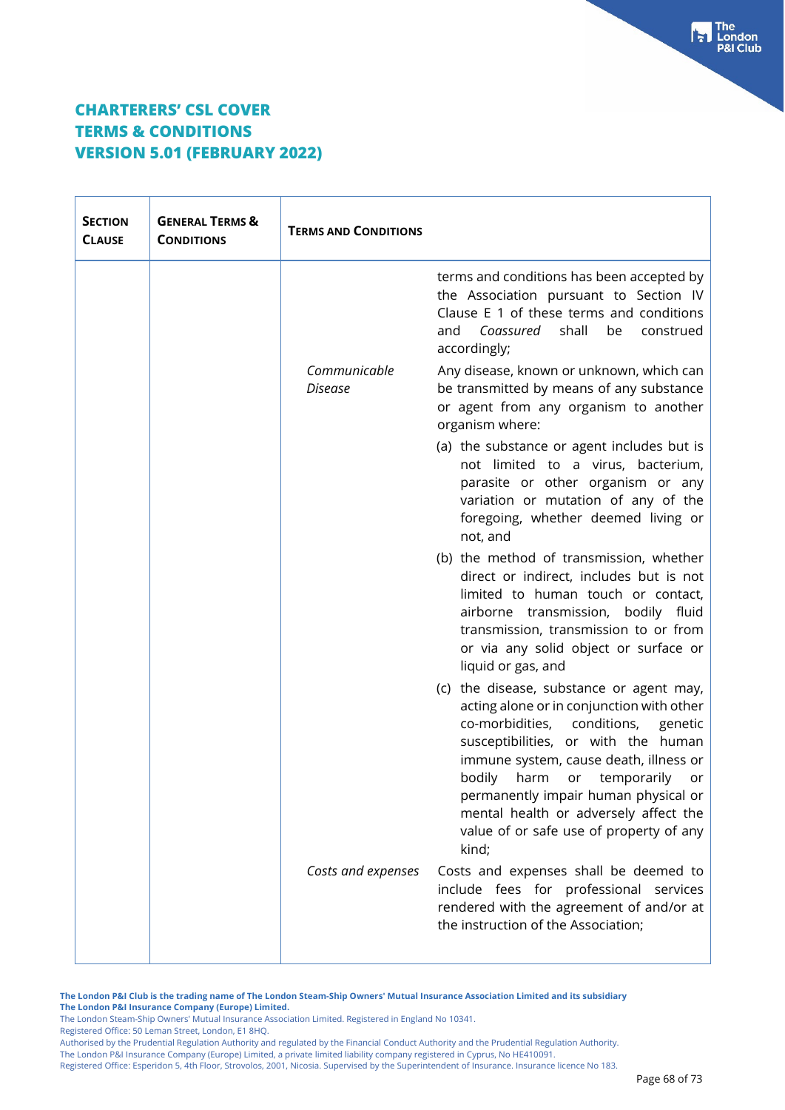| <b>SECTION</b><br><b>CLAUSE</b> | <b>GENERAL TERMS &amp;</b><br><b>CONDITIONS</b> | <b>TERMS AND CONDITIONS</b> |                                                                                                                                                                                                                                                                                                                                                                                                    |
|---------------------------------|-------------------------------------------------|-----------------------------|----------------------------------------------------------------------------------------------------------------------------------------------------------------------------------------------------------------------------------------------------------------------------------------------------------------------------------------------------------------------------------------------------|
|                                 |                                                 |                             | terms and conditions has been accepted by<br>the Association pursuant to Section IV<br>Clause E 1 of these terms and conditions<br>shall<br>Coassured<br>be<br>construed<br>and<br>accordingly;                                                                                                                                                                                                    |
|                                 |                                                 | Communicable<br>Disease     | Any disease, known or unknown, which can<br>be transmitted by means of any substance<br>or agent from any organism to another<br>organism where:                                                                                                                                                                                                                                                   |
|                                 |                                                 |                             | (a) the substance or agent includes but is<br>not limited to a virus, bacterium,<br>parasite or other organism or any<br>variation or mutation of any of the<br>foregoing, whether deemed living or<br>not, and                                                                                                                                                                                    |
|                                 |                                                 |                             | (b) the method of transmission, whether<br>direct or indirect, includes but is not<br>limited to human touch or contact,<br>airborne transmission, bodily fluid<br>transmission, transmission to or from<br>or via any solid object or surface or<br>liquid or gas, and                                                                                                                            |
|                                 |                                                 |                             | (c) the disease, substance or agent may,<br>acting alone or in conjunction with other<br>co-morbidities,<br>conditions,<br>genetic<br>susceptibilities, or with the human<br>immune system, cause death, illness or<br>bodily<br>harm<br>or temporarily<br>or<br>permanently impair human physical or<br>mental health or adversely affect the<br>value of or safe use of property of any<br>kind; |
|                                 |                                                 | Costs and expenses          | Costs and expenses shall be deemed to<br>include fees for professional services<br>rendered with the agreement of and/or at<br>the instruction of the Association;                                                                                                                                                                                                                                 |

**The London P&I Club is the trading name of The London Steam-Ship Owners' Mutual Insurance Association Limited and its subsidiary The London P&I Insurance Company (Europe) Limited.**

The London Steam-Ship Owners' Mutual Insurance Association Limited. Registered in England No 10341.

Registered Office: 50 Leman Street, London, E1 8HQ.

Authorised by the Prudential Regulation Authority and regulated by the Financial Conduct Authority and the Prudential Regulation Authority.

The London P&I Insurance Company (Europe) Limited, a private limited liability company registered in Cyprus, No HE410091.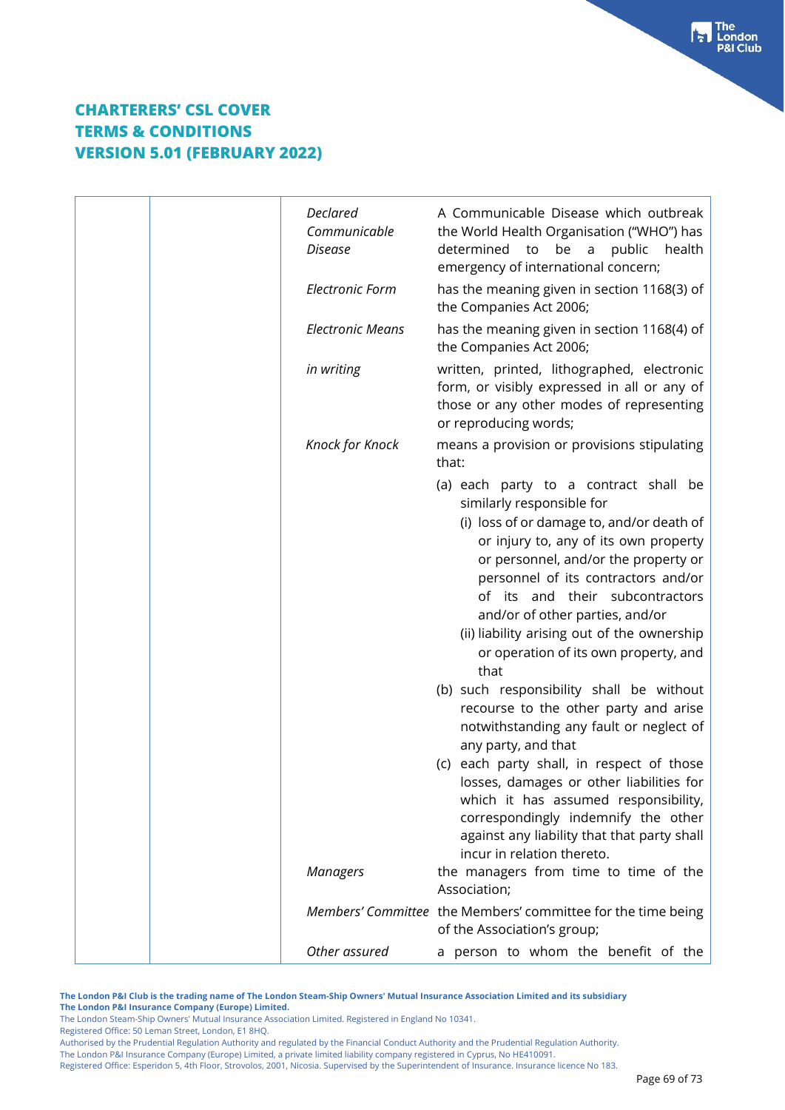| <b>Declared</b><br>Communicable<br>Disease | A Communicable Disease which outbreak<br>the World Health Organisation ("WHO") has<br>determined to<br>be<br>public<br>health<br>a<br>emergency of international concern;                                                                                                                                                                                                                                     |
|--------------------------------------------|---------------------------------------------------------------------------------------------------------------------------------------------------------------------------------------------------------------------------------------------------------------------------------------------------------------------------------------------------------------------------------------------------------------|
| <b>Electronic Form</b>                     | has the meaning given in section 1168(3) of<br>the Companies Act 2006;                                                                                                                                                                                                                                                                                                                                        |
| <b>Electronic Means</b>                    | has the meaning given in section 1168(4) of<br>the Companies Act 2006;                                                                                                                                                                                                                                                                                                                                        |
| in writing                                 | written, printed, lithographed, electronic<br>form, or visibly expressed in all or any of<br>those or any other modes of representing<br>or reproducing words;                                                                                                                                                                                                                                                |
| Knock for Knock                            | means a provision or provisions stipulating<br>that:                                                                                                                                                                                                                                                                                                                                                          |
|                                            | (a) each party to a contract shall be<br>similarly responsible for<br>(i) loss of or damage to, and/or death of<br>or injury to, any of its own property<br>or personnel, and/or the property or<br>personnel of its contractors and/or<br>of its and their subcontractors<br>and/or of other parties, and/or<br>(ii) liability arising out of the ownership<br>or operation of its own property, and<br>that |
|                                            | (b) such responsibility shall be without<br>recourse to the other party and arise<br>notwithstanding any fault or neglect of                                                                                                                                                                                                                                                                                  |
|                                            | any party, and that<br>(c) each party shall, in respect of those<br>losses, damages or other liabilities for<br>which it has assumed responsibility,<br>correspondingly indemnify the other<br>against any liability that that party shall<br>incur in relation thereto.                                                                                                                                      |
| <b>Managers</b>                            | the managers from time to time of the<br>Association;                                                                                                                                                                                                                                                                                                                                                         |
|                                            | Members' Committee the Members' committee for the time being<br>of the Association's group;                                                                                                                                                                                                                                                                                                                   |
| Other assured                              | a person to whom the benefit of the                                                                                                                                                                                                                                                                                                                                                                           |

**The London P&I Club is the trading name of The London Steam-Ship Owners' Mutual Insurance Association Limited and its subsidiary The London P&I Insurance Company (Europe) Limited.**

The London Steam-Ship Owners' Mutual Insurance Association Limited. Registered in England No 10341. Registered Office: 50 Leman Street, London, E1 8HQ.

Authorised by the Prudential Regulation Authority and regulated by the Financial Conduct Authority and the Prudential Regulation Authority.

The London P&I Insurance Company (Europe) Limited, a private limited liability company registered in Cyprus, No HE410091.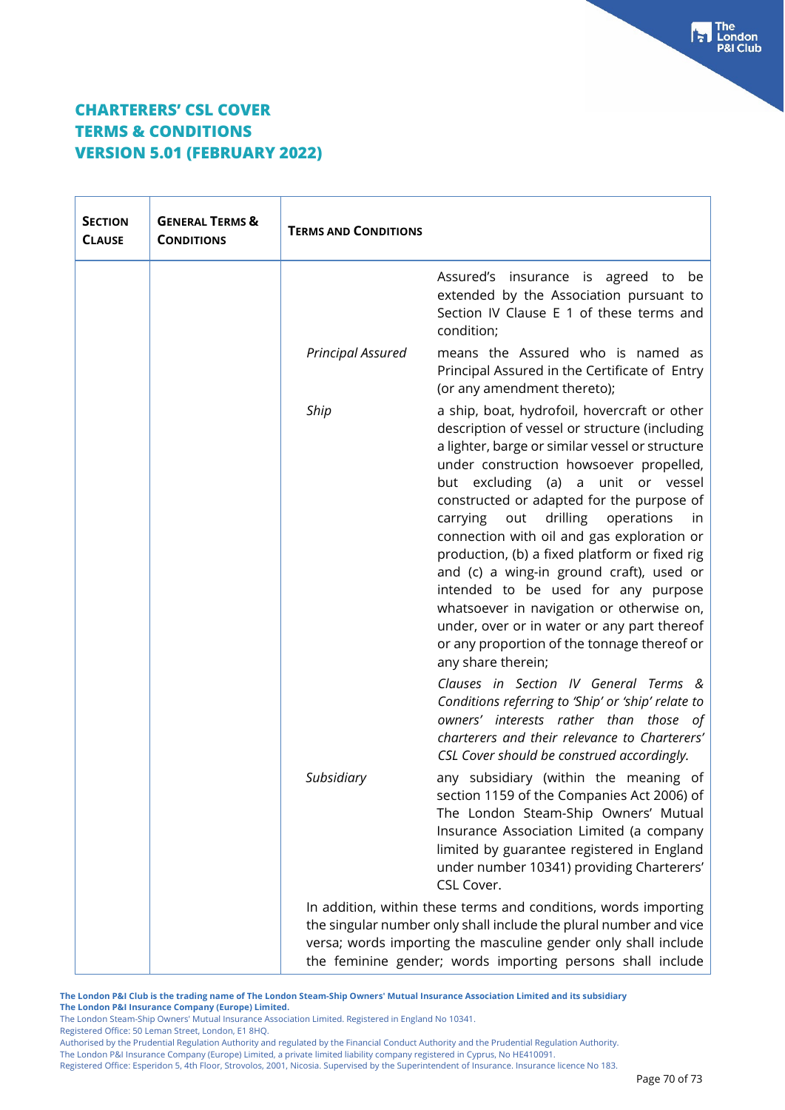| <b>SECTION</b><br><b>CLAUSE</b> | <b>GENERAL TERMS &amp;</b><br><b>CONDITIONS</b> | <b>TERMS AND CONDITIONS</b>                                                                                                                                                                                                                                          |                                                                                                                                                                                                                                                                                                                                                                                                                                                                                                                                                                                                                                                                                             |
|---------------------------------|-------------------------------------------------|----------------------------------------------------------------------------------------------------------------------------------------------------------------------------------------------------------------------------------------------------------------------|---------------------------------------------------------------------------------------------------------------------------------------------------------------------------------------------------------------------------------------------------------------------------------------------------------------------------------------------------------------------------------------------------------------------------------------------------------------------------------------------------------------------------------------------------------------------------------------------------------------------------------------------------------------------------------------------|
|                                 |                                                 |                                                                                                                                                                                                                                                                      | Assured's insurance is agreed to<br>be<br>extended by the Association pursuant to<br>Section IV Clause E 1 of these terms and<br>condition;                                                                                                                                                                                                                                                                                                                                                                                                                                                                                                                                                 |
|                                 |                                                 | <b>Principal Assured</b>                                                                                                                                                                                                                                             | means the Assured who is named as<br>Principal Assured in the Certificate of Entry<br>(or any amendment thereto);                                                                                                                                                                                                                                                                                                                                                                                                                                                                                                                                                                           |
|                                 |                                                 | Ship                                                                                                                                                                                                                                                                 | a ship, boat, hydrofoil, hovercraft or other<br>description of vessel or structure (including<br>a lighter, barge or similar vessel or structure<br>under construction howsoever propelled,<br>but excluding (a) a unit or vessel<br>constructed or adapted for the purpose of<br>drilling<br>carrying<br>out<br>operations<br><i>in</i><br>connection with oil and gas exploration or<br>production, (b) a fixed platform or fixed rig<br>and (c) a wing-in ground craft), used or<br>intended to be used for any purpose<br>whatsoever in navigation or otherwise on,<br>under, over or in water or any part thereof<br>or any proportion of the tonnage thereof or<br>any share therein; |
|                                 |                                                 |                                                                                                                                                                                                                                                                      | Clauses in Section IV General Terms &<br>Conditions referring to 'Ship' or 'ship' relate to<br>owners' interests rather than those of<br>charterers and their relevance to Charterers'<br>CSL Cover should be construed accordingly.                                                                                                                                                                                                                                                                                                                                                                                                                                                        |
|                                 |                                                 | Subsidiary                                                                                                                                                                                                                                                           | any subsidiary (within the meaning of<br>section 1159 of the Companies Act 2006) of<br>The London Steam-Ship Owners' Mutual<br>Insurance Association Limited (a company<br>limited by guarantee registered in England<br>under number 10341) providing Charterers'<br>CSL Cover.                                                                                                                                                                                                                                                                                                                                                                                                            |
|                                 |                                                 | In addition, within these terms and conditions, words importing<br>the singular number only shall include the plural number and vice<br>versa; words importing the masculine gender only shall include<br>the feminine gender; words importing persons shall include |                                                                                                                                                                                                                                                                                                                                                                                                                                                                                                                                                                                                                                                                                             |

**The London P&I Club is the trading name of The London Steam-Ship Owners' Mutual Insurance Association Limited and its subsidiary The London P&I Insurance Company (Europe) Limited.**

The London Steam-Ship Owners' Mutual Insurance Association Limited. Registered in England No 10341.

Registered Office: 50 Leman Street, London, E1 8HQ.

Authorised by the Prudential Regulation Authority and regulated by the Financial Conduct Authority and the Prudential Regulation Authority.

The London P&I Insurance Company (Europe) Limited, a private limited liability company registered in Cyprus, No HE410091.

Registered Office: Esperidon 5, 4th Floor, Strovolos, 2001, Nicosia. Supervised by the Superintendent of Insurance. Insurance licence No 183.

 $\begin{bmatrix} 1 \\ 2 \end{bmatrix}$  The<br> $\begin{bmatrix} 1 \\ 2 \end{bmatrix}$  London **P&I Club**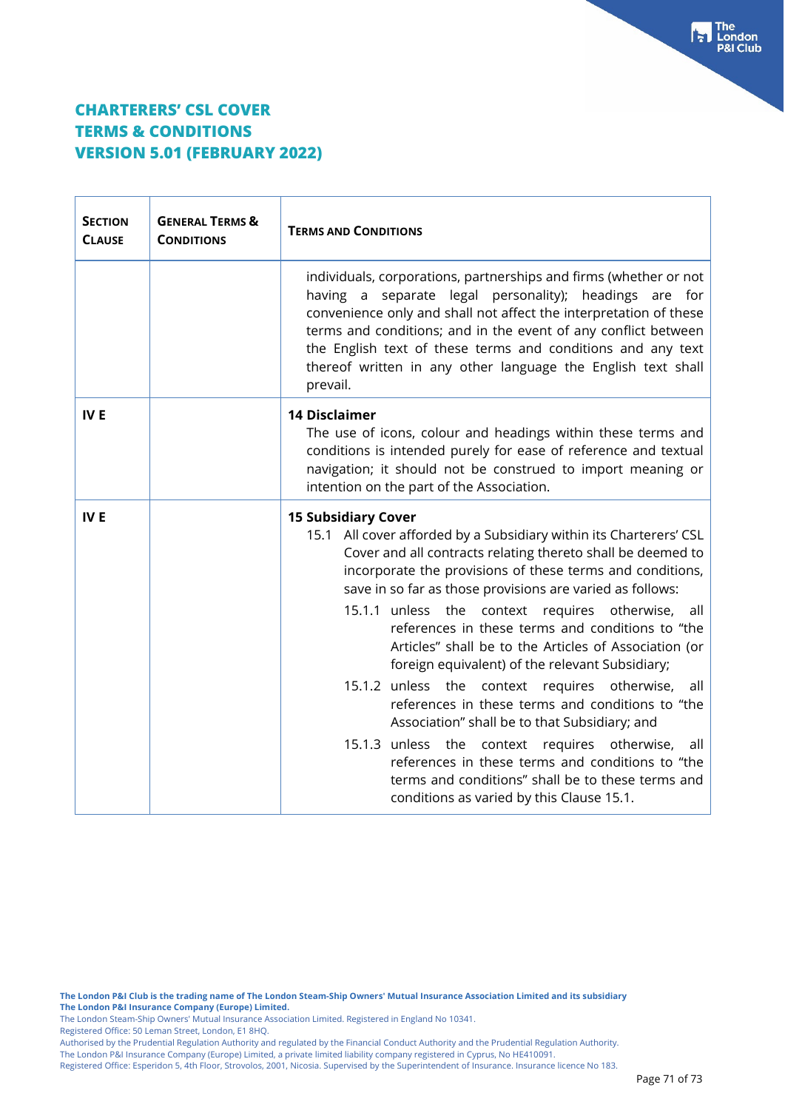| <b>SECTION</b><br><b>CLAUSE</b> | <b>GENERAL TERMS &amp;</b><br><b>CONDITIONS</b> | <b>TERMS AND CONDITIONS</b>                                                                                                                                                                                                                                                                                                                                                                                                                                                                                                                                                                                                                                                                                                                                                                                                                                                                     |  |
|---------------------------------|-------------------------------------------------|-------------------------------------------------------------------------------------------------------------------------------------------------------------------------------------------------------------------------------------------------------------------------------------------------------------------------------------------------------------------------------------------------------------------------------------------------------------------------------------------------------------------------------------------------------------------------------------------------------------------------------------------------------------------------------------------------------------------------------------------------------------------------------------------------------------------------------------------------------------------------------------------------|--|
|                                 |                                                 | individuals, corporations, partnerships and firms (whether or not<br>having a separate legal personality); headings are for<br>convenience only and shall not affect the interpretation of these<br>terms and conditions; and in the event of any conflict between<br>the English text of these terms and conditions and any text<br>thereof written in any other language the English text shall<br>prevail.                                                                                                                                                                                                                                                                                                                                                                                                                                                                                   |  |
| <b>IVE</b>                      |                                                 | <b>14 Disclaimer</b><br>The use of icons, colour and headings within these terms and<br>conditions is intended purely for ease of reference and textual<br>navigation; it should not be construed to import meaning or<br>intention on the part of the Association.                                                                                                                                                                                                                                                                                                                                                                                                                                                                                                                                                                                                                             |  |
| <b>IVE</b>                      |                                                 | <b>15 Subsidiary Cover</b><br>15.1 All cover afforded by a Subsidiary within its Charterers' CSL<br>Cover and all contracts relating thereto shall be deemed to<br>incorporate the provisions of these terms and conditions,<br>save in so far as those provisions are varied as follows:<br>15.1.1 unless the context requires otherwise, all<br>references in these terms and conditions to "the<br>Articles" shall be to the Articles of Association (or<br>foreign equivalent) of the relevant Subsidiary;<br>15.1.2 unless the context requires otherwise,<br>all<br>references in these terms and conditions to "the<br>Association" shall be to that Subsidiary; and<br>15.1.3 unless the<br>otherwise,<br>context requires<br>all<br>references in these terms and conditions to "the<br>terms and conditions" shall be to these terms and<br>conditions as varied by this Clause 15.1. |  |

**The London P&I Club is the trading name of The London Steam-Ship Owners' Mutual Insurance Association Limited and its subsidiary The London P&I Insurance Company (Europe) Limited.**

The London Steam-Ship Owners' Mutual Insurance Association Limited. Registered in England No 10341.

Registered Office: 50 Leman Street, London, E1 8HQ.

Authorised by the Prudential Regulation Authority and regulated by the Financial Conduct Authority and the Prudential Regulation Authority.

The London P&I Insurance Company (Europe) Limited, a private limited liability company registered in Cyprus, No HE410091.

Registered Office: Esperidon 5, 4th Floor, Strovolos, 2001, Nicosia. Supervised by the Superintendent of Insurance. Insurance licence No 183.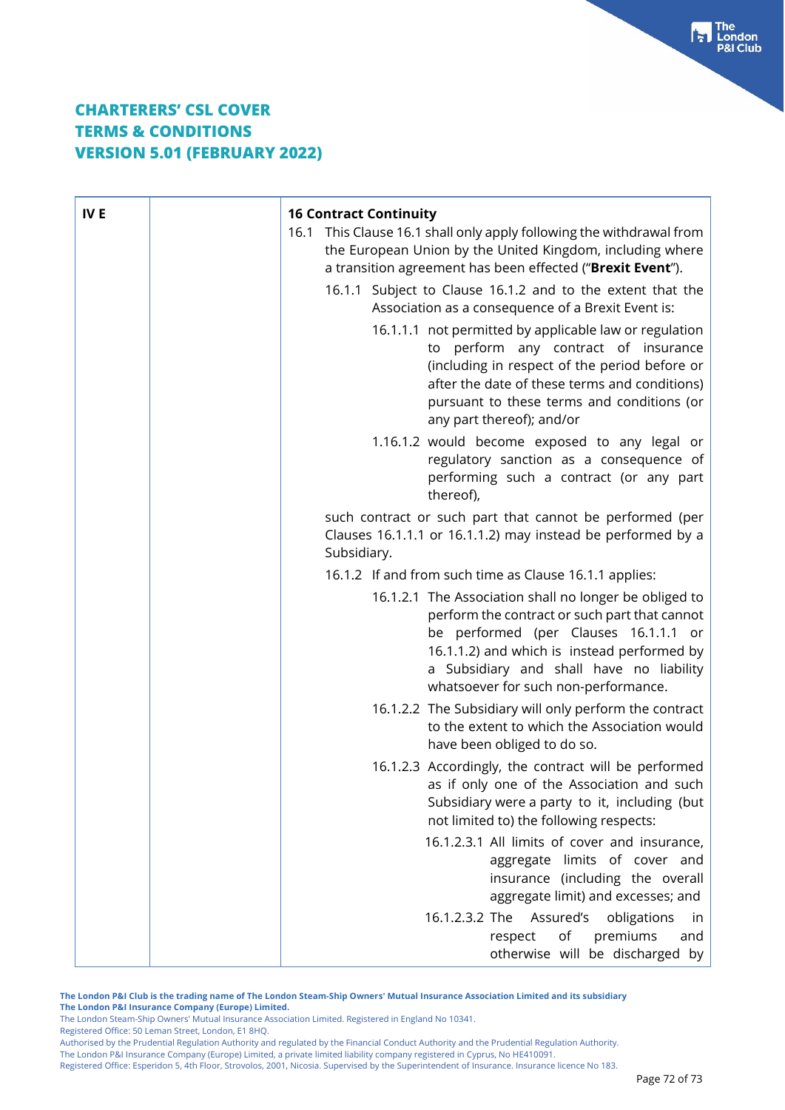| IV <sub>E</sub> | <b>16 Contract Continuity</b><br>16.1 This Clause 16.1 shall only apply following the withdrawal from<br>the European Union by the United Kingdom, including where<br>a transition agreement has been effected ("Brexit Event").<br>16.1.1 Subject to Clause 16.1.2 and to the extent that the<br>Association as a consequence of a Brexit Event is:<br>16.1.1.1 not permitted by applicable law or regulation<br>to perform any contract of insurance<br>(including in respect of the period before or<br>after the date of these terms and conditions)<br>pursuant to these terms and conditions (or<br>any part thereof); and/or |
|-----------------|-------------------------------------------------------------------------------------------------------------------------------------------------------------------------------------------------------------------------------------------------------------------------------------------------------------------------------------------------------------------------------------------------------------------------------------------------------------------------------------------------------------------------------------------------------------------------------------------------------------------------------------|
|                 | 1.16.1.2 would become exposed to any legal or<br>regulatory sanction as a consequence of<br>performing such a contract (or any part<br>thereof),                                                                                                                                                                                                                                                                                                                                                                                                                                                                                    |
|                 | such contract or such part that cannot be performed (per<br>Clauses 16.1.1.1 or 16.1.1.2) may instead be performed by a<br>Subsidiary.                                                                                                                                                                                                                                                                                                                                                                                                                                                                                              |
|                 | 16.1.2 If and from such time as Clause 16.1.1 applies:                                                                                                                                                                                                                                                                                                                                                                                                                                                                                                                                                                              |
|                 | 16.1.2.1 The Association shall no longer be obliged to<br>perform the contract or such part that cannot<br>be performed (per Clauses 16.1.1.1 or<br>16.1.1.2) and which is instead performed by<br>a Subsidiary and shall have no liability<br>whatsoever for such non-performance.                                                                                                                                                                                                                                                                                                                                                 |
|                 | 16.1.2.2 The Subsidiary will only perform the contract<br>to the extent to which the Association would<br>have been obliged to do so.                                                                                                                                                                                                                                                                                                                                                                                                                                                                                               |
|                 | 16.1.2.3 Accordingly, the contract will be performed<br>as if only one of the Association and such<br>Subsidiary were a party to it, including (but<br>not limited to) the following respects:                                                                                                                                                                                                                                                                                                                                                                                                                                      |
|                 | 16.1.2.3.1 All limits of cover and insurance,<br>aggregate limits of cover and<br>insurance (including the overall<br>aggregate limit) and excesses; and                                                                                                                                                                                                                                                                                                                                                                                                                                                                            |
|                 | Assured's<br>obligations<br>16.1.2.3.2 The<br>in<br>of<br>premiums<br>respect<br>and<br>otherwise will be discharged by                                                                                                                                                                                                                                                                                                                                                                                                                                                                                                             |

**The London P&I Club is the trading name of The London Steam-Ship Owners' Mutual Insurance Association Limited and its subsidiary The London P&I Insurance Company (Europe) Limited.**

The London Steam-Ship Owners' Mutual Insurance Association Limited. Registered in England No 10341. Registered Office: 50 Leman Street, London, E1 8HQ.

Authorised by the Prudential Regulation Authority and regulated by the Financial Conduct Authority and the Prudential Regulation Authority.

The London P&I Insurance Company (Europe) Limited, a private limited liability company registered in Cyprus, No HE410091.

Registered Office: Esperidon 5, 4th Floor, Strovolos, 2001, Nicosia. Supervised by the Superintendent of Insurance. Insurance licence No 183.